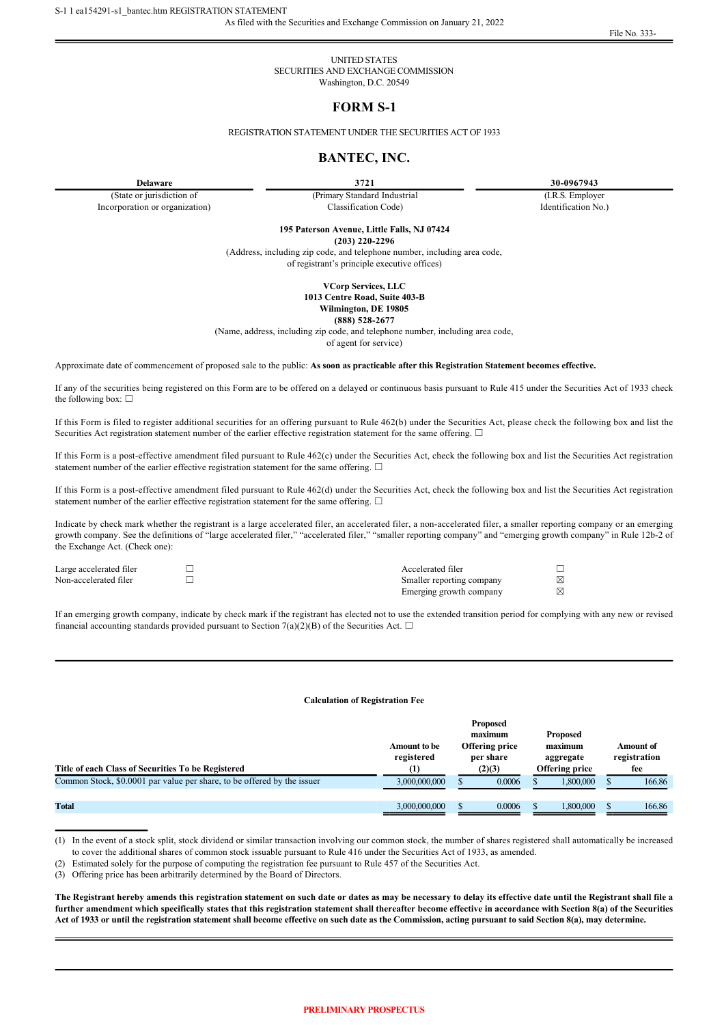UNITED STATES SECURITIES AND EXCHANGE COMMISSION Washington, D.C. 20549

## **FORM S-1**

REGISTRATION STATEMENT UNDER THE SECURITIES ACT OF 1933

## **BANTEC, INC.**

(State or jurisdiction of Incorporation or organization) (Primary Standard Industrial Classification Code)

**Delaware 3721 30-0967943** 

(I.R.S. Employer Identification No.)

**195 Paterson Avenue, Little Falls, NJ 07424**

**(203) 2202296**

(Address, including zip code, and telephone number, including area code, of registrant's principle executive offices)

> **VCorp Services, LLC 1013 Centre Road, Suite 403-B Wilmington, DE 19805**

> > **(888) 5282677**

(Name, address, including zip code, and telephone number, including area code,

of agent for service)

Approximate date of commencement of proposed sale to the public: **As soon as practicable after this Registration Statement becomes effective.**

If any of the securities being registered on this Form are to be offered on a delayed or continuous basis pursuant to Rule 415 under the Securities Act of 1933 check the following box:  $\square$ 

If this Form is filed to register additional securities for an offering pursuant to Rule 462(b) under the Securities Act, please check the following box and list the Securities Act registration statement number of the earlier effective registration statement for the same offering. □

If this Form is a posteffective amendment filed pursuant to Rule 462(c) under the Securities Act, check the following box and list the Securities Act registration statement number of the earlier effective registration statement for the same offering.  $\Box$ 

If this Form is a posteffective amendment filed pursuant to Rule 462(d) under the Securities Act, check the following box and list the Securities Act registration statement number of the earlier effective registration statement for the same offering.  $\Box$ 

Indicate by check mark whether the registrant is a large accelerated filer, an accelerated filer, a nonaccelerated filer, a smaller reporting company or an emerging growth company. See the definitions of "large accelerated filer," "accelerated filer," "smaller reporting company" and "emerging growth company" in Rule 12b-2 of the Exchange Act. (Check one):

Large accelerated filer ☐ Accelerated filer ☐ Smaller reporting company  $\boxtimes$ <br>Emerging growth company  $\boxtimes$ Emerging growth company

If an emerging growth company, indicate by check mark if the registrant has elected not to use the extended transition period for complying with any new or revised financial accounting standards provided pursuant to Section 7(a)(2)(B) of the Securities Act.  $\Box$ 

## **Calculation of Registration Fee**

| Title of each Class of Securities To be Registered                      | Amount to be<br>registered<br>(1) | Proposed<br>maximum<br><b>Offering price</b><br>per share<br>(2)(3) |        | <b>Proposed</b><br>maximum<br>aggregate<br>Offering price |           | <b>Amount of</b><br>registration<br>fee |
|-------------------------------------------------------------------------|-----------------------------------|---------------------------------------------------------------------|--------|-----------------------------------------------------------|-----------|-----------------------------------------|
| Common Stock, \$0.0001 par value per share, to be offered by the issuer | 3,000,000,000                     |                                                                     | 0.0006 |                                                           | 1,800,000 | 166.86                                  |
| <b>Total</b>                                                            | 3,000,000,000                     |                                                                     | 0.0006 |                                                           | .800.000  | 166.86                                  |

(1) In the event of a stock split, stock dividend or similar transaction involving our common stock, the number of shares registered shall automatically be increased to cover the additional shares of common stock issuable pursuant to Rule 416 under the Securities Act of 1933, as amended.

(2) Estimated solely for the purpose of computing the registration fee pursuant to Rule 457 of the Securities Act.

(3) Offering price has been arbitrarily determined by the Board of Directors.

**The Registrant hereby amends this registration statement on such date or dates as may be necessary to delay its effective date until the Registrant shall file a further amendment which specifically states that this registration statement shall thereafter become effective in accordance with Section 8(a) of the Securities Act of 1933 or until the registration statement shall become effective on such date as the Commission, acting pursuant to said Section 8(a), may determine.**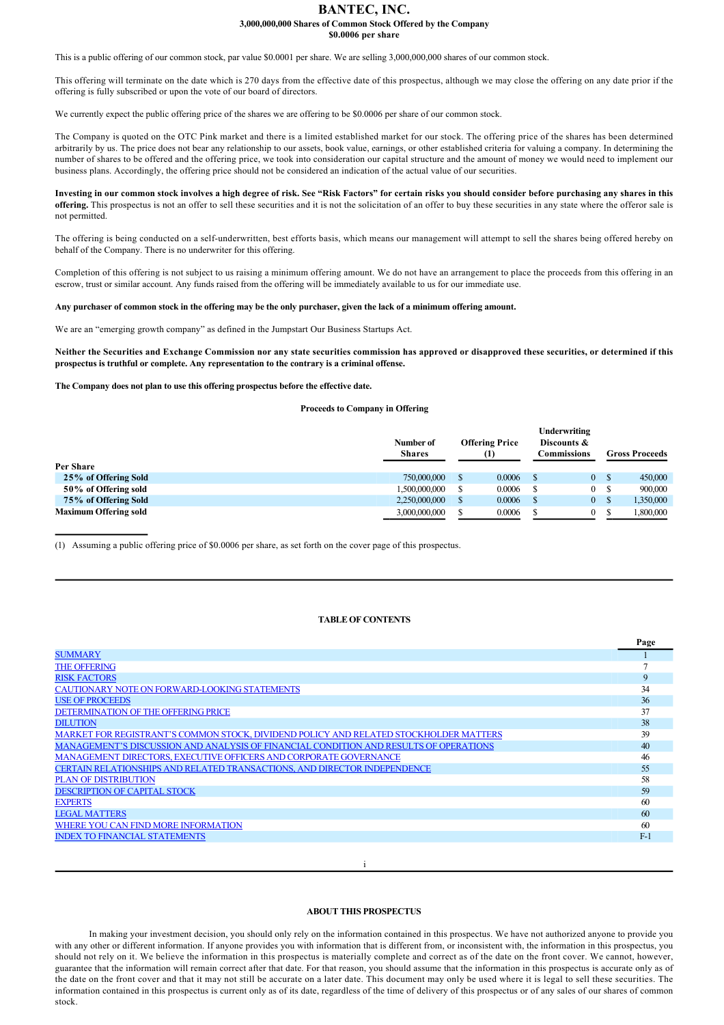## **BANTEC, INC.**

**3,000,000,000 Shares of Common Stock Offered by the Company**

**\$0.0006 per share**

This is a public offering of our common stock, par value \$0.0001 per share. We are selling 3,000,000,000 shares of our common stock.

This offering will terminate on the date which is 270 days from the effective date of this prospectus, although we may close the offering on any date prior if the offering is fully subscribed or upon the vote of our board of directors.

We currently expect the public offering price of the shares we are offering to be \$0.0006 per share of our common stock.

The Company is quoted on the OTC Pink market and there is a limited established market for our stock. The offering price of the shares has been determined arbitrarily by us. The price does not bear any relationship to our assets, book value, earnings, or other established criteria for valuing a company. In determining the number of shares to be offered and the offering price, we took into consideration our capital structure and the amount of money we would need to implement our business plans. Accordingly, the offering price should not be considered an indication of the actual value of our securities.

**Investing in our common stock involves a high degree of risk. See "Risk Factors" for certain risks you should consider before purchasing any shares in this offering.** This prospectus is not an offer to sell these securities and it is not the solicitation of an offer to buy these securities in any state where the offeror sale is not permitted.

The offering is being conducted on a self-underwritten, best efforts basis, which means our management will attempt to sell the shares being offered hereby on behalf of the Company. There is no underwriter for this offering.

Completion of this offering is not subject to us raising a minimum offering amount. We do not have an arrangement to place the proceeds from this offering in an escrow, trust or similar account. Any funds raised from the offering will be immediately available to us for our immediate use.

#### **Any purchaser of common stock in the offering may be the only purchaser, given the lack of a minimum offering amount.**

We are an "emerging growth company" as defined in the Jumpstart Our Business Startups Act.

**Neither the Securities and Exchange Commission nor any state securities commission has approved or disapproved these securities, or determined if this prospectus is truthful or complete. Any representation to the contrary is a criminal offense.**

**The Company does not plan to use this offering prospectus before the effective date.**

#### **Proceeds to Company in Offering**

| Per Share                    | Number of<br><b>Shares</b> | <b>Offering Price</b><br>(1) | Underwriting<br>Discounts &<br>Commissions | <b>Gross Proceeds</b> |
|------------------------------|----------------------------|------------------------------|--------------------------------------------|-----------------------|
| 25% of Offering Sold         | 750,000,000                | 0.0006                       | $\overline{0}$                             | 450,000               |
| 50% of Offering sold         | 1,500,000,000              | 0.0006                       | $\overline{0}$                             | 900,000               |
| 75% of Offering Sold         | 2,250,000,000              | 0.0006                       | $\overline{0}$                             | 1,350,000             |
| <b>Maximum Offering sold</b> | 3,000,000,000              | 0.0006                       | $\Omega$                                   | ,800,000              |

(1) Assuming a public offering price of \$0.0006 per share, as set forth on the cover page of this prospectus.

## **TABLE OF CONTENTS**

|                                                                                       | Page  |
|---------------------------------------------------------------------------------------|-------|
| <b>SUMMARY</b>                                                                        |       |
| <b>THE OFFERING</b>                                                                   |       |
| <b>RISK FACTORS</b>                                                                   | 9     |
| CAUTIONARY NOTE ON FORWARD-LOOKING STATEMENTS                                         | 34    |
| <b>USE OF PROCEEDS</b>                                                                | 36    |
| DETERMINATION OF THE OFFERING PRICE                                                   | 37    |
| <b>DILUTION</b>                                                                       | 38    |
| MARKET FOR REGISTRANT'S COMMON STOCK, DIVIDEND POLICY AND RELATED STOCKHOLDER MATTERS | 39    |
| MANAGEMENT'S DISCUSSION AND ANALYSIS OF FINANCIAL CONDITION AND RESULTS OF OPERATIONS | 40    |
| MANAGEMENT DIRECTORS, EXECUTIVE OFFICERS AND CORPORATE GOVERNANCE                     | 46    |
| <b>CERTAIN RELATIONSHIPS AND RELATED TRANSACTIONS, AND DIRECTOR INDEPENDENCE</b>      | 55    |
| <b>PLAN OF DISTRIBUTION</b>                                                           | 58    |
| <b>DESCRIPTION OF CAPITAL STOCK</b>                                                   | 59    |
| <b>EXPERTS</b>                                                                        | 60    |
| <b>LEGAL MATTERS</b>                                                                  | 60    |
| WHERE YOU CAN FIND MORE INFORMATION                                                   | 60    |
| <b>INDEX TO FINANCIAL STATEMENTS</b>                                                  | $F-1$ |
|                                                                                       |       |

i

#### **ABOUT THIS PROSPECTUS**

In making your investment decision, you should only rely on the information contained in this prospectus. We have not authorized anyone to provide you with any other or different information. If anyone provides you with information that is different from, or inconsistent with, the information in this prospectus, you should not rely on it. We believe the information in this prospectus is materially complete and correct as of the date on the front cover. We cannot, however, guarantee that the information will remain correct after that date. For that reason, you should assume that the information in this prospectus is accurate only as of the date on the front cover and that it may not still be accurate on a later date. This document may only be used where it is legal to sell these securities. The information contained in this prospectus is current only as of its date, regardless of the time of delivery of this prospectus or of any sales of our shares of common stock.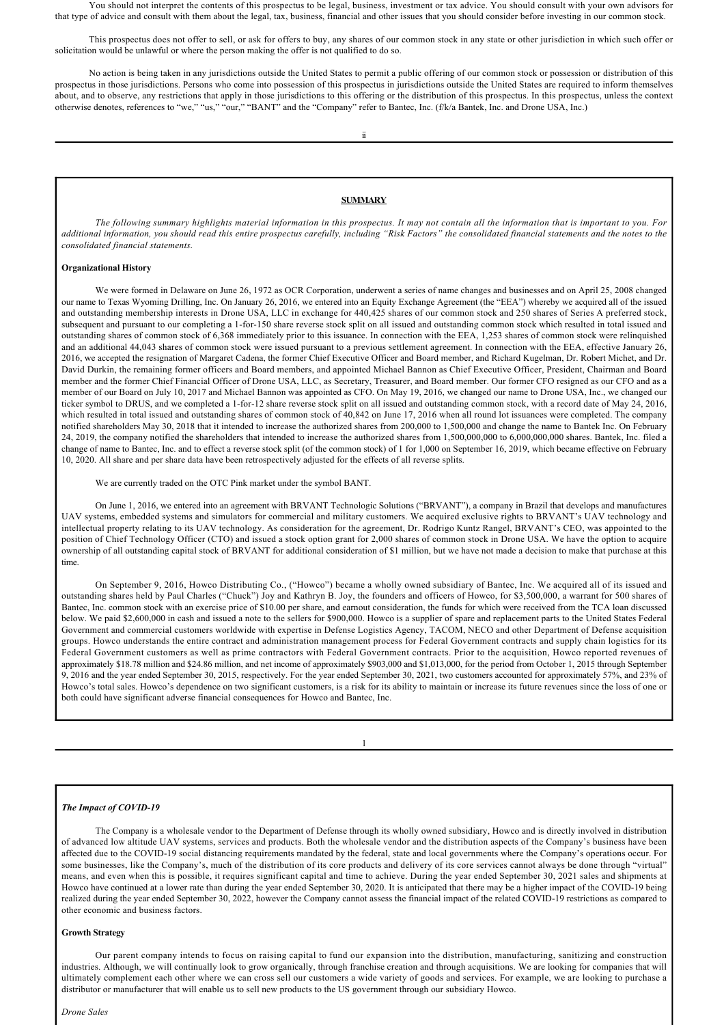You should not interpret the contents of this prospectus to be legal, business, investment or tax advice. You should consult with your own advisors for that type of advice and consult with them about the legal, tax, business, financial and other issues that you should consider before investing in our common stock.

This prospectus does not offer to sell, or ask for offers to buy, any shares of our common stock in any state or other jurisdiction in which such offer or solicitation would be unlawful or where the person making the offer is not qualified to do so.

No action is being taken in any jurisdictions outside the United States to permit a public offering of our common stock or possession or distribution of this prospectus in those jurisdictions. Persons who come into possession of this prospectus in jurisdictions outside the United States are required to inform themselves about, and to observe, any restrictions that apply in those jurisdictions to this offering or the distribution of this prospectus. In this prospectus, unless the context otherwise denotes, references to "we," "us," "our," "BANT" and the "Company" refer to Bantec, Inc. (f/k/a Bantek, Inc. and Drone USA, Inc.)

## **SUMMARY**

*The following summary highlights material information in this prospectus. It may not contain all the information that is important to you. For additional information, you should read this entire prospectus carefully, including "Risk Factors" the consolidated financial statements and the notes to the consolidated financial statements.*

## **Organizational History**

We were formed in Delaware on June 26, 1972 as OCR Corporation, underwent a series of name changes and businesses and on April 25, 2008 changed our name to Texas Wyoming Drilling, Inc. On January 26, 2016, we entered into an Equity Exchange Agreement (the "EEA") whereby we acquired all of the issued and outstanding membership interests in Drone USA, LLC in exchange for 440,425 shares of our common stock and 250 shares of Series A preferred stock, subsequent and pursuant to our completing a 1-for-150 share reverse stock split on all issued and outstanding common stock which resulted in total issued and outstanding shares of common stock of 6,368 immediately prior to this issuance. In connection with the EEA, 1,253 shares of common stock were relinquished and an additional 44,043 shares of common stock were issued pursuant to a previous settlement agreement. In connection with the EEA, effective January 26, 2016, we accepted the resignation of Margaret Cadena, the former Chief Executive Officer and Board member, and Richard Kugelman, Dr. Robert Michet, and Dr. David Durkin, the remaining former officers and Board members, and appointed Michael Bannon as Chief Executive Officer, President, Chairman and Board member and the former Chief Financial Officer of Drone USA, LLC, as Secretary, Treasurer, and Board member. Our former CFO resigned as our CFO and as a member of our Board on July 10, 2017 and Michael Bannon was appointed as CFO. On May 19, 2016, we changed our name to Drone USA, Inc., we changed our ticker symbol to DRUS, and we completed a 1-for-12 share reverse stock split on all issued and outstanding common stock, with a record date of May 24, 2016, which resulted in total issued and outstanding shares of common stock of 40,842 on June 17, 2016 when all round lot issuances were completed. The company notified shareholders May 30, 2018 that it intended to increase the authorized shares from 200,000 to 1,500,000 and change the name to Bantek Inc. On February 24, 2019, the company notified the shareholders that intended to increase the authorized shares from 1,500,000,000 to 6,000,000,000 shares. Bantek, Inc. filed a change of name to Bantec, Inc. and to effect a reverse stock split (of the common stock) of 1 for 1,000 on September 16, 2019, which became effective on February 10, 2020. All share and per share data have been retrospectively adjusted for the effects of all reverse splits.

We are currently traded on the OTC Pink market under the symbol BANT.

On June 1, 2016, we entered into an agreement with BRVANT Technologic Solutions ("BRVANT"), a company in Brazil that develops and manufactures UAV systems, embedded systems and simulators for commercial and military customers. We acquired exclusive rights to BRVANT's UAV technology and intellectual property relating to its UAV technology. As consideration for the agreement, Dr. Rodrigo Kuntz Rangel, BRVANT's CEO, was appointed to the position of Chief Technology Officer (CTO) and issued a stock option grant for 2,000 shares of common stock in Drone USA. We have the option to acquire ownership of all outstanding capital stock of BRVANT for additional consideration of \$1 million, but we have not made a decision to make that purchase at this time.

On September 9, 2016, Howco Distributing Co., ("Howco") became a wholly owned subsidiary of Bantec, Inc. We acquired all of its issued and outstanding shares held by Paul Charles ("Chuck") Joy and Kathryn B. Joy, the founders and officers of Howco, for \$3,500,000, a warrant for 500 shares of Bantec, Inc. common stock with an exercise price of \$10.00 per share, and earnout consideration, the funds for which were received from the TCA loan discussed below. We paid \$2,600,000 in cash and issued a note to the sellers for \$900,000. Howco is a supplier of spare and replacement parts to the United States Federal Government and commercial customers worldwide with expertise in Defense Logistics Agency, TACOM, NECO and other Department of Defense acquisition groups. Howco understands the entire contract and administration management process for Federal Government contracts and supply chain logistics for its Federal Government customers as well as prime contractors with Federal Government contracts. Prior to the acquisition, Howco reported revenues of approximately \$18.78 million and \$24.86 million, and net income of approximately \$903,000 and \$1,013,000, for the period from October 1, 2015 through September 9, 2016 and the year ended September 30, 2015, respectively. For the year ended September 30, 2021, two customers accounted for approximately 57%, and 23% of Howco's total sales. Howco's dependence on two significant customers, is a risk for its ability to maintain or increase its future revenues since the loss of one or both could have significant adverse financial consequences for Howco and Bantec, Inc.

1

## *The Impact of COVID19*

The Company is a wholesale vendor to the Department of Defense through its wholly owned subsidiary, Howco and is directly involved in distribution of advanced low altitude UAV systems, services and products. Both the wholesale vendor and the distribution aspects of the Company's business have been affected due to the COVID-19 social distancing requirements mandated by the federal, state and local governments where the Company's operations occur. For some businesses, like the Company's, much of the distribution of its core products and delivery of its core services cannot always be done through "virtual" means, and even when this is possible, it requires significant capital and time to achieve. During the year ended September 30, 2021 sales and shipments at Howco have continued at a lower rate than during the year ended September 30, 2020. It is anticipated that there may be a higher impact of the COVID-19 being realized during the year ended September 30, 2022, however the Company cannot assess the financial impact of the related COVID-19 restrictions as compared to other economic and business factors.

#### **Growth Strategy**

Our parent company intends to focus on raising capital to fund our expansion into the distribution, manufacturing, sanitizing and construction industries. Although, we will continually look to grow organically, through franchise creation and through acquisitions. We are looking for companies that will ultimately complement each other where we can cross sell our customers a wide variety of goods and services. For example, we are looking to purchase a distributor or manufacturer that will enable us to sell new products to the US government through our subsidiary Howco.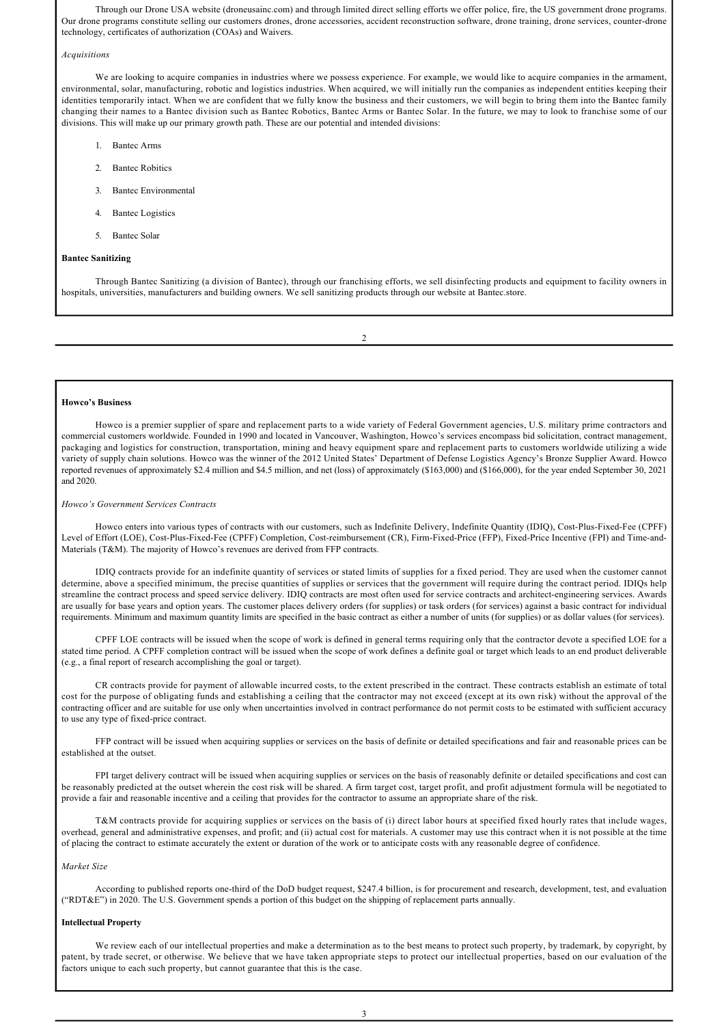Through our Drone USA website (droneusainc.com) and through limited direct selling efforts we offer police, fire, the US government drone programs. Our drone programs constitute selling our customers drones, drone accessories, accident reconstruction software, drone training, drone services, counter-drone technology, certificates of authorization (COAs) and Waivers.

#### *Acquisitions*

We are looking to acquire companies in industries where we possess experience. For example, we would like to acquire companies in the armament, environmental, solar, manufacturing, robotic and logistics industries. When acquired, we will initially run the companies as independent entities keeping their identities temporarily intact. When we are confident that we fully know the business and their customers, we will begin to bring them into the Bantec family changing their names to a Bantec division such as Bantec Robotics, Bantec Arms or Bantec Solar. In the future, we may to look to franchise some of our divisions. This will make up our primary growth path. These are our potential and intended divisions:

- 1. Bantec Arms
- 2. Bantec Robitics
- 3. Bantec Environmental
- 4. Bantec Logistics
- 5. Bantec Solar

## **Bantec Sanitizing**

Through Bantec Sanitizing (a division of Bantec), through our franchising efforts, we sell disinfecting products and equipment to facility owners in hospitals, universities, manufacturers and building owners. We sell sanitizing products through our website at Bantec.store.

2

#### **Howco's Business**

Howco is a premier supplier of spare and replacement parts to a wide variety of Federal Government agencies, U.S. military prime contractors and commercial customers worldwide. Founded in 1990 and located in Vancouver, Washington, Howco's services encompass bid solicitation, contract management, packaging and logistics for construction, transportation, mining and heavy equipment spare and replacement parts to customers worldwide utilizing a wide variety of supply chain solutions. Howco was the winner of the 2012 United States' Department of Defense Logistics Agency's Bronze Supplier Award. Howco reported revenues of approximately \$2.4 million and \$4.5 million, and net (loss) of approximately (\$163,000) and (\$166,000), for the year ended September 30, 2021 and 2020.

#### *Howco's Government Services Contracts*

Howco enters into various types of contracts with our customers, such as Indefinite Delivery, Indefinite Quantity (IDIQ), Cost-Plus-Fixed-Fee (CPFF) Level of Effort (LOE), Cost-Plus-Fixed-Fee (CPFF) Completion, Cost-reimbursement (CR), Firm-Fixed-Price (FFP), Fixed-Price Incentive (FPI) and Time-and-Materials (T&M). The majority of Howco's revenues are derived from FFP contracts.

IDIQ contracts provide for an indefinite quantity of services or stated limits of supplies for a fixed period. They are used when the customer cannot determine, above a specified minimum, the precise quantities of supplies or services that the government will require during the contract period. IDIQs help streamline the contract process and speed service delivery. IDIQ contracts are most often used for service contracts and architect-engineering services. Awards are usually for base years and option years. The customer places delivery orders (for supplies) or task orders (for services) against a basic contract for individual requirements. Minimum and maximum quantity limits are specified in the basic contract as either a number of units (for supplies) or as dollar values (for services).

CPFF LOE contracts will be issued when the scope of work is defined in general terms requiring only that the contractor devote a specified LOE for a stated time period. A CPFF completion contract will be issued when the scope of work defines a definite goal or target which leads to an end product deliverable (e.g., a final report of research accomplishing the goal or target).

CR contracts provide for payment of allowable incurred costs, to the extent prescribed in the contract. These contracts establish an estimate of total cost for the purpose of obligating funds and establishing a ceiling that the contractor may not exceed (except at its own risk) without the approval of the contracting officer and are suitable for use only when uncertainties involved in contract performance do not permit costs to be estimated with sufficient accuracy to use any type of fixed-price contract.

FFP contract will be issued when acquiring supplies or services on the basis of definite or detailed specifications and fair and reasonable prices can be established at the outset.

FPI target delivery contract will be issued when acquiring supplies or services on the basis of reasonably definite or detailed specifications and cost can be reasonably predicted at the outset wherein the cost risk will be shared. A firm target cost, target profit, and profit adjustment formula will be negotiated to provide a fair and reasonable incentive and a ceiling that provides for the contractor to assume an appropriate share of the risk.

T&M contracts provide for acquiring supplies or services on the basis of (i) direct labor hours at specified fixed hourly rates that include wages, overhead, general and administrative expenses, and profit; and (ii) actual cost for materials. A customer may use this contract when it is not possible at the time of placing the contract to estimate accurately the extent or duration of the work or to anticipate costs with any reasonable degree of confidence.

#### *Market Size*

According to published reports one-third of the DoD budget request, \$247.4 billion, is for procurement and research, development, test, and evaluation ("RDT&E") in 2020. The U.S. Government spends a portion of this budget on the shipping of replacement parts annually.

#### **Intellectual Property**

We review each of our intellectual properties and make a determination as to the best means to protect such property, by trademark, by copyright, by patent, by trade secret, or otherwise. We believe that we have taken appropriate steps to protect our intellectual properties, based on our evaluation of the factors unique to each such property, but cannot guarantee that this is the case.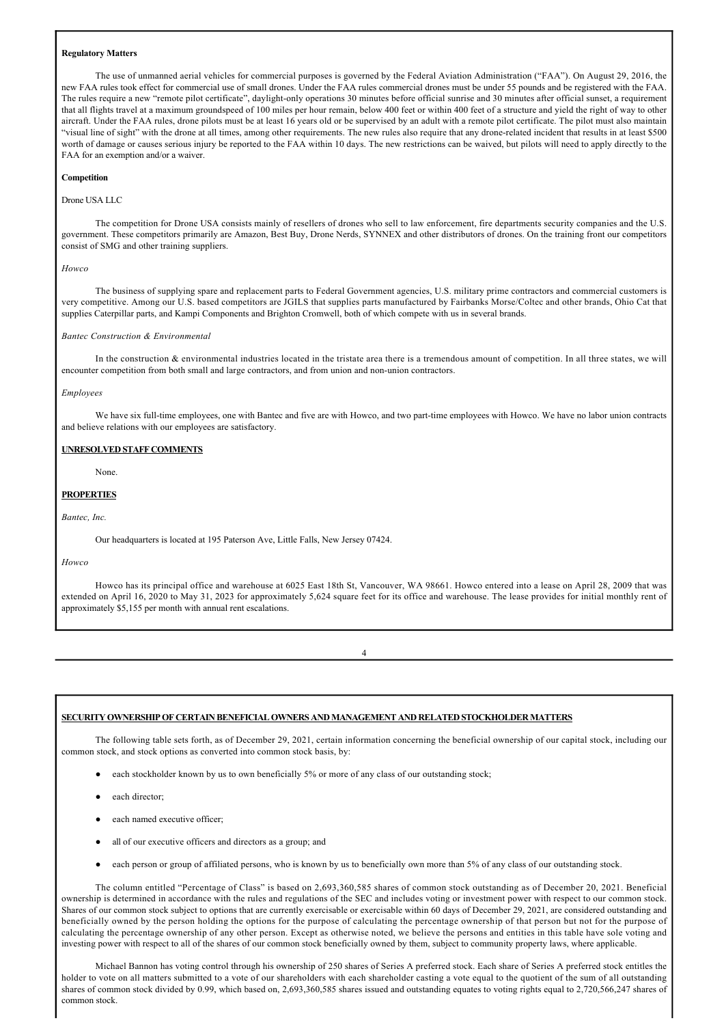#### **Regulatory Matters**

The use of unmanned aerial vehicles for commercial purposes is governed by the Federal Aviation Administration ("FAA"). On August 29, 2016, the new FAA rules took effect for commercial use of small drones. Under the FAA rules commercial drones must be under 55 pounds and be registered with the FAA. The rules require a new "remote pilot certificate", daylight-only operations 30 minutes before official sunrise and 30 minutes after official sunset, a requirement that all flights travel at a maximum groundspeed of 100 miles per hour remain, below 400 feet or within 400 feet of a structure and yield the right of way to other aircraft. Under the FAA rules, drone pilots must be at least 16 years old or be supervised by an adult with a remote pilot certificate. The pilot must also maintain "visual line of sight" with the drone at all times, among other requirements. The new rules also require that any drone-related incident that results in at least \$500 worth of damage or causes serious injury be reported to the FAA within 10 days. The new restrictions can be waived, but pilots will need to apply directly to the FAA for an exemption and/or a waiver.

#### **Competition**

## Drone USA LLC

The competition for Drone USA consists mainly of resellers of drones who sell to law enforcement, fire departments security companies and the U.S. government. These competitors primarily are Amazon, Best Buy, Drone Nerds, SYNNEX and other distributors of drones. On the training front our competitors consist of SMG and other training suppliers.

#### *Howco*

The business of supplying spare and replacement parts to Federal Government agencies, U.S. military prime contractors and commercial customers is very competitive. Among our U.S. based competitors are JGILS that supplies parts manufactured by Fairbanks Morse/Coltec and other brands, Ohio Cat that supplies Caterpillar parts, and Kampi Components and Brighton Cromwell, both of which compete with us in several brands.

#### *Bantec Construction & Environmental*

In the construction & environmental industries located in the tristate area there is a tremendous amount of competition. In all three states, we will encounter competition from both small and large contractors, and from union and non-union contractors.

## *Employees*

We have six full-time employees, one with Bantec and five are with Howco, and two part-time employees with Howco. We have no labor union contracts and believe relations with our employees are satisfactory.

## **UNRESOLVED STAFF COMMENTS**

None.

## **PROPERTIES**

*Bantec, Inc.*

Our headquarters is located at 195 Paterson Ave, Little Falls, New Jersey 07424.

#### *Howco*

Howco has its principal office and warehouse at 6025 East 18th St, Vancouver, WA 98661. Howco entered into a lease on April 28, 2009 that was extended on April 16, 2020 to May 31, 2023 for approximately 5,624 square feet for its office and warehouse. The lease provides for initial monthly rent of approximately \$5,155 per month with annual rent escalations.

4

#### **SECURITY OWNERSHIP OF CERTAIN BENEFICIAL OWNERS AND MANAGEMENT AND RELATED STOCKHOLDER MATTERS**

The following table sets forth, as of December 29, 2021, certain information concerning the beneficial ownership of our capital stock, including our common stock, and stock options as converted into common stock basis, by:

- each stockholder known by us to own beneficially 5% or more of any class of our outstanding stock;
- each director:
- each named executive officer;
- all of our executive officers and directors as a group; and
- each person or group of affiliated persons, who is known by us to beneficially own more than 5% of any class of our outstanding stock.

The column entitled "Percentage of Class" is based on 2,693,360,585 shares of common stock outstanding as of December 20, 2021. Beneficial ownership is determined in accordance with the rules and regulations of the SEC and includes voting or investment power with respect to our common stock. Shares of our common stock subject to options that are currently exercisable or exercisable within 60 days of December 29, 2021, are considered outstanding and beneficially owned by the person holding the options for the purpose of calculating the percentage ownership of that person but not for the purpose of calculating the percentage ownership of any other person. Except as otherwise noted, we believe the persons and entities in this table have sole voting and investing power with respect to all of the shares of our common stock beneficially owned by them, subject to community property laws, where applicable.

Michael Bannon has voting control through his ownership of 250 shares of Series A preferred stock. Each share of Series A preferred stock entitles the holder to vote on all matters submitted to a vote of our shareholders with each shareholder casting a vote equal to the quotient of the sum of all outstanding shares of common stock divided by 0.99, which based on, 2,693,360,585 shares issued and outstanding equates to voting rights equal to 2,720,566,247 shares of common stock.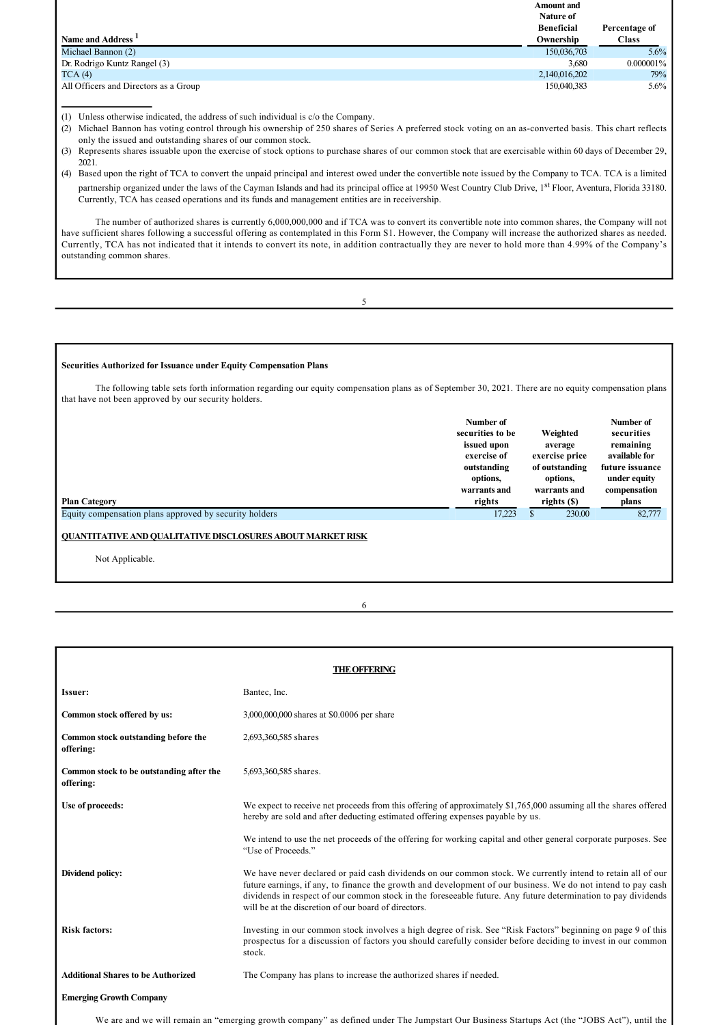|                                       | <b>Amount</b> and<br><b>Nature of</b><br><b>Beneficial</b> |                               |
|---------------------------------------|------------------------------------------------------------|-------------------------------|
| Name and Address <sup>1</sup>         | Ownership                                                  | Percentage of<br><b>Class</b> |
| Michael Bannon (2)                    | 150,036,703                                                | 5.6%                          |
| Dr. Rodrigo Kuntz Rangel (3)          | 3.680                                                      | $0.000001\%$                  |
| TCA(4)                                | 2,140,016,202                                              | 79%                           |
| All Officers and Directors as a Group | 150,040,383                                                | $5.6\%$                       |

(1) Unless otherwise indicated, the address of such individual is c/o the Company.

- (2) Michael Bannon has voting control through his ownership of 250 shares of Series A preferred stock voting on an asconverted basis. This chart reflects only the issued and outstanding shares of our common stock.
- (3) Represents shares issuable upon the exercise of stock options to purchase shares of our common stock that are exercisable within 60 days of December 29, 2021.
- (4) Based upon the right of TCA to convert the unpaid principal and interest owed under the convertible note issued by the Company to TCA. TCA is a limited partnership organized under the laws of the Cayman Islands and had its principal office at 19950 West Country Club Drive, 1<sup>st</sup> Floor, Aventura, Florida 33180. Currently, TCA has ceased operations and its funds and management entities are in receivership.

The number of authorized shares is currently 6,000,000,000 and if TCA was to convert its convertible note into common shares, the Company will not have sufficient shares following a successful offering as contemplated in this Form S1. However, the Company will increase the authorized shares as needed. Currently, TCA has not indicated that it intends to convert its note, in addition contractually they are never to hold more than 4.99% of the Company's outstanding common shares.

5

## **Securities Authorized for Issuance under Equity Compensation Plans**

The following table sets forth information regarding our equity compensation plans as of September 30, 2021. There are no equity compensation plans that have not been approved by our security holders.

| <b>Plan Category</b>                                   | Number of<br>securities to be<br>issued upon<br>exercise of<br>outstanding<br>options,<br>warrants and<br>rights | Weighted<br>average<br>exercise price<br>of outstanding<br>options,<br>warrants and<br>rights $(S)$ | Number of<br>securities<br>remaining<br>available for<br>future issuance<br>under equity<br>compensation<br>plans |
|--------------------------------------------------------|------------------------------------------------------------------------------------------------------------------|-----------------------------------------------------------------------------------------------------|-------------------------------------------------------------------------------------------------------------------|
| Equity compensation plans approved by security holders | 17,223                                                                                                           | 230.00                                                                                              | 82,777                                                                                                            |

## **QUANTITATIVE AND QUALITATIVE DISCLOSURES ABOUT MARKET RISK**

Not Applicable.

#### 6

| <b>THE OFFERING</b>                                   |                                                                                                                                                                                                                                                                                                                                                                                                      |  |  |  |  |
|-------------------------------------------------------|------------------------------------------------------------------------------------------------------------------------------------------------------------------------------------------------------------------------------------------------------------------------------------------------------------------------------------------------------------------------------------------------------|--|--|--|--|
| Issuer:                                               | Bantec, Inc.                                                                                                                                                                                                                                                                                                                                                                                         |  |  |  |  |
| Common stock offered by us:                           | 3,000,000,000 shares at \$0.0006 per share                                                                                                                                                                                                                                                                                                                                                           |  |  |  |  |
| Common stock outstanding before the<br>offering:      | 2,693,360,585 shares                                                                                                                                                                                                                                                                                                                                                                                 |  |  |  |  |
| Common stock to be outstanding after the<br>offering: | 5,693,360,585 shares.                                                                                                                                                                                                                                                                                                                                                                                |  |  |  |  |
| Use of proceeds:                                      | We expect to receive net proceeds from this offering of approximately \$1,765,000 assuming all the shares offered<br>hereby are sold and after deducting estimated offering expenses payable by us.                                                                                                                                                                                                  |  |  |  |  |
|                                                       | We intend to use the net proceeds of the offering for working capital and other general corporate purposes. See<br>"Use of Proceeds."                                                                                                                                                                                                                                                                |  |  |  |  |
| Dividend policy:                                      | We have never declared or paid cash dividends on our common stock. We currently intend to retain all of our<br>future earnings, if any, to finance the growth and development of our business. We do not intend to pay cash<br>dividends in respect of our common stock in the foreseeable future. Any future determination to pay dividends<br>will be at the discretion of our board of directors. |  |  |  |  |
| <b>Risk factors:</b>                                  | Investing in our common stock involves a high degree of risk. See "Risk Factors" beginning on page 9 of this<br>prospectus for a discussion of factors you should carefully consider before deciding to invest in our common<br>stock.                                                                                                                                                               |  |  |  |  |
| <b>Additional Shares to be Authorized</b>             | The Company has plans to increase the authorized shares if needed.                                                                                                                                                                                                                                                                                                                                   |  |  |  |  |
| <b>Emerging Growth Company</b>                        |                                                                                                                                                                                                                                                                                                                                                                                                      |  |  |  |  |

We are and we will remain an "emerging growth company" as defined under The Jumpstart Our Business Startups Act (the "JOBS Act"), until the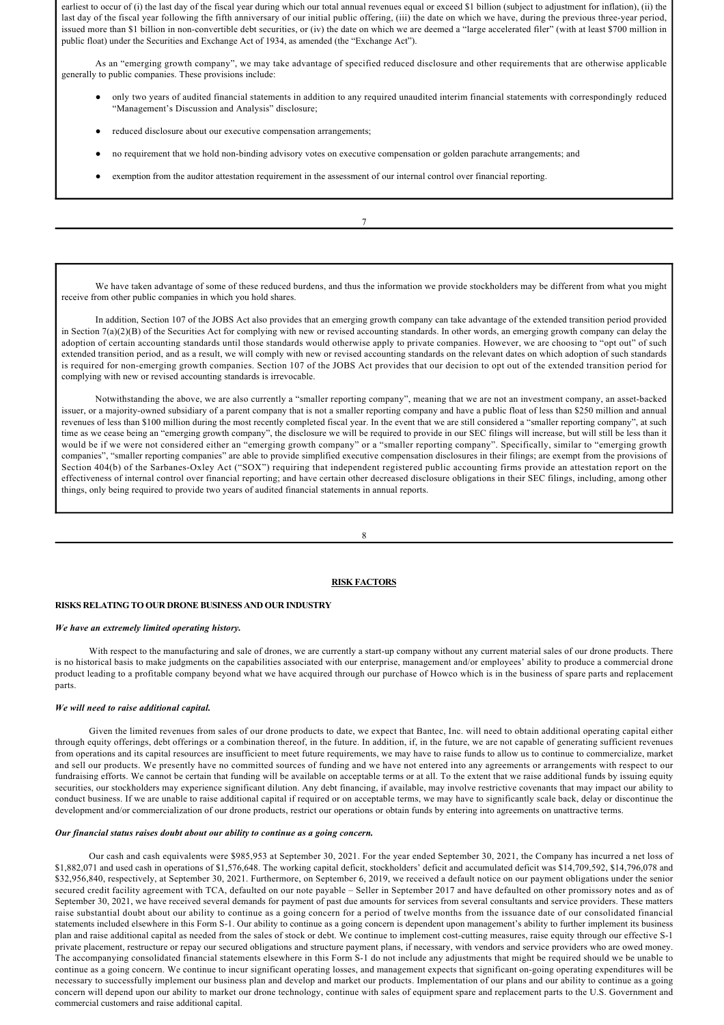We are and we will remain an "emerging growth company" as defined under The Jumpstart Our Business Startups Act (the "JOBS Act"), until the earliest to occur of (i) the last day of the fiscal year during which our total annual revenues equal or exceed \$1 billion (subject to adjustment for inflation), (ii) the last day of the fiscal year following the fifth anniversary of our initial public offering, (iii) the date on which we have, during the previous threeyear period, issued more than \$1 billion in non-convertible debt securities, or (iv) the date on which we are deemed a "large accelerated filer" (with at least \$700 million in public float) under the Securities and Exchange Act of 1934, as amended (the "Exchange Act").

As an "emerging growth company", we may take advantage of specified reduced disclosure and other requirements that are otherwise applicable generally to public companies. These provisions include:

- only two years of audited financial statements in addition to any required unaudited interim financial statements with correspondingly reduced "Management's Discussion and Analysis" disclosure;
- reduced disclosure about our executive compensation arrangements:
- no requirement that we hold non-binding advisory votes on executive compensation or golden parachute arrangements; and
- exemption from the auditor attestation requirement in the assessment of our internal control over financial reporting.

We have taken advantage of some of these reduced burdens, and thus the information we provide stockholders may be different from what you might receive from other public companies in which you hold shares.

7

In addition, Section 107 of the JOBS Act also provides that an emerging growth company can take advantage of the extended transition period provided in Section  $7(a)(2)(B)$  of the Securities Act for complying with new or revised accounting standards. In other words, an emerging growth company can delay the adoption of certain accounting standards until those standards would otherwise apply to private companies. However, we are choosing to "opt out" of such extended transition period, and as a result, we will comply with new or revised accounting standards on the relevant dates on which adoption of such standards is required for non-emerging growth companies. Section 107 of the JOBS Act provides that our decision to opt out of the extended transition period for complying with new or revised accounting standards is irrevocable.

Notwithstanding the above, we are also currently a "smaller reporting company", meaning that we are not an investment company, an asset-backed issuer, or a majorityowned subsidiary of a parent company that is not a smaller reporting company and have a public float of less than \$250 million and annual revenues of less than \$100 million during the most recently completed fiscal year. In the event that we are still considered a "smaller reporting company", at such time as we cease being an "emerging growth company", the disclosure we will be required to provide in our SEC filings will increase, but will still be less than it would be if we were not considered either an "emerging growth company" or a "smaller reporting company". Specifically, similar to "emerging growth companies", "smaller reporting companies" are able to provide simplified executive compensation disclosures in their filings; are exempt from the provisions of Section 404(b) of the Sarbanes-Oxley Act ("SOX") requiring that independent registered public accounting firms provide an attestation report on the effectiveness of internal control over financial reporting; and have certain other decreased disclosure obligations in their SEC filings, including, among other things, only being required to provide two years of audited financial statements in annual reports.

8

#### **RISK FACTORS**

## **RISKS RELATING TO OUR DRONE BUSINESS AND OUR INDUSTRY**

## *We have an extremely limited operating history.*

With respect to the manufacturing and sale of drones, we are currently a start-up company without any current material sales of our drone products. There is no historical basis to make judgments on the capabilities associated with our enterprise, management and/or employees' ability to produce a commercial drone product leading to a profitable company beyond what we have acquired through our purchase of Howco which is in the business of spare parts and replacement parts.

#### *We will need to raise additional capital.*

Given the limited revenues from sales of our drone products to date, we expect that Bantec, Inc. will need to obtain additional operating capital either through equity offerings, debt offerings or a combination thereof, in the future. In addition, if, in the future, we are not capable of generating sufficient revenues from operations and its capital resources are insufficient to meet future requirements, we may have to raise funds to allow us to continue to commercialize, market and sell our products. We presently have no committed sources of funding and we have not entered into any agreements or arrangements with respect to our fundraising efforts. We cannot be certain that funding will be available on acceptable terms or at all. To the extent that we raise additional funds by issuing equity securities, our stockholders may experience significant dilution. Any debt financing, if available, may involve restrictive covenants that may impact our ability to conduct business. If we are unable to raise additional capital if required or on acceptable terms, we may have to significantly scale back, delay or discontinue the development and/or commercialization of our drone products, restrict our operations or obtain funds by entering into agreements on unattractive terms.

## *Our financial status raises doubt about our ability to continue as a going concern.*

Our cash and cash equivalents were \$985,953 at September 30, 2021. For the year ended September 30, 2021, the Company has incurred a net loss of \$1,882,071 and used cash in operations of \$1,576,648. The working capital deficit, stockholders' deficit and accumulated deficit was \$14,709,592, \$14,796,078 and \$32,956,840, respectively, at September 30, 2021. Furthermore, on September 6, 2019, we received a default notice on our payment obligations under the senior secured credit facility agreement with TCA, defaulted on our note payable – Seller in September 2017 and have defaulted on other promissory notes and as of September 30, 2021, we have received several demands for payment of past due amounts for services from several consultants and service providers. These matters raise substantial doubt about our ability to continue as a going concern for a period of twelve months from the issuance date of our consolidated financial statements included elsewhere in this Form S1. Our ability to continue as a going concern is dependent upon management's ability to further implement its business plan and raise additional capital as needed from the sales of stock or debt. We continue to implement cost-cutting measures, raise equity through our effective S-1 private placement, restructure or repay our secured obligations and structure payment plans, if necessary, with vendors and service providers who are owed money. The accompanying consolidated financial statements elsewhere in this Form S1 do not include any adjustments that might be required should we be unable to continue as a going concern. We continue to incur significant operating losses, and management expects that significant on-going operating expenditures will be necessary to successfully implement our business plan and develop and market our products. Implementation of our plans and our ability to continue as a going concern will depend upon our ability to market our drone technology, continue with sales of equipment spare and replacement parts to the U.S. Government and commercial customers and raise additional capital.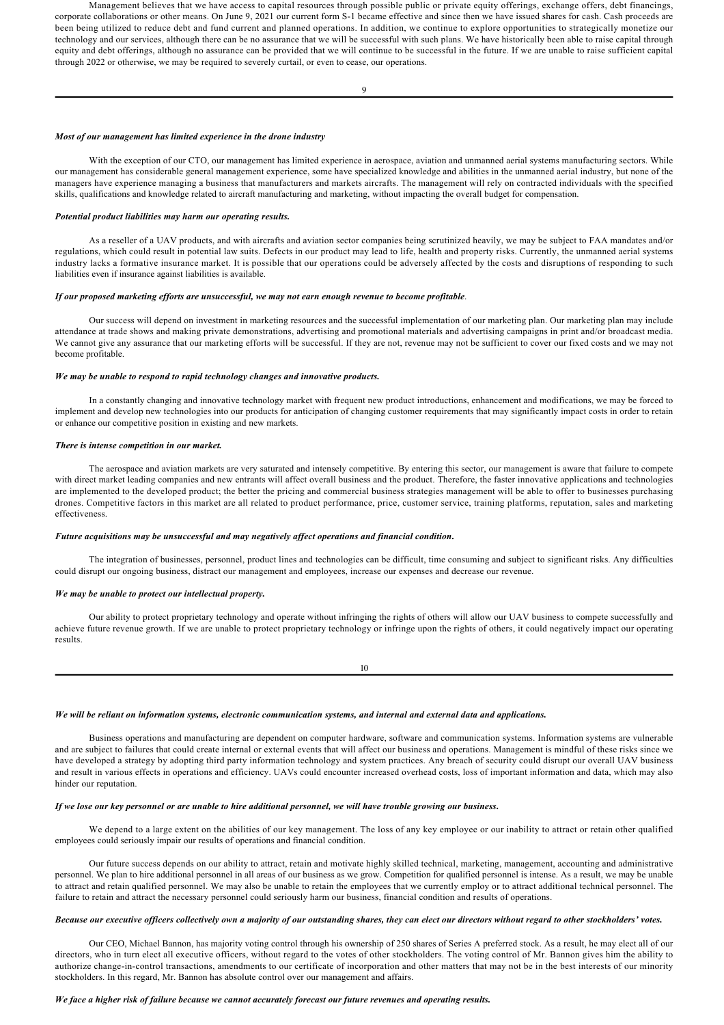Management believes that we have access to capital resources through possible public or private equity offerings, exchange offers, debt financings, corporate collaborations or other means. On June 9, 2021 our current form S-1 became effective and since then we have issued shares for cash. Cash proceeds are been being utilized to reduce debt and fund current and planned operations. In addition, we continue to explore opportunities to strategically monetize our technology and our services, although there can be no assurance that we will be successful with such plans. We have historically been able to raise capital through equity and debt offerings, although no assurance can be provided that we will continue to be successful in the future. If we are unable to raise sufficient capital through 2022 or otherwise, we may be required to severely curtail, or even to cease, our operations.

 $\overline{Q}$ 

#### *Most of our management has limited experience in the drone industry*

With the exception of our CTO, our management has limited experience in aerospace, aviation and unmanned aerial systems manufacturing sectors. While our management has considerable general management experience, some have specialized knowledge and abilities in the unmanned aerial industry, but none of the managers have experience managing a business that manufacturers and markets aircrafts. The management will rely on contracted individuals with the specified skills, qualifications and knowledge related to aircraft manufacturing and marketing, without impacting the overall budget for compensation.

#### *Potential product liabilities may harm our operating results.*

As a reseller of a UAV products, and with aircrafts and aviation sector companies being scrutinized heavily, we may be subject to FAA mandates and/or regulations, which could result in potential law suits. Defects in our product may lead to life, health and property risks. Currently, the unmanned aerial systems industry lacks a formative insurance market. It is possible that our operations could be adversely affected by the costs and disruptions of responding to such liabilities even if insurance against liabilities is available.

#### *If our proposed marketing efforts are unsuccessful, we may not earn enough revenue to become profitable*.

Our success will depend on investment in marketing resources and the successful implementation of our marketing plan. Our marketing plan may include attendance at trade shows and making private demonstrations, advertising and promotional materials and advertising campaigns in print and/or broadcast media. We cannot give any assurance that our marketing efforts will be successful. If they are not, revenue may not be sufficient to cover our fixed costs and we may not become profitable.

#### *We may be unable to respond to rapid technology changes and innovative products.*

In a constantly changing and innovative technology market with frequent new product introductions, enhancement and modifications, we may be forced to implement and develop new technologies into our products for anticipation of changing customer requirements that may significantly impact costs in order to retain or enhance our competitive position in existing and new markets.

## *There is intense competition in our market.*

The aerospace and aviation markets are very saturated and intensely competitive. By entering this sector, our management is aware that failure to compete with direct market leading companies and new entrants will affect overall business and the product. Therefore, the faster innovative applications and technologies are implemented to the developed product; the better the pricing and commercial business strategies management will be able to offer to businesses purchasing drones. Competitive factors in this market are all related to product performance, price, customer service, training platforms, reputation, sales and marketing effectiveness.

#### *Future acquisitions may be unsuccessful and may negatively affect operations and financial condition***.**

The integration of businesses, personnel, product lines and technologies can be difficult, time consuming and subject to significant risks. Any difficulties could disrupt our ongoing business, distract our management and employees, increase our expenses and decrease our revenue.

#### *We may be unable to protect our intellectual property.*

Our ability to protect proprietary technology and operate without infringing the rights of others will allow our UAV business to compete successfully and achieve future revenue growth. If we are unable to protect proprietary technology or infringe upon the rights of others, it could negatively impact our operating results.

10

#### *We will be reliant on information systems, electronic communication systems, and internal and external data and applications.*

Business operations and manufacturing are dependent on computer hardware, software and communication systems. Information systems are vulnerable and are subject to failures that could create internal or external events that will affect our business and operations. Management is mindful of these risks since we have developed a strategy by adopting third party information technology and system practices. Any breach of security could disrupt our overall UAV business and result in various effects in operations and efficiency. UAVs could encounter increased overhead costs, loss of important information and data, which may also hinder our reputation.

## *If we lose our key personnel or are unable to hire additional personnel, we will have trouble growing our business***.**

We depend to a large extent on the abilities of our key management. The loss of any key employee or our inability to attract or retain other qualified employees could seriously impair our results of operations and financial condition.

Our future success depends on our ability to attract, retain and motivate highly skilled technical, marketing, management, accounting and administrative personnel. We plan to hire additional personnel in all areas of our business as we grow. Competition for qualified personnel is intense. As a result, we may be unable to attract and retain qualified personnel. We may also be unable to retain the employees that we currently employ or to attract additional technical personnel. The failure to retain and attract the necessary personnel could seriously harm our business, financial condition and results of operations.

## *Because our executive officers collectively own a majority of our outstanding shares, they can elect our directors without regard to other stockholders' votes.*

Our CEO, Michael Bannon, has majority voting control through his ownership of 250 shares of Series A preferred stock. As a result, he may elect all of our directors, who in turn elect all executive officers, without regard to the votes of other stockholders. The voting control of Mr. Bannon gives him the ability to authorize change-in-control transactions, amendments to our certificate of incorporation and other matters that may not be in the best interests of our minority stockholders. In this regard, Mr. Bannon has absolute control over our management and affairs.

## *We face a higher risk of failure because we cannot accurately forecast our future revenues and operating results.*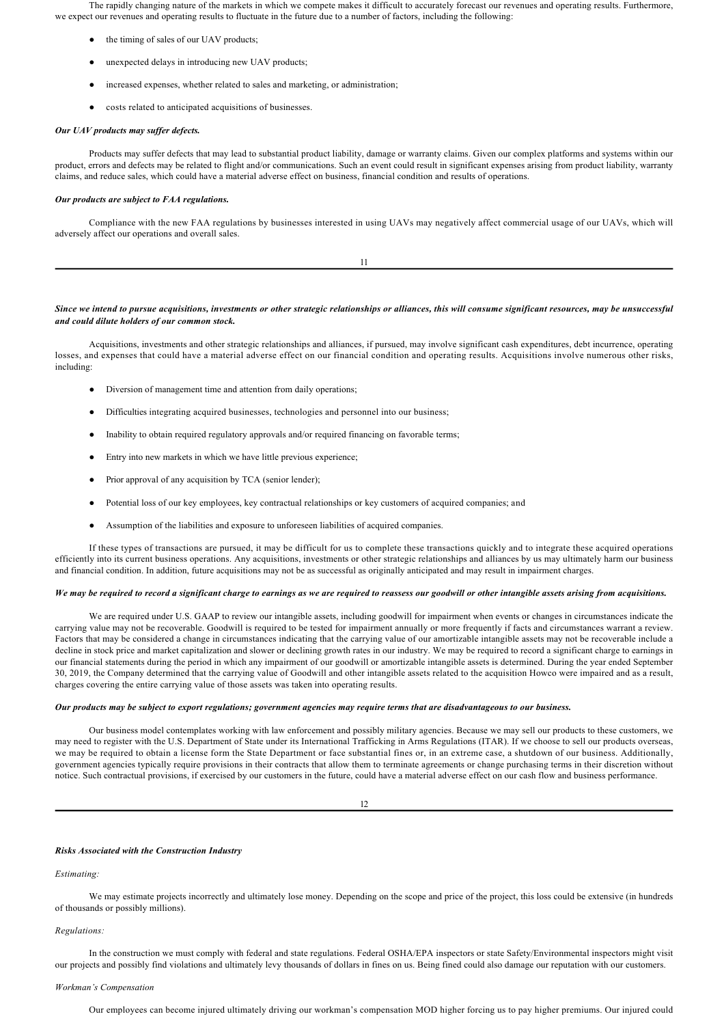The rapidly changing nature of the markets in which we compete makes it difficult to accurately forecast our revenues and operating results. Furthermore, we expect our revenues and operating results to fluctuate in the future due to a number of factors, including the following:

- the timing of sales of our UAV products;
- unexpected delays in introducing new UAV products;
- increased expenses, whether related to sales and marketing, or administration;
- costs related to anticipated acquisitions of businesses.

#### *Our UAV products may suffer defects.*

Products may suffer defects that may lead to substantial product liability, damage or warranty claims. Given our complex platforms and systems within our product, errors and defects may be related to flight and/or communications. Such an event could result in significant expenses arising from product liability, warranty claims, and reduce sales, which could have a material adverse effect on business, financial condition and results of operations.

#### *Our products are subject to FAA regulations.*

Compliance with the new FAA regulations by businesses interested in using UAVs may negatively affect commercial usage of our UAVs, which will adversely affect our operations and overall sales.

11

#### *Since we intend to pursue acquisitions, investments or other strategic relationships or alliances, this will consume significant resources, may be unsuccessful and could dilute holders of our common stock.*

Acquisitions, investments and other strategic relationships and alliances, if pursued, may involve significant cash expenditures, debt incurrence, operating losses, and expenses that could have a material adverse effect on our financial condition and operating results. Acquisitions involve numerous other risks, including:

- Diversion of management time and attention from daily operations;
- Difficulties integrating acquired businesses, technologies and personnel into our business;
- Inability to obtain required regulatory approvals and/or required financing on favorable terms;
- Entry into new markets in which we have little previous experience;
- Prior approval of any acquisition by TCA (senior lender);
- Potential loss of our key employees, key contractual relationships or key customers of acquired companies; and
- Assumption of the liabilities and exposure to unforeseen liabilities of acquired companies.

If these types of transactions are pursued, it may be difficult for us to complete these transactions quickly and to integrate these acquired operations efficiently into its current business operations. Any acquisitions, investments or other strategic relationships and alliances by us may ultimately harm our business and financial condition. In addition, future acquisitions may not be as successful as originally anticipated and may result in impairment charges.

#### *We may be required to record a significant charge to earnings as we are required to reassess our goodwill or other intangible assets arising from acquisitions.*

We are required under U.S. GAAP to review our intangible assets, including goodwill for impairment when events or changes in circumstances indicate the carrying value may not be recoverable. Goodwill is required to be tested for impairment annually or more frequently if facts and circumstances warrant a review. Factors that may be considered a change in circumstances indicating that the carrying value of our amortizable intangible assets may not be recoverable include a decline in stock price and market capitalization and slower or declining growth rates in our industry. We may be required to record a significant charge to earnings in our financial statements during the period in which any impairment of our goodwill or amortizable intangible assets is determined. During the year ended September 30, 2019, the Company determined that the carrying value of Goodwill and other intangible assets related to the acquisition Howco were impaired and as a result, charges covering the entire carrying value of those assets was taken into operating results.

#### *Our products may be subject to export regulations; government agencies may require terms that are disadvantageous to our business.*

Our business model contemplates working with law enforcement and possibly military agencies. Because we may sell our products to these customers, we may need to register with the U.S. Department of State under its International Trafficking in Arms Regulations (ITAR). If we choose to sell our products overseas, we may be required to obtain a license form the State Department or face substantial fines or, in an extreme case, a shutdown of our business. Additionally, government agencies typically require provisions in their contracts that allow them to terminate agreements or change purchasing terms in their discretion without notice. Such contractual provisions, if exercised by our customers in the future, could have a material adverse effect on our cash flow and business performance.

12

#### *Risks Associated with the Construction Industry*

#### *Estimating:*

We may estimate projects incorrectly and ultimately lose money. Depending on the scope and price of the project, this loss could be extensive (in hundreds of thousands or possibly millions).

#### *Regulations:*

In the construction we must comply with federal and state regulations. Federal OSHA/EPA inspectors or state Safety/Environmental inspectors might visit our projects and possibly find violations and ultimately levy thousands of dollars in fines on us. Being fined could also damage our reputation with our customers.

#### *Workman's Compensation*

Our employees can become injured ultimately driving our workman's compensation MOD higher forcing us to pay higher premiums. Our injured could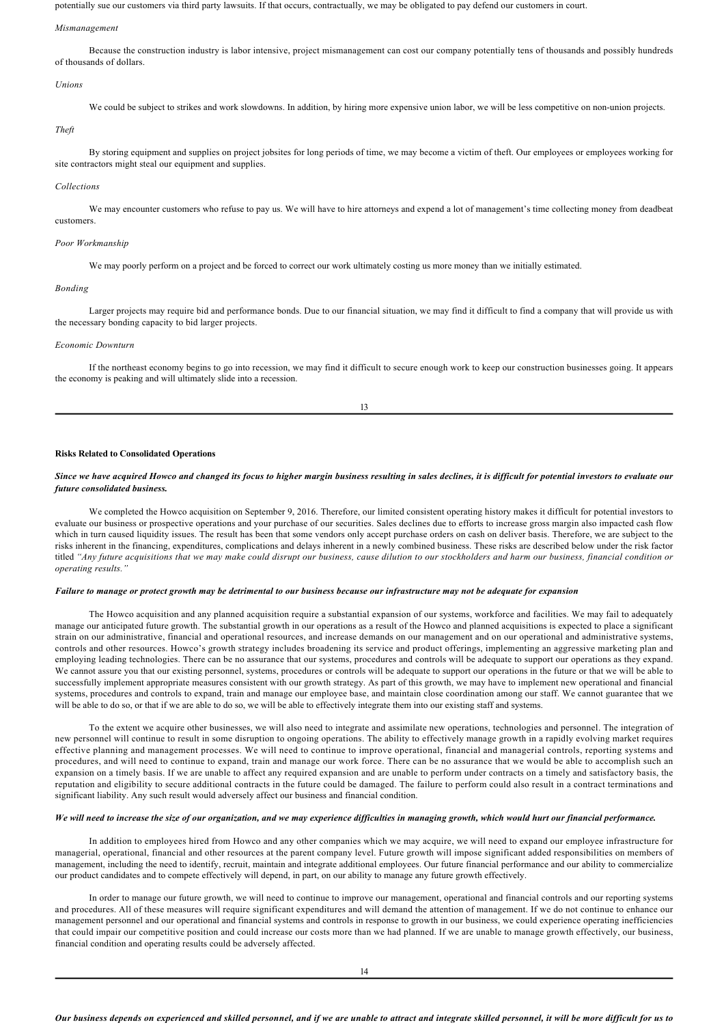potentially sue our customers via third party lawsuits. If that occurs, contractually, we may be obligated to pay defend our customers in court.

#### *Mismanagement*

Because the construction industry is labor intensive, project mismanagement can cost our company potentially tens of thousands and possibly hundreds of thousands of dollars.

## *Unions*

We could be subject to strikes and work slowdowns. In addition, by hiring more expensive union labor, we will be less competitive on non-union projects.

## *Theft*

By storing equipment and supplies on project jobsites for long periods of time, we may become a victim of theft. Our employees or employees working for site contractors might steal our equipment and supplies.

#### *Collections*

We may encounter customers who refuse to pay us. We will have to hire attorneys and expend a lot of management's time collecting money from deadbeat customers.

#### *Poor Workmanship*

We may poorly perform on a project and be forced to correct our work ultimately costing us more money than we initially estimated.

#### *Bonding*

Larger projects may require bid and performance bonds. Due to our financial situation, we may find it difficult to find a company that will provide us with the necessary bonding capacity to bid larger projects.

#### *Economic Downturn*

If the northeast economy begins to go into recession, we may find it difficult to secure enough work to keep our construction businesses going. It appears the economy is peaking and will ultimately slide into a recession.

13

## **Risks Related to Consolidated Operations**

## *Since we have acquired Howco and changed its focus to higher margin business resulting in sales declines, it is difficult for potential investors to evaluate our future consolidated business.*

We completed the Howco acquisition on September 9, 2016. Therefore, our limited consistent operating history makes it difficult for potential investors to evaluate our business or prospective operations and your purchase of our securities. Sales declines due to efforts to increase gross margin also impacted cash flow which in turn caused liquidity issues. The result has been that some vendors only accept purchase orders on cash on deliver basis. Therefore, we are subject to the risks inherent in the financing, expenditures, complications and delays inherent in a newly combined business. These risks are described below under the risk factor titled *"Any future acquisitions that we may make could disrupt our business, cause dilution to our stockholders and harm our business, financial condition or operating results."*

#### *Failure to manage or protect growth may be detrimental to our business because our infrastructure may not be adequate for expansion*

The Howco acquisition and any planned acquisition require a substantial expansion of our systems, workforce and facilities. We may fail to adequately manage our anticipated future growth. The substantial growth in our operations as a result of the Howco and planned acquisitions is expected to place a significant strain on our administrative, financial and operational resources, and increase demands on our management and on our operational and administrative systems, controls and other resources. Howco's growth strategy includes broadening its service and product offerings, implementing an aggressive marketing plan and employing leading technologies. There can be no assurance that our systems, procedures and controls will be adequate to support our operations as they expand. We cannot assure you that our existing personnel, systems, procedures or controls will be adequate to support our operations in the future or that we will be able to successfully implement appropriate measures consistent with our growth strategy. As part of this growth, we may have to implement new operational and financial systems, procedures and controls to expand, train and manage our employee base, and maintain close coordination among our staff. We cannot guarantee that we will be able to do so, or that if we are able to do so, we will be able to effectively integrate them into our existing staff and systems.

To the extent we acquire other businesses, we will also need to integrate and assimilate new operations, technologies and personnel. The integration of new personnel will continue to result in some disruption to ongoing operations. The ability to effectively manage growth in a rapidly evolving market requires effective planning and management processes. We will need to continue to improve operational, financial and managerial controls, reporting systems and procedures, and will need to continue to expand, train and manage our work force. There can be no assurance that we would be able to accomplish such an expansion on a timely basis. If we are unable to affect any required expansion and are unable to perform under contracts on a timely and satisfactory basis, the reputation and eligibility to secure additional contracts in the future could be damaged. The failure to perform could also result in a contract terminations and significant liability. Any such result would adversely affect our business and financial condition.

#### *We will need to increase the size of our organization, and we may experience difficulties in managing growth, which would hurt our financial performance.*

In addition to employees hired from Howco and any other companies which we may acquire, we will need to expand our employee infrastructure for managerial, operational, financial and other resources at the parent company level. Future growth will impose significant added responsibilities on members of management, including the need to identify, recruit, maintain and integrate additional employees. Our future financial performance and our ability to commercialize our product candidates and to compete effectively will depend, in part, on our ability to manage any future growth effectively.

In order to manage our future growth, we will need to continue to improve our management, operational and financial controls and our reporting systems and procedures. All of these measures will require significant expenditures and will demand the attention of management. If we do not continue to enhance our management personnel and our operational and financial systems and controls in response to growth in our business, we could experience operating inefficiencies that could impair our competitive position and could increase our costs more than we had planned. If we are unable to manage growth effectively, our business, financial condition and operating results could be adversely affected.

#### *Our business depends on experienced and skilled personnel, and if we are unable to attract and integrate skilled personnel, it will be more difficult for us to*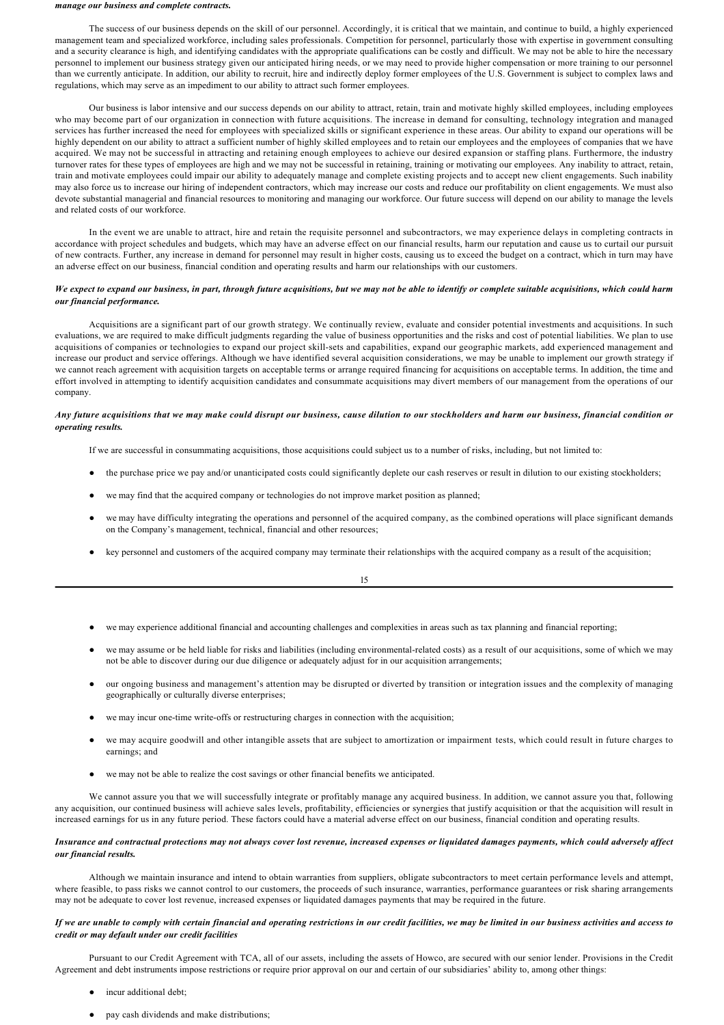#### *manage our business and complete contracts.*

The success of our business depends on the skill of our personnel. Accordingly, it is critical that we maintain, and continue to build, a highly experienced management team and specialized workforce, including sales professionals. Competition for personnel, particularly those with expertise in government consulting and a security clearance is high, and identifying candidates with the appropriate qualifications can be costly and difficult. We may not be able to hire the necessary personnel to implement our business strategy given our anticipated hiring needs, or we may need to provide higher compensation or more training to our personnel than we currently anticipate. In addition, our ability to recruit, hire and indirectly deploy former employees of the U.S. Government is subject to complex laws and regulations, which may serve as an impediment to our ability to attract such former employees.

Our business is labor intensive and our success depends on our ability to attract, retain, train and motivate highly skilled employees, including employees who may become part of our organization in connection with future acquisitions. The increase in demand for consulting, technology integration and managed services has further increased the need for employees with specialized skills or significant experience in these areas. Our ability to expand our operations will be highly dependent on our ability to attract a sufficient number of highly skilled employees and to retain our employees and the employees of companies that we have acquired. We may not be successful in attracting and retaining enough employees to achieve our desired expansion or staffing plans. Furthermore, the industry turnover rates for these types of employees are high and we may not be successful in retaining, training or motivating our employees. Any inability to attract, retain, train and motivate employees could impair our ability to adequately manage and complete existing projects and to accept new client engagements. Such inability may also force us to increase our hiring of independent contractors, which may increase our costs and reduce our profitability on client engagements. We must also devote substantial managerial and financial resources to monitoring and managing our workforce. Our future success will depend on our ability to manage the levels and related costs of our workforce.

In the event we are unable to attract, hire and retain the requisite personnel and subcontractors, we may experience delays in completing contracts in accordance with project schedules and budgets, which may have an adverse effect on our financial results, harm our reputation and cause us to curtail our pursuit of new contracts. Further, any increase in demand for personnel may result in higher costs, causing us to exceed the budget on a contract, which in turn may have an adverse effect on our business, financial condition and operating results and harm our relationships with our customers.

## *We expect to expand our business, in part, through future acquisitions, but we may not be able to identify or complete suitable acquisitions, which could harm our financial performance.*

Acquisitions are a significant part of our growth strategy. We continually review, evaluate and consider potential investments and acquisitions. In such evaluations, we are required to make difficult judgments regarding the value of business opportunities and the risks and cost of potential liabilities. We plan to use acquisitions of companies or technologies to expand our project skill-sets and capabilities, expand our geographic markets, add experienced management and increase our product and service offerings. Although we have identified several acquisition considerations, we may be unable to implement our growth strategy if we cannot reach agreement with acquisition targets on acceptable terms or arrange required financing for acquisitions on acceptable terms. In addition, the time and effort involved in attempting to identify acquisition candidates and consummate acquisitions may divert members of our management from the operations of our company.

## *Any future acquisitions that we may make could disrupt our business, cause dilution to our stockholders and harm our business, financial condition or operating results.*

If we are successful in consummating acquisitions, those acquisitions could subject us to a number of risks, including, but not limited to:

- the purchase price we pay and/or unanticipated costs could significantly deplete our cash reserves or result in dilution to our existing stockholders;
- we may find that the acquired company or technologies do not improve market position as planned;
- we may have difficulty integrating the operations and personnel of the acquired company, as the combined operations will place significant demands on the Company's management, technical, financial and other resources;
- key personnel and customers of the acquired company may terminate their relationships with the acquired company as a result of the acquisition;

|  | ۰<br>×<br>ł<br>I<br>۰. |  |
|--|------------------------|--|
|  |                        |  |

- we may experience additional financial and accounting challenges and complexities in areas such as tax planning and financial reporting;
- we may assume or be held liable for risks and liabilities (including environmental-related costs) as a result of our acquisitions, some of which we may not be able to discover during our due diligence or adequately adjust for in our acquisition arrangements;
- our ongoing business and management's attention may be disrupted or diverted by transition or integration issues and the complexity of managing geographically or culturally diverse enterprises;
- we may incur one-time write-offs or restructuring charges in connection with the acquisition;
- we may acquire goodwill and other intangible assets that are subject to amortization or impairment tests, which could result in future charges to earnings; and
- we may not be able to realize the cost savings or other financial benefits we anticipated.

We cannot assure you that we will successfully integrate or profitably manage any acquired business. In addition, we cannot assure you that, following any acquisition, our continued business will achieve sales levels, profitability, efficiencies or synergies that justify acquisition or that the acquisition will result in increased earnings for us in any future period. These factors could have a material adverse effect on our business, financial condition and operating results.

## *Insurance and contractual protections may not always cover lost revenue, increased expenses or liquidated damages payments, which could adversely affect our financial results.*

Although we maintain insurance and intend to obtain warranties from suppliers, obligate subcontractors to meet certain performance levels and attempt, where feasible, to pass risks we cannot control to our customers, the proceeds of such insurance, warranties, performance guarantees or risk sharing arrangements may not be adequate to cover lost revenue, increased expenses or liquidated damages payments that may be required in the future.

## *If we are unable to comply with certain financial and operating restrictions in our credit facilities, we may be limited in our business activities and access to credit or may default under our credit facilities*

Pursuant to our Credit Agreement with TCA, all of our assets, including the assets of Howco, are secured with our senior lender. Provisions in the Credit Agreement and debt instruments impose restrictions or require prior approval on our and certain of our subsidiaries' ability to, among other things:

- incur additional debt:
- pay cash dividends and make distributions;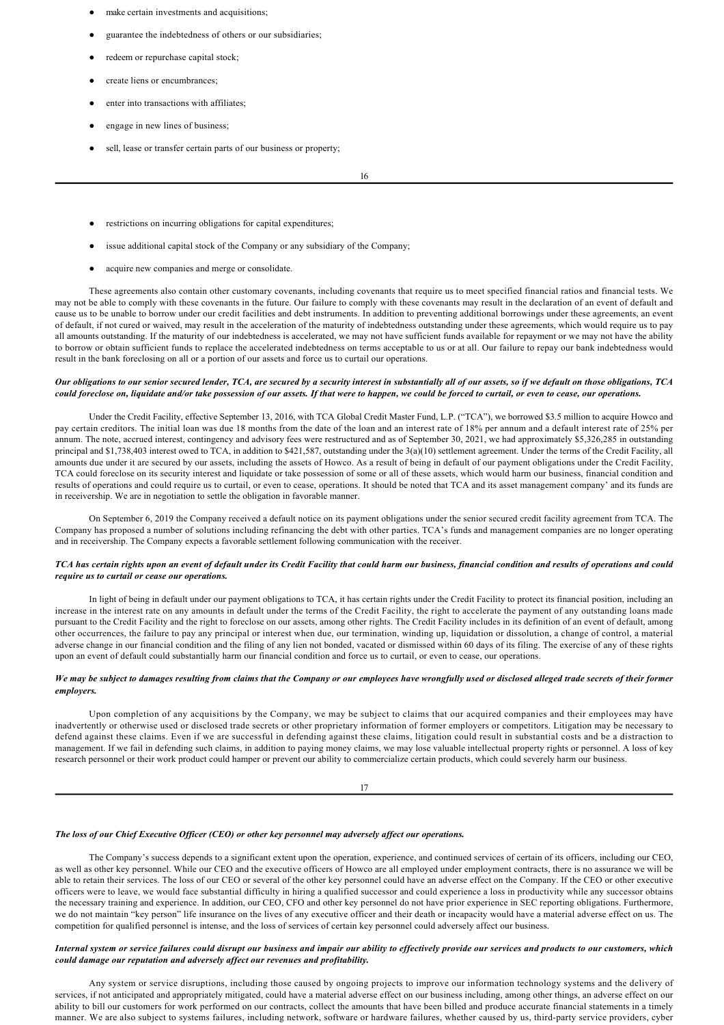- make certain investments and acquisitions;
- guarantee the indebtedness of others or our subsidiaries;
- redeem or repurchase capital stock;
- create liens or encumbrances:
- enter into transactions with affiliates;
- engage in new lines of business;
- sell, lease or transfer certain parts of our business or property;

16

- restrictions on incurring obligations for capital expenditures;
- issue additional capital stock of the Company or any subsidiary of the Company;
- acquire new companies and merge or consolidate.

These agreements also contain other customary covenants, including covenants that require us to meet specified financial ratios and financial tests. We may not be able to comply with these covenants in the future. Our failure to comply with these covenants may result in the declaration of an event of default and cause us to be unable to borrow under our credit facilities and debt instruments. In addition to preventing additional borrowings under these agreements, an event of default, if not cured or waived, may result in the acceleration of the maturity of indebtedness outstanding under these agreements, which would require us to pay all amounts outstanding. If the maturity of our indebtedness is accelerated, we may not have sufficient funds available for repayment or we may not have the ability to borrow or obtain sufficient funds to replace the accelerated indebtedness on terms acceptable to us or at all. Our failure to repay our bank indebtedness would result in the bank foreclosing on all or a portion of our assets and force us to curtail our operations.

## *Our obligations to our senior secured lender, TCA, are secured by a security interest in substantially all of our assets, so if we default on those obligations, TCA could foreclose on, liquidate and/or take possession of our assets. If that were to happen, we could be forced to curtail, or even to cease, our operations.*

Under the Credit Facility, effective September 13, 2016, with TCA Global Credit Master Fund, L.P. ("TCA"), we borrowed \$3.5 million to acquire Howco and pay certain creditors. The initial loan was due 18 months from the date of the loan and an interest rate of 18% per annum and a default interest rate of 25% per annum. The note, accrued interest, contingency and advisory fees were restructured and as of September 30, 2021, we had approximately \$5,326,285 in outstanding principal and \$1,738,403 interest owed to TCA, in addition to \$421,587, outstanding under the 3(a)(10) settlement agreement. Under the terms of the Credit Facility, all amounts due under it are secured by our assets, including the assets of Howco. As a result of being in default of our payment obligations under the Credit Facility, TCA could foreclose on its security interest and liquidate or take possession of some or all of these assets, which would harm our business, financial condition and results of operations and could require us to curtail, or even to cease, operations. It should be noted that TCA and its asset management company' and its funds are in receivership. We are in negotiation to settle the obligation in favorable manner.

On September 6, 2019 the Company received a default notice on its payment obligations under the senior secured credit facility agreement from TCA. The Company has proposed a number of solutions including refinancing the debt with other parties. TCA's funds and management companies are no longer operating and in receivership. The Company expects a favorable settlement following communication with the receiver.

## *TCA has certain rights upon an event of default under its Credit Facility that could harm our business, financial condition and results of operations and could require us to curtail or cease our operations.*

In light of being in default under our payment obligations to TCA, it has certain rights under the Credit Facility to protect its financial position, including an increase in the interest rate on any amounts in default under the terms of the Credit Facility, the right to accelerate the payment of any outstanding loans made pursuant to the Credit Facility and the right to foreclose on our assets, among other rights. The Credit Facility includes in its definition of an event of default, among other occurrences, the failure to pay any principal or interest when due, our termination, winding up, liquidation or dissolution, a change of control, a material adverse change in our financial condition and the filing of any lien not bonded, vacated or dismissed within 60 days of its filing. The exercise of any of these rights upon an event of default could substantially harm our financial condition and force us to curtail, or even to cease, our operations.

#### *We may be subject to damages resulting from claims that the Company or our employees have wrongfully used or disclosed alleged trade secrets of their former employers.*

Upon completion of any acquisitions by the Company, we may be subject to claims that our acquired companies and their employees may have inadvertently or otherwise used or disclosed trade secrets or other proprietary information of former employers or competitors. Litigation may be necessary to defend against these claims. Even if we are successful in defending against these claims, litigation could result in substantial costs and be a distraction to management. If we fail in defending such claims, in addition to paying money claims, we may lose valuable intellectual property rights or personnel. A loss of key research personnel or their work product could hamper or prevent our ability to commercialize certain products, which could severely harm our business.

17

## *The loss of our Chief Executive Officer (CEO) or other key personnel may adversely affect our operations.*

The Company's success depends to a significant extent upon the operation, experience, and continued services of certain of its officers, including our CEO, as well as other key personnel. While our CEO and the executive officers of Howco are all employed under employment contracts, there is no assurance we will be able to retain their services. The loss of our CEO or several of the other key personnel could have an adverse effect on the Company. If the CEO or other executive officers were to leave, we would face substantial difficulty in hiring a qualified successor and could experience a loss in productivity while any successor obtains the necessary training and experience. In addition, our CEO, CFO and other key personnel do not have prior experience in SEC reporting obligations. Furthermore, we do not maintain "key person" life insurance on the lives of any executive officer and their death or incapacity would have a material adverse effect on us. The competition for qualified personnel is intense, and the loss of services of certain key personnel could adversely affect our business.

## *Internal system or service failures could disrupt our business and impair our ability to effectively provide our services and products to our customers, which could damage our reputation and adversely affect our revenues and profitability.*

Any system or service disruptions, including those caused by ongoing projects to improve our information technology systems and the delivery of services, if not anticipated and appropriately mitigated, could have a material adverse effect on our business including, among other things, an adverse effect on our ability to bill our customers for work performed on our contracts, collect the amounts that have been billed and produce accurate financial statements in a timely manner. We are also subject to systems failures, including network, software or hardware failures, whether caused by us, third-party service providers, cyber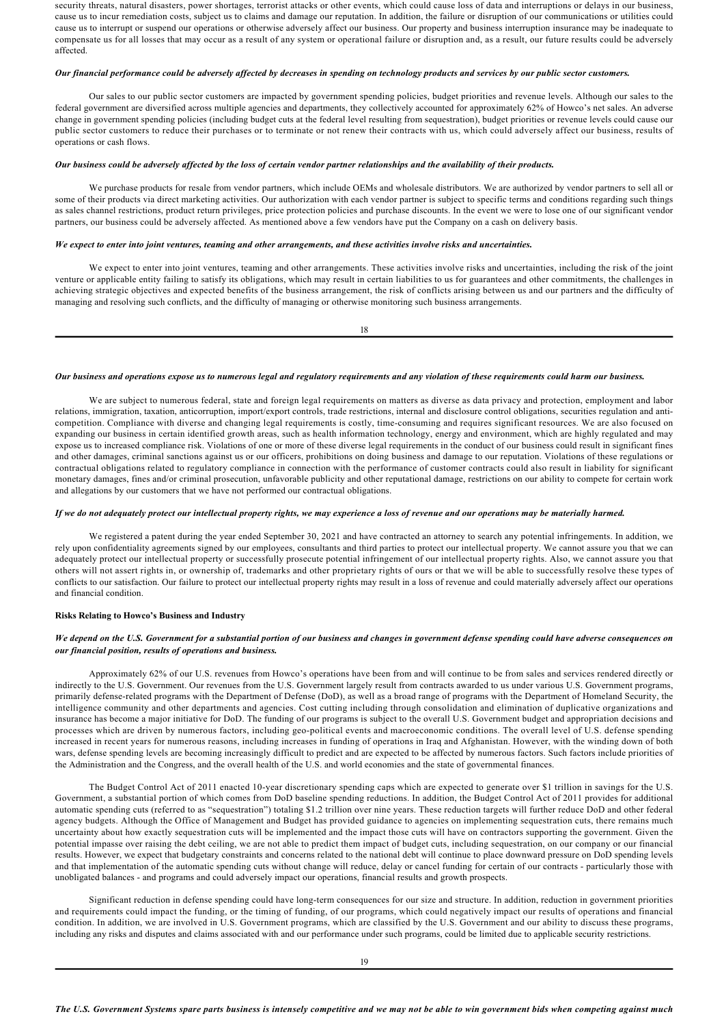security threats, natural disasters, power shortages, terrorist attacks or other events, which could cause loss of data and interruptions or delays in our business, cause us to incur remediation costs, subject us to claims and damage our reputation. In addition, the failure or disruption of our communications or utilities could cause us to interrupt or suspend our operations or otherwise adversely affect our business. Our property and business interruption insurance may be inadequate to compensate us for all losses that may occur as a result of any system or operational failure or disruption and, as a result, our future results could be adversely affected.

#### *Our financial performance could be adversely affected by decreases in spending on technology products and services by our public sector customers.*

Our sales to our public sector customers are impacted by government spending policies, budget priorities and revenue levels. Although our sales to the federal government are diversified across multiple agencies and departments, they collectively accounted for approximately 62% of Howco's net sales. An adverse change in government spending policies (including budget cuts at the federal level resulting from sequestration), budget priorities or revenue levels could cause our public sector customers to reduce their purchases or to terminate or not renew their contracts with us, which could adversely affect our business, results of operations or cash flows.

#### *Our business could be adversely affected by the loss of certain vendor partner relationships and the availability of their products.*

We purchase products for resale from vendor partners, which include OEMs and wholesale distributors. We are authorized by vendor partners to sell all or some of their products via direct marketing activities. Our authorization with each vendor partner is subject to specific terms and conditions regarding such things as sales channel restrictions, product return privileges, price protection policies and purchase discounts. In the event we were to lose one of our significant vendor partners, our business could be adversely affected. As mentioned above a few vendors have put the Company on a cash on delivery basis.

#### *We expect to enter into joint ventures, teaming and other arrangements, and these activities involve risks and uncertainties.*

We expect to enter into joint ventures, teaming and other arrangements. These activities involve risks and uncertainties, including the risk of the joint venture or applicable entity failing to satisfy its obligations, which may result in certain liabilities to us for guarantees and other commitments, the challenges in achieving strategic objectives and expected benefits of the business arrangement, the risk of conflicts arising between us and our partners and the difficulty of managing and resolving such conflicts, and the difficulty of managing or otherwise monitoring such business arrangements.

18

#### *Our business and operations expose us to numerous legal and regulatory requirements and any violation of these requirements could harm our business.*

We are subject to numerous federal, state and foreign legal requirements on matters as diverse as data privacy and protection, employment and labor relations, immigration, taxation, anticorruption, import/export controls, trade restrictions, internal and disclosure control obligations, securities regulation and anticompetition. Compliance with diverse and changing legal requirements is costly, timeconsuming and requires significant resources. We are also focused on expanding our business in certain identified growth areas, such as health information technology, energy and environment, which are highly regulated and may expose us to increased compliance risk. Violations of one or more of these diverse legal requirements in the conduct of our business could result in significant fines and other damages, criminal sanctions against us or our officers, prohibitions on doing business and damage to our reputation. Violations of these regulations or contractual obligations related to regulatory compliance in connection with the performance of customer contracts could also result in liability for significant monetary damages, fines and/or criminal prosecution, unfavorable publicity and other reputational damage, restrictions on our ability to compete for certain work and allegations by our customers that we have not performed our contractual obligations.

#### *If we do not adequately protect our intellectual property rights, we may experience a loss of revenue and our operations may be materially harmed.*

We registered a patent during the year ended September 30, 2021 and have contracted an attorney to search any potential infringements. In addition, we rely upon confidentiality agreements signed by our employees, consultants and third parties to protect our intellectual property. We cannot assure you that we can adequately protect our intellectual property or successfully prosecute potential infringement of our intellectual property rights. Also, we cannot assure you that others will not assert rights in, or ownership of, trademarks and other proprietary rights of ours or that we will be able to successfully resolve these types of conflicts to our satisfaction. Our failure to protect our intellectual property rights may result in a loss of revenue and could materially adversely affect our operations and financial condition.

#### **Risks Relating to Howco's Business and Industry**

#### *We depend on the U.S. Government for a substantial portion of our business and changes in government defense spending could have adverse consequences on our financial position, results of operations and business.*

Approximately 62% of our U.S. revenues from Howco's operations have been from and will continue to be from sales and services rendered directly or indirectly to the U.S. Government. Our revenues from the U.S. Government largely result from contracts awarded to us under various U.S. Government programs, primarily defense-related programs with the Department of Defense (DoD), as well as a broad range of programs with the Department of Homeland Security, the intelligence community and other departments and agencies. Cost cutting including through consolidation and elimination of duplicative organizations and insurance has become a major initiative for DoD. The funding of our programs is subject to the overall U.S. Government budget and appropriation decisions and processes which are driven by numerous factors, including geo-political events and macroeconomic conditions. The overall level of U.S. defense spending increased in recent years for numerous reasons, including increases in funding of operations in Iraq and Afghanistan. However, with the winding down of both wars, defense spending levels are becoming increasingly difficult to predict and are expected to be affected by numerous factors. Such factors include priorities of the Administration and the Congress, and the overall health of the U.S. and world economies and the state of governmental finances.

The Budget Control Act of 2011 enacted 10-year discretionary spending caps which are expected to generate over \$1 trillion in savings for the U.S. Government, a substantial portion of which comes from DoD baseline spending reductions. In addition, the Budget Control Act of 2011 provides for additional automatic spending cuts (referred to as "sequestration") totaling \$1.2 trillion over nine years. These reduction targets will further reduce DoD and other federal agency budgets. Although the Office of Management and Budget has provided guidance to agencies on implementing sequestration cuts, there remains much uncertainty about how exactly sequestration cuts will be implemented and the impact those cuts will have on contractors supporting the government. Given the potential impasse over raising the debt ceiling, we are not able to predict them impact of budget cuts, including sequestration, on our company or our financial results. However, we expect that budgetary constraints and concerns related to the national debt will continue to place downward pressure on DoD spending levels and that implementation of the automatic spending cuts without change will reduce, delay or cancel funding for certain of our contracts - particularly those with unobligated balances and programs and could adversely impact our operations, financial results and growth prospects.

Significant reduction in defense spending could have long-term consequences for our size and structure. In addition, reduction in government priorities and requirements could impact the funding, or the timing of funding, of our programs, which could negatively impact our results of operations and financial condition. In addition, we are involved in U.S. Government programs, which are classified by the U.S. Government and our ability to discuss these programs, including any risks and disputes and claims associated with and our performance under such programs, could be limited due to applicable security restrictions.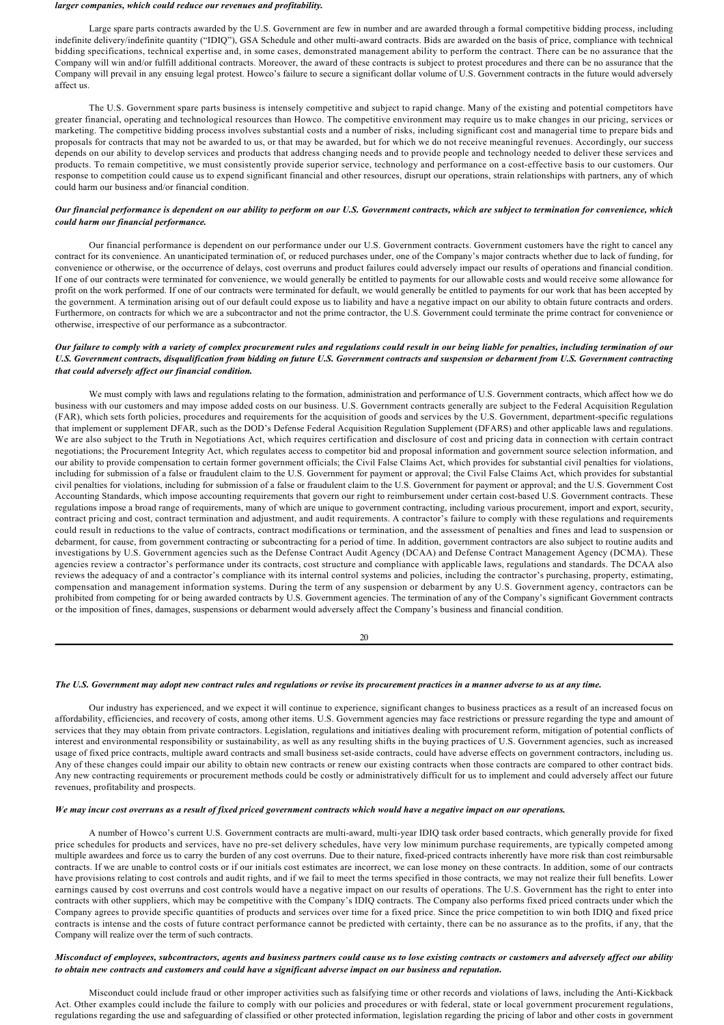#### *larger companies, which could reduce our revenues and profitability.*

Large spare parts contracts awarded by the U.S. Government are few in number and are awarded through a formal competitive bidding process, including indefinite delivery/indefinite quantity ("IDIQ"), GSA Schedule and other multi-award contracts. Bids are awarded on the basis of price, compliance with technical bidding specifications, technical expertise and, in some cases, demonstrated management ability to perform the contract. There can be no assurance that the Company will win and/or fulfill additional contracts. Moreover, the award of these contracts is subject to protest procedures and there can be no assurance that the Company will prevail in any ensuing legal protest. Howco's failure to secure a significant dollar volume of U.S. Government contracts in the future would adversely affect us.

The U.S. Government spare parts business is intensely competitive and subject to rapid change. Many of the existing and potential competitors have greater financial, operating and technological resources than Howco. The competitive environment may require us to make changes in our pricing, services or marketing. The competitive bidding process involves substantial costs and a number of risks, including significant cost and managerial time to prepare bids and proposals for contracts that may not be awarded to us, or that may be awarded, but for which we do not receive meaningful revenues. Accordingly, our success depends on our ability to develop services and products that address changing needs and to provide people and technology needed to deliver these services and products. To remain competitive, we must consistently provide superior service, technology and performance on a costeffective basis to our customers. Our response to competition could cause us to expend significant financial and other resources, disrupt our operations, strain relationships with partners, any of which could harm our business and/or financial condition.

## *Our financial performance is dependent on our ability to perform on our U.S. Government contracts, which are subject to termination for convenience, which could harm our financial performance.*

Our financial performance is dependent on our performance under our U.S. Government contracts. Government customers have the right to cancel any contract for its convenience. An unanticipated termination of, or reduced purchases under, one of the Company's major contracts whether due to lack of funding, for convenience or otherwise, or the occurrence of delays, cost overruns and product failures could adversely impact our results of operations and financial condition. If one of our contracts were terminated for convenience, we would generally be entitled to payments for our allowable costs and would receive some allowance for profit on the work performed. If one of our contracts were terminated for default, we would generally be entitled to payments for our work that has been accepted by the government. A termination arising out of our default could expose us to liability and have a negative impact on our ability to obtain future contracts and orders. Furthermore, on contracts for which we are a subcontractor and not the prime contractor, the U.S. Government could terminate the prime contract for convenience or otherwise, irrespective of our performance as a subcontractor.

## *Our failure to comply with a variety of complex procurement rules and regulations could result in our being liable for penalties, including termination of our U.S. Government contracts, disqualification from bidding on future U.S. Government contracts and suspension or debarment from U.S. Government contracting that could adversely affect our financial condition.*

We must comply with laws and regulations relating to the formation, administration and performance of U.S. Government contracts, which affect how we do business with our customers and may impose added costs on our business. U.S. Government contracts generally are subject to the Federal Acquisition Regulation (FAR), which sets forth policies, procedures and requirements for the acquisition of goods and services by the U.S. Government, department-specific regulations that implement or supplement DFAR, such as the DOD's Defense Federal Acquisition Regulation Supplement (DFARS) and other applicable laws and regulations. We are also subject to the Truth in Negotiations Act, which requires certification and disclosure of cost and pricing data in connection with certain contract negotiations; the Procurement Integrity Act, which regulates access to competitor bid and proposal information and government source selection information, and our ability to provide compensation to certain former government officials; the Civil False Claims Act, which provides for substantial civil penalties for violations, including for submission of a false or fraudulent claim to the U.S. Government for payment or approval; the Civil False Claims Act, which provides for substantial civil penalties for violations, including for submission of a false or fraudulent claim to the U.S. Government for payment or approval; and the U.S. Government Cost Accounting Standards, which impose accounting requirements that govern our right to reimbursement under certain cost-based U.S. Government contracts. These regulations impose a broad range of requirements, many of which are unique to government contracting, including various procurement, import and export, security, contract pricing and cost, contract termination and adjustment, and audit requirements. A contractor's failure to comply with these regulations and requirements could result in reductions to the value of contracts, contract modifications or termination, and the assessment of penalties and fines and lead to suspension or debarment, for cause, from government contracting or subcontracting for a period of time. In addition, government contractors are also subject to routine audits and investigations by U.S. Government agencies such as the Defense Contract Audit Agency (DCAA) and Defense Contract Management Agency (DCMA). These agencies review a contractor's performance under its contracts, cost structure and compliance with applicable laws, regulations and standards. The DCAA also reviews the adequacy of and a contractor's compliance with its internal control systems and policies, including the contractor's purchasing, property, estimating, compensation and management information systems. During the term of any suspension or debarment by any U.S. Government agency, contractors can be prohibited from competing for or being awarded contracts by U.S. Government agencies. The termination of any of the Company's significant Government contracts or the imposition of fines, damages, suspensions or debarment would adversely affect the Company's business and financial condition.

20

## *The U.S. Government may adopt new contract rules and regulations or revise its procurement practices in a manner adverse to us at any time.*

Our industry has experienced, and we expect it will continue to experience, significant changes to business practices as a result of an increased focus on affordability, efficiencies, and recovery of costs, among other items. U.S. Government agencies may face restrictions or pressure regarding the type and amount of services that they may obtain from private contractors. Legislation, regulations and initiatives dealing with procurement reform, mitigation of potential conflicts of interest and environmental responsibility or sustainability, as well as any resulting shifts in the buying practices of U.S. Government agencies, such as increased usage of fixed price contracts, multiple award contracts and small business setaside contracts, could have adverse effects on government contractors, including us. Any of these changes could impair our ability to obtain new contracts or renew our existing contracts when those contracts are compared to other contract bids. Any new contracting requirements or procurement methods could be costly or administratively difficult for us to implement and could adversely affect our future revenues, profitability and prospects.

## *We may incur cost overruns as a result of fixed priced government contracts which would have a negative impact on our operations.*

A number of Howco's current U.S. Government contracts are multi-award, multi-year IDIQ task order based contracts, which generally provide for fixed price schedules for products and services, have no preset delivery schedules, have very low minimum purchase requirements, are typically competed among multiple awardees and force us to carry the burden of any cost overruns. Due to their nature, fixed-priced contracts inherently have more risk than cost reimbursable contracts. If we are unable to control costs or if our initials cost estimates are incorrect, we can lose money on these contracts. In addition, some of our contracts have provisions relating to cost controls and audit rights, and if we fail to meet the terms specified in those contracts, we may not realize their full benefits. Lower earnings caused by cost overruns and cost controls would have a negative impact on our results of operations. The U.S. Government has the right to enter into contracts with other suppliers, which may be competitive with the Company's IDIQ contracts. The Company also performs fixed priced contracts under which the Company agrees to provide specific quantities of products and services over time for a fixed price. Since the price competition to win both IDIQ and fixed price contracts is intense and the costs of future contract performance cannot be predicted with certainty, there can be no assurance as to the profits, if any, that the Company will realize over the term of such contracts.

## *Misconduct of employees, subcontractors, agents and business partners could cause us to lose existing contracts or customers and adversely affect our ability to obtain new contracts and customers and could have a significant adverse impact on our business and reputation.*

Misconduct could include fraud or other improper activities such as falsifying time or other records and violations of laws, including the Anti-Kickback Act. Other examples could include the failure to comply with our policies and procedures or with federal, state or local government procurement regulations, regulations regarding the use and safeguarding of classified or other protected information, legislation regarding the pricing of labor and other costs in government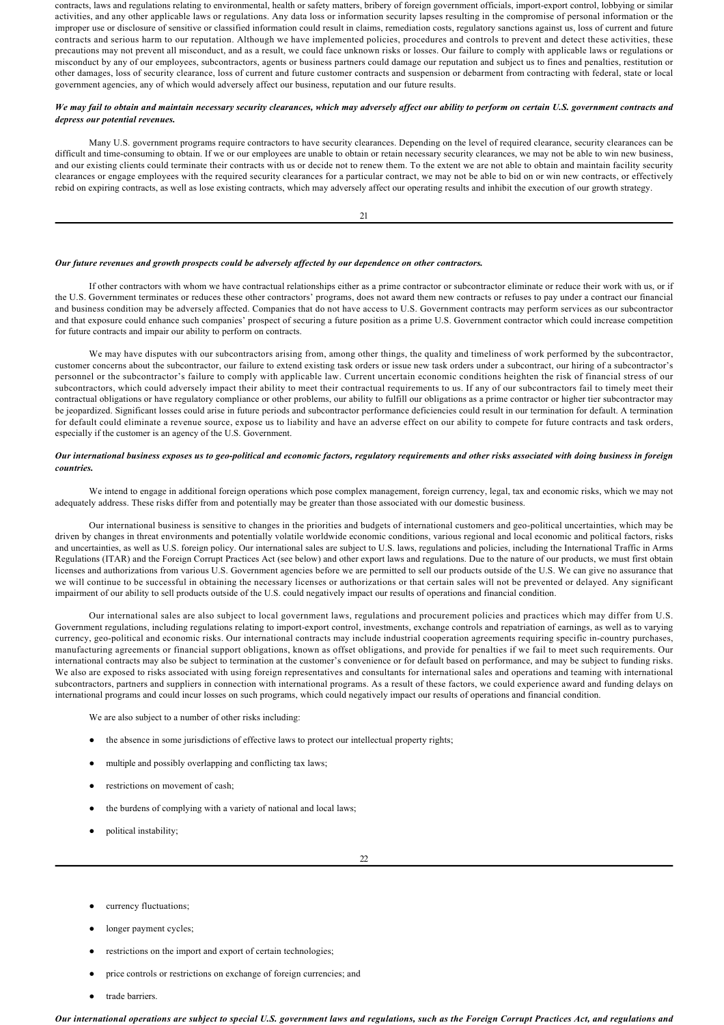contracts, laws and regulations relating to environmental, health or safety matters, bribery of foreign government officials, importexport control, lobbying or similar activities, and any other applicable laws or regulations. Any data loss or information security lapses resulting in the compromise of personal information or the improper use or disclosure of sensitive or classified information could result in claims, remediation costs, regulatory sanctions against us, loss of current and future contracts and serious harm to our reputation. Although we have implemented policies, procedures and controls to prevent and detect these activities, these precautions may not prevent all misconduct, and as a result, we could face unknown risks or losses. Our failure to comply with applicable laws or regulations or misconduct by any of our employees, subcontractors, agents or business partners could damage our reputation and subject us to fines and penalties, restitution or other damages, loss of security clearance, loss of current and future customer contracts and suspension or debarment from contracting with federal, state or local government agencies, any of which would adversely affect our business, reputation and our future results.

## *We may fail to obtain and maintain necessary security clearances, which may adversely affect our ability to perform on certain U.S. government contracts and depress our potential revenues.*

Many U.S. government programs require contractors to have security clearances. Depending on the level of required clearance, security clearances can be difficult and time-consuming to obtain. If we or our employees are unable to obtain or retain necessary security clearances, we may not be able to win new business, and our existing clients could terminate their contracts with us or decide not to renew them. To the extent we are not able to obtain and maintain facility security clearances or engage employees with the required security clearances for a particular contract, we may not be able to bid on or win new contracts, or effectively rebid on expiring contracts, as well as lose existing contracts, which may adversely affect our operating results and inhibit the execution of our growth strategy.

21

#### *Our future revenues and growth prospects could be adversely affected by our dependence on other contractors.*

If other contractors with whom we have contractual relationships either as a prime contractor or subcontractor eliminate or reduce their work with us, or if the U.S. Government terminates or reduces these other contractors' programs, does not award them new contracts or refuses to pay under a contract our financial and business condition may be adversely affected. Companies that do not have access to U.S. Government contracts may perform services as our subcontractor and that exposure could enhance such companies' prospect of securing a future position as a prime U.S. Government contractor which could increase competition for future contracts and impair our ability to perform on contracts.

We may have disputes with our subcontractors arising from, among other things, the quality and timeliness of work performed by the subcontractor, customer concerns about the subcontractor, our failure to extend existing task orders or issue new task orders under a subcontract, our hiring of a subcontractor's personnel or the subcontractor's failure to comply with applicable law. Current uncertain economic conditions heighten the risk of financial stress of our subcontractors, which could adversely impact their ability to meet their contractual requirements to us. If any of our subcontractors fail to timely meet their contractual obligations or have regulatory compliance or other problems, our ability to fulfill our obligations as a prime contractor or higher tier subcontractor may be jeopardized. Significant losses could arise in future periods and subcontractor performance deficiencies could result in our termination for default. A termination for default could eliminate a revenue source, expose us to liability and have an adverse effect on our ability to compete for future contracts and task orders, especially if the customer is an agency of the U.S. Government.

## *Our international business exposes us to geopolitical and economic factors, regulatory requirements and other risks associated with doing business in foreign countries.*

We intend to engage in additional foreign operations which pose complex management, foreign currency, legal, tax and economic risks, which we may not adequately address. These risks differ from and potentially may be greater than those associated with our domestic business.

Our international business is sensitive to changes in the priorities and budgets of international customers and geo-political uncertainties, which may be driven by changes in threat environments and potentially volatile worldwide economic conditions, various regional and local economic and political factors, risks and uncertainties, as well as U.S. foreign policy. Our international sales are subject to U.S. laws, regulations and policies, including the International Traffic in Arms Regulations (ITAR) and the Foreign Corrupt Practices Act (see below) and other export laws and regulations. Due to the nature of our products, we must first obtain licenses and authorizations from various U.S. Government agencies before we are permitted to sell our products outside of the U.S. We can give no assurance that we will continue to be successful in obtaining the necessary licenses or authorizations or that certain sales will not be prevented or delayed. Any significant impairment of our ability to sell products outside of the U.S. could negatively impact our results of operations and financial condition.

Our international sales are also subject to local government laws, regulations and procurement policies and practices which may differ from U.S. Government regulations, including regulations relating to import-export control, investments, exchange controls and repatriation of earnings, as well as to varying currency, geopolitical and economic risks. Our international contracts may include industrial cooperation agreements requiring specific incountry purchases, manufacturing agreements or financial support obligations, known as offset obligations, and provide for penalties if we fail to meet such requirements. Our international contracts may also be subject to termination at the customer's convenience or for default based on performance, and may be subject to funding risks. We also are exposed to risks associated with using foreign representatives and consultants for international sales and operations and teaming with international subcontractors, partners and suppliers in connection with international programs. As a result of these factors, we could experience award and funding delays on international programs and could incur losses on such programs, which could negatively impact our results of operations and financial condition.

We are also subject to a number of other risks including:

- the absence in some jurisdictions of effective laws to protect our intellectual property rights;
- multiple and possibly overlapping and conflicting tax laws;
- restrictions on movement of cash;
- the burdens of complying with a variety of national and local laws;
- political instability;

- currency fluctuations:
- longer payment cycles;
- restrictions on the import and export of certain technologies;
- price controls or restrictions on exchange of foreign currencies; and
- trade barriers.

*Our international operations are subject to special U.S. government laws and regulations, such as the Foreign Corrupt Practices Act, and regulations and*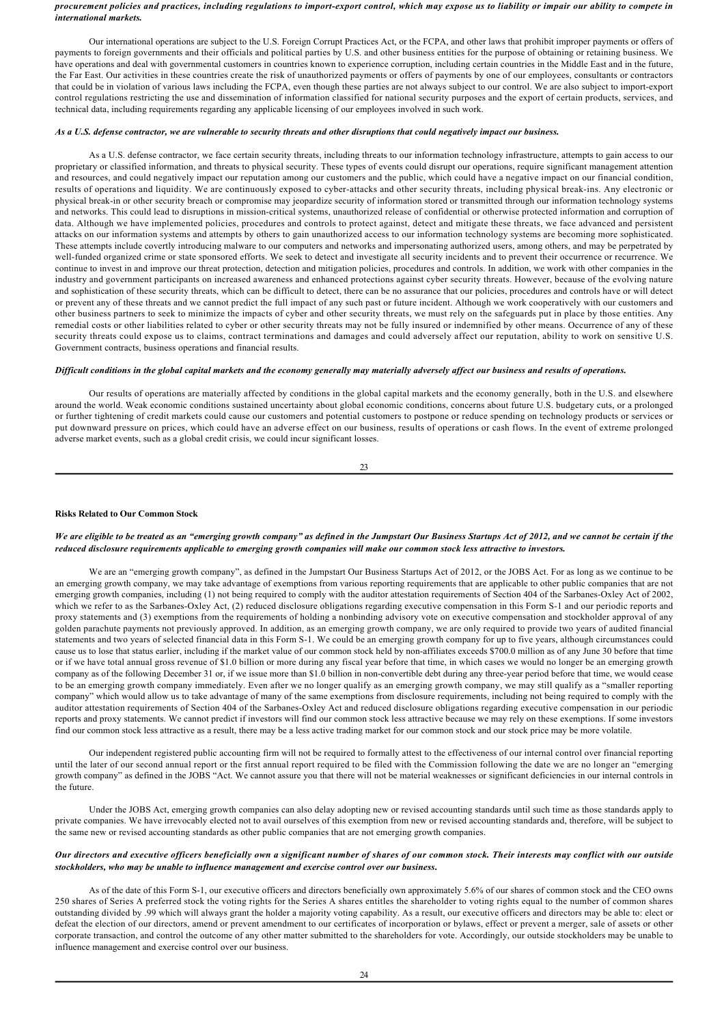#### *procurement policies and practices, including regulations to importexport control, which may expose us to liability or impair our ability to compete in international markets.*

Our international operations are subject to the U.S. Foreign Corrupt Practices Act, or the FCPA, and other laws that prohibit improper payments or offers of payments to foreign governments and their officials and political parties by U.S. and other business entities for the purpose of obtaining or retaining business. We have operations and deal with governmental customers in countries known to experience corruption, including certain countries in the Middle East and in the future, the Far East. Our activities in these countries create the risk of unauthorized payments or offers of payments by one of our employees, consultants or contractors that could be in violation of various laws including the FCPA, even though these parties are not always subject to our control. We are also subject to import-export control regulations restricting the use and dissemination of information classified for national security purposes and the export of certain products, services, and technical data, including requirements regarding any applicable licensing of our employees involved in such work.

#### *As a U.S. defense contractor, we are vulnerable to security threats and other disruptions that could negatively impact our business.*

As a U.S. defense contractor, we face certain security threats, including threats to our information technology infrastructure, attempts to gain access to our proprietary or classified information, and threats to physical security. These types of events could disrupt our operations, require significant management attention and resources, and could negatively impact our reputation among our customers and the public, which could have a negative impact on our financial condition, results of operations and liquidity. We are continuously exposed to cyber-attacks and other security threats, including physical break-ins. Any electronic or physical break-in or other security breach or compromise may jeopardize security of information stored or transmitted through our information technology systems and networks. This could lead to disruptions in mission-critical systems, unauthorized release of confidential or otherwise protected information and corruption of data. Although we have implemented policies, procedures and controls to protect against, detect and mitigate these threats, we face advanced and persistent attacks on our information systems and attempts by others to gain unauthorized access to our information technology systems are becoming more sophisticated. These attempts include covertly introducing malware to our computers and networks and impersonating authorized users, among others, and may be perpetrated by well-funded organized crime or state sponsored efforts. We seek to detect and investigate all security incidents and to prevent their occurrence or recurrence. We continue to invest in and improve our threat protection, detection and mitigation policies, procedures and controls. In addition, we work with other companies in the industry and government participants on increased awareness and enhanced protections against cyber security threats. However, because of the evolving nature and sophistication of these security threats, which can be difficult to detect, there can be no assurance that our policies, procedures and controls have or will detect or prevent any of these threats and we cannot predict the full impact of any such past or future incident. Although we work cooperatively with our customers and other business partners to seek to minimize the impacts of cyber and other security threats, we must rely on the safeguards put in place by those entities. Any remedial costs or other liabilities related to cyber or other security threats may not be fully insured or indemnified by other means. Occurrence of any of these security threats could expose us to claims, contract terminations and damages and could adversely affect our reputation, ability to work on sensitive U.S. Government contracts, business operations and financial results.

#### *Difficult conditions in the global capital markets and the economy generally may materially adversely affect our business and results of operations.*

Our results of operations are materially affected by conditions in the global capital markets and the economy generally, both in the U.S. and elsewhere around the world. Weak economic conditions sustained uncertainty about global economic conditions, concerns about future U.S. budgetary cuts, or a prolonged or further tightening of credit markets could cause our customers and potential customers to postpone or reduce spending on technology products or services or put downward pressure on prices, which could have an adverse effect on our business, results of operations or cash flows. In the event of extreme prolonged adverse market events, such as a global credit crisis, we could incur significant losses.

#### $23$

#### **Risks Related to Our Common Stock**

## *We are eligible to be treated as an "emerging growth company" as defined in the Jumpstart Our Business Startups Act of 2012, and we cannot be certain if the reduced disclosure requirements applicable to emerging growth companies will make our common stock less attractive to investors.*

We are an "emerging growth company", as defined in the Jumpstart Our Business Startups Act of 2012, or the JOBS Act. For as long as we continue to be an emerging growth company, we may take advantage of exemptions from various reporting requirements that are applicable to other public companies that are not emerging growth companies, including (1) not being required to comply with the auditor attestation requirements of Section 404 of the Sarbanes-Oxley Act of 2002, which we refer to as the Sarbanes-Oxley Act, (2) reduced disclosure obligations regarding executive compensation in this Form S-1 and our periodic reports and proxy statements and (3) exemptions from the requirements of holding a nonbinding advisory vote on executive compensation and stockholder approval of any golden parachute payments not previously approved. In addition, as an emerging growth company, we are only required to provide two years of audited financial statements and two years of selected financial data in this Form S1. We could be an emerging growth company for up to five years, although circumstances could cause us to lose that status earlier, including if the market value of our common stock held by non-affiliates exceeds \$700.0 million as of any June 30 before that time or if we have total annual gross revenue of \$1.0 billion or more during any fiscal year before that time, in which cases we would no longer be an emerging growth company as of the following December 31 or, if we issue more than \$1.0 billion in non-convertible debt during any three-year period before that time, we would cease to be an emerging growth company immediately. Even after we no longer qualify as an emerging growth company, we may still qualify as a "smaller reporting company" which would allow us to take advantage of many of the same exemptions from disclosure requirements, including not being required to comply with the auditor attestation requirements of Section 404 of the Sarbanes-Oxley Act and reduced disclosure obligations regarding executive compensation in our periodic reports and proxy statements. We cannot predict if investors will find our common stock less attractive because we may rely on these exemptions. If some investors find our common stock less attractive as a result, there may be a less active trading market for our common stock and our stock price may be more volatile.

Our independent registered public accounting firm will not be required to formally attest to the effectiveness of our internal control over financial reporting until the later of our second annual report or the first annual report required to be filed with the Commission following the date we are no longer an "emerging growth company" as defined in the JOBS "Act. We cannot assure you that there will not be material weaknesses or significant deficiencies in our internal controls in the future.

Under the JOBS Act, emerging growth companies can also delay adopting new or revised accounting standards until such time as those standards apply to private companies. We have irrevocably elected not to avail ourselves of this exemption from new or revised accounting standards and, therefore, will be subject to the same new or revised accounting standards as other public companies that are not emerging growth companies.

#### *Our directors and executive officers beneficially own a significant number of shares of our common stock. Their interests may conflict with our outside stockholders, who may be unable to influence management and exercise control over our business***.**

As of the date of this Form S1, our executive officers and directors beneficially own approximately 5.6% of our shares of common stock and the CEO owns 250 shares of Series A preferred stock the voting rights for the Series A shares entitles the shareholder to voting rights equal to the number of common shares outstanding divided by .99 which will always grant the holder a majority voting capability. As a result, our executive officers and directors may be able to: elect or defeat the election of our directors, amend or prevent amendment to our certificates of incorporation or bylaws, effect or prevent a merger, sale of assets or other corporate transaction, and control the outcome of any other matter submitted to the shareholders for vote. Accordingly, our outside stockholders may be unable to influence management and exercise control over our business.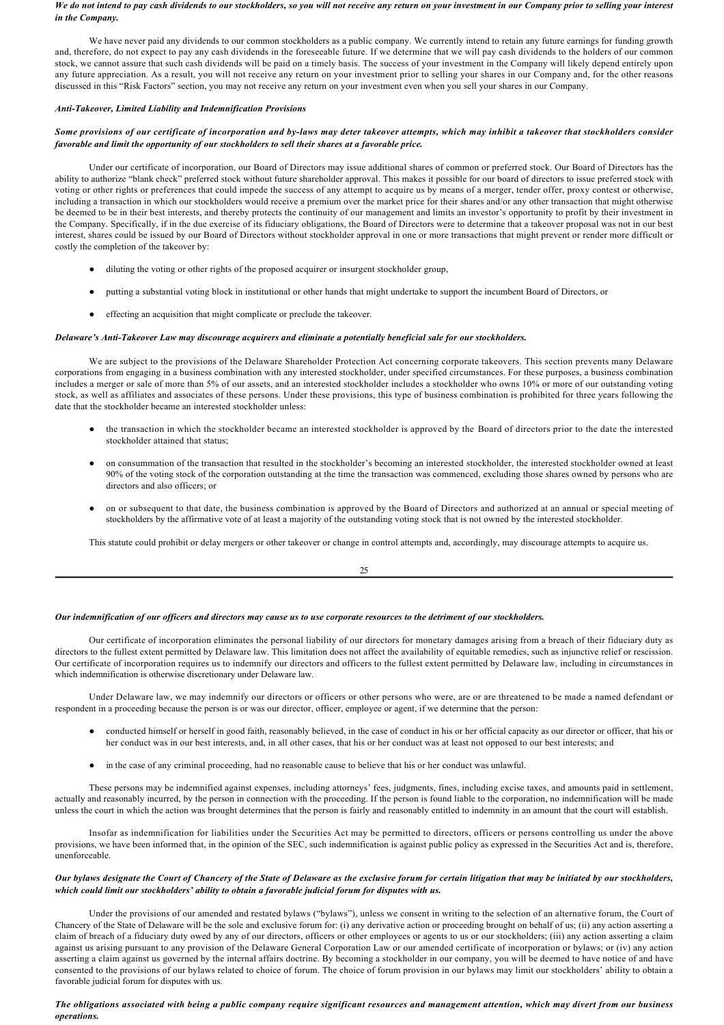#### *We do not intend to pay cash dividends to our stockholders, so you will not receive any return on your investment in our Company prior to selling your interest in the Company.*

We have never paid any dividends to our common stockholders as a public company. We currently intend to retain any future earnings for funding growth and, therefore, do not expect to pay any cash dividends in the foreseeable future. If we determine that we will pay cash dividends to the holders of our common stock, we cannot assure that such cash dividends will be paid on a timely basis. The success of your investment in the Company will likely depend entirely upon any future appreciation. As a result, you will not receive any return on your investment prior to selling your shares in our Company and, for the other reasons discussed in this "Risk Factors" section, you may not receive any return on your investment even when you sell your shares in our Company.

#### *AntiTakeover, Limited Liability and Indemnification Provisions*

## *Some provisions of our certificate of incorporation and bylaws may deter takeover attempts, which may inhibit a takeover that stockholders consider favorable and limit the opportunity of our stockholders to sell their shares at a favorable price.*

Under our certificate of incorporation, our Board of Directors may issue additional shares of common or preferred stock. Our Board of Directors has the ability to authorize "blank check" preferred stock without future shareholder approval. This makes it possible for our board of directors to issue preferred stock with voting or other rights or preferences that could impede the success of any attempt to acquire us by means of a merger, tender offer, proxy contest or otherwise, including a transaction in which our stockholders would receive a premium over the market price for their shares and/or any other transaction that might otherwise be deemed to be in their best interests, and thereby protects the continuity of our management and limits an investor's opportunity to profit by their investment in the Company. Specifically, if in the due exercise of its fiduciary obligations, the Board of Directors were to determine that a takeover proposal was not in our best interest, shares could be issued by our Board of Directors without stockholder approval in one or more transactions that might prevent or render more difficult or costly the completion of the takeover by:

- diluting the voting or other rights of the proposed acquirer or insurgent stockholder group,
- putting a substantial voting block in institutional or other hands that might undertake to support the incumbent Board of Directors, or
- effecting an acquisition that might complicate or preclude the takeover.

## *Delaware's AntiTakeover Law may discourage acquirers and eliminate a potentially beneficial sale for our stockholders.*

We are subject to the provisions of the Delaware Shareholder Protection Act concerning corporate takeovers. This section prevents many Delaware corporations from engaging in a business combination with any interested stockholder, under specified circumstances. For these purposes, a business combination includes a merger or sale of more than 5% of our assets, and an interested stockholder includes a stockholder who owns 10% or more of our outstanding voting stock, as well as affiliates and associates of these persons. Under these provisions, this type of business combination is prohibited for three years following the date that the stockholder became an interested stockholder unless:

- the transaction in which the stockholder became an interested stockholder is approved by the Board of directors prior to the date the interested stockholder attained that status;
- on consummation of the transaction that resulted in the stockholder's becoming an interested stockholder, the interested stockholder owned at least 90% of the voting stock of the corporation outstanding at the time the transaction was commenced, excluding those shares owned by persons who are directors and also officers; or
- on or subsequent to that date, the business combination is approved by the Board of Directors and authorized at an annual or special meeting of stockholders by the affirmative vote of at least a majority of the outstanding voting stock that is not owned by the interested stockholder.

This statute could prohibit or delay mergers or other takeover or change in control attempts and, accordingly, may discourage attempts to acquire us.

| ×<br>٧<br>٦ | ł<br>I |  |
|-------------|--------|--|
|             | ۰.     |  |

## *Our indemnification of our officers and directors may cause us to use corporate resources to the detriment of our stockholders.*

Our certificate of incorporation eliminates the personal liability of our directors for monetary damages arising from a breach of their fiduciary duty as directors to the fullest extent permitted by Delaware law. This limitation does not affect the availability of equitable remedies, such as injunctive relief or rescission. Our certificate of incorporation requires us to indemnify our directors and officers to the fullest extent permitted by Delaware law, including in circumstances in which indemnification is otherwise discretionary under Delaware law.

Under Delaware law, we may indemnify our directors or officers or other persons who were, are or are threatened to be made a named defendant or respondent in a proceeding because the person is or was our director, officer, employee or agent, if we determine that the person:

- conducted himself or herself in good faith, reasonably believed, in the case of conduct in his or her official capacity as our director or officer, that his or her conduct was in our best interests, and, in all other cases, that his or her conduct was at least not opposed to our best interests; and
- in the case of any criminal proceeding, had no reasonable cause to believe that his or her conduct was unlawful.

These persons may be indemnified against expenses, including attorneys' fees, judgments, fines, including excise taxes, and amounts paid in settlement, actually and reasonably incurred, by the person in connection with the proceeding. If the person is found liable to the corporation, no indemnification will be made unless the court in which the action was brought determines that the person is fairly and reasonably entitled to indemnity in an amount that the court will establish.

Insofar as indemnification for liabilities under the Securities Act may be permitted to directors, officers or persons controlling us under the above provisions, we have been informed that, in the opinion of the SEC, such indemnification is against public policy as expressed in the Securities Act and is, therefore, unenforceable.

## *Our bylaws designate the Court of Chancery of the State of Delaware as the exclusive forum for certain litigation that may be initiated by our stockholders, which could limit our stockholders' ability to obtain a favorable judicial forum for disputes with us.*

Under the provisions of our amended and restated bylaws ("bylaws"), unless we consent in writing to the selection of an alternative forum, the Court of Chancery of the State of Delaware will be the sole and exclusive forum for: (i) any derivative action or proceeding brought on behalf of us; (ii) any action asserting a claim of breach of a fiduciary duty owed by any of our directors, officers or other employees or agents to us or our stockholders; (iii) any action asserting a claim against us arising pursuant to any provision of the Delaware General Corporation Law or our amended certificate of incorporation or bylaws; or (iv) any action asserting a claim against us governed by the internal affairs doctrine. By becoming a stockholder in our company, you will be deemed to have notice of and have consented to the provisions of our bylaws related to choice of forum. The choice of forum provision in our bylaws may limit our stockholders' ability to obtain a favorable judicial forum for disputes with us.

## *The obligations associated with being a public company require significant resources and management attention, which may divert from our business operations.*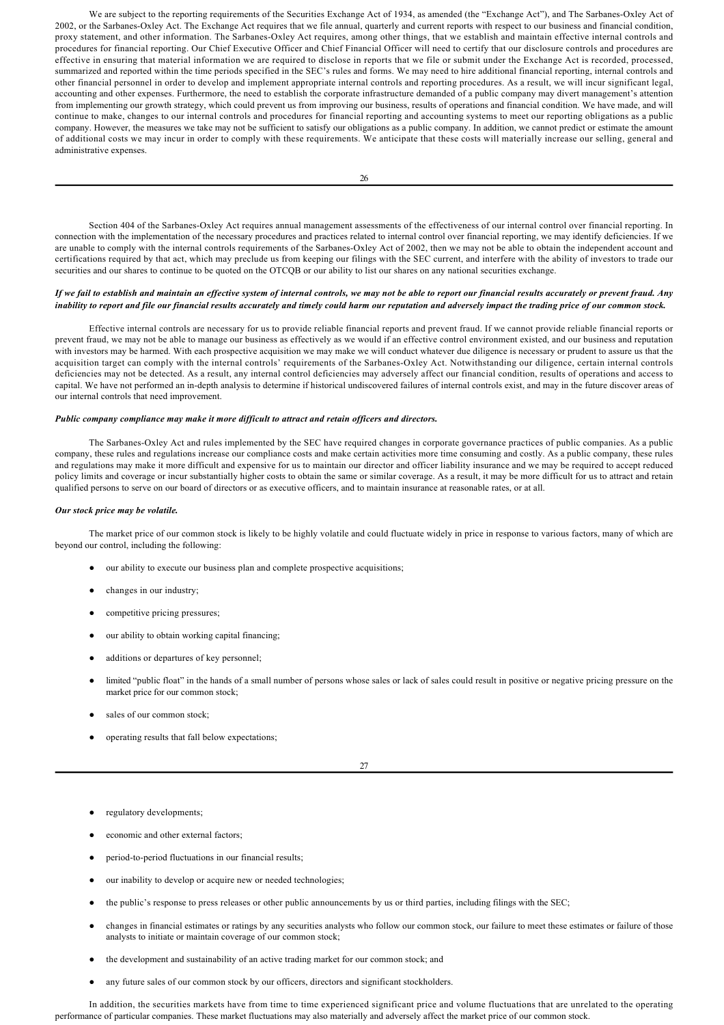We are subject to the reporting requirements of the Securities Exchange Act of 1934, as amended (the "Exchange Act"), and The Sarbanes-Oxley Act of 2002, or the Sarbanes-Oxley Act. The Exchange Act requires that we file annual, quarterly and current reports with respect to our business and financial condition, proxy statement, and other information. The Sarbanes-Oxley Act requires, among other things, that we establish and maintain effective internal controls and procedures for financial reporting. Our Chief Executive Officer and Chief Financial Officer will need to certify that our disclosure controls and procedures are effective in ensuring that material information we are required to disclose in reports that we file or submit under the Exchange Act is recorded, processed, summarized and reported within the time periods specified in the SEC's rules and forms. We may need to hire additional financial reporting, internal controls and other financial personnel in order to develop and implement appropriate internal controls and reporting procedures. As a result, we will incur significant legal, accounting and other expenses. Furthermore, the need to establish the corporate infrastructure demanded of a public company may divert management's attention from implementing our growth strategy, which could prevent us from improving our business, results of operations and financial condition. We have made, and will continue to make, changes to our internal controls and procedures for financial reporting and accounting systems to meet our reporting obligations as a public company. However, the measures we take may not be sufficient to satisfy our obligations as a public company. In addition, we cannot predict or estimate the amount of additional costs we may incur in order to comply with these requirements. We anticipate that these costs will materially increase our selling, general and administrative expenses.

Section 404 of the Sarbanes-Oxley Act requires annual management assessments of the effectiveness of our internal control over financial reporting. In connection with the implementation of the necessary procedures and practices related to internal control over financial reporting, we may identify deficiencies. If we are unable to comply with the internal controls requirements of the Sarbanes-Oxley Act of 2002, then we may not be able to obtain the independent account and certifications required by that act, which may preclude us from keeping our filings with the SEC current, and interfere with the ability of investors to trade our securities and our shares to continue to be quoted on the OTCQB or our ability to list our shares on any national securities exchange.

## *If we fail to establish and maintain an effective system of internal controls, we may not be able to report our financial results accurately or prevent fraud. Any inability to report and file our financial results accurately and timely could harm our reputation and adversely impact the trading price of our common stock.*

Effective internal controls are necessary for us to provide reliable financial reports and prevent fraud. If we cannot provide reliable financial reports or prevent fraud, we may not be able to manage our business as effectively as we would if an effective control environment existed, and our business and reputation with investors may be harmed. With each prospective acquisition we may make we will conduct whatever due diligence is necessary or prudent to assure us that the acquisition target can comply with the internal controls' requirements of the Sarbanes-Oxley Act. Notwithstanding our diligence, certain internal controls deficiencies may not be detected. As a result, any internal control deficiencies may adversely affect our financial condition, results of operations and access to capital. We have not performed an indepth analysis to determine if historical undiscovered failures of internal controls exist, and may in the future discover areas of our internal controls that need improvement.

## *Public company compliance may make it more difficult to attract and retain officers and directors.*

The Sarbanes-Oxley Act and rules implemented by the SEC have required changes in corporate governance practices of public companies. As a public company, these rules and regulations increase our compliance costs and make certain activities more time consuming and costly. As a public company, these rules and regulations may make it more difficult and expensive for us to maintain our director and officer liability insurance and we may be required to accept reduced policy limits and coverage or incur substantially higher costs to obtain the same or similar coverage. As a result, it may be more difficult for us to attract and retain qualified persons to serve on our board of directors or as executive officers, and to maintain insurance at reasonable rates, or at all.

## *Our stock price may be volatile.*

The market price of our common stock is likely to be highly volatile and could fluctuate widely in price in response to various factors, many of which are beyond our control, including the following:

- our ability to execute our business plan and complete prospective acquisitions;
- changes in our industry;
- competitive pricing pressures;
- our ability to obtain working capital financing;
- additions or departures of key personnel;
- limited "public float" in the hands of a small number of persons whose sales or lack of sales could result in positive or negative pricing pressure on the market price for our common stock;
- sales of our common stock;
- operating results that fall below expectations;

27

- regulatory developments;
- economic and other external factors;
- period-to-period fluctuations in our financial results;
- our inability to develop or acquire new or needed technologies;
- the public's response to press releases or other public announcements by us or third parties, including filings with the SEC;
- changes in financial estimates or ratings by any securities analysts who follow our common stock, our failure to meet these estimates or failure of those analysts to initiate or maintain coverage of our common stock;
- the development and sustainability of an active trading market for our common stock; and
- any future sales of our common stock by our officers, directors and significant stockholders.

In addition, the securities markets have from time to time experienced significant price and volume fluctuations that are unrelated to the operating performance of particular companies. These market fluctuations may also materially and adversely affect the market price of our common stock.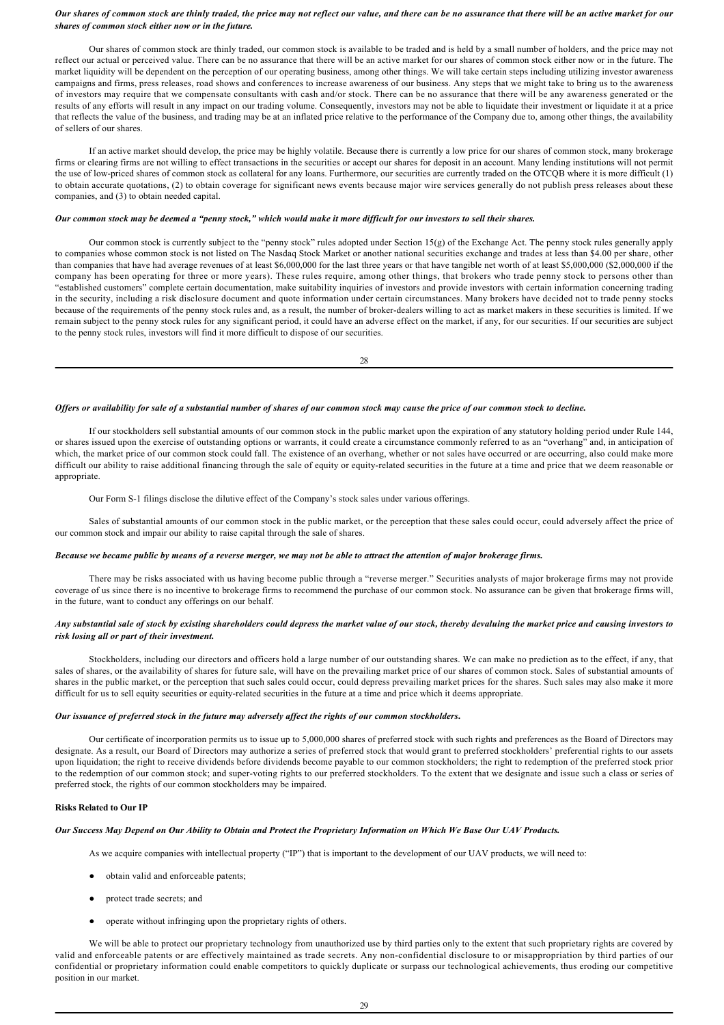## *Our shares of common stock are thinly traded, the price may not reflect our value, and there can be no assurance that there will be an active market for our shares of common stock either now or in the future.*

Our shares of common stock are thinly traded, our common stock is available to be traded and is held by a small number of holders, and the price may not reflect our actual or perceived value. There can be no assurance that there will be an active market for our shares of common stock either now or in the future. The market liquidity will be dependent on the perception of our operating business, among other things. We will take certain steps including utilizing investor awareness campaigns and firms, press releases, road shows and conferences to increase awareness of our business. Any steps that we might take to bring us to the awareness of investors may require that we compensate consultants with cash and/or stock. There can be no assurance that there will be any awareness generated or the results of any efforts will result in any impact on our trading volume. Consequently, investors may not be able to liquidate their investment or liquidate it at a price that reflects the value of the business, and trading may be at an inflated price relative to the performance of the Company due to, among other things, the availability of sellers of our shares.

If an active market should develop, the price may be highly volatile. Because there is currently a low price for our shares of common stock, many brokerage firms or clearing firms are not willing to effect transactions in the securities or accept our shares for deposit in an account. Many lending institutions will not permit the use of low-priced shares of common stock as collateral for any loans. Furthermore, our securities are currently traded on the OTCQB where it is more difficult (1) to obtain accurate quotations, (2) to obtain coverage for significant news events because major wire services generally do not publish press releases about these companies, and (3) to obtain needed capital.

#### *Our common stock may be deemed a "penny stock," which would make it more difficult for our investors to sell their shares.*

Our common stock is currently subject to the "penny stock" rules adopted under Section 15(g) of the Exchange Act. The penny stock rules generally apply to companies whose common stock is not listed on The Nasdaq Stock Market or another national securities exchange and trades at less than \$4.00 per share, other than companies that have had average revenues of at least \$6,000,000 for the last three years or that have tangible net worth of at least \$5,000,000 (\$2,000,000 if the company has been operating for three or more years). These rules require, among other things, that brokers who trade penny stock to persons other than "established customers" complete certain documentation, make suitability inquiries of investors and provide investors with certain information concerning trading in the security, including a risk disclosure document and quote information under certain circumstances. Many brokers have decided not to trade penny stocks because of the requirements of the penny stock rules and, as a result, the number of broker-dealers willing to act as market makers in these securities is limited. If we remain subject to the penny stock rules for any significant period, it could have an adverse effect on the market, if any, for our securities. If our securities are subject to the penny stock rules, investors will find it more difficult to dispose of our securities.

28

#### *Offers or availability for sale of a substantial number of shares of our common stock may cause the price of our common stock to decline.*

If our stockholders sell substantial amounts of our common stock in the public market upon the expiration of any statutory holding period under Rule 144, or shares issued upon the exercise of outstanding options or warrants, it could create a circumstance commonly referred to as an "overhang" and, in anticipation of which, the market price of our common stock could fall. The existence of an overhang, whether or not sales have occurred or are occurring, also could make more difficult our ability to raise additional financing through the sale of equity or equity-related securities in the future at a time and price that we deem reasonable or appropriate.

Our Form S1 filings disclose the dilutive effect of the Company's stock sales under various offerings.

Sales of substantial amounts of our common stock in the public market, or the perception that these sales could occur, could adversely affect the price of our common stock and impair our ability to raise capital through the sale of shares.

#### *Because we became public by means of a reverse merger, we may not be able to attract the attention of major brokerage firms.*

There may be risks associated with us having become public through a "reverse merger." Securities analysts of major brokerage firms may not provide coverage of us since there is no incentive to brokerage firms to recommend the purchase of our common stock. No assurance can be given that brokerage firms will, in the future, want to conduct any offerings on our behalf.

#### *Any substantial sale of stock by existing shareholders could depress the market value of our stock, thereby devaluing the market price and causing investors to risk losing all or part of their investment.*

Stockholders, including our directors and officers hold a large number of our outstanding shares. We can make no prediction as to the effect, if any, that sales of shares, or the availability of shares for future sale, will have on the prevailing market price of our shares of common stock. Sales of substantial amounts of shares in the public market, or the perception that such sales could occur, could depress prevailing market prices for the shares. Such sales may also make it more difficult for us to sell equity securities or equity-related securities in the future at a time and price which it deems appropriate.

#### *Our issuance of preferred stock in the future may adversely affect the rights of our common stockholders***.**

Our certificate of incorporation permits us to issue up to 5,000,000 shares of preferred stock with such rights and preferences as the Board of Directors may designate. As a result, our Board of Directors may authorize a series of preferred stock that would grant to preferred stockholders' preferential rights to our assets upon liquidation; the right to receive dividends before dividends become payable to our common stockholders; the right to redemption of the preferred stock prior to the redemption of our common stock; and super-voting rights to our preferred stockholders. To the extent that we designate and issue such a class or series of preferred stock, the rights of our common stockholders may be impaired.

#### **Risks Related to Our IP**

#### *Our Success May Depend on Our Ability to Obtain and Protect the Proprietary Information on Which We Base Our UAV Products.*

As we acquire companies with intellectual property ("IP") that is important to the development of our UAV products, we will need to:

- obtain valid and enforceable patents:
- protect trade secrets; and
- operate without infringing upon the proprietary rights of others.

We will be able to protect our proprietary technology from unauthorized use by third parties only to the extent that such proprietary rights are covered by valid and enforceable patents or are effectively maintained as trade secrets. Any nonconfidential disclosure to or misappropriation by third parties of our confidential or proprietary information could enable competitors to quickly duplicate or surpass our technological achievements, thus eroding our competitive position in our market.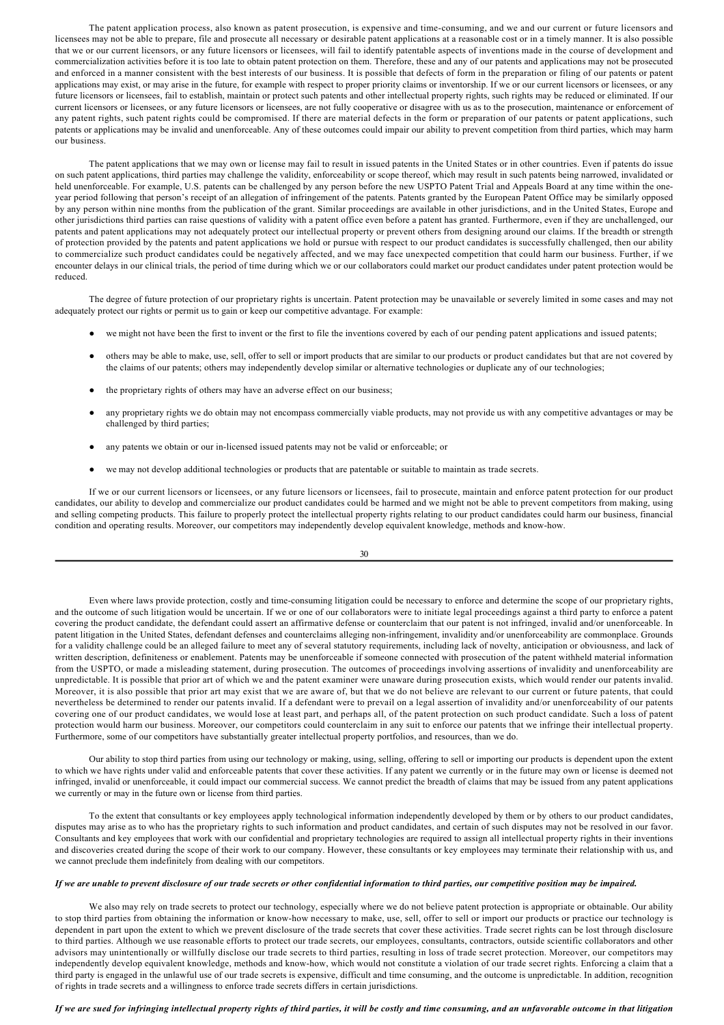The patent application process, also known as patent prosecution, is expensive and time-consuming, and we and our current or future licensors and licensees may not be able to prepare, file and prosecute all necessary or desirable patent applications at a reasonable cost or in a timely manner. It is also possible that we or our current licensors, or any future licensors or licensees, will fail to identify patentable aspects of inventions made in the course of development and commercialization activities before it is too late to obtain patent protection on them. Therefore, these and any of our patents and applications may not be prosecuted and enforced in a manner consistent with the best interests of our business. It is possible that defects of form in the preparation or filing of our patents or patent applications may exist, or may arise in the future, for example with respect to proper priority claims or inventorship. If we or our current licensors or licensees, or any future licensors or licensees, fail to establish, maintain or protect such patents and other intellectual property rights, such rights may be reduced or eliminated. If our current licensors or licensees, or any future licensors or licensees, are not fully cooperative or disagree with us as to the prosecution, maintenance or enforcement of any patent rights, such patent rights could be compromised. If there are material defects in the form or preparation of our patents or patent applications, such patents or applications may be invalid and unenforceable. Any of these outcomes could impair our ability to prevent competition from third parties, which may harm our business.

The patent applications that we may own or license may fail to result in issued patents in the United States or in other countries. Even if patents do issue on such patent applications, third parties may challenge the validity, enforceability or scope thereof, which may result in such patents being narrowed, invalidated or held unenforceable. For example, U.S. patents can be challenged by any person before the new USPTO Patent Trial and Appeals Board at any time within the oneyear period following that person's receipt of an allegation of infringement of the patents. Patents granted by the European Patent Office may be similarly opposed by any person within nine months from the publication of the grant. Similar proceedings are available in other jurisdictions, and in the United States, Europe and other jurisdictions third parties can raise questions of validity with a patent office even before a patent has granted. Furthermore, even if they are unchallenged, our patents and patent applications may not adequately protect our intellectual property or prevent others from designing around our claims. If the breadth or strength of protection provided by the patents and patent applications we hold or pursue with respect to our product candidates is successfully challenged, then our ability to commercialize such product candidates could be negatively affected, and we may face unexpected competition that could harm our business. Further, if we encounter delays in our clinical trials, the period of time during which we or our collaborators could market our product candidates under patent protection would be reduced.

The degree of future protection of our proprietary rights is uncertain. Patent protection may be unavailable or severely limited in some cases and may not adequately protect our rights or permit us to gain or keep our competitive advantage. For example:

- we might not have been the first to invent or the first to file the inventions covered by each of our pending patent applications and issued patents;
- others may be able to make, use, sell, offer to sell or import products that are similar to our products or product candidates but that are not covered by the claims of our patents; others may independently develop similar or alternative technologies or duplicate any of our technologies;
- the proprietary rights of others may have an adverse effect on our business;
- any proprietary rights we do obtain may not encompass commercially viable products, may not provide us with any competitive advantages or may be challenged by third parties;
- any patents we obtain or our in-licensed issued patents may not be valid or enforceable; or
- we may not develop additional technologies or products that are patentable or suitable to maintain as trade secrets.

If we or our current licensors or licensees, or any future licensors or licensees, fail to prosecute, maintain and enforce patent protection for our product candidates, our ability to develop and commercialize our product candidates could be harmed and we might not be able to prevent competitors from making, using and selling competing products. This failure to properly protect the intellectual property rights relating to our product candidates could harm our business, financial condition and operating results. Moreover, our competitors may independently develop equivalent knowledge, methods and knowhow.

Even where laws provide protection, costly and timeconsuming litigation could be necessary to enforce and determine the scope of our proprietary rights, and the outcome of such litigation would be uncertain. If we or one of our collaborators were to initiate legal proceedings against a third party to enforce a patent covering the product candidate, the defendant could assert an affirmative defense or counterclaim that our patent is not infringed, invalid and/or unenforceable. In patent litigation in the United States, defendant defenses and counterclaims alleging non-infringement, invalidity and/or unenforceability are commonplace. Grounds for a validity challenge could be an alleged failure to meet any of several statutory requirements, including lack of novelty, anticipation or obviousness, and lack of written description, definiteness or enablement. Patents may be unenforceable if someone connected with prosecution of the patent withheld material information from the USPTO, or made a misleading statement, during prosecution. The outcomes of proceedings involving assertions of invalidity and unenforceability are unpredictable. It is possible that prior art of which we and the patent examiner were unaware during prosecution exists, which would render our patents invalid. Moreover, it is also possible that prior art may exist that we are aware of, but that we do not believe are relevant to our current or future patents, that could nevertheless be determined to render our patents invalid. If a defendant were to prevail on a legal assertion of invalidity and/or unenforceability of our patents covering one of our product candidates, we would lose at least part, and perhaps all, of the patent protection on such product candidate. Such a loss of patent protection would harm our business. Moreover, our competitors could counterclaim in any suit to enforce our patents that we infringe their intellectual property. Furthermore, some of our competitors have substantially greater intellectual property portfolios, and resources, than we do.

Our ability to stop third parties from using our technology or making, using, selling, offering to sell or importing our products is dependent upon the extent to which we have rights under valid and enforceable patents that cover these activities. If any patent we currently or in the future may own or license is deemed not infringed, invalid or unenforceable, it could impact our commercial success. We cannot predict the breadth of claims that may be issued from any patent applications we currently or may in the future own or license from third parties.

To the extent that consultants or key employees apply technological information independently developed by them or by others to our product candidates, disputes may arise as to who has the proprietary rights to such information and product candidates, and certain of such disputes may not be resolved in our favor. Consultants and key employees that work with our confidential and proprietary technologies are required to assign all intellectual property rights in their inventions and discoveries created during the scope of their work to our company. However, these consultants or key employees may terminate their relationship with us, and we cannot preclude them indefinitely from dealing with our competitors.

## *If we are unable to prevent disclosure of our trade secrets or other confidential information to third parties, our competitive position may be impaired.*

We also may rely on trade secrets to protect our technology, especially where we do not believe patent protection is appropriate or obtainable. Our ability to stop third parties from obtaining the information or know-how necessary to make, use, sell, offer to sell or import our products or practice our technology is dependent in part upon the extent to which we prevent disclosure of the trade secrets that cover these activities. Trade secret rights can be lost through disclosure to third parties. Although we use reasonable efforts to protect our trade secrets, our employees, consultants, contractors, outside scientific collaborators and other advisors may unintentionally or willfully disclose our trade secrets to third parties, resulting in loss of trade secret protection. Moreover, our competitors may independently develop equivalent knowledge, methods and knowhow, which would not constitute a violation of our trade secret rights. Enforcing a claim that a third party is engaged in the unlawful use of our trade secrets is expensive, difficult and time consuming, and the outcome is unpredictable. In addition, recognition of rights in trade secrets and a willingness to enforce trade secrets differs in certain jurisdictions.

## *If we are sued for infringing intellectual property rights of third parties, it will be costly and time consuming, and an unfavorable outcome in that litigation*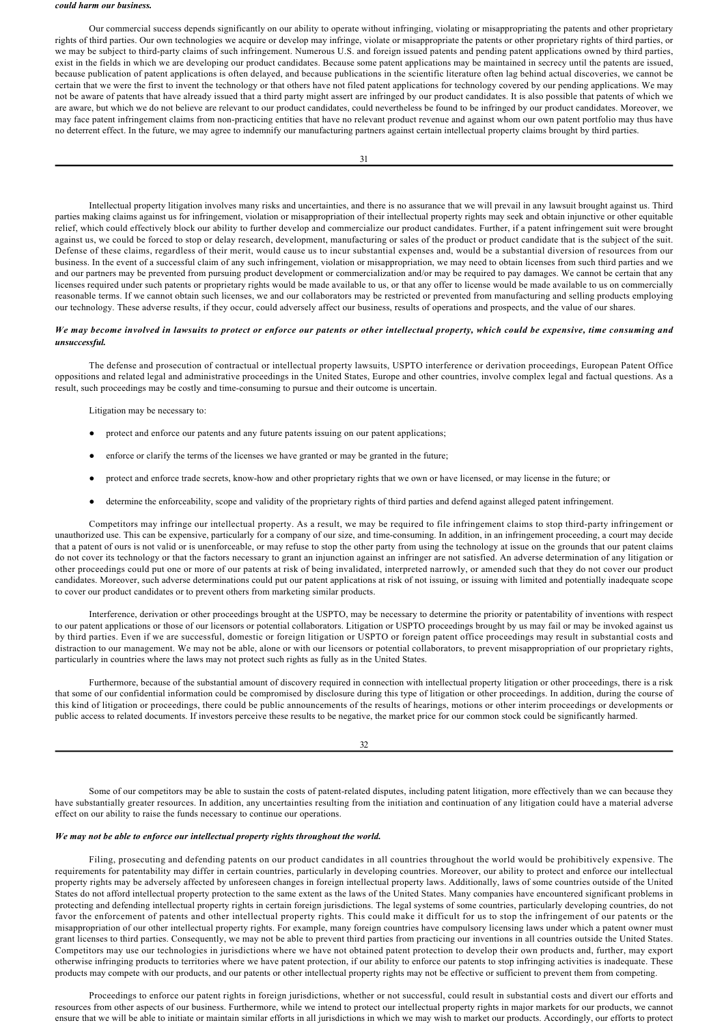#### *could harm our business.*

Our commercial success depends significantly on our ability to operate without infringing, violating or misappropriating the patents and other proprietary rights of third parties. Our own technologies we acquire or develop may infringe, violate or misappropriate the patents or other proprietary rights of third parties, or we may be subject to third-party claims of such infringement. Numerous U.S. and foreign issued patents and pending patent applications owned by third parties, exist in the fields in which we are developing our product candidates. Because some patent applications may be maintained in secrecy until the patents are issued, because publication of patent applications is often delayed, and because publications in the scientific literature often lag behind actual discoveries, we cannot be certain that we were the first to invent the technology or that others have not filed patent applications for technology covered by our pending applications. We may not be aware of patents that have already issued that a third party might assert are infringed by our product candidates. It is also possible that patents of which we are aware, but which we do not believe are relevant to our product candidates, could nevertheless be found to be infringed by our product candidates. Moreover, we may face patent infringement claims from non-practicing entities that have no relevant product revenue and against whom our own patent portfolio may thus have no deterrent effect. In the future, we may agree to indemnify our manufacturing partners against certain intellectual property claims brought by third parties.

Intellectual property litigation involves many risks and uncertainties, and there is no assurance that we will prevail in any lawsuit brought against us. Third parties making claims against us for infringement, violation or misappropriation of their intellectual property rights may seek and obtain injunctive or other equitable relief, which could effectively block our ability to further develop and commercialize our product candidates. Further, if a patent infringement suit were brought against us, we could be forced to stop or delay research, development, manufacturing or sales of the product or product candidate that is the subject of the suit. Defense of these claims, regardless of their merit, would cause us to incur substantial expenses and, would be a substantial diversion of resources from our business. In the event of a successful claim of any such infringement, violation or misappropriation, we may need to obtain licenses from such third parties and we and our partners may be prevented from pursuing product development or commercialization and/or may be required to pay damages. We cannot be certain that any licenses required under such patents or proprietary rights would be made available to us, or that any offer to license would be made available to us on commercially reasonable terms. If we cannot obtain such licenses, we and our collaborators may be restricted or prevented from manufacturing and selling products employing our technology. These adverse results, if they occur, could adversely affect our business, results of operations and prospects, and the value of our shares.

#### *We may become involved in lawsuits to protect or enforce our patents or other intellectual property, which could be expensive, time consuming and unsuccessful.*

The defense and prosecution of contractual or intellectual property lawsuits, USPTO interference or derivation proceedings, European Patent Office oppositions and related legal and administrative proceedings in the United States, Europe and other countries, involve complex legal and factual questions. As a result, such proceedings may be costly and timeconsuming to pursue and their outcome is uncertain.

Litigation may be necessary to:

- protect and enforce our patents and any future patents issuing on our patent applications;
- enforce or clarify the terms of the licenses we have granted or may be granted in the future;
- protect and enforce trade secrets, know-how and other proprietary rights that we own or have licensed, or may license in the future; or
- determine the enforceability, scope and validity of the proprietary rights of third parties and defend against alleged patent infringement.

Competitors may infringe our intellectual property. As a result, we may be required to file infringement claims to stop third-party infringement or unauthorized use. This can be expensive, particularly for a company of our size, and timeconsuming. In addition, in an infringement proceeding, a court may decide that a patent of ours is not valid or is unenforceable, or may refuse to stop the other party from using the technology at issue on the grounds that our patent claims do not cover its technology or that the factors necessary to grant an injunction against an infringer are not satisfied. An adverse determination of any litigation or other proceedings could put one or more of our patents at risk of being invalidated, interpreted narrowly, or amended such that they do not cover our product candidates. Moreover, such adverse determinations could put our patent applications at risk of not issuing, or issuing with limited and potentially inadequate scope to cover our product candidates or to prevent others from marketing similar products.

Interference, derivation or other proceedings brought at the USPTO, may be necessary to determine the priority or patentability of inventions with respect to our patent applications or those of our licensors or potential collaborators. Litigation or USPTO proceedings brought by us may fail or may be invoked against us by third parties. Even if we are successful, domestic or foreign litigation or USPTO or foreign patent office proceedings may result in substantial costs and distraction to our management. We may not be able, alone or with our licensors or potential collaborators, to prevent misappropriation of our proprietary rights, particularly in countries where the laws may not protect such rights as fully as in the United States.

Furthermore, because of the substantial amount of discovery required in connection with intellectual property litigation or other proceedings, there is a risk that some of our confidential information could be compromised by disclosure during this type of litigation or other proceedings. In addition, during the course of this kind of litigation or proceedings, there could be public announcements of the results of hearings, motions or other interim proceedings or developments or public access to related documents. If investors perceive these results to be negative, the market price for our common stock could be significantly harmed.

32

Some of our competitors may be able to sustain the costs of patent-related disputes, including patent litigation, more effectively than we can because they have substantially greater resources. In addition, any uncertainties resulting from the initiation and continuation of any litigation could have a material adverse effect on our ability to raise the funds necessary to continue our operations.

## *We may not be able to enforce our intellectual property rights throughout the world.*

Filing, prosecuting and defending patents on our product candidates in all countries throughout the world would be prohibitively expensive. The requirements for patentability may differ in certain countries, particularly in developing countries. Moreover, our ability to protect and enforce our intellectual property rights may be adversely affected by unforeseen changes in foreign intellectual property laws. Additionally, laws of some countries outside of the United States do not afford intellectual property protection to the same extent as the laws of the United States. Many companies have encountered significant problems in protecting and defending intellectual property rights in certain foreign jurisdictions. The legal systems of some countries, particularly developing countries, do not favor the enforcement of patents and other intellectual property rights. This could make it difficult for us to stop the infringement of our patents or the misappropriation of our other intellectual property rights. For example, many foreign countries have compulsory licensing laws under which a patent owner must grant licenses to third parties. Consequently, we may not be able to prevent third parties from practicing our inventions in all countries outside the United States. Competitors may use our technologies in jurisdictions where we have not obtained patent protection to develop their own products and, further, may export otherwise infringing products to territories where we have patent protection, if our ability to enforce our patents to stop infringing activities is inadequate. These products may compete with our products, and our patents or other intellectual property rights may not be effective or sufficient to prevent them from competing.

Proceedings to enforce our patent rights in foreign jurisdictions, whether or not successful, could result in substantial costs and divert our efforts and resources from other aspects of our business. Furthermore, while we intend to protect our intellectual property rights in major markets for our products, we cannot ensure that we will be able to initiate or maintain similar efforts in all jurisdictions in which we may wish to market our products. Accordingly, our efforts to protect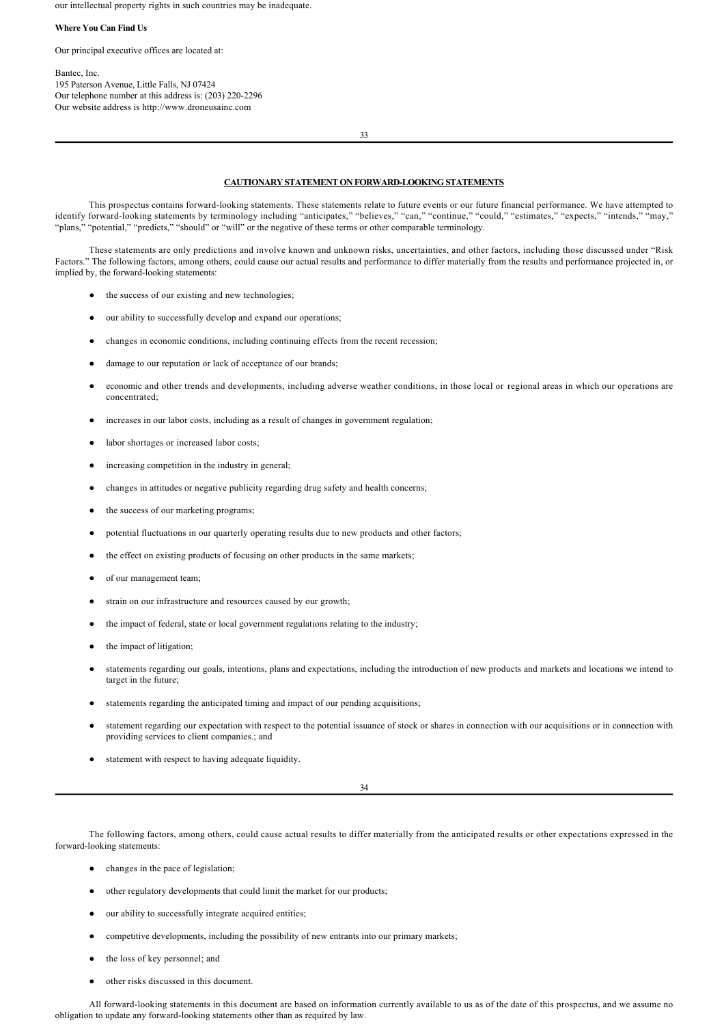our intellectual property rights in such countries may be inadequate.

#### **Where You Can Find Us**

Our principal executive offices are located at:

Bantec, Inc. 195 Paterson Avenue, Little Falls, NJ 07424 Our telephone number at this address is: (203) 220-2296 Our website address is http://www.droneusainc.com

33

## **CAUTIONARY STATEMENT ON FORWARDLOOKING STATEMENTS**

This prospectus contains forward-looking statements. These statements relate to future events or our future financial performance. We have attempted to identify forward-looking statements by terminology including "anticipates," "believes," "can," "continue," "could," "estimates," "expects," "intends," "may," "plans," "potential," "predicts," "should" or "will" or the negative of these terms or other comparable terminology.

These statements are only predictions and involve known and unknown risks, uncertainties, and other factors, including those discussed under "Risk Factors." The following factors, among others, could cause our actual results and performance to differ materially from the results and performance projected in, or implied by, the forward-looking statements:

- the success of our existing and new technologies;
- our ability to successfully develop and expand our operations;
- changes in economic conditions, including continuing effects from the recent recession;
- damage to our reputation or lack of acceptance of our brands;
- economic and other trends and developments, including adverse weather conditions, in those local or regional areas in which our operations are concentrated;
- increases in our labor costs, including as a result of changes in government regulation;
- labor shortages or increased labor costs;
- increasing competition in the industry in general;
- changes in attitudes or negative publicity regarding drug safety and health concerns;
- the success of our marketing programs;
- potential fluctuations in our quarterly operating results due to new products and other factors;
- the effect on existing products of focusing on other products in the same markets;
- of our management team;
- strain on our infrastructure and resources caused by our growth;
- the impact of federal, state or local government regulations relating to the industry;
- the impact of litigation;
- statements regarding our goals, intentions, plans and expectations, including the introduction of new products and markets and locations we intend to target in the future;
- statements regarding the anticipated timing and impact of our pending acquisitions;
- statement regarding our expectation with respect to the potential issuance of stock or shares in connection with our acquisitions or in connection with providing services to client companies.; and
- statement with respect to having adequate liquidity.

34

The following factors, among others, could cause actual results to differ materially from the anticipated results or other expectations expressed in the forward-looking statements:

- changes in the pace of legislation;
- other regulatory developments that could limit the market for our products;
- our ability to successfully integrate acquired entities;
- competitive developments, including the possibility of new entrants into our primary markets;
- the loss of key personnel; and
- other risks discussed in this document.

All forward-looking statements in this document are based on information currently available to us as of the date of this prospectus, and we assume no obligation to update any forward-looking statements other than as required by law.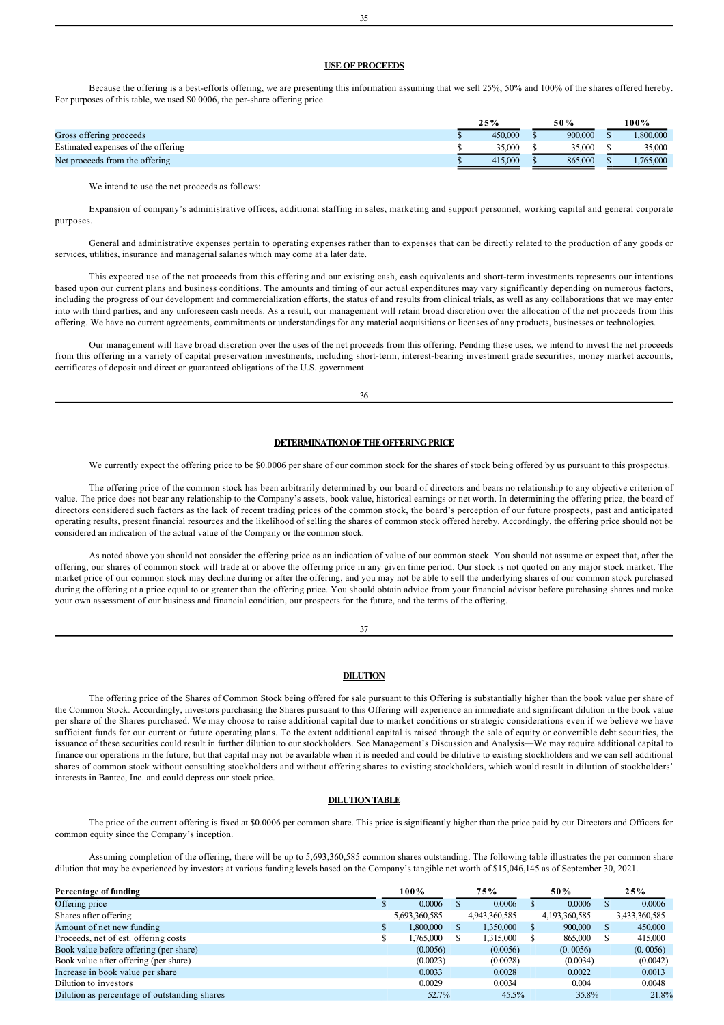## **USE OF PROCEEDS**

Because the offering is a bestefforts offering, we are presenting this information assuming that we sell 25%, 50% and 100% of the shares offered hereby. For purposes of this table, we used \$0.0006, the per-share offering price.

|                                    | 25% |         | 50%     |  | 100%     |
|------------------------------------|-----|---------|---------|--|----------|
| Gross offering proceeds            |     | 450,000 | 900,000 |  | .800.000 |
| Estimated expenses of the offering |     | 35,000  | 35,000  |  | 35,000   |
| Net proceeds from the offering     |     | 415,000 | 865,000 |  | .765.000 |

We intend to use the net proceeds as follows:

Expansion of company's administrative offices, additional staffing in sales, marketing and support personnel, working capital and general corporate purposes.

General and administrative expenses pertain to operating expenses rather than to expenses that can be directly related to the production of any goods or services, utilities, insurance and managerial salaries which may come at a later date.

This expected use of the net proceeds from this offering and our existing cash, cash equivalents and short-term investments represents our intentions based upon our current plans and business conditions. The amounts and timing of our actual expenditures may vary significantly depending on numerous factors, including the progress of our development and commercialization efforts, the status of and results from clinical trials, as well as any collaborations that we may enter into with third parties, and any unforeseen cash needs. As a result, our management will retain broad discretion over the allocation of the net proceeds from this offering. We have no current agreements, commitments or understandings for any material acquisitions or licenses of any products, businesses or technologies.

Our management will have broad discretion over the uses of the net proceeds from this offering. Pending these uses, we intend to invest the net proceeds from this offering in a variety of capital preservation investments, including short-term, interest-bearing investment grade securities, money market accounts, certificates of deposit and direct or guaranteed obligations of the U.S. government.

#### 36

#### **DETERMINATION OF THE OFFERING PRICE**

We currently expect the offering price to be \$0.0006 per share of our common stock for the shares of stock being offered by us pursuant to this prospectus.

The offering price of the common stock has been arbitrarily determined by our board of directors and bears no relationship to any objective criterion of value. The price does not bear any relationship to the Company's assets, book value, historical earnings or net worth. In determining the offering price, the board of directors considered such factors as the lack of recent trading prices of the common stock, the board's perception of our future prospects, past and anticipated operating results, present financial resources and the likelihood of selling the shares of common stock offered hereby. Accordingly, the offering price should not be considered an indication of the actual value of the Company or the common stock.

As noted above you should not consider the offering price as an indication of value of our common stock. You should not assume or expect that, after the offering, our shares of common stock will trade at or above the offering price in any given time period. Our stock is not quoted on any major stock market. The market price of our common stock may decline during or after the offering, and you may not be able to sell the underlying shares of our common stock purchased during the offering at a price equal to or greater than the offering price. You should obtain advice from your financial advisor before purchasing shares and make your own assessment of our business and financial condition, our prospects for the future, and the terms of the offering.

37

## **DILUTION**

The offering price of the Shares of Common Stock being offered for sale pursuant to this Offering is substantially higher than the book value per share of the Common Stock. Accordingly, investors purchasing the Shares pursuant to this Offering will experience an immediate and significant dilution in the book value per share of the Shares purchased. We may choose to raise additional capital due to market conditions or strategic considerations even if we believe we have sufficient funds for our current or future operating plans. To the extent additional capital is raised through the sale of equity or convertible debt securities, the issuance of these securities could result in further dilution to our stockholders. See Management's Discussion and Analysis—We may require additional capital to finance our operations in the future, but that capital may not be available when it is needed and could be dilutive to existing stockholders and we can sell additional shares of common stock without consulting stockholders and without offering shares to existing stockholders, which would result in dilution of stockholders' interests in Bantec, Inc. and could depress our stock price.

## **DILUTION TABLE**

The price of the current offering is fixed at \$0.0006 per common share. This price is significantly higher than the price paid by our Directors and Officers for common equity since the Company's inception.

Assuming completion of the offering, there will be up to 5,693,360,585 common shares outstanding. The following table illustrates the per common share dilution that may be experienced by investors at various funding levels based on the Company's tangible net worth of \$15,046,145 as of September 30, 2021.

| Percentage of funding                        | 100%          |  | 75%           |   |               |               | 50% | 25% |
|----------------------------------------------|---------------|--|---------------|---|---------------|---------------|-----|-----|
| Offering price                               | 0.0006        |  | 0.0006        |   | 0.0006        | 0.0006        |     |     |
| Shares after offering                        | 5,693,360,585 |  | 4,943,360,585 |   | 4,193,360,585 | 3,433,360,585 |     |     |
| Amount of net new funding                    | 1,800,000     |  | 1,350,000     | S | 900,000       | 450,000       |     |     |
| Proceeds, net of est. offering costs         | 1,765,000     |  | 1,315,000     |   | 865,000       | 415,000       |     |     |
| Book value before offering (per share)       | (0.0056)      |  | (0.0056)      |   | (0.0056)      | (0.0056)      |     |     |
| Book value after offering (per share)        | (0.0023)      |  | (0.0028)      |   | (0.0034)      | (0.0042)      |     |     |
| Increase in book value per share             | 0.0033        |  | 0.0028        |   | 0.0022        | 0.0013        |     |     |
| Dilution to investors                        | 0.0029        |  | 0.0034        |   | 0.004         | 0.0048        |     |     |
| Dilution as percentage of outstanding shares | 52.7%         |  | 45.5%         |   | 35.8%         | 21.8%         |     |     |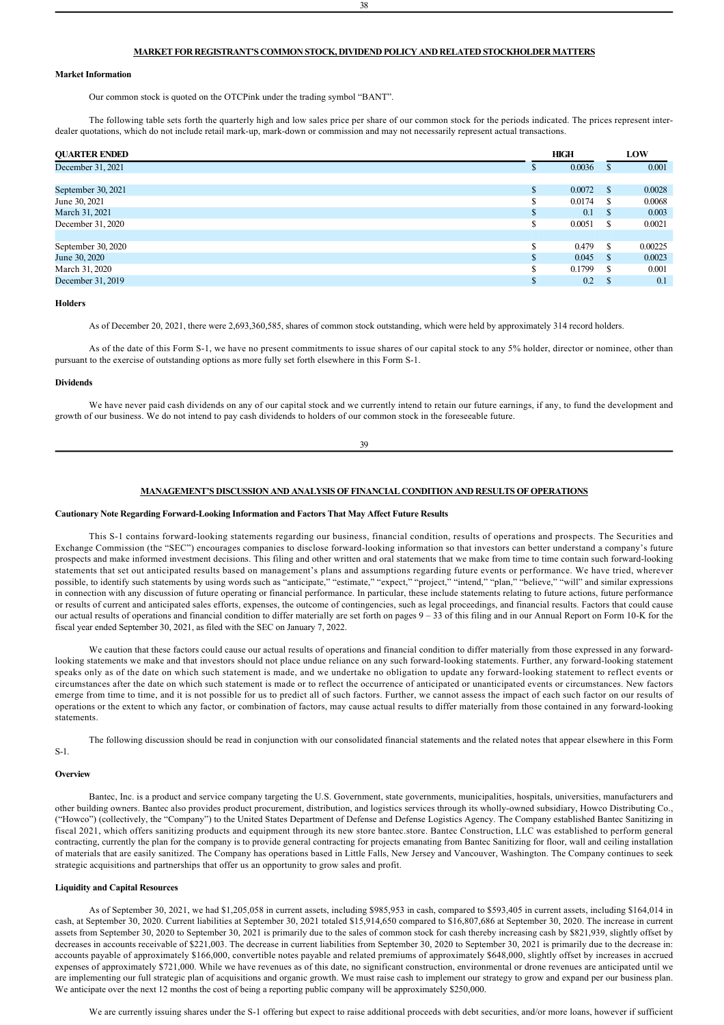#### **MARKET FOR REGISTRANT'S COMMON STOCK, DIVIDEND POLICY AND RELATED STOCKHOLDER MATTERS**

## **Market Information**

Our common stock is quoted on the OTCPink under the trading symbol "BANT".

The following table sets forth the quarterly high and low sales price per share of our common stock for the periods indicated. The prices represent interdealer quotations, which do not include retail mark-up, mark-down or commission and may not necessarily represent actual transactions.

| <b>QUARTER ENDED</b> |              | <b>HIGH</b> |               | LOW     |
|----------------------|--------------|-------------|---------------|---------|
| December 31, 2021    |              | 0.0036      | S             | 0.001   |
|                      |              |             |               |         |
| September 30, 2021   | $\mathbb{S}$ | 0.0072      | \$            | 0.0028  |
| June 30, 2021        | S            | 0.0174      | S             | 0.0068  |
| March 31, 2021       | \$           | 0.1         | <sup>\$</sup> | 0.003   |
| December 31, 2020    | S            | 0.0051      | S             | 0.0021  |
|                      |              |             |               |         |
| September 30, 2020   | S            | 0.479       | \$.           | 0.00225 |
| June 30, 2020        | \$           | 0.045       | \$            | 0.0023  |
| March 31, 2020       | S            | 0.1799      | S             | 0.001   |
| December 31, 2019    | \$           | 0.2         | S             | 0.1     |
|                      |              |             |               |         |

#### **Holders**

As of December 20, 2021, there were 2,693,360,585, shares of common stock outstanding, which were held by approximately 314 record holders.

As of the date of this Form S-1, we have no present commitments to issue shares of our capital stock to any 5% holder, director or nominee, other than pursuant to the exercise of outstanding options as more fully set forth elsewhere in this Form S1.

## **Dividends**

We have never paid cash dividends on any of our capital stock and we currently intend to retain our future earnings, if any, to fund the development and growth of our business. We do not intend to pay cash dividends to holders of our common stock in the foreseeable future.

39

## **MANAGEMENT'S DISCUSSION AND ANALYSIS OF FINANCIAL CONDITION AND RESULTS OF OPERATIONS**

#### **Cautionary Note Regarding ForwardLooking Information and Factors That May Affect Future Results**

This S-1 contains forward-looking statements regarding our business, financial condition, results of operations and prospects. The Securities and Exchange Commission (the "SEC") encourages companies to disclose forward-looking information so that investors can better understand a company's future prospects and make informed investment decisions. This filing and other written and oral statements that we make from time to time contain such forward-looking statements that set out anticipated results based on management's plans and assumptions regarding future events or performance. We have tried, wherever possible, to identify such statements by using words such as "anticipate," "estimate," "expect," "project," "intend," "plan," "believe," "will" and similar expressions in connection with any discussion of future operating or financial performance. In particular, these include statements relating to future actions, future performance or results of current and anticipated sales efforts, expenses, the outcome of contingencies, such as legal proceedings, and financial results. Factors that could cause our actual results of operations and financial condition to differ materially are set forth on pages 9 - 33 of this filing and in our Annual Report on Form 10-K for the fiscal year ended September 30, 2021, as filed with the SEC on January 7, 2022.

We caution that these factors could cause our actual results of operations and financial condition to differ materially from those expressed in any forwardlooking statements we make and that investors should not place undue reliance on any such forward-looking statements. Further, any forward-looking statement speaks only as of the date on which such statement is made, and we undertake no obligation to update any forward-looking statement to reflect events or circumstances after the date on which such statement is made or to reflect the occurrence of anticipated or unanticipated events or circumstances. New factors emerge from time to time, and it is not possible for us to predict all of such factors. Further, we cannot assess the impact of each such factor on our results of operations or the extent to which any factor, or combination of factors, may cause actual results to differ materially from those contained in any forward-looking statements.

The following discussion should be read in conjunction with our consolidated financial statements and the related notes that appear elsewhere in this Form S1.

#### **Overview**

Bantec, Inc. is a product and service company targeting the U.S. Government, state governments, municipalities, hospitals, universities, manufacturers and other building owners. Bantec also provides product procurement, distribution, and logistics services through its wholly-owned subsidiary, Howco Distributing Co., ("Howco") (collectively, the "Company") to the United States Department of Defense and Defense Logistics Agency. The Company established Bantec Sanitizing in fiscal 2021, which offers sanitizing products and equipment through its new store bantec.store. Bantec Construction, LLC was established to perform general contracting, currently the plan for the company is to provide general contracting for projects emanating from Bantec Sanitizing for floor, wall and ceiling installation of materials that are easily sanitized. The Company has operations based in Little Falls, New Jersey and Vancouver, Washington. The Company continues to seek strategic acquisitions and partnerships that offer us an opportunity to grow sales and profit.

## **Liquidity and Capital Resources**

As of September 30, 2021, we had \$1,205,058 in current assets, including \$985,953 in cash, compared to \$593,405 in current assets, including \$164,014 in cash, at September 30, 2020. Current liabilities at September 30, 2021 totaled \$15,914,650 compared to \$16,807,686 at September 30, 2020. The increase in current assets from September 30, 2020 to September 30, 2021 is primarily due to the sales of common stock for cash thereby increasing cash by \$821,939, slightly offset by decreases in accounts receivable of \$221,003. The decrease in current liabilities from September 30, 2020 to September 30, 2021 is primarily due to the decrease in: accounts payable of approximately \$166,000, convertible notes payable and related premiums of approximately \$648,000, slightly offset by increases in accrued expenses of approximately \$721,000. While we have revenues as of this date, no significant construction, environmental or drone revenues are anticipated until we are implementing our full strategic plan of acquisitions and organic growth. We must raise cash to implement our strategy to grow and expand per our business plan. We anticipate over the next 12 months the cost of being a reporting public company will be approximately \$250,000.

We are currently issuing shares under the S-1 offering but expect to raise additional proceeds with debt securities, and/or more loans, however if sufficient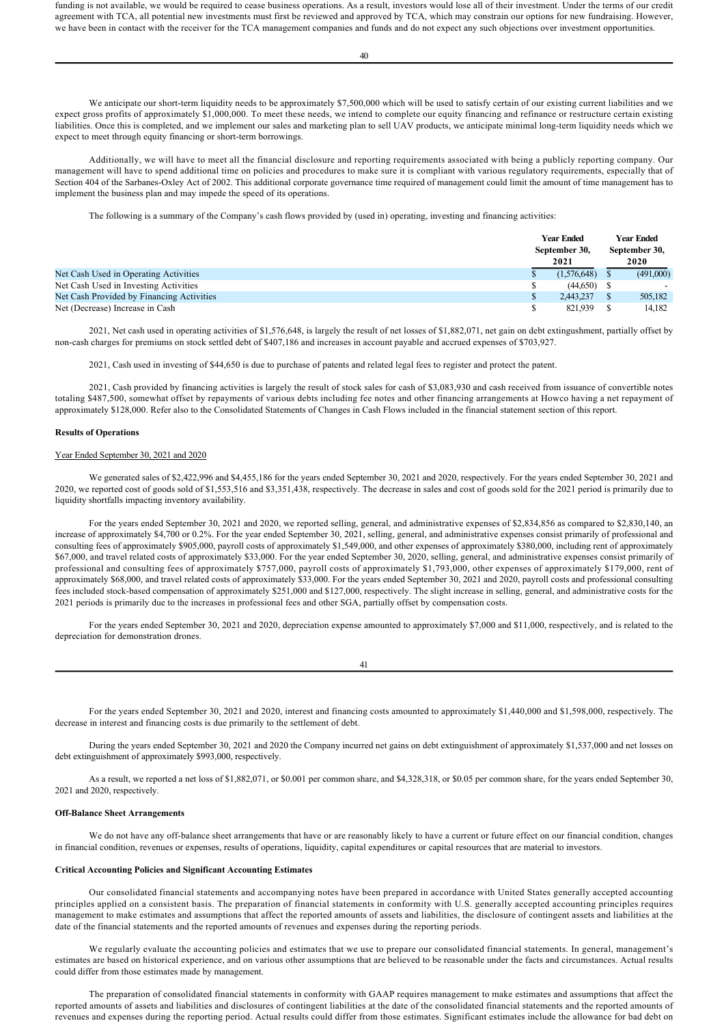funding is not available, we would be required to cease business operations. As a result, investors would lose all of their investment. Under the terms of our credit agreement with TCA, all potential new investments must first be reviewed and approved by TCA, which may constrain our options for new fundraising. However, we have been in contact with the receiver for the TCA management companies and funds and do not expect any such objections over investment opportunities.

We anticipate our short-term liquidity needs to be approximately \$7,500,000 which will be used to satisfy certain of our existing current liabilities and we expect gross profits of approximately \$1,000,000. To meet these needs, we intend to complete our equity financing and refinance or restructure certain existing liabilities. Once this is completed, and we implement our sales and marketing plan to sell UAV products, we anticipate minimal long-term liquidity needs which we expect to meet through equity financing or short-term borrowings.

Additionally, we will have to meet all the financial disclosure and reporting requirements associated with being a publicly reporting company. Our management will have to spend additional time on policies and procedures to make sure it is compliant with various regulatory requirements, especially that of Section 404 of the Sarbanes-Oxley Act of 2002. This additional corporate governance time required of management could limit the amount of time management has to implement the business plan and may impede the speed of its operations.

The following is a summary of the Company's cash flows provided by (used in) operating, investing and financing activities:

|                                           | <b>Year Ended</b> | Year Ended<br>September 30, |           |  |
|-------------------------------------------|-------------------|-----------------------------|-----------|--|
|                                           | September 30,     |                             |           |  |
|                                           | 2021              |                             | 2020      |  |
| Net Cash Used in Operating Activities     | (1.576.648)       |                             | (491,000) |  |
| Net Cash Used in Investing Activities     | (44.650)          |                             |           |  |
| Net Cash Provided by Financing Activities | 2.443.237         |                             | 505,182   |  |
| Net (Decrease) Increase in Cash           | 821.939           |                             | 14.182    |  |

2021, Net cash used in operating activities of \$1,576,648, is largely the result of net losses of \$1,882,071, net gain on debt extingushment, partially offset by noncash charges for premiums on stock settled debt of \$407,186 and increases in account payable and accrued expenses of \$703,927.

2021, Cash used in investing of \$44,650 is due to purchase of patents and related legal fees to register and protect the patent.

2021, Cash provided by financing activities is largely the result of stock sales for cash of \$3,083,930 and cash received from issuance of convertible notes totaling \$487,500, somewhat offset by repayments of various debts including fee notes and other financing arrangements at Howco having a net repayment of approximately \$128,000. Refer also to the Consolidated Statements of Changes in Cash Flows included in the financial statement section of this report.

#### **Results of Operations**

#### Year Ended September 30, 2021 and 2020

We generated sales of \$2,422,996 and \$4,455,186 for the years ended September 30, 2021 and 2020, respectively. For the years ended September 30, 2021 and 2020, we reported cost of goods sold of \$1,553,516 and \$3,351,438, respectively. The decrease in sales and cost of goods sold for the 2021 period is primarily due to liquidity shortfalls impacting inventory availability.

For the years ended September 30, 2021 and 2020, we reported selling, general, and administrative expenses of \$2,834,856 as compared to \$2,830,140, an increase of approximately \$4,700 or 0.2%. For the year ended September 30, 2021, selling, general, and administrative expenses consist primarily of professional and consulting fees of approximately \$905,000, payroll costs of approximately \$1,549,000, and other expenses of approximately \$380,000, including rent of approximately \$67,000, and travel related costs of approximately \$33,000. For the year ended September 30, 2020, selling, general, and administrative expenses consist primarily of professional and consulting fees of approximately \$757,000, payroll costs of approximately \$1,793,000, other expenses of approximately \$179,000, rent of approximately \$68,000, and travel related costs of approximately \$33,000. For the years ended September 30, 2021 and 2020, payroll costs and professional consulting fees included stock-based compensation of approximately \$251,000 and \$127,000, respectively. The slight increase in selling, general, and administrative costs for the 2021 periods is primarily due to the increases in professional fees and other SGA, partially offset by compensation costs.

For the years ended September 30, 2021 and 2020, depreciation expense amounted to approximately \$7,000 and \$11,000, respectively, and is related to the depreciation for demonstration drones.

41

For the years ended September 30, 2021 and 2020, interest and financing costs amounted to approximately \$1,440,000 and \$1,598,000, respectively. The decrease in interest and financing costs is due primarily to the settlement of debt.

During the years ended September 30, 2021 and 2020 the Company incurred net gains on debt extinguishment of approximately \$1,537,000 and net losses on debt extinguishment of approximately \$993,000, respectively.

As a result, we reported a net loss of \$1,882,071, or \$0.001 per common share, and \$4,328,318, or \$0.05 per common share, for the years ended September 30, 2021 and 2020, respectively.

#### **Off-Balance Sheet Arrangements**

We do not have any off-balance sheet arrangements that have or are reasonably likely to have a current or future effect on our financial condition, changes in financial condition, revenues or expenses, results of operations, liquidity, capital expenditures or capital resources that are material to investors.

## **Critical Accounting Policies and Significant Accounting Estimates**

Our consolidated financial statements and accompanying notes have been prepared in accordance with United States generally accepted accounting principles applied on a consistent basis. The preparation of financial statements in conformity with U.S. generally accepted accounting principles requires management to make estimates and assumptions that affect the reported amounts of assets and liabilities, the disclosure of contingent assets and liabilities at the date of the financial statements and the reported amounts of revenues and expenses during the reporting periods.

We regularly evaluate the accounting policies and estimates that we use to prepare our consolidated financial statements. In general, management's estimates are based on historical experience, and on various other assumptions that are believed to be reasonable under the facts and circumstances. Actual results could differ from those estimates made by management.

The preparation of consolidated financial statements in conformity with GAAP requires management to make estimates and assumptions that affect the reported amounts of assets and liabilities and disclosures of contingent liabilities at the date of the consolidated financial statements and the reported amounts of revenues and expenses during the reporting period. Actual results could differ from those estimates. Significant estimates include the allowance for bad debt on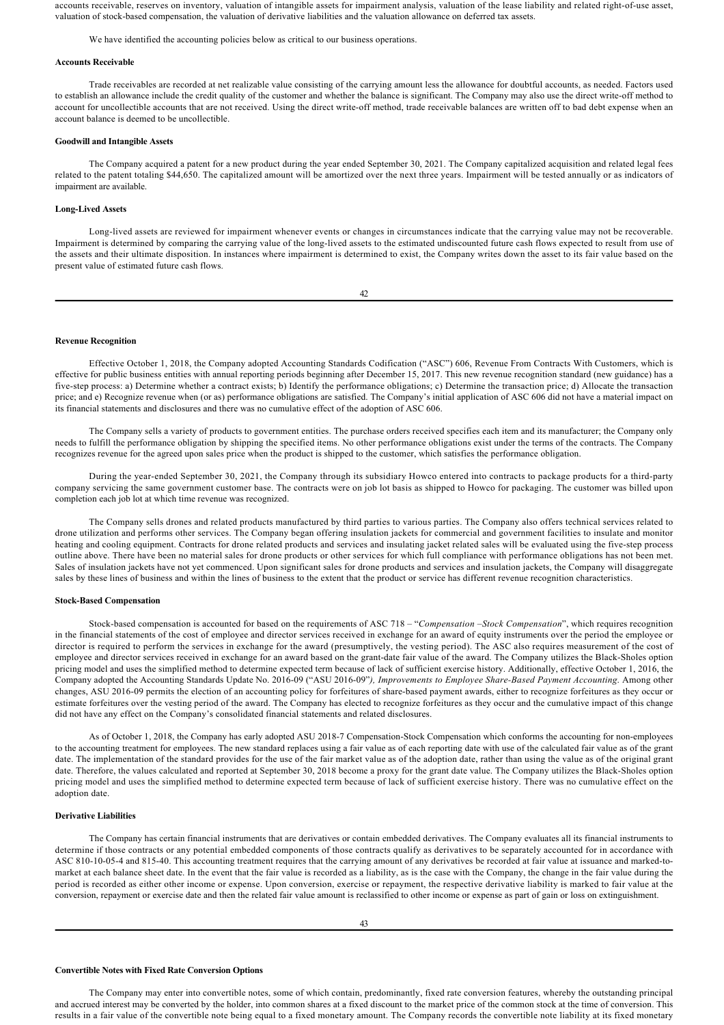accounts receivable, reserves on inventory, valuation of intangible assets for impairment analysis, valuation of the lease liability and related right-of-use asset, valuation of stock-based compensation, the valuation of derivative liabilities and the valuation allowance on deferred tax assets.

We have identified the accounting policies below as critical to our business operations.

#### **Accounts Receivable**

Trade receivables are recorded at net realizable value consisting of the carrying amount less the allowance for doubtful accounts, as needed. Factors used to establish an allowance include the credit quality of the customer and whether the balance is significant. The Company may also use the direct write-off method to account for uncollectible accounts that are not received. Using the direct write-off method, trade receivable balances are written off to bad debt expense when an account balance is deemed to be uncollectible.

#### **Goodwill and Intangible Assets**

The Company acquired a patent for a new product during the year ended September 30, 2021. The Company capitalized acquisition and related legal fees related to the patent totaling \$44,650. The capitalized amount will be amortized over the next three years. Impairment will be tested annually or as indicators of impairment are available.

## **Long-Lived Assets**

Long-lived assets are reviewed for impairment whenever events or changes in circumstances indicate that the carrying value may not be recoverable. Impairment is determined by comparing the carrying value of the long-lived assets to the estimated undiscounted future cash flows expected to result from use of the assets and their ultimate disposition. In instances where impairment is determined to exist, the Company writes down the asset to its fair value based on the present value of estimated future cash flows.

42

## **Revenue Recognition**

Effective October 1, 2018, the Company adopted Accounting Standards Codification ("ASC") 606, Revenue From Contracts With Customers, which is effective for public business entities with annual reporting periods beginning after December 15, 2017. This new revenue recognition standard (new guidance) has a five-step process: a) Determine whether a contract exists; b) Identify the performance obligations; c) Determine the transaction price; d) Allocate the transaction price; and e) Recognize revenue when (or as) performance obligations are satisfied. The Company's initial application of ASC 606 did not have a material impact on its financial statements and disclosures and there was no cumulative effect of the adoption of ASC 606.

The Company sells a variety of products to government entities. The purchase orders received specifies each item and its manufacturer; the Company only needs to fulfill the performance obligation by shipping the specified items. No other performance obligations exist under the terms of the contracts. The Company recognizes revenue for the agreed upon sales price when the product is shipped to the customer, which satisfies the performance obligation.

During the year-ended September 30, 2021, the Company through its subsidiary Howco entered into contracts to package products for a third-party company servicing the same government customer base. The contracts were on job lot basis as shipped to Howco for packaging. The customer was billed upon completion each job lot at which time revenue was recognized.

The Company sells drones and related products manufactured by third parties to various parties. The Company also offers technical services related to drone utilization and performs other services. The Company began offering insulation jackets for commercial and government facilities to insulate and monitor heating and cooling equipment. Contracts for drone related products and services and insulating jacket related sales will be evaluated using the fivestep process outline above. There have been no material sales for drone products or other services for which full compliance with performance obligations has not been met. Sales of insulation jackets have not yet commenced. Upon significant sales for drone products and services and insulation jackets, the Company will disaggregate sales by these lines of business and within the lines of business to the extent that the product or service has different revenue recognition characteristics.

#### **Stock-Based Compensation**

Stock-based compensation is accounted for based on the requirements of ASC 718 – "Compensation –Stock Compensation", which requires recognition in the financial statements of the cost of employee and director services received in exchange for an award of equity instruments over the period the employee or director is required to perform the services in exchange for the award (presumptively, the vesting period). The ASC also requires measurement of the cost of employee and director services received in exchange for an award based on the grant-date fair value of the award. The Company utilizes the Black-Sholes option pricing model and uses the simplified method to determine expected term because of lack of sufficient exercise history. Additionally, effective October 1, 2016, the Company adopted the Accounting Standards Update No. 2016-09 ("ASU 2016-09"), Improvements to Employee Share-Based Payment Accounting. Among other changes, ASU 2016-09 permits the election of an accounting policy for forfeitures of share-based payment awards, either to recognize forfeitures as they occur or estimate forfeitures over the vesting period of the award. The Company has elected to recognize forfeitures as they occur and the cumulative impact of this change did not have any effect on the Company's consolidated financial statements and related disclosures.

As of October 1, 2018, the Company has early adopted ASU 2018-7 Compensation-Stock Compensation which conforms the accounting for non-employees to the accounting treatment for employees. The new standard replaces using a fair value as of each reporting date with use of the calculated fair value as of the grant date. The implementation of the standard provides for the use of the fair market value as of the adoption date, rather than using the value as of the original grant date. Therefore, the values calculated and reported at September 30, 2018 become a proxy for the grant date value. The Company utilizes the Black-Sholes option pricing model and uses the simplified method to determine expected term because of lack of sufficient exercise history. There was no cumulative effect on the adoption date.

#### **Derivative Liabilities**

The Company has certain financial instruments that are derivatives or contain embedded derivatives. The Company evaluates all its financial instruments to determine if those contracts or any potential embedded components of those contracts qualify as derivatives to be separately accounted for in accordance with ASC 810-10-05-4 and 815-40. This accounting treatment requires that the carrying amount of any derivatives be recorded at fair value at issuance and marked-tomarket at each balance sheet date. In the event that the fair value is recorded as a liability, as is the case with the Company, the change in the fair value during the period is recorded as either other income or expense. Upon conversion, exercise or repayment, the respective derivative liability is marked to fair value at the conversion, repayment or exercise date and then the related fair value amount is reclassified to other income or expense as part of gain or loss on extinguishment.

#### **Convertible Notes with Fixed Rate Conversion Options**

The Company may enter into convertible notes, some of which contain, predominantly, fixed rate conversion features, whereby the outstanding principal and accrued interest may be converted by the holder, into common shares at a fixed discount to the market price of the common stock at the time of conversion. This results in a fair value of the convertible note being equal to a fixed monetary amount. The Company records the convertible note liability at its fixed monetary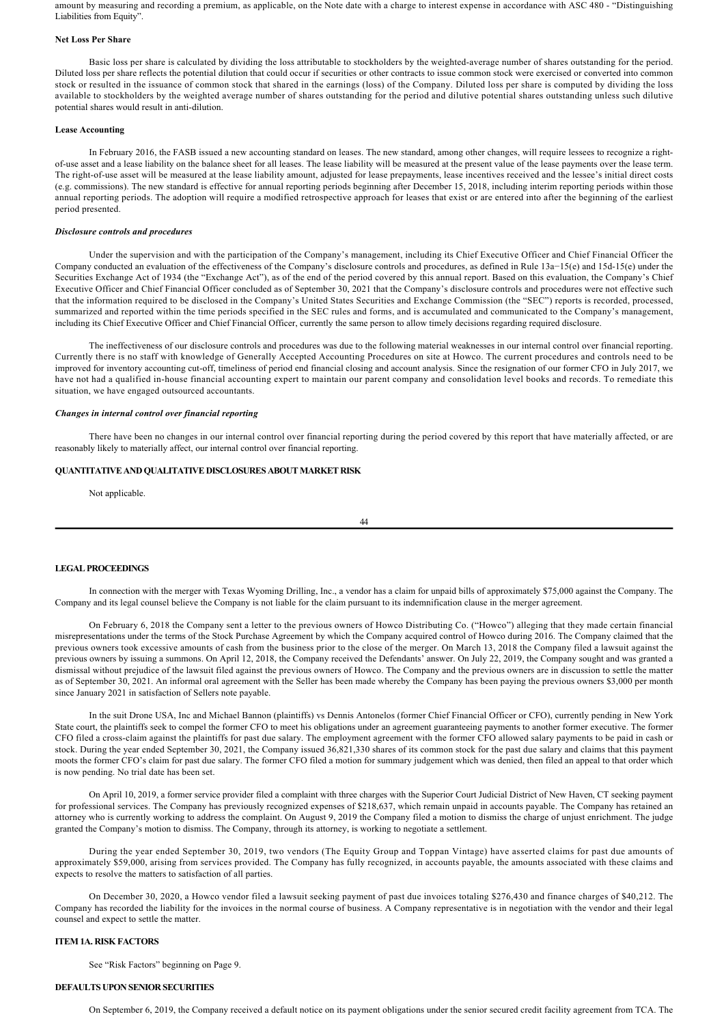amount by measuring and recording a premium, as applicable, on the Note date with a charge to interest expense in accordance with ASC 480 - "Distinguishing Liabilities from Equity".

#### **Net Loss Per Share**

Basic loss per share is calculated by dividing the loss attributable to stockholders by the weighted-average number of shares outstanding for the period. Diluted loss per share reflects the potential dilution that could occur if securities or other contracts to issue common stock were exercised or converted into common stock or resulted in the issuance of common stock that shared in the earnings (loss) of the Company. Diluted loss per share is computed by dividing the loss available to stockholders by the weighted average number of shares outstanding for the period and dilutive potential shares outstanding unless such dilutive potential shares would result in anti-dilution.

## **Lease Accounting**

In February 2016, the FASB issued a new accounting standard on leases. The new standard, among other changes, will require lessees to recognize a rightof-use asset and a lease liability on the balance sheet for all leases. The lease liability will be measured at the present value of the lease payments over the lease term. The right-of-use asset will be measured at the lease liability amount, adjusted for lease prepayments, lease incentives received and the lessee's initial direct costs (e.g. commissions). The new standard is effective for annual reporting periods beginning after December 15, 2018, including interim reporting periods within those annual reporting periods. The adoption will require a modified retrospective approach for leases that exist or are entered into after the beginning of the earliest period presented.

## *Disclosure controls and procedures*

Under the supervision and with the participation of the Company's management, including its Chief Executive Officer and Chief Financial Officer the Company conducted an evaluation of the effectiveness of the Company's disclosure controls and procedures, as defined in Rule 13a−15(e) and 15d-15(e) under the Securities Exchange Act of 1934 (the "Exchange Act"), as of the end of the period covered by this annual report. Based on this evaluation, the Company's Chief Executive Officer and Chief Financial Officer concluded as of September 30, 2021 that the Company's disclosure controls and procedures were not effective such that the information required to be disclosed in the Company's United States Securities and Exchange Commission (the "SEC") reports is recorded, processed, summarized and reported within the time periods specified in the SEC rules and forms, and is accumulated and communicated to the Company's management, including its Chief Executive Officer and Chief Financial Officer, currently the same person to allow timely decisions regarding required disclosure.

The ineffectiveness of our disclosure controls and procedures was due to the following material weaknesses in our internal control over financial reporting. Currently there is no staff with knowledge of Generally Accepted Accounting Procedures on site at Howco. The current procedures and controls need to be improved for inventory accounting cutoff, timeliness of period end financial closing and account analysis. Since the resignation of our former CFO in July 2017, we have not had a qualified in-house financial accounting expert to maintain our parent company and consolidation level books and records. To remediate this situation, we have engaged outsourced accountants.

#### *Changes in internal control over financial reporting*

There have been no changes in our internal control over financial reporting during the period covered by this report that have materially affected, or are reasonably likely to materially affect, our internal control over financial reporting.

## **QUANTITATIVE AND QUALITATIVE DISCLOSURES ABOUT MARKET RISK**

Not applicable.

$$
44 \\
$$

## **LEGAL PROCEEDINGS**

In connection with the merger with Texas Wyoming Drilling, Inc., a vendor has a claim for unpaid bills of approximately \$75,000 against the Company. The Company and its legal counsel believe the Company is not liable for the claim pursuant to its indemnification clause in the merger agreement.

On February 6, 2018 the Company sent a letter to the previous owners of Howco Distributing Co. ("Howco") alleging that they made certain financial misrepresentations under the terms of the Stock Purchase Agreement by which the Company acquired control of Howco during 2016. The Company claimed that the previous owners took excessive amounts of cash from the business prior to the close of the merger. On March 13, 2018 the Company filed a lawsuit against the previous owners by issuing a summons. On April 12, 2018, the Company received the Defendants' answer. On July 22, 2019, the Company sought and was granted a dismissal without prejudice of the lawsuit filed against the previous owners of Howco. The Company and the previous owners are in discussion to settle the matter as of September 30, 2021. An informal oral agreement with the Seller has been made whereby the Company has been paying the previous owners \$3,000 per month since January 2021 in satisfaction of Sellers note payable.

In the suit Drone USA, Inc and Michael Bannon (plaintiffs) vs Dennis Antonelos (former Chief Financial Officer or CFO), currently pending in New York State court, the plaintiffs seek to compel the former CFO to meet his obligations under an agreement guaranteeing payments to another former executive. The former CFO filed a cross-claim against the plaintiffs for past due salary. The employment agreement with the former CFO allowed salary payments to be paid in cash or stock. During the year ended September 30, 2021, the Company issued 36,821,330 shares of its common stock for the past due salary and claims that this payment moots the former CFO's claim for past due salary. The former CFO filed a motion for summary judgement which was denied, then filed an appeal to that order which is now pending. No trial date has been set.

On April 10, 2019, a former service provider filed a complaint with three charges with the Superior Court Judicial District of New Haven, CT seeking payment for professional services. The Company has previously recognized expenses of \$218,637, which remain unpaid in accounts payable. The Company has retained an attorney who is currently working to address the complaint. On August 9, 2019 the Company filed a motion to dismiss the charge of unjust enrichment. The judge granted the Company's motion to dismiss. The Company, through its attorney, is working to negotiate a settlement.

During the year ended September 30, 2019, two vendors (The Equity Group and Toppan Vintage) have asserted claims for past due amounts of approximately \$59,000, arising from services provided. The Company has fully recognized, in accounts payable, the amounts associated with these claims and expects to resolve the matters to satisfaction of all parties.

On December 30, 2020, a Howco vendor filed a lawsuit seeking payment of past due invoices totaling \$276,430 and finance charges of \$40,212. The Company has recorded the liability for the invoices in the normal course of business. A Company representative is in negotiation with the vendor and their legal counsel and expect to settle the matter.

#### **ITEM 1A. RISK FACTORS**

See "Risk Factors" beginning on Page 9.

## **DEFAULTS UPON SENIOR SECURITIES**

On September 6, 2019, the Company received a default notice on its payment obligations under the senior secured credit facility agreement from TCA. The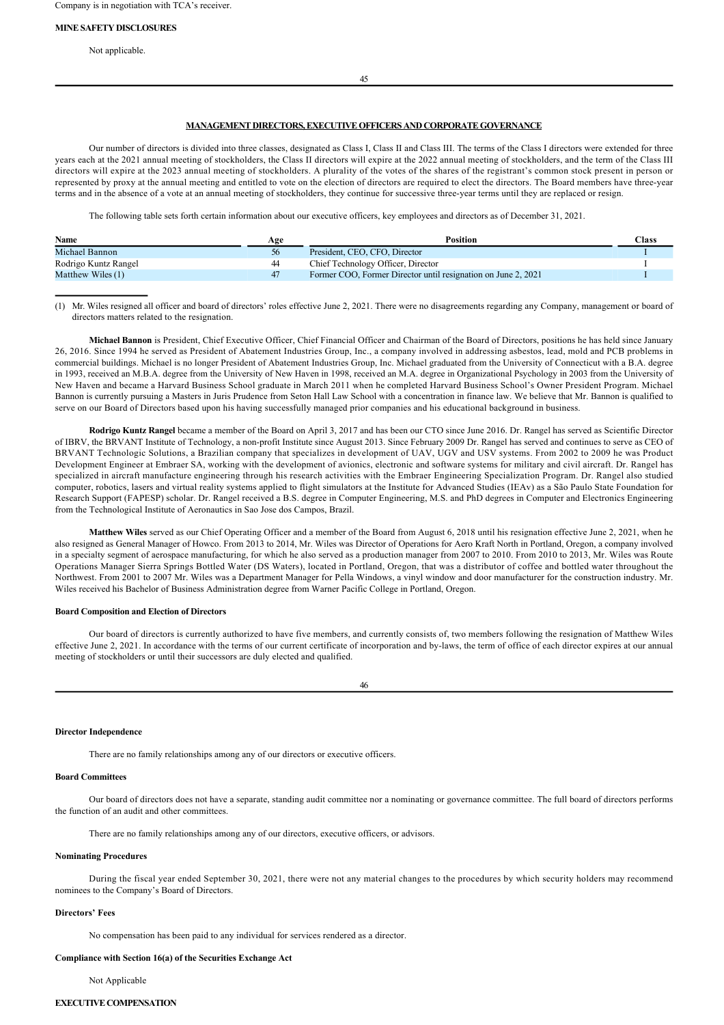Company is in negotiation with TCA's receiver.

#### **MINE SAFETY DISCLOSURES**

Not applicable.

## **MANAGEMENT DIRECTORS, EXECUTIVE OFFICERS AND CORPORATE GOVERNANCE**

Our number of directors is divided into three classes, designated as Class I, Class II and Class III. The terms of the Class I directors were extended for three years each at the 2021 annual meeting of stockholders, the Class II directors will expire at the 2022 annual meeting of stockholders, and the term of the Class III directors will expire at the 2023 annual meeting of stockholders. A plurality of the votes of the shares of the registrant's common stock present in person or represented by proxy at the annual meeting and entitled to vote on the election of directors are required to elect the directors. The Board members have three-year terms and in the absence of a vote at an annual meeting of stockholders, they continue for successive three-year terms until they are replaced or resign.

The following table sets forth certain information about our executive officers, key employees and directors as of December 31, 2021.

| Name                 | Age | <b>Position</b>                                               | Class |
|----------------------|-----|---------------------------------------------------------------|-------|
| Michael Bannon       |     | President, CEO, CFO, Director                                 |       |
| Rodrigo Kuntz Rangel | 44  | Chief Technology Officer, Director                            |       |
| Matthew Wiles (1)    | 47  | Former COO, Former Director until resignation on June 2, 2021 |       |

(1) Mr. Wiles resigned all officer and board of directors' roles effective June 2, 2021. There were no disagreements regarding any Company, management or board of directors matters related to the resignation.

**Michael Bannon** is President, Chief Executive Officer, Chief Financial Officer and Chairman of the Board of Directors, positions he has held since January 26, 2016. Since 1994 he served as President of Abatement Industries Group, Inc., a company involved in addressing asbestos, lead, mold and PCB problems in commercial buildings. Michael is no longer President of Abatement Industries Group, Inc. Michael graduated from the University of Connecticut with a B.A. degree in 1993, received an M.B.A. degree from the University of New Haven in 1998, received an M.A. degree in Organizational Psychology in 2003 from the University of New Haven and became a Harvard Business School graduate in March 2011 when he completed Harvard Business School's Owner President Program. Michael Bannon is currently pursuing a Masters in Juris Prudence from Seton Hall Law School with a concentration in finance law. We believe that Mr. Bannon is qualified to serve on our Board of Directors based upon his having successfully managed prior companies and his educational background in business.

**Rodrigo Kuntz Rangel** became a member of the Board on April 3, 2017 and has been our CTO since June 2016. Dr. Rangel has served as Scientific Director of IBRV, the BRVANT Institute of Technology, a nonprofit Institute since August 2013. Since February 2009 Dr. Rangel has served and continues to serve as CEO of BRVANT Technologic Solutions, a Brazilian company that specializes in development of UAV, UGV and USV systems. From 2002 to 2009 he was Product Development Engineer at Embraer SA, working with the development of avionics, electronic and software systems for military and civil aircraft. Dr. Rangel has specialized in aircraft manufacture engineering through his research activities with the Embraer Engineering Specialization Program. Dr. Rangel also studied computer, robotics, lasers and virtual reality systems applied to flight simulators at the Institute for Advanced Studies (IEAv) as a São Paulo State Foundation for Research Support (FAPESP) scholar. Dr. Rangel received a B.S. degree in Computer Engineering, M.S. and PhD degrees in Computer and Electronics Engineering from the Technological Institute of Aeronautics in Sao Jose dos Campos, Brazil.

**Matthew Wiles** served as our Chief Operating Officer and a member of the Board from August 6, 2018 until his resignation effective June 2, 2021, when he also resigned as General Manager of Howco. From 2013 to 2014, Mr. Wiles was Director of Operations for Aero Kraft North in Portland, Oregon, a company involved in a specialty segment of aerospace manufacturing, for which he also served as a production manager from 2007 to 2010. From 2010 to 2013, Mr. Wiles was Route Operations Manager Sierra Springs Bottled Water (DS Waters), located in Portland, Oregon, that was a distributor of coffee and bottled water throughout the Northwest. From 2001 to 2007 Mr. Wiles was a Department Manager for Pella Windows, a vinyl window and door manufacturer for the construction industry. Mr. Wiles received his Bachelor of Business Administration degree from Warner Pacific College in Portland, Oregon.

#### **Board Composition and Election of Directors**

Our board of directors is currently authorized to have five members, and currently consists of, two members following the resignation of Matthew Wiles effective June 2, 2021. In accordance with the terms of our current certificate of incorporation and by-laws, the term of office of each director expires at our annual meeting of stockholders or until their successors are duly elected and qualified.

| I<br>I<br>×<br>۰, |
|-------------------|
|-------------------|

#### **Director Independence**

There are no family relationships among any of our directors or executive officers.

## **Board Committees**

Our board of directors does not have a separate, standing audit committee nor a nominating or governance committee. The full board of directors performs the function of an audit and other committees.

There are no family relationships among any of our directors, executive officers, or advisors.

## **Nominating Procedures**

During the fiscal year ended September 30, 2021, there were not any material changes to the procedures by which security holders may recommend nominees to the Company's Board of Directors.

## **Directors' Fees**

No compensation has been paid to any individual for services rendered as a director.

## **Compliance with Section 16(a) of the Securities Exchange Act**

Not Applicable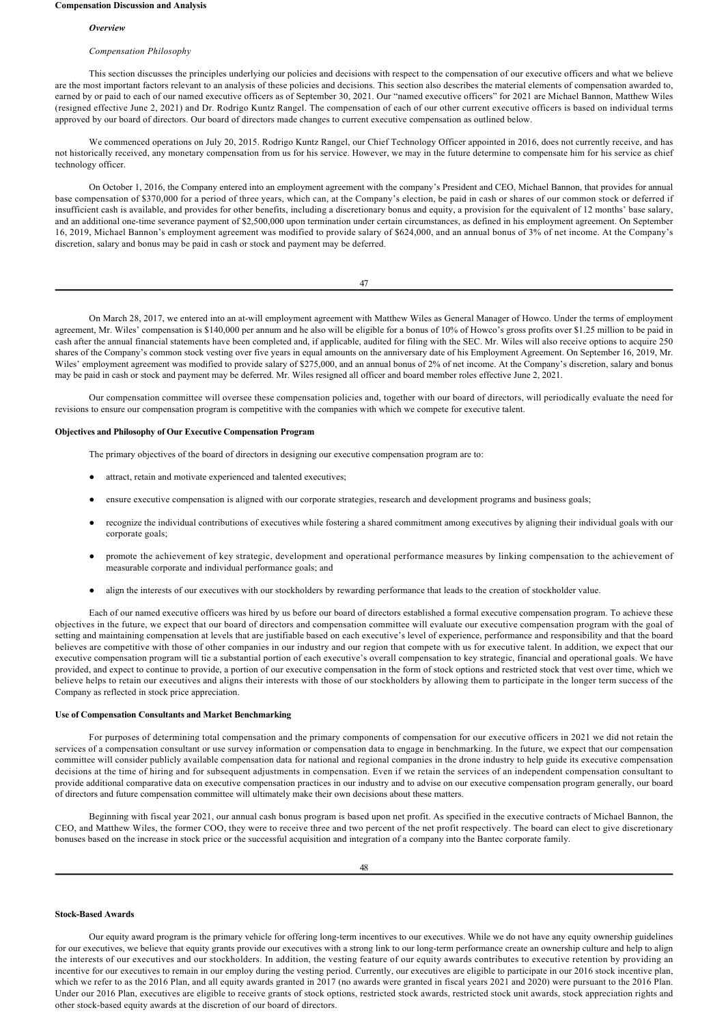#### **Compensation Discussion and Analysis**

#### *Overview*

#### *Compensation Philosophy*

This section discusses the principles underlying our policies and decisions with respect to the compensation of our executive officers and what we believe are the most important factors relevant to an analysis of these policies and decisions. This section also describes the material elements of compensation awarded to, earned by or paid to each of our named executive officers as of September 30, 2021. Our "named executive officers" for 2021 are Michael Bannon, Matthew Wiles (resigned effective June 2, 2021) and Dr. Rodrigo Kuntz Rangel. The compensation of each of our other current executive officers is based on individual terms approved by our board of directors. Our board of directors made changes to current executive compensation as outlined below.

We commenced operations on July 20, 2015. Rodrigo Kuntz Rangel, our Chief Technology Officer appointed in 2016, does not currently receive, and has not historically received, any monetary compensation from us for his service. However, we may in the future determine to compensate him for his service as chief technology officer.

On October 1, 2016, the Company entered into an employment agreement with the company's President and CEO, Michael Bannon, that provides for annual base compensation of \$370,000 for a period of three years, which can, at the Company's election, be paid in cash or shares of our common stock or deferred if insufficient cash is available, and provides for other benefits, including a discretionary bonus and equity, a provision for the equivalent of 12 months' base salary, and an additional one-time severance payment of \$2,500,000 upon termination under certain circumstances, as defined in his employment agreement. On September 16, 2019, Michael Bannon's employment agreement was modified to provide salary of \$624,000, and an annual bonus of 3% of net income. At the Company's discretion, salary and bonus may be paid in cash or stock and payment may be deferred.

47

On March 28, 2017, we entered into an atwill employment agreement with Matthew Wiles as General Manager of Howco. Under the terms of employment agreement, Mr. Wiles' compensation is \$140,000 per annum and he also will be eligible for a bonus of 10% of Howco's gross profits over \$1.25 million to be paid in cash after the annual financial statements have been completed and, if applicable, audited for filing with the SEC. Mr. Wiles will also receive options to acquire 250 shares of the Company's common stock vesting over five years in equal amounts on the anniversary date of his Employment Agreement. On September 16, 2019, Mr. Wiles' employment agreement was modified to provide salary of \$275,000, and an annual bonus of 2% of net income. At the Company's discretion, salary and bonus may be paid in cash or stock and payment may be deferred. Mr. Wiles resigned all officer and board member roles effective June 2, 2021.

Our compensation committee will oversee these compensation policies and, together with our board of directors, will periodically evaluate the need for revisions to ensure our compensation program is competitive with the companies with which we compete for executive talent.

#### **Objectives and Philosophy of Our Executive Compensation Program**

The primary objectives of the board of directors in designing our executive compensation program are to:

- attract, retain and motivate experienced and talented executives;
- ensure executive compensation is aligned with our corporate strategies, research and development programs and business goals;
- recognize the individual contributions of executives while fostering a shared commitment among executives by aligning their individual goals with our corporate goals;
- promote the achievement of key strategic, development and operational performance measures by linking compensation to the achievement of measurable corporate and individual performance goals; and
- **●** align the interests of our executives with our stockholders by rewarding performance that leads to the creation of stockholder value.

Each of our named executive officers was hired by us before our board of directors established a formal executive compensation program. To achieve these objectives in the future, we expect that our board of directors and compensation committee will evaluate our executive compensation program with the goal of setting and maintaining compensation at levels that are justifiable based on each executive's level of experience, performance and responsibility and that the board believes are competitive with those of other companies in our industry and our region that compete with us for executive talent. In addition, we expect that our executive compensation program will tie a substantial portion of each executive's overall compensation to key strategic, financial and operational goals. We have provided, and expect to continue to provide, a portion of our executive compensation in the form of stock options and restricted stock that vest over time, which we believe helps to retain our executives and aligns their interests with those of our stockholders by allowing them to participate in the longer term success of the Company as reflected in stock price appreciation.

#### **Use of Compensation Consultants and Market Benchmarking**

For purposes of determining total compensation and the primary components of compensation for our executive officers in 2021 we did not retain the services of a compensation consultant or use survey information or compensation data to engage in benchmarking. In the future, we expect that our compensation committee will consider publicly available compensation data for national and regional companies in the drone industry to help guide its executive compensation decisions at the time of hiring and for subsequent adjustments in compensation. Even if we retain the services of an independent compensation consultant to provide additional comparative data on executive compensation practices in our industry and to advise on our executive compensation program generally, our board of directors and future compensation committee will ultimately make their own decisions about these matters.

Beginning with fiscal year 2021, our annual cash bonus program is based upon net profit. As specified in the executive contracts of Michael Bannon, the CEO, and Matthew Wiles, the former COO, they were to receive three and two percent of the net profit respectively. The board can elect to give discretionary bonuses based on the increase in stock price or the successful acquisition and integration of a company into the Bantec corporate family.

#### **Stock-Based Awards**

Our equity award program is the primary vehicle for offering long-term incentives to our executives. While we do not have any equity ownership guidelines for our executives, we believe that equity grants provide our executives with a strong link to our long-term performance create an ownership culture and help to align the interests of our executives and our stockholders. In addition, the vesting feature of our equity awards contributes to executive retention by providing an incentive for our executives to remain in our employ during the vesting period. Currently, our executives are eligible to participate in our 2016 stock incentive plan, which we refer to as the 2016 Plan, and all equity awards granted in 2017 (no awards were granted in fiscal years 2021 and 2020) were pursuant to the 2016 Plan. Under our 2016 Plan, executives are eligible to receive grants of stock options, restricted stock awards, restricted stock unit awards, stock appreciation rights and other stock-based equity awards at the discretion of our board of directors.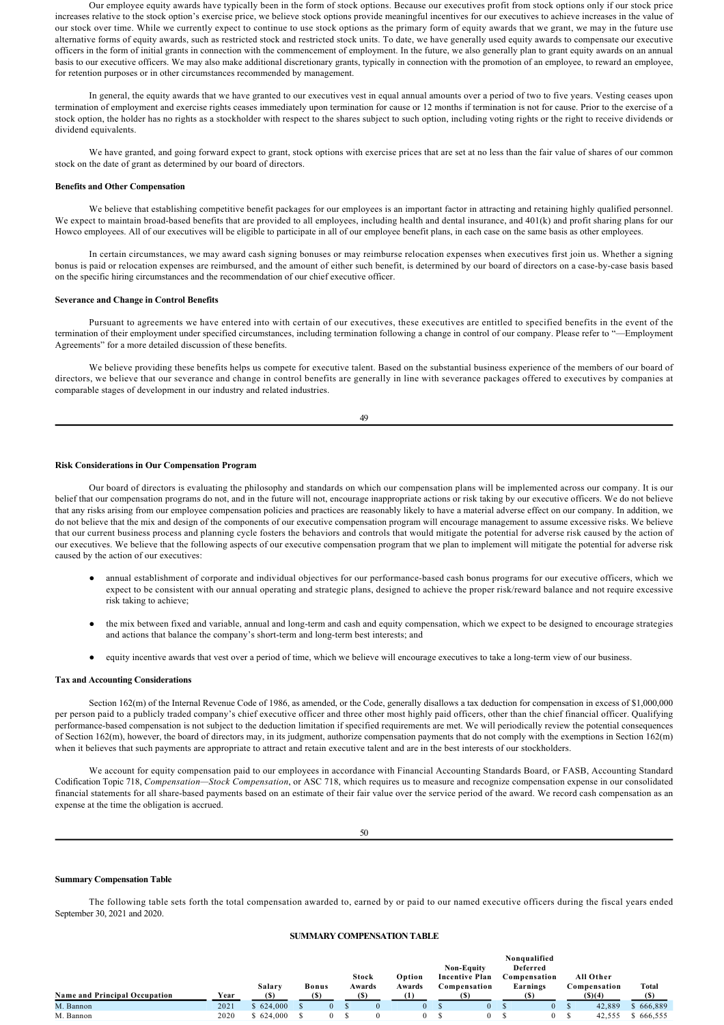Our employee equity awards have typically been in the form of stock options. Because our executives profit from stock options only if our stock price increases relative to the stock option's exercise price, we believe stock options provide meaningful incentives for our executives to achieve increases in the value of our stock over time. While we currently expect to continue to use stock options as the primary form of equity awards that we grant, we may in the future use alternative forms of equity awards, such as restricted stock and restricted stock units. To date, we have generally used equity awards to compensate our executive officers in the form of initial grants in connection with the commencement of employment. In the future, we also generally plan to grant equity awards on an annual basis to our executive officers. We may also make additional discretionary grants, typically in connection with the promotion of an employee, to reward an employee, for retention purposes or in other circumstances recommended by management.

In general, the equity awards that we have granted to our executives vest in equal annual amounts over a period of two to five years. Vesting ceases upon termination of employment and exercise rights ceases immediately upon termination for cause or 12 months if termination is not for cause. Prior to the exercise of a stock option, the holder has no rights as a stockholder with respect to the shares subject to such option, including voting rights or the right to receive dividends or dividend equivalents.

We have granted, and going forward expect to grant, stock options with exercise prices that are set at no less than the fair value of shares of our common stock on the date of grant as determined by our board of directors.

#### **Benefits and Other Compensation**

We believe that establishing competitive benefit packages for our employees is an important factor in attracting and retaining highly qualified personnel. We expect to maintain broad-based benefits that are provided to all employees, including health and dental insurance, and  $401(k)$  and profit sharing plans for our Howco employees. All of our executives will be eligible to participate in all of our employee benefit plans, in each case on the same basis as other employees.

In certain circumstances, we may award cash signing bonuses or may reimburse relocation expenses when executives first join us. Whether a signing bonus is paid or relocation expenses are reimbursed, and the amount of either such benefit, is determined by our board of directors on a case-by-case basis based on the specific hiring circumstances and the recommendation of our chief executive officer.

## **Severance and Change in Control Benefits**

Pursuant to agreements we have entered into with certain of our executives, these executives are entitled to specified benefits in the event of the termination of their employment under specified circumstances, including termination following a change in control of our company. Please refer to "—Employment Agreements" for a more detailed discussion of these benefits.

We believe providing these benefits helps us compete for executive talent. Based on the substantial business experience of the members of our board of directors, we believe that our severance and change in control benefits are generally in line with severance packages offered to executives by companies at comparable stages of development in our industry and related industries.

#### **Risk Considerations in Our Compensation Program**

Our board of directors is evaluating the philosophy and standards on which our compensation plans will be implemented across our company. It is our belief that our compensation programs do not, and in the future will not, encourage inappropriate actions or risk taking by our executive officers. We do not believe that any risks arising from our employee compensation policies and practices are reasonably likely to have a material adverse effect on our company. In addition, we do not believe that the mix and design of the components of our executive compensation program will encourage management to assume excessive risks. We believe that our current business process and planning cycle fosters the behaviors and controls that would mitigate the potential for adverse risk caused by the action of our executives. We believe that the following aspects of our executive compensation program that we plan to implement will mitigate the potential for adverse risk caused by the action of our executives:

- annual establishment of corporate and individual objectives for our performance-based cash bonus programs for our executive officers, which we expect to be consistent with our annual operating and strategic plans, designed to achieve the proper risk/reward balance and not require excessive risk taking to achieve;
- the mix between fixed and variable, annual and long-term and cash and equity compensation, which we expect to be designed to encourage strategies and actions that balance the company's short-term and long-term best interests; and
- equity incentive awards that vest over a period of time, which we believe will encourage executives to take a long-term view of our business.

#### **Tax and Accounting Considerations**

Section 162(m) of the Internal Revenue Code of 1986, as amended, or the Code, generally disallows a tax deduction for compensation in excess of \$1,000,000 per person paid to a publicly traded company's chief executive officer and three other most highly paid officers, other than the chief financial officer. Qualifying performance-based compensation is not subject to the deduction limitation if specified requirements are met. We will periodically review the potential consequences of Section 162(m), however, the board of directors may, in its judgment, authorize compensation payments that do not comply with the exemptions in Section 162(m) when it believes that such payments are appropriate to attract and retain executive talent and are in the best interests of our stockholders.

We account for equity compensation paid to our employees in accordance with Financial Accounting Standards Board, or FASB, Accounting Standard Codification Topic 718, *Compensation—Stock Compensation*, or ASC 718, which requires us to measure and recognize compensation expense in our consolidated financial statements for all share-based payments based on an estimate of their fair value over the service period of the award. We record cash compensation as an expense at the time the obligation is accrued.

#### **Summary Compensation Table**

The following table sets forth the total compensation awarded to, earned by or paid to our named executive officers during the fiscal years ended September 30, 2021 and 2020.

## **SUMMARY COMPENSATION TABLE**

|                               |      |           |       | <b>Non-Equity</b> |                 |                  | Nonqualified<br>Deferred              |                          |                           |              |
|-------------------------------|------|-----------|-------|-------------------|-----------------|------------------|---------------------------------------|--------------------------|---------------------------|--------------|
|                               |      | Salary    | Bonus |                   | Stock<br>Awards | Option<br>Awards | <b>Incentive Plan</b><br>Compensation | Compensation<br>Earnings | All Other<br>Compensation | <b>Total</b> |
| Name and Principal Occupation | Year | (S)       |       |                   |                 | (1)              |                                       | (S)                      | (S)(4)                    |              |
| M. Bannon                     | 2021 | \$624.000 |       |                   |                 |                  |                                       |                          | 42.889                    | 666,889      |
| M. Bannon                     | 2020 | \$624,000 |       |                   |                 |                  |                                       | $^{(1)}$                 | 42.555                    | 666,555      |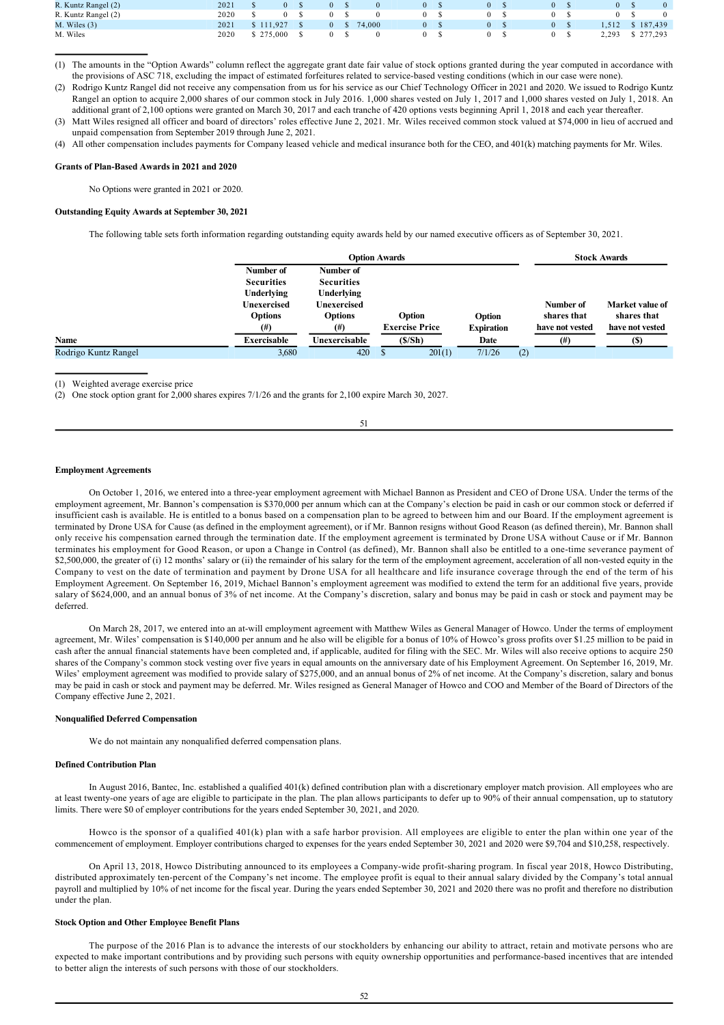| R. Kuntz Rangel (2) | 2021 | $\Omega$  |          |        |  |  |  | $\Omega$ | $\Omega$  |
|---------------------|------|-----------|----------|--------|--|--|--|----------|-----------|
| R. Kuntz Rangel (2) | 2020 |           |          |        |  |  |  |          | $\Omega$  |
| M. Wiles (3)        | 2021 | 111,927   | $\theta$ | 74.000 |  |  |  | 1,512    | \$187,439 |
| M. Wiles            | 2020 | \$275,000 |          |        |  |  |  | 2,293    | \$277,293 |

(1) The amounts in the "Option Awards" column reflect the aggregate grant date fair value of stock options granted during the year computed in accordance with the provisions of ASC 718, excluding the impact of estimated forfeitures related to service-based vesting conditions (which in our case were none).

- (2) Rodrigo Kuntz Rangel did not receive any compensation from us for his service as our Chief Technology Officer in 2021 and 2020. We issued to Rodrigo Kuntz Rangel an option to acquire 2,000 shares of our common stock in July 2016. 1,000 shares vested on July 1, 2017 and 1,000 shares vested on July 1, 2018. An additional grant of 2,100 options were granted on March 30, 2017 and each tranche of 420 options vests beginning April 1, 2018 and each year thereafter.
- (3) Matt Wiles resigned all officer and board of directors' roles effective June 2, 2021. Mr. Wiles received common stock valued at \$74,000 in lieu of accrued and unpaid compensation from September 2019 through June 2, 2021.
- (4) All other compensation includes payments for Company leased vehicle and medical insurance both for the CEO, and 401(k) matching payments for Mr. Wiles.

## **Grants of PlanBased Awards in 2021 and 2020**

No Options were granted in 2021 or 2020.

#### **Outstanding Equity Awards at September 30, 2021**

The following table sets forth information regarding outstanding equity awards held by our named executive officers as of September 30, 2021.

|                      |                    | <b>Option Awards</b> |                       | <b>Stock Awards</b> |     |                 |                 |
|----------------------|--------------------|----------------------|-----------------------|---------------------|-----|-----------------|-----------------|
|                      | Number of          | Number of            |                       |                     |     |                 |                 |
|                      | <b>Securities</b>  | <b>Securities</b>    |                       |                     |     |                 |                 |
|                      | Underlying         | Underlying           |                       |                     |     |                 |                 |
|                      | <b>Unexercised</b> | Unexercised          |                       |                     |     | Number of       | Market value of |
|                      | <b>Options</b>     | <b>Options</b>       | Option                | Option              |     | shares that     | shares that     |
|                      | (#)                | (# )                 | <b>Exercise Price</b> | <b>Expiration</b>   |     | have not vested | have not vested |
| Name                 | <b>Exercisable</b> | Unexercisable        | (S/Sh)                | Date                |     | $^{(#)}$        |                 |
| Rodrigo Kuntz Rangel | 3,680              | 420                  | 201(1)                | 7/1/26              | (2) |                 |                 |

(1) Weighted average exercise price

(2) One stock option grant for 2,000 shares expires 7/1/26 and the grants for 2,100 expire March 30, 2027.

| v.<br>٦<br>I<br>×<br>٧ |  |
|------------------------|--|
|                        |  |

#### **Employment Agreements**

On October 1, 2016, we entered into a three-year employment agreement with Michael Bannon as President and CEO of Drone USA. Under the terms of the employment agreement, Mr. Bannon's compensation is \$370,000 per annum which can at the Company's election be paid in cash or our common stock or deferred if insufficient cash is available. He is entitled to a bonus based on a compensation plan to be agreed to between him and our Board. If the employment agreement is terminated by Drone USA for Cause (as defined in the employment agreement), or if Mr. Bannon resigns without Good Reason (as defined therein), Mr. Bannon shall only receive his compensation earned through the termination date. If the employment agreement is terminated by Drone USA without Cause or if Mr. Bannon terminates his employment for Good Reason, or upon a Change in Control (as defined), Mr. Bannon shall also be entitled to a one-time severance payment of \$2,500,000, the greater of (i) 12 months' salary or (ii) the remainder of his salary for the term of the employment agreement, acceleration of all non-vested equity in the Company to vest on the date of termination and payment by Drone USA for all healthcare and life insurance coverage through the end of the term of his Employment Agreement. On September 16, 2019, Michael Bannon's employment agreement was modified to extend the term for an additional five years, provide salary of \$624,000, and an annual bonus of 3% of net income. At the Company's discretion, salary and bonus may be paid in cash or stock and payment may be deferred.

On March 28, 2017, we entered into an atwill employment agreement with Matthew Wiles as General Manager of Howco. Under the terms of employment agreement, Mr. Wiles' compensation is \$140,000 per annum and he also will be eligible for a bonus of 10% of Howco's gross profits over \$1.25 million to be paid in cash after the annual financial statements have been completed and, if applicable, audited for filing with the SEC. Mr. Wiles will also receive options to acquire 250 shares of the Company's common stock vesting over five years in equal amounts on the anniversary date of his Employment Agreement. On September 16, 2019, Mr. Wiles' employment agreement was modified to provide salary of \$275,000, and an annual bonus of 2% of net income. At the Company's discretion, salary and bonus may be paid in cash or stock and payment may be deferred. Mr. Wiles resigned as General Manager of Howco and COO and Member of the Board of Directors of the Company effective June 2, 2021.

#### **Nonqualified Deferred Compensation**

We do not maintain any nonqualified deferred compensation plans.

## **Defined Contribution Plan**

In August 2016, Bantec, Inc. established a qualified 401(k) defined contribution plan with a discretionary employer match provision. All employees who are at least twenty-one years of age are eligible to participate in the plan. The plan allows participants to defer up to 90% of their annual compensation, up to statutory limits. There were \$0 of employer contributions for the years ended September 30, 2021, and 2020.

Howco is the sponsor of a qualified 401(k) plan with a safe harbor provision. All employees are eligible to enter the plan within one year of the commencement of employment. Employer contributions charged to expenses for the years ended September 30, 2021 and 2020 were \$9,704 and \$10,258, respectively.

On April 13, 2018, Howco Distributing announced to its employees a Company-wide profit-sharing program. In fiscal year 2018, Howco Distributing, distributed approximately ten-percent of the Company's net income. The employee profit is equal to their annual salary divided by the Company's total annual payroll and multiplied by 10% of net income for the fiscal year. During the years ended September 30, 2021 and 2020 there was no profit and therefore no distribution under the plan.

#### **Stock Option and Other Employee Benefit Plans**

The purpose of the 2016 Plan is to advance the interests of our stockholders by enhancing our ability to attract, retain and motivate persons who are expected to make important contributions and by providing such persons with equity ownership opportunities and performance-based incentives that are intended to better align the interests of such persons with those of our stockholders.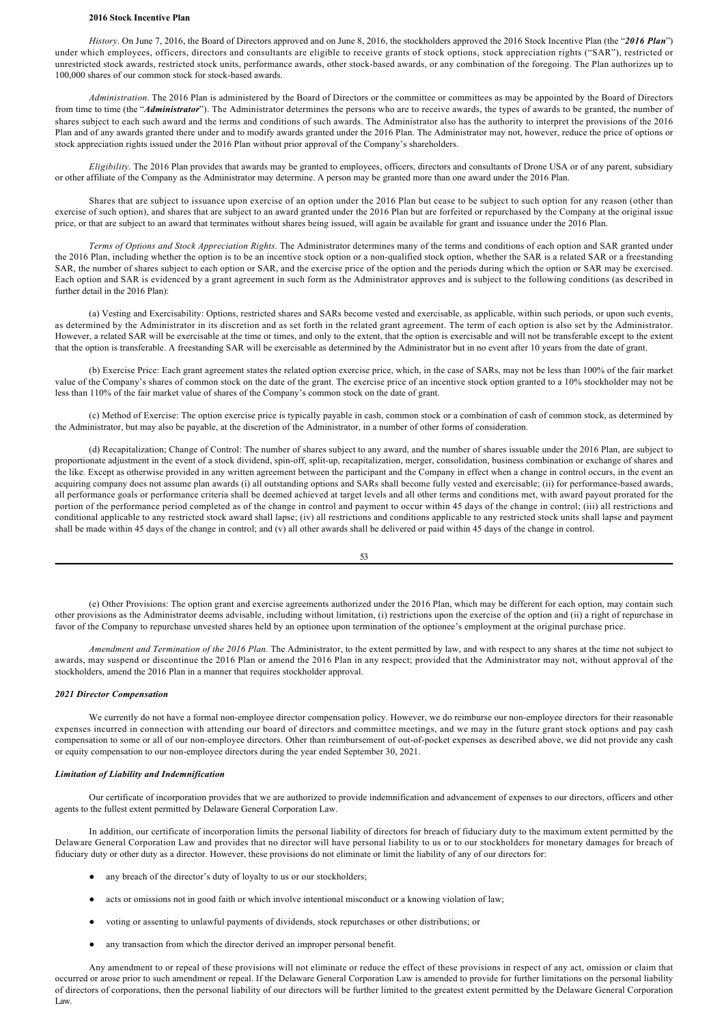#### **2016 Stock Incentive Plan**

*History*. On June 7, 2016, the Board of Directors approved and on June 8, 2016, the stockholders approved the 2016 Stock Incentive Plan (the "*2016 Plan*") under which employees, officers, directors and consultants are eligible to receive grants of stock options, stock appreciation rights ("SAR"), restricted or unrestricted stock awards, restricted stock units, performance awards, other stock-based awards, or any combination of the foregoing. The Plan authorizes up to 100,000 shares of our common stock for stock-based awards.

*Administration*. The 2016 Plan is administered by the Board of Directors or the committee or committees as may be appointed by the Board of Directors from time to time (the "*Administrator*"). The Administrator determines the persons who are to receive awards, the types of awards to be granted, the number of shares subject to each such award and the terms and conditions of such awards. The Administrator also has the authority to interpret the provisions of the 2016 Plan and of any awards granted there under and to modify awards granted under the 2016 Plan. The Administrator may not, however, reduce the price of options or stock appreciation rights issued under the 2016 Plan without prior approval of the Company's shareholders.

*Eligibility*. The 2016 Plan provides that awards may be granted to employees, officers, directors and consultants of Drone USA or of any parent, subsidiary or other affiliate of the Company as the Administrator may determine. A person may be granted more than one award under the 2016 Plan.

Shares that are subject to issuance upon exercise of an option under the 2016 Plan but cease to be subject to such option for any reason (other than exercise of such option), and shares that are subject to an award granted under the 2016 Plan but are forfeited or repurchased by the Company at the original issue price, or that are subject to an award that terminates without shares being issued, will again be available for grant and issuance under the 2016 Plan.

*Terms of Options and Stock Appreciation Rights*. The Administrator determines many of the terms and conditions of each option and SAR granted under the 2016 Plan, including whether the option is to be an incentive stock option or a non-qualified stock option, whether the SAR is a related SAR or a freestanding SAR, the number of shares subject to each option or SAR, and the exercise price of the option and the periods during which the option or SAR may be exercised. Each option and SAR is evidenced by a grant agreement in such form as the Administrator approves and is subject to the following conditions (as described in further detail in the 2016 Plan):

(a) Vesting and Exercisability: Options, restricted shares and SARs become vested and exercisable, as applicable, within such periods, or upon such events, as determined by the Administrator in its discretion and as set forth in the related grant agreement. The term of each option is also set by the Administrator. However, a related SAR will be exercisable at the time or times, and only to the extent, that the option is exercisable and will not be transferable except to the extent that the option is transferable. A freestanding SAR will be exercisable as determined by the Administrator but in no event after 10 years from the date of grant.

(b) Exercise Price: Each grant agreement states the related option exercise price, which, in the case of SARs, may not be less than 100% of the fair market value of the Company's shares of common stock on the date of the grant. The exercise price of an incentive stock option granted to a 10% stockholder may not be less than 110% of the fair market value of shares of the Company's common stock on the date of grant.

(c) Method of Exercise: The option exercise price is typically payable in cash, common stock or a combination of cash of common stock, as determined by the Administrator, but may also be payable, at the discretion of the Administrator, in a number of other forms of consideration.

(d) Recapitalization; Change of Control: The number of shares subject to any award, and the number of shares issuable under the 2016 Plan, are subject to proportionate adjustment in the event of a stock dividend, spin-off, split-up, recapitalization, merger, consolidation, business combination or exchange of shares and the like. Except as otherwise provided in any written agreement between the participant and the Company in effect when a change in control occurs, in the event an acquiring company does not assume plan awards (i) all outstanding options and SARs shall become fully vested and exercisable; (ii) for performance-based awards, all performance goals or performance criteria shall be deemed achieved at target levels and all other terms and conditions met, with award payout prorated for the portion of the performance period completed as of the change in control and payment to occur within 45 days of the change in control; (iii) all restrictions and conditional applicable to any restricted stock award shall lapse; (iv) all restrictions and conditions applicable to any restricted stock units shall lapse and payment shall be made within 45 days of the change in control; and (v) all other awards shall be delivered or paid within 45 days of the change in control.

53

(e) Other Provisions: The option grant and exercise agreements authorized under the 2016 Plan, which may be different for each option, may contain such other provisions as the Administrator deems advisable, including without limitation, (i) restrictions upon the exercise of the option and (ii) a right of repurchase in favor of the Company to repurchase unvested shares held by an optionee upon termination of the optionee's employment at the original purchase price.

*Amendment and Termination of the 2016 Plan*. The Administrator, to the extent permitted by law, and with respect to any shares at the time not subject to awards, may suspend or discontinue the 2016 Plan or amend the 2016 Plan in any respect; provided that the Administrator may not, without approval of the stockholders, amend the 2016 Plan in a manner that requires stockholder approval.

#### *2021 Director Compensation*

We currently do not have a formal non-employee director compensation policy. However, we do reimburse our non-employee directors for their reasonable expenses incurred in connection with attending our board of directors and committee meetings, and we may in the future grant stock options and pay cash compensation to some or all of our non-employee directors. Other than reimbursement of out-of-pocket expenses as described above, we did not provide any cash or equity compensation to our non-employee directors during the year ended September 30, 2021.

#### *Limitation of Liability and Indemnification*

Our certificate of incorporation provides that we are authorized to provide indemnification and advancement of expenses to our directors, officers and other agents to the fullest extent permitted by Delaware General Corporation Law.

In addition, our certificate of incorporation limits the personal liability of directors for breach of fiduciary duty to the maximum extent permitted by the Delaware General Corporation Law and provides that no director will have personal liability to us or to our stockholders for monetary damages for breach of fiduciary duty or other duty as a director. However, these provisions do not eliminate or limit the liability of any of our directors for:

- any breach of the director's duty of loyalty to us or our stockholders;
- acts or omissions not in good faith or which involve intentional misconduct or a knowing violation of law;
- voting or assenting to unlawful payments of dividends, stock repurchases or other distributions; or
- any transaction from which the director derived an improper personal benefit.

Any amendment to or repeal of these provisions will not eliminate or reduce the effect of these provisions in respect of any act, omission or claim that occurred or arose prior to such amendment or repeal. If the Delaware General Corporation Law is amended to provide for further limitations on the personal liability of directors of corporations, then the personal liability of our directors will be further limited to the greatest extent permitted by the Delaware General Corporation L<sub>aw</sub>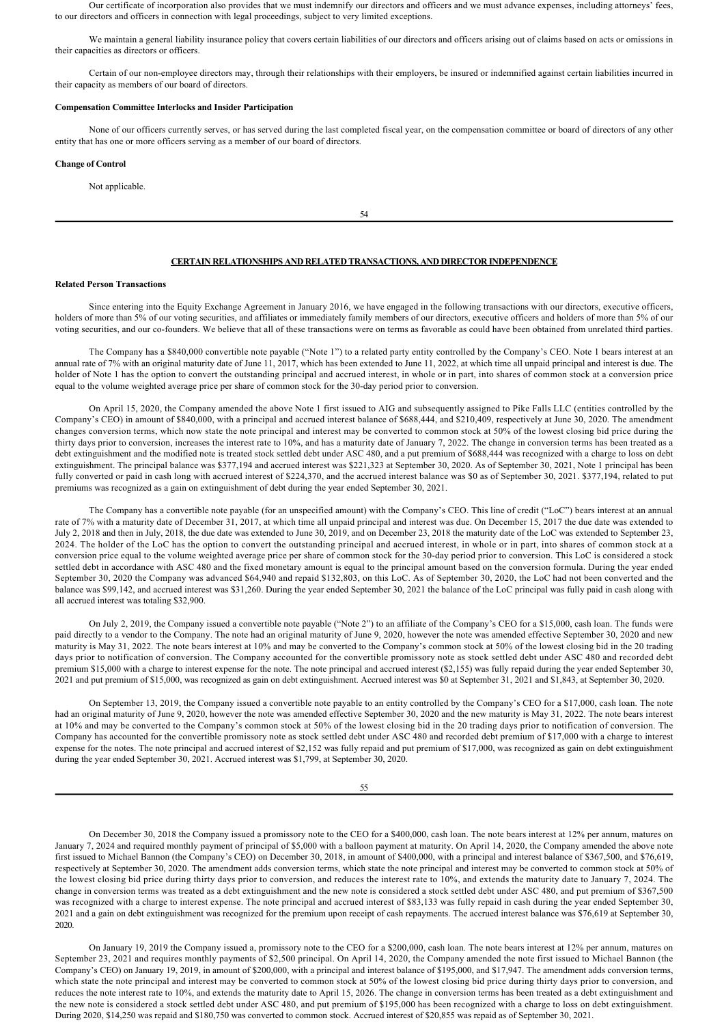Our certificate of incorporation also provides that we must indemnify our directors and officers and we must advance expenses, including attorneys' fees, to our directors and officers in connection with legal proceedings, subject to very limited exceptions.

We maintain a general liability insurance policy that covers certain liabilities of our directors and officers arising out of claims based on acts or omissions in their capacities as directors or officers.

Certain of our nonemployee directors may, through their relationships with their employers, be insured or indemnified against certain liabilities incurred in their capacity as members of our board of directors.

#### **Compensation Committee Interlocks and Insider Participation**

None of our officers currently serves, or has served during the last completed fiscal year, on the compensation committee or board of directors of any other entity that has one or more officers serving as a member of our board of directors.

#### **Change of Control**

Not applicable.

54

#### **CERTAIN RELATIONSHIPS AND RELATED TRANSACTIONS, AND DIRECTOR INDEPENDENCE**

#### **Related Person Transactions**

Since entering into the Equity Exchange Agreement in January 2016, we have engaged in the following transactions with our directors, executive officers, holders of more than 5% of our voting securities, and affiliates or immediately family members of our directors, executive officers and holders of more than 5% of our voting securities, and our co-founders. We believe that all of these transactions were on terms as favorable as could have been obtained from unrelated third parties.

The Company has a \$840,000 convertible note payable ("Note 1") to a related party entity controlled by the Company's CEO. Note 1 bears interest at an annual rate of 7% with an original maturity date of June 11, 2017, which has been extended to June 11, 2022, at which time all unpaid principal and interest is due. The holder of Note 1 has the option to convert the outstanding principal and accrued interest, in whole or in part, into shares of common stock at a conversion price equal to the volume weighted average price per share of common stock for the 30-day period prior to conversion.

On April 15, 2020, the Company amended the above Note 1 first issued to AIG and subsequently assigned to Pike Falls LLC (entities controlled by the Company's CEO) in amount of \$840,000, with a principal and accrued interest balance of \$688,444, and \$210,409, respectively at June 30, 2020. The amendment changes conversion terms, which now state the note principal and interest may be converted to common stock at 50% of the lowest closing bid price during the thirty days prior to conversion, increases the interest rate to 10%, and has a maturity date of January 7, 2022. The change in conversion terms has been treated as a debt extinguishment and the modified note is treated stock settled debt under ASC 480, and a put premium of \$688,444 was recognized with a charge to loss on debt extinguishment. The principal balance was \$377,194 and accrued interest was \$221,323 at September 30, 2020. As of September 30, 2021, Note 1 principal has been fully converted or paid in cash long with accrued interest of \$224,370, and the accrued interest balance was \$0 as of September 30, 2021. \$377,194, related to put premiums was recognized as a gain on extinguishment of debt during the year ended September 30, 2021.

The Company has a convertible note payable (for an unspecified amount) with the Company's CEO. This line of credit ("LoC") bears interest at an annual rate of 7% with a maturity date of December 31, 2017, at which time all unpaid principal and interest was due. On December 15, 2017 the due date was extended to July 2, 2018 and then in July, 2018, the due date was extended to June 30, 2019, and on December 23, 2018 the maturity date of the LoC was extended to September 23, 2024. The holder of the LoC has the option to convert the outstanding principal and accrued interest, in whole or in part, into shares of common stock at a conversion price equal to the volume weighted average price per share of common stock for the 30-day period prior to conversion. This LoC is considered a stock settled debt in accordance with ASC 480 and the fixed monetary amount is equal to the principal amount based on the conversion formula. During the year ended September 30, 2020 the Company was advanced \$64,940 and repaid \$132,803, on this LoC. As of September 30, 2020, the LoC had not been converted and the balance was \$99,142, and accrued interest was \$31,260. During the year ended September 30, 2021 the balance of the LoC principal was fully paid in cash along with all accrued interest was totaling \$32,900.

On July 2, 2019, the Company issued a convertible note payable ("Note 2") to an affiliate of the Company's CEO for a \$15,000, cash loan. The funds were paid directly to a vendor to the Company. The note had an original maturity of June 9, 2020, however the note was amended effective September 30, 2020 and new maturity is May 31, 2022. The note bears interest at 10% and may be converted to the Company's common stock at 50% of the lowest closing bid in the 20 trading days prior to notification of conversion. The Company accounted for the convertible promissory note as stock settled debt under ASC 480 and recorded debt premium \$15,000 with a charge to interest expense for the note. The note principal and accrued interest (\$2,155) was fully repaid during the year ended September 30, 2021 and put premium of \$15,000, was recognized as gain on debt extinguishment. Accrued interest was \$0 at September 31, 2021 and \$1,843, at September 30, 2020.

On September 13, 2019, the Company issued a convertible note payable to an entity controlled by the Company's CEO for a \$17,000, cash loan. The note had an original maturity of June 9, 2020, however the note was amended effective September 30, 2020 and the new maturity is May 31, 2022. The note bears interest at 10% and may be converted to the Company's common stock at 50% of the lowest closing bid in the 20 trading days prior to notification of conversion. The Company has accounted for the convertible promissory note as stock settled debt under ASC 480 and recorded debt premium of \$17,000 with a charge to interest expense for the notes. The note principal and accrued interest of \$2,152 was fully repaid and put premium of \$17,000, was recognized as gain on debt extinguishment during the year ended September 30, 2021. Accrued interest was \$1,799, at September 30, 2020.

55

On December 30, 2018 the Company issued a promissory note to the CEO for a \$400,000, cash loan. The note bears interest at 12% per annum, matures on January 7, 2024 and required monthly payment of principal of \$5,000 with a balloon payment at maturity. On April 14, 2020, the Company amended the above note first issued to Michael Bannon (the Company's CEO) on December 30, 2018, in amount of \$400,000, with a principal and interest balance of \$367,500, and \$76,619, respectively at September 30, 2020. The amendment adds conversion terms, which state the note principal and interest may be converted to common stock at 50% of the lowest closing bid price during thirty days prior to conversion, and reduces the interest rate to 10%, and extends the maturity date to January 7, 2024. The change in conversion terms was treated as a debt extinguishment and the new note is considered a stock settled debt under ASC 480, and put premium of \$367,500 was recognized with a charge to interest expense. The note principal and accrued interest of \$83,133 was fully repaid in cash during the year ended September 30, 2021 and a gain on debt extinguishment was recognized for the premium upon receipt of cash repayments. The accrued interest balance was \$76,619 at September 30, 2020.

On January 19, 2019 the Company issued a, promissory note to the CEO for a \$200,000, cash loan. The note bears interest at 12% per annum, matures on September 23, 2021 and requires monthly payments of \$2,500 principal. On April 14, 2020, the Company amended the note first issued to Michael Bannon (the Company's CEO) on January 19, 2019, in amount of \$200,000, with a principal and interest balance of \$195,000, and \$17,947. The amendment adds conversion terms, which state the note principal and interest may be converted to common stock at 50% of the lowest closing bid price during thirty days prior to conversion, and reduces the note interest rate to 10%, and extends the maturity date to April 15, 2026. The change in conversion terms has been treated as a debt extinguishment and the new note is considered a stock settled debt under ASC 480, and put premium of \$195,000 has been recognized with a charge to loss on debt extinguishment. During 2020, \$14,250 was repaid and \$180,750 was converted to common stock. Accrued interest of \$20,855 was repaid as of September 30, 2021.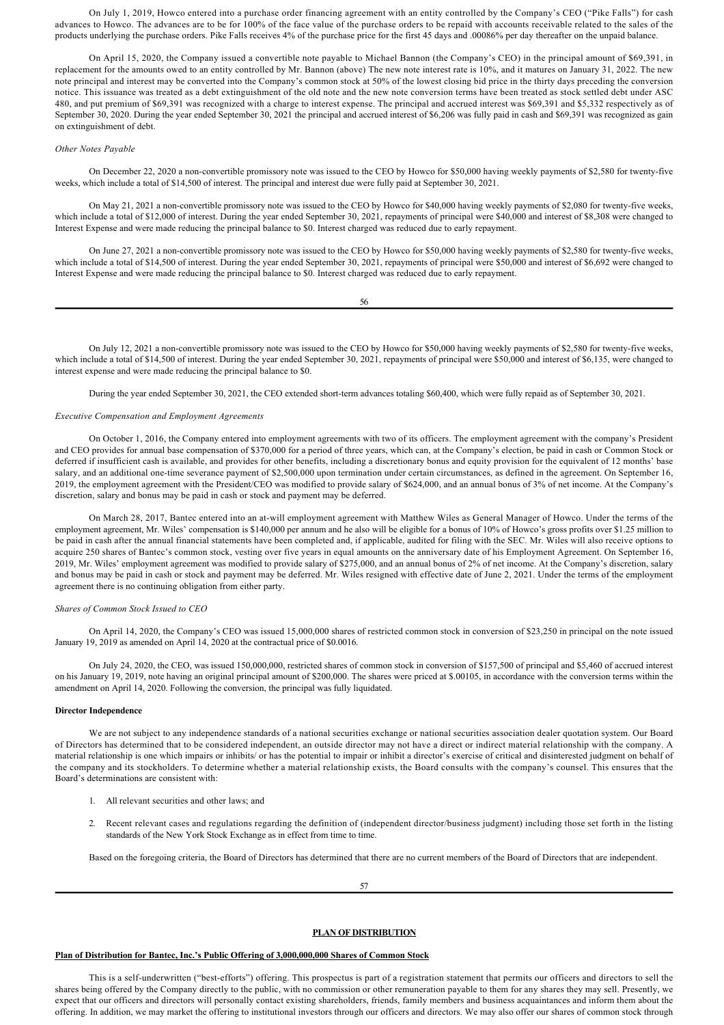On July 1, 2019, Howco entered into a purchase order financing agreement with an entity controlled by the Company's CEO ("Pike Falls") for cash advances to Howco. The advances are to be for 100% of the face value of the purchase orders to be repaid with accounts receivable related to the sales of the products underlying the purchase orders. Pike Falls receives 4% of the purchase price for the first 45 days and .00086% per day thereafter on the unpaid balance.

On April 15, 2020, the Company issued a convertible note payable to Michael Bannon (the Company's CEO) in the principal amount of \$69,391, in replacement for the amounts owed to an entity controlled by Mr. Bannon (above) The new note interest rate is 10%, and it matures on January 31, 2022. The new note principal and interest may be converted into the Company's common stock at 50% of the lowest closing bid price in the thirty days preceding the conversion notice. This issuance was treated as a debt extinguishment of the old note and the new note conversion terms have been treated as stock settled debt under ASC 480, and put premium of \$69,391 was recognized with a charge to interest expense. The principal and accrued interest was \$69,391 and \$5,332 respectively as of September 30, 2020. During the year ended September 30, 2021 the principal and accrued interest of \$6,206 was fully paid in cash and \$69,391 was recognized as gain on extinguishment of debt.

#### *Other Notes Payable*

On December 22, 2020 a non-convertible promissory note was issued to the CEO by Howco for \$50,000 having weekly payments of \$2,580 for twenty-five weeks, which include a total of \$14,500 of interest. The principal and interest due were fully paid at September 30, 2021.

On May 21, 2021 a non-convertible promissory note was issued to the CEO by Howco for \$40,000 having weekly payments of \$2,080 for twenty-five weeks, which include a total of \$12,000 of interest. During the year ended September 30, 2021, repayments of principal were \$40,000 and interest of \$8,308 were changed to Interest Expense and were made reducing the principal balance to \$0. Interest charged was reduced due to early repayment.

On June 27, 2021 a non-convertible promissory note was issued to the CEO by Howco for \$50,000 having weekly payments of \$2,580 for twenty-five weeks, which include a total of \$14,500 of interest. During the year ended September 30, 2021, repayments of principal were \$50,000 and interest of \$6,692 were changed to Interest Expense and were made reducing the principal balance to \$0. Interest charged was reduced due to early repayment.

56

On July 12, 2021 a non-convertible promissory note was issued to the CEO by Howco for \$50,000 having weekly payments of \$2,580 for twenty-five weeks, which include a total of \$14,500 of interest. During the year ended September 30, 2021, repayments of principal were \$50,000 and interest of \$6,135, were changed to interest expense and were made reducing the principal balance to \$0.

During the year ended September 30, 2021, the CEO extended short-term advances totaling \$60,400, which were fully repaid as of September 30, 2021.

#### *Executive Compensation and Employment Agreements*

On October 1, 2016, the Company entered into employment agreements with two of its officers. The employment agreement with the company's President and CEO provides for annual base compensation of \$370,000 for a period of three years, which can, at the Company's election, be paid in cash or Common Stock or deferred if insufficient cash is available, and provides for other benefits, including a discretionary bonus and equity provision for the equivalent of 12 months' base salary, and an additional one-time severance payment of \$2,500,000 upon termination under certain circumstances, as defined in the agreement. On September 16, 2019, the employment agreement with the President/CEO was modified to provide salary of \$624,000, and an annual bonus of 3% of net income. At the Company's discretion, salary and bonus may be paid in cash or stock and payment may be deferred.

On March 28, 2017, Bantec entered into an atwill employment agreement with Matthew Wiles as General Manager of Howco. Under the terms of the employment agreement, Mr. Wiles' compensation is \$140,000 per annum and he also will be eligible for a bonus of 10% of Howco's gross profits over \$1.25 million to be paid in cash after the annual financial statements have been completed and, if applicable, audited for filing with the SEC. Mr. Wiles will also receive options to acquire 250 shares of Bantec's common stock, vesting over five years in equal amounts on the anniversary date of his Employment Agreement. On September 16, 2019, Mr. Wiles' employment agreement was modified to provide salary of \$275,000, and an annual bonus of 2% of net income. At the Company's discretion, salary and bonus may be paid in cash or stock and payment may be deferred. Mr. Wiles resigned with effective date of June 2, 2021. Under the terms of the employment agreement there is no continuing obligation from either party.

## *Shares of Common Stock Issued to CEO*

On April 14, 2020, the Company's CEO was issued 15,000,000 shares of restricted common stock in conversion of \$23,250 in principal on the note issued January 19, 2019 as amended on April 14, 2020 at the contractual price of \$0.0016.

On July 24, 2020, the CEO, was issued 150,000,000, restricted shares of common stock in conversion of \$157,500 of principal and \$5,460 of accrued interest on his January 19, 2019, note having an original principal amount of \$200,000. The shares were priced at \$.00105, in accordance with the conversion terms within the amendment on April 14, 2020. Following the conversion, the principal was fully liquidated.

## **Director Independence**

We are not subject to any independence standards of a national securities exchange or national securities association dealer quotation system. Our Board of Directors has determined that to be considered independent, an outside director may not have a direct or indirect material relationship with the company. A material relationship is one which impairs or inhibits/ or has the potential to impair or inhibit a director's exercise of critical and disinterested judgment on behalf of the company and its stockholders. To determine whether a material relationship exists, the Board consults with the company's counsel. This ensures that the Board's determinations are consistent with:

- 1. All relevant securities and other laws; and
- 2. Recent relevant cases and regulations regarding the definition of (independent director/business judgment) including those set forth in the listing standards of the New York Stock Exchange as in effect from time to time.

Based on the foregoing criteria, the Board of Directors has determined that there are no current members of the Board of Directors that are independent.

57

## **PLAN OF DISTRIBUTION**

#### **Plan of Distribution for Bantec, Inc.'s Public Offering of 3,000,000,000 Shares of Common Stock**

This is a self-underwritten ("best-efforts") offering. This prospectus is part of a registration statement that permits our officers and directors to sell the shares being offered by the Company directly to the public, with no commission or other remuneration payable to them for any shares they may sell. Presently, we expect that our officers and directors will personally contact existing shareholders, friends, family members and business acquaintances and inform them about the offering. In addition, we may market the offering to institutional investors through our officers and directors. We may also offer our shares of common stock through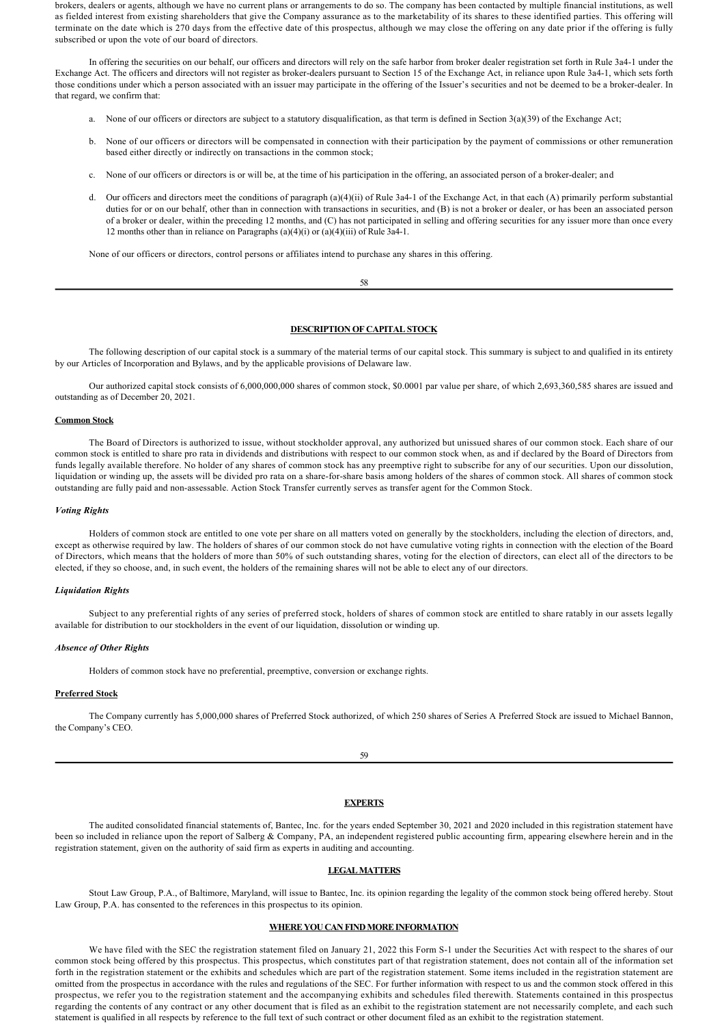brokers, dealers or agents, although we have no current plans or arrangements to do so. The company has been contacted by multiple financial institutions, as well as fielded interest from existing shareholders that give the Company assurance as to the marketability of its shares to these identified parties. This offering will terminate on the date which is 270 days from the effective date of this prospectus, although we may close the offering on any date prior if the offering is fully subscribed or upon the vote of our board of directors.

In offering the securities on our behalf, our officers and directors will rely on the safe harbor from broker dealer registration set forth in Rule 3a4-1 under the Exchange Act. The officers and directors will not register as broker-dealers pursuant to Section 15 of the Exchange Act, in reliance upon Rule 3a4-1, which sets forth those conditions under which a person associated with an issuer may participate in the offering of the Issuer's securities and not be deemed to be a broker-dealer. In that regard, we confirm that:

- a. None of our officers or directors are subject to a statutory disqualification, as that term is defined in Section  $3(a)(39)$  of the Exchange Act;
- b. None of our officers or directors will be compensated in connection with their participation by the payment of commissions or other remuneration based either directly or indirectly on transactions in the common stock;
- c. None of our officers or directors is or will be, at the time of his participation in the offering, an associated person of a brokerdealer; and
- d. Our officers and directors meet the conditions of paragraph (a)(4)(ii) of Rule 3a41 of the Exchange Act, in that each (A) primarily perform substantial duties for or on our behalf, other than in connection with transactions in securities, and (B) is not a broker or dealer, or has been an associated person of a broker or dealer, within the preceding 12 months, and (C) has not participated in selling and offering securities for any issuer more than once every 12 months other than in reliance on Paragraphs (a)(4)(i) or (a)(4)(iii) of Rule 3a4-1.

None of our officers or directors, control persons or affiliates intend to purchase any shares in this offering.

58

## **DESCRIPTION OF CAPITAL STOCK**

The following description of our capital stock is a summary of the material terms of our capital stock. This summary is subject to and qualified in its entirety by our Articles of Incorporation and Bylaws, and by the applicable provisions of Delaware law.

Our authorized capital stock consists of 6,000,000,000 shares of common stock, \$0.0001 par value per share, of which 2,693,360,585 shares are issued and outstanding as of December 20, 2021.

## **Common Stock**

The Board of Directors is authorized to issue, without stockholder approval, any authorized but unissued shares of our common stock. Each share of our common stock is entitled to share pro rata in dividends and distributions with respect to our common stock when, as and if declared by the Board of Directors from funds legally available therefore. No holder of any shares of common stock has any preemptive right to subscribe for any of our securities. Upon our dissolution, liquidation or winding up, the assets will be divided pro rata on a share-for-share basis among holders of the shares of common stock. All shares of common stock outstanding are fully paid and nonassessable. Action Stock Transfer currently serves as transfer agent for the Common Stock.

#### *Voting Rights*

Holders of common stock are entitled to one vote per share on all matters voted on generally by the stockholders, including the election of directors, and, except as otherwise required by law. The holders of shares of our common stock do not have cumulative voting rights in connection with the election of the Board of Directors, which means that the holders of more than 50% of such outstanding shares, voting for the election of directors, can elect all of the directors to be elected, if they so choose, and, in such event, the holders of the remaining shares will not be able to elect any of our directors.

## *Liquidation Rights*

Subject to any preferential rights of any series of preferred stock, holders of shares of common stock are entitled to share ratably in our assets legally available for distribution to our stockholders in the event of our liquidation, dissolution or winding up.

#### *Absence of Other Rights*

Holders of common stock have no preferential, preemptive, conversion or exchange rights.

## **Preferred Stock**

The Company currently has 5,000,000 shares of Preferred Stock authorized, of which 250 shares of Series A Preferred Stock are issued to Michael Bannon, the Company's CEO.

59

#### **EXPERTS**

The audited consolidated financial statements of, Bantec, Inc. for the years ended September 30, 2021 and 2020 included in this registration statement have been so included in reliance upon the report of Salberg & Company, PA, an independent registered public accounting firm, appearing elsewhere herein and in the registration statement, given on the authority of said firm as experts in auditing and accounting.

#### **LEGAL MATTERS**

Stout Law Group, P.A., of Baltimore, Maryland, will issue to Bantec, Inc. its opinion regarding the legality of the common stock being offered hereby. Stout Law Group, P.A. has consented to the references in this prospectus to its opinion.

## **WHERE YOU CAN FIND MORE INFORMATION**

We have filed with the SEC the registration statement filed on January 21, 2022 this Form S-1 under the Securities Act with respect to the shares of our common stock being offered by this prospectus. This prospectus, which constitutes part of that registration statement, does not contain all of the information set forth in the registration statement or the exhibits and schedules which are part of the registration statement. Some items included in the registration statement are omitted from the prospectus in accordance with the rules and regulations of the SEC. For further information with respect to us and the common stock offered in this prospectus, we refer you to the registration statement and the accompanying exhibits and schedules filed therewith. Statements contained in this prospectus regarding the contents of any contract or any other document that is filed as an exhibit to the registration statement are not necessarily complete, and each such statement is qualified in all respects by reference to the full text of such contract or other document filed as an exhibit to the registration statement.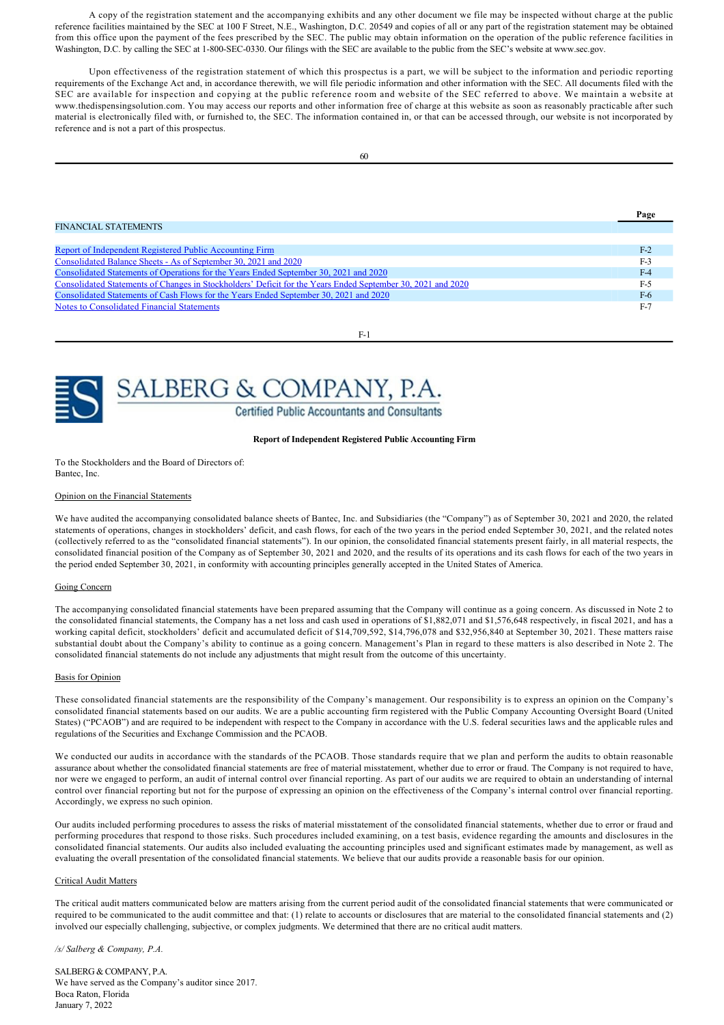A copy of the registration statement and the accompanying exhibits and any other document we file may be inspected without charge at the public reference facilities maintained by the SEC at 100 F Street, N.E., Washington, D.C. 20549 and copies of all or any part of the registration statement may be obtained from this office upon the payment of the fees prescribed by the SEC. The public may obtain information on the operation of the public reference facilities in Washington, D.C. by calling the SEC at 1-800-SEC-0330. Our filings with the SEC are available to the public from the SEC's website at www.sec.gov.

Upon effectiveness of the registration statement of which this prospectus is a part, we will be subject to the information and periodic reporting requirements of the Exchange Act and, in accordance therewith, we will file periodic information and other information with the SEC. All documents filed with the SEC are available for inspection and copying at the public reference room and website of the SEC referred to above. We maintain a website at www.thedispensingsolution.com. You may access our reports and other information free of charge at this website as soon as reasonably practicable after such material is electronically filed with, or furnished to, the SEC. The information contained in, or that can be accessed through, our website is not incorporated by reference and is not a part of this prospectus.

|                                                                                                             | Page  |
|-------------------------------------------------------------------------------------------------------------|-------|
| FINANCIAL STATEMENTS                                                                                        |       |
|                                                                                                             |       |
| <b>Report of Independent Registered Public Accounting Firm</b>                                              | $F-2$ |
| Consolidated Balance Sheets - As of September 30, 2021 and 2020                                             | $F-3$ |
| Consolidated Statements of Operations for the Years Ended September 30, 2021 and 2020                       | $F-4$ |
| Consolidated Statements of Changes in Stockholders' Deficit for the Years Ended September 30, 2021 and 2020 | $F-5$ |
| Consolidated Statements of Cash Flows for the Years Ended September 30, 2021 and 2020                       | $F-6$ |
| Notes to Consolidated Financial Statements                                                                  | $F-7$ |
|                                                                                                             |       |

 $F-1$ 



# SALBERG & COMPANY, P.A.

**Certified Public Accountants and Consultants** 

## **Report of Independent Registered Public Accounting Firm**

To the Stockholders and the Board of Directors of: Bantec, Inc.

#### Opinion on the Financial Statements

We have audited the accompanying consolidated balance sheets of Bantec, Inc. and Subsidiaries (the "Company") as of September 30, 2021 and 2020, the related statements of operations, changes in stockholders' deficit, and cash flows, for each of the two years in the period ended September 30, 2021, and the related notes (collectively referred to as the "consolidated financial statements"). In our opinion, the consolidated financial statements present fairly, in all material respects, the consolidated financial position of the Company as of September 30, 2021 and 2020, and the results of its operations and its cash flows for each of the two years in the period ended September 30, 2021, in conformity with accounting principles generally accepted in the United States of America.

#### Going Concern

The accompanying consolidated financial statements have been prepared assuming that the Company will continue as a going concern. As discussed in Note 2 to the consolidated financial statements, the Company has a net loss and cash used in operations of \$1,882,071 and \$1,576,648 respectively, in fiscal 2021, and has a working capital deficit, stockholders' deficit and accumulated deficit of \$14,709,592, \$14,796,078 and \$32,956,840 at September 30, 2021. These matters raise substantial doubt about the Company's ability to continue as a going concern. Management's Plan in regard to these matters is also described in Note 2. The consolidated financial statements do not include any adjustments that might result from the outcome of this uncertainty.

#### Basis for Opinion

These consolidated financial statements are the responsibility of the Company's management. Our responsibility is to express an opinion on the Company's consolidated financial statements based on our audits. We are a public accounting firm registered with the Public Company Accounting Oversight Board (United States) ("PCAOB") and are required to be independent with respect to the Company in accordance with the U.S. federal securities laws and the applicable rules and regulations of the Securities and Exchange Commission and the PCAOB.

We conducted our audits in accordance with the standards of the PCAOB. Those standards require that we plan and perform the audits to obtain reasonable assurance about whether the consolidated financial statements are free of material misstatement, whether due to error or fraud. The Company is not required to have, nor were we engaged to perform, an audit of internal control over financial reporting. As part of our audits we are required to obtain an understanding of internal control over financial reporting but not for the purpose of expressing an opinion on the effectiveness of the Company's internal control over financial reporting. Accordingly, we express no such opinion.

Our audits included performing procedures to assess the risks of material misstatement of the consolidated financial statements, whether due to error or fraud and performing procedures that respond to those risks. Such procedures included examining, on a test basis, evidence regarding the amounts and disclosures in the consolidated financial statements. Our audits also included evaluating the accounting principles used and significant estimates made by management, as well as evaluating the overall presentation of the consolidated financial statements. We believe that our audits provide a reasonable basis for our opinion.

#### Critical Audit Matters

The critical audit matters communicated below are matters arising from the current period audit of the consolidated financial statements that were communicated or required to be communicated to the audit committee and that: (1) relate to accounts or disclosures that are material to the consolidated financial statements and (2) involved our especially challenging, subjective, or complex judgments. We determined that there are no critical audit matters.

*/s/ Salberg & Company, P.A.*

SALBERG & COMPANY, P.A. We have served as the Company's auditor since 2017. Boca Raton, Florida January 7, 2022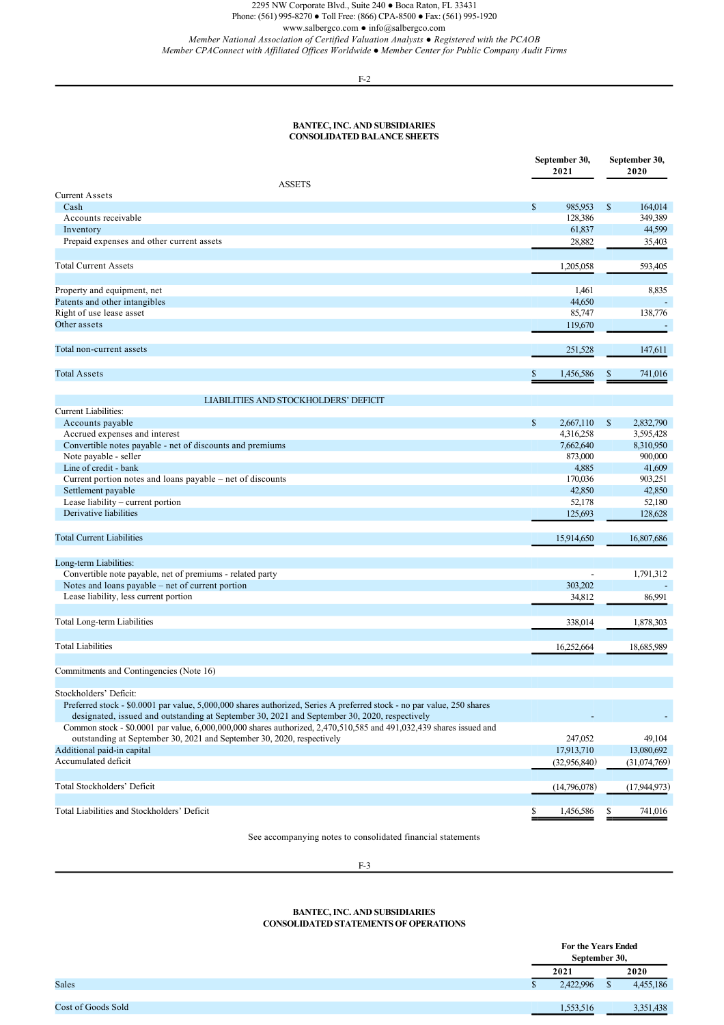## $F-2$

## **BANTEC, INC. AND SUBSIDIARIES CONSOLIDATED BALANCE SHEETS**

|                                                                                                                        |              | September 30,<br>2021 | September 30,<br>2020 |
|------------------------------------------------------------------------------------------------------------------------|--------------|-----------------------|-----------------------|
| <b>ASSETS</b>                                                                                                          |              |                       |                       |
| <b>Current Assets</b>                                                                                                  |              |                       |                       |
| Cash                                                                                                                   | $\mathbb{S}$ | 985,953               | \$<br>164,014         |
| Accounts receivable                                                                                                    |              | 128,386               | 349,389               |
| Inventory                                                                                                              |              | 61,837                | 44,599                |
| Prepaid expenses and other current assets                                                                              |              | 28,882                | 35,403                |
|                                                                                                                        |              |                       |                       |
| <b>Total Current Assets</b>                                                                                            |              | 1,205,058             | 593,405               |
| Property and equipment, net                                                                                            |              | 1,461                 | 8,835                 |
| Patents and other intangibles                                                                                          |              | 44,650                |                       |
| Right of use lease asset                                                                                               |              | 85,747                | 138,776               |
| Other assets                                                                                                           |              | 119,670               |                       |
|                                                                                                                        |              |                       |                       |
| Total non-current assets                                                                                               |              | 251,528               | 147,611               |
|                                                                                                                        |              |                       |                       |
| <b>Total Assets</b>                                                                                                    | \$           | 1,456,586             | \$<br>741,016         |
| <b>LIABILITIES AND STOCKHOLDERS' DEFICIT</b>                                                                           |              |                       |                       |
| <b>Current Liabilities:</b>                                                                                            |              |                       |                       |
| Accounts payable                                                                                                       | $\mathbb{S}$ | 2,667,110             | \$<br>2,832,790       |
| Accrued expenses and interest                                                                                          |              | 4,316,258             | 3,595,428             |
| Convertible notes payable - net of discounts and premiums                                                              |              | 7,662,640             | 8,310,950             |
| Note payable - seller                                                                                                  |              | 873,000               | 900,000               |
| Line of credit - bank                                                                                                  |              | 4,885                 | 41,609                |
| Current portion notes and loans payable – net of discounts                                                             |              | 170,036               | 903,251               |
| Settlement payable                                                                                                     |              | 42,850                | 42,850                |
| Lease liability - current portion                                                                                      |              | 52,178                | 52,180                |
| Derivative liabilities                                                                                                 |              | 125,693               | 128,628               |
|                                                                                                                        |              |                       |                       |
| <b>Total Current Liabilities</b>                                                                                       |              | 15,914,650            | 16,807,686            |
|                                                                                                                        |              |                       |                       |
| Long-term Liabilities:                                                                                                 |              |                       |                       |
| Convertible note payable, net of premiums - related party                                                              |              |                       | 1,791,312             |
| Notes and loans payable - net of current portion                                                                       |              | 303,202               |                       |
| Lease liability, less current portion                                                                                  |              | 34,812                | 86,991                |
|                                                                                                                        |              |                       |                       |
| Total Long-term Liabilities                                                                                            |              | 338,014               | 1,878,303             |
| <b>Total Liabilities</b>                                                                                               |              | 16,252,664            | 18,685,989            |
|                                                                                                                        |              |                       |                       |
| Commitments and Contingencies (Note 16)                                                                                |              |                       |                       |
| Stockholders' Deficit:                                                                                                 |              |                       |                       |
| Preferred stock - \$0.0001 par value, 5,000,000 shares authorized, Series A preferred stock - no par value, 250 shares |              |                       |                       |
| designated, issued and outstanding at September 30, 2021 and September 30, 2020, respectively                          |              |                       |                       |
| Common stock - \$0,0001 par value, 6,000,000,000 shares authorized, 2,470,510,585 and 491,032,439 shares issued and    |              |                       |                       |
| outstanding at September 30, 2021 and September 30, 2020, respectively                                                 |              | 247,052               | 49,104                |
| Additional paid-in capital                                                                                             |              | 17,913,710            | 13,080,692            |
| Accumulated deficit                                                                                                    |              | (32,956,840)          | (31,074,769)          |
|                                                                                                                        |              |                       |                       |
| Total Stockholders' Deficit                                                                                            |              | (14,796,078)          | (17, 944, 973)        |
|                                                                                                                        |              |                       |                       |
| Total Liabilities and Stockholders' Deficit                                                                            |              | 1,456,586             | \$<br>741,016         |
|                                                                                                                        |              |                       |                       |

See accompanying notes to consolidated financial statements

 $F-3$ 

## **BANTEC, INC. AND SUBSIDIARIES CONSOLIDATED STATEMENTS OF OPERATIONS**

|                    | <b>For the Years Ended</b><br>September 30, |  |           |
|--------------------|---------------------------------------------|--|-----------|
|                    | 2021                                        |  | 2020      |
| <b>Sales</b>       | 2,422,996                                   |  | 4,455,186 |
|                    |                                             |  |           |
| Cost of Goods Sold | 1,553,516                                   |  | 3,351,438 |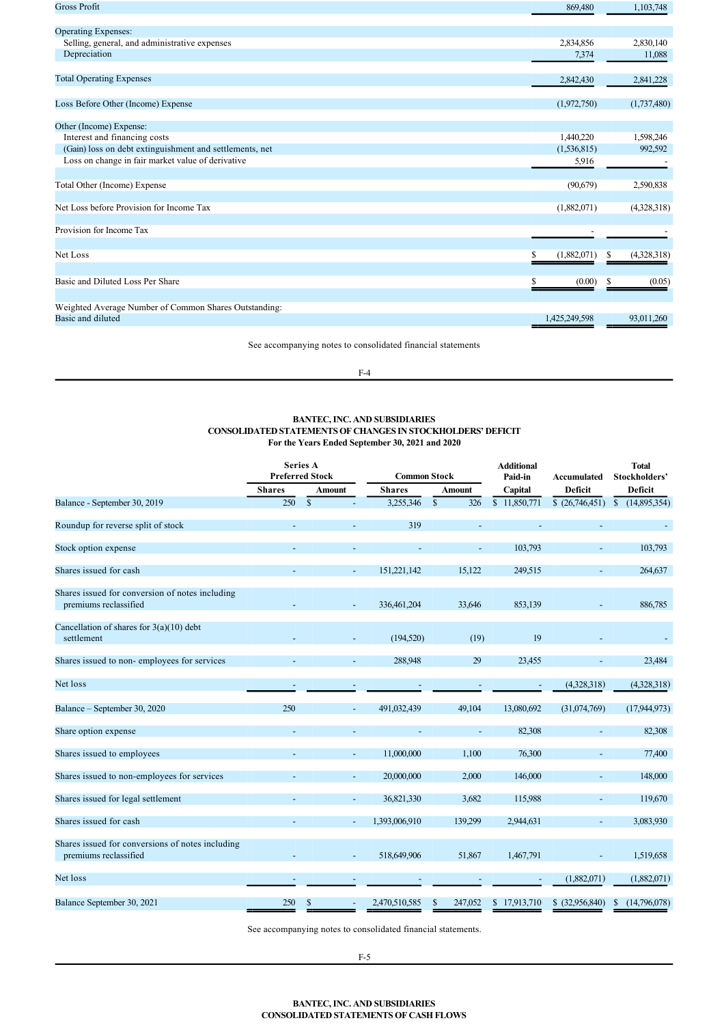| <b>Gross Profit</b>                                     | 869,480       | 1,103,748       |
|---------------------------------------------------------|---------------|-----------------|
|                                                         |               |                 |
| <b>Operating Expenses:</b>                              |               |                 |
| Selling, general, and administrative expenses           | 2,834,856     | 2,830,140       |
| Depreciation                                            | 7,374         | 11,088          |
| <b>Total Operating Expenses</b>                         | 2,842,430     | 2,841,228       |
| Loss Before Other (Income) Expense                      | (1,972,750)   | (1,737,480)     |
| Other (Income) Expense:                                 |               |                 |
| Interest and financing costs                            | 1,440,220     | 1,598,246       |
| (Gain) loss on debt extinguishment and settlements, net | (1, 536, 815) | 992,592         |
| Loss on change in fair market value of derivative       | 5,916         |                 |
| Total Other (Income) Expense                            | (90,679)      | 2,590,838       |
| Net Loss before Provision for Income Tax                | (1,882,071)   | (4,328,318)     |
| Provision for Income Tax                                |               |                 |
| Net Loss                                                | (1,882,071)   | (4.328.318<br>Ъ |
| Basic and Diluted Loss Per Share                        | (0.00)        | (0.05)<br>S     |
|                                                         |               |                 |
| Weighted Average Number of Common Shares Outstanding:   |               |                 |
| Basic and diluted                                       | 1,425,249,598 | 93,011,260      |

See accompanying notes to consolidated financial statements

F-4

## **BANTEC, INC. AND SUBSIDIARIES CONSOLIDATED STATEMENTS OF CHANGES IN STOCKHOLDERS' DEFICIT For the Years Ended September 30, 2021 and 2020**

|                                                                           |                | <b>Series A</b><br><b>Preferred Stock</b> | <b>Common Stock</b> |                     | <b>Additional</b><br>Paid-in | Accumulated              | <b>Total</b><br>Stockholders' |
|---------------------------------------------------------------------------|----------------|-------------------------------------------|---------------------|---------------------|------------------------------|--------------------------|-------------------------------|
|                                                                           | <b>Shares</b>  | Amount                                    | <b>Shares</b>       | Amount              | Capital                      | Deficit                  | Deficit                       |
| Balance - September 30, 2019                                              | 250            | $\mathcal{S}$                             | 3,255,346           | $\mathbb{S}$<br>326 | 11,850,771<br>$\mathbf{s}$   | \$(26,746,451)           | (14,895,354)<br>$\mathbf{s}$  |
| Roundup for reverse split of stock                                        |                |                                           | 319                 |                     |                              |                          |                               |
| Stock option expense                                                      |                |                                           |                     |                     | 103,793                      | $\blacksquare$           | 103,793                       |
| Shares issued for cash                                                    |                | $\overline{\phantom{a}}$                  | 151,221,142         | 15,122              | 249,515                      | $\overline{a}$           | 264,637                       |
| Shares issued for conversion of notes including<br>premiums reclassified  |                |                                           | 336,461,204         | 33,646              | 853,139                      |                          | 886,785                       |
| Cancellation of shares for $3(a)(10)$ debt<br>settlement                  |                |                                           | (194, 520)          | (19)                | 19                           |                          |                               |
| Shares issued to non-employees for services                               |                | $\blacksquare$                            | 288,948             | 29                  | 23,455                       |                          | 23,484                        |
| Net loss                                                                  |                |                                           |                     |                     |                              | (4,328,318)              | (4,328,318)                   |
| Balance - September 30, 2020                                              | 250            | $\blacksquare$                            | 491,032,439         | 49,104              | 13,080,692                   | (31,074,769)             | (17, 944, 973)                |
| Share option expense                                                      |                |                                           |                     | $\overline{a}$      | 82,308                       | $\overline{a}$           | 82,308                        |
| Shares issued to employees                                                |                | $\blacksquare$                            | 11,000,000          | 1,100               | 76,300                       | $\blacksquare$           | 77,400                        |
| Shares issued to non-employees for services                               |                | $\overline{\phantom{a}}$                  | 20,000,000          | 2,000               | 146,000                      | $\overline{\phantom{a}}$ | 148,000                       |
| Shares issued for legal settlement                                        | $\blacksquare$ | $\blacksquare$                            | 36,821,330          | 3,682               | 115.988                      | $\sim$                   | 119,670                       |
| Shares issued for cash                                                    |                | $\overline{\phantom{a}}$                  | 1,393,006,910       | 139,299             | 2,944,631                    | $\overline{\phantom{a}}$ | 3,083,930                     |
| Shares issued for conversions of notes including<br>premiums reclassified |                | $\overline{\phantom{a}}$                  | 518,649,906         | 51,867              | 1,467,791                    |                          | 1,519,658                     |
| Net loss                                                                  |                |                                           |                     |                     |                              | (1,882,071)              | (1,882,071)                   |
| Balance September 30, 2021                                                | 250            | S                                         | 2,470,510,585       | 247,052<br>\$       | \$17,913,710                 | $$$ (32,956,840)         | (14,796,078)                  |

See accompanying notes to consolidated financial statements.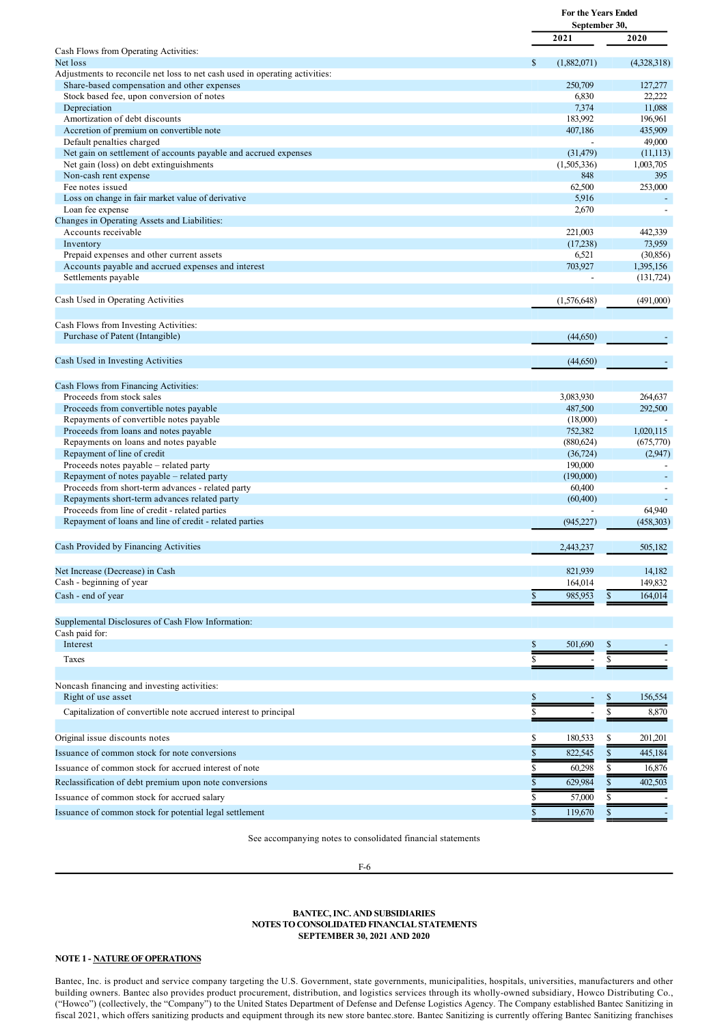|                                                                                                   | <b>For the Years Ended</b><br>September 30, |                          |
|---------------------------------------------------------------------------------------------------|---------------------------------------------|--------------------------|
|                                                                                                   | 2021                                        | 2020                     |
| Cash Flows from Operating Activities:                                                             |                                             |                          |
| Net loss<br>Adjustments to reconcile net loss to net cash used in operating activities:           | \$<br>(1,882,071)                           | (4,328,318)              |
| Share-based compensation and other expenses                                                       | 250,709                                     | 127,277                  |
| Stock based fee, upon conversion of notes                                                         | 6,830                                       | 22,222                   |
| Depreciation                                                                                      | 7,374                                       | 11,088                   |
| Amortization of debt discounts                                                                    | 183,992                                     | 196,961                  |
| Accretion of premium on convertible note                                                          | 407,186                                     | 435,909                  |
| Default penalties charged                                                                         |                                             | 49,000                   |
| Net gain on settlement of accounts payable and accrued expenses                                   | (31, 479)                                   | (11, 113)                |
| Net gain (loss) on debt extinguishments<br>Non-cash rent expense                                  | (1,505,336)<br>848                          | 1,003,705<br>395         |
| Fee notes issued                                                                                  | 62,500                                      | 253,000                  |
| Loss on change in fair market value of derivative                                                 | 5,916                                       |                          |
| Loan fee expense                                                                                  | 2,670                                       | $\overline{\phantom{a}}$ |
| Changes in Operating Assets and Liabilities:                                                      |                                             |                          |
| Accounts receivable                                                                               | 221,003                                     | 442,339                  |
| Inventory                                                                                         | (17,238)                                    | 73,959                   |
| Prepaid expenses and other current assets                                                         | 6,521                                       | (30, 856)                |
| Accounts payable and accrued expenses and interest                                                | 703,927                                     | 1,395,156                |
| Settlements payable                                                                               |                                             | (131, 724)               |
|                                                                                                   |                                             |                          |
| Cash Used in Operating Activities                                                                 | (1,576,648)                                 | (491,000)                |
| Cash Flows from Investing Activities:                                                             |                                             |                          |
| Purchase of Patent (Intangible)                                                                   | (44,650)                                    |                          |
|                                                                                                   |                                             |                          |
| Cash Used in Investing Activities                                                                 | (44,650)                                    |                          |
|                                                                                                   |                                             |                          |
| Cash Flows from Financing Activities:                                                             |                                             |                          |
| Proceeds from stock sales                                                                         | 3,083,930                                   | 264,637                  |
| Proceeds from convertible notes payable                                                           | 487,500                                     | 292,500                  |
| Repayments of convertible notes payable                                                           | (18,000)                                    |                          |
| Proceeds from loans and notes payable                                                             | 752,382                                     | 1,020,115                |
| Repayments on loans and notes payable                                                             | (880, 624)                                  | (675,770)                |
| Repayment of line of credit                                                                       | (36, 724)                                   | (2,947)                  |
| Proceeds notes payable - related party                                                            | 190,000                                     |                          |
| Repayment of notes payable - related party                                                        | (190,000)                                   |                          |
| Proceeds from short-term advances - related party<br>Repayments short-term advances related party | 60,400<br>(60, 400)                         |                          |
| Proceeds from line of credit - related parties                                                    |                                             | 64,940                   |
| Repayment of loans and line of credit - related parties                                           | (945, 227)                                  | (458, 303)               |
|                                                                                                   |                                             |                          |
| Cash Provided by Financing Activities                                                             | 2,443,237                                   | 505,182                  |
|                                                                                                   |                                             |                          |
| Net Increase (Decrease) in Cash                                                                   | 821.939                                     | 14,182                   |
| Cash - beginning of year                                                                          | 164,014                                     | 149,832                  |
| Cash - end of year                                                                                | 985,953                                     | 164,014<br>\$            |
|                                                                                                   |                                             |                          |
| Supplemental Disclosures of Cash Flow Information:                                                |                                             |                          |
| Cash paid for:                                                                                    |                                             |                          |
| Interest                                                                                          | \$<br>501,690                               | \$                       |
| Taxes                                                                                             | S                                           |                          |
|                                                                                                   |                                             |                          |
| Noncash financing and investing activities:                                                       |                                             |                          |
| Right of use asset                                                                                | \$                                          | 156,554<br>\$            |
|                                                                                                   | S                                           | \$                       |
| Capitalization of convertible note accrued interest to principal                                  |                                             | 8,870                    |
|                                                                                                   |                                             |                          |
| Original issue discounts notes                                                                    | \$<br>180,533                               | 201,201<br>S             |
| Issuance of common stock for note conversions                                                     | 822,545<br>\$                               | 445,184                  |
| Issuance of common stock for accrued interest of note                                             | 60,298<br>S                                 | 16,876<br>\$             |
| Reclassification of debt premium upon note conversions                                            | 629,984<br>S                                | 402,503                  |
| Issuance of common stock for accrued salary                                                       | 57,000<br>\$                                | \$                       |
|                                                                                                   |                                             |                          |
| Issuance of common stock for potential legal settlement                                           | \$<br>119,670                               | \$                       |

See accompanying notes to consolidated financial statements

F-6

## **BANTEC, INC. AND SUBSIDIARIES NOTES TO CONSOLIDATED FINANCIAL STATEMENTS SEPTEMBER 30, 2021 AND 2020**

## **NOTE 1 NATURE OF OPERATIONS**

Bantec, Inc. is product and service company targeting the U.S. Government, state governments, municipalities, hospitals, universities, manufacturers and other building owners. Bantec also provides product procurement, distribution, and logistics services through its wholly-owned subsidiary, Howco Distributing Co., ("Howco") (collectively, the "Company") to the United States Department of Defense and Defense Logistics Agency. The Company established Bantec Sanitizing in fiscal 2021, which offers sanitizing products and equipment through its new store bantec.store. Bantec Sanitizing is currently offering Bantec Sanitizing franchises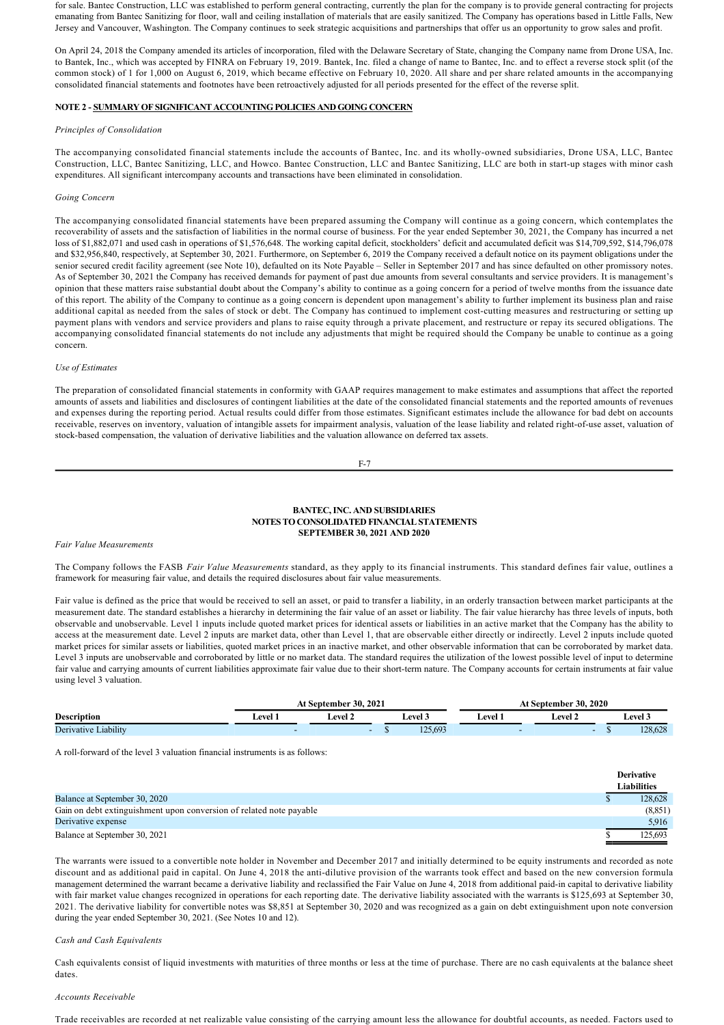for sale. Bantec Construction, LLC was established to perform general contracting, currently the plan for the company is to provide general contracting for projects emanating from Bantec Sanitizing for floor, wall and ceiling installation of materials that are easily sanitized. The Company has operations based in Little Falls, New Jersey and Vancouver, Washington. The Company continues to seek strategic acquisitions and partnerships that offer us an opportunity to grow sales and profit.

On April 24, 2018 the Company amended its articles of incorporation, filed with the Delaware Secretary of State, changing the Company name from Drone USA, Inc. to Bantek, Inc., which was accepted by FINRA on February 19, 2019. Bantek, Inc. filed a change of name to Bantec, Inc. and to effect a reverse stock split (of the common stock) of 1 for 1,000 on August 6, 2019, which became effective on February 10, 2020. All share and per share related amounts in the accompanying consolidated financial statements and footnotes have been retroactively adjusted for all periods presented for the effect of the reverse split.

## **NOTE 2 SUMMARY OF SIGNIFICANT ACCOUNTING POLICIES AND GOING CONCERN**

#### *Principles of Consolidation*

The accompanying consolidated financial statements include the accounts of Bantec, Inc. and its wholly-owned subsidiaries, Drone USA, LLC, Bantec Construction, LLC, Bantec Sanitizing, LLC, and Howco. Bantec Construction, LLC and Bantec Sanitizing, LLC are both in start-up stages with minor cash expenditures. All significant intercompany accounts and transactions have been eliminated in consolidation.

#### *Going Concern*

The accompanying consolidated financial statements have been prepared assuming the Company will continue as a going concern, which contemplates the recoverability of assets and the satisfaction of liabilities in the normal course of business. For the year ended September 30, 2021, the Company has incurred a net loss of \$1,882,071 and used cash in operations of \$1,576,648. The working capital deficit, stockholders' deficit and accumulated deficit was \$14,709,592, \$14,796,078 and \$32,956,840, respectively, at September 30, 2021. Furthermore, on September 6, 2019 the Company received a default notice on its payment obligations under the senior secured credit facility agreement (see Note 10), defaulted on its Note Payable – Seller in September 2017 and has since defaulted on other promissory notes. As of September 30, 2021 the Company has received demands for payment of past due amounts from several consultants and service providers. It is management's opinion that these matters raise substantial doubt about the Company's ability to continue as a going concern for a period of twelve months from the issuance date of this report. The ability of the Company to continue as a going concern is dependent upon management's ability to further implement its business plan and raise additional capital as needed from the sales of stock or debt. The Company has continued to implement cost-cutting measures and restructuring or setting up payment plans with vendors and service providers and plans to raise equity through a private placement, and restructure or repay its secured obligations. The accompanying consolidated financial statements do not include any adjustments that might be required should the Company be unable to continue as a going concern.

#### *Use of Estimates*

The preparation of consolidated financial statements in conformity with GAAP requires management to make estimates and assumptions that affect the reported amounts of assets and liabilities and disclosures of contingent liabilities at the date of the consolidated financial statements and the reported amounts of revenues and expenses during the reporting period. Actual results could differ from those estimates. Significant estimates include the allowance for bad debt on accounts receivable, reserves on inventory, valuation of intangible assets for impairment analysis, valuation of the lease liability and related right-of-use asset, valuation of stock-based compensation, the valuation of derivative liabilities and the valuation allowance on deferred tax assets.

#### $F-7$

## **BANTEC, INC. AND SUBSIDIARIES NOTES TO CONSOLIDATED FINANCIAL STATEMENTS SEPTEMBER 30, 2021 AND 2020**

#### *Fair Value Measurements*

The Company follows the FASB *Fair Value Measurements* standard, as they apply to its financial instruments. This standard defines fair value, outlines a framework for measuring fair value, and details the required disclosures about fair value measurements.

Fair value is defined as the price that would be received to sell an asset, or paid to transfer a liability, in an orderly transaction between market participants at the measurement date. The standard establishes a hierarchy in determining the fair value of an asset or liability. The fair value hierarchy has three levels of inputs, both observable and unobservable. Level 1 inputs include quoted market prices for identical assets or liabilities in an active market that the Company has the ability to access at the measurement date. Level 2 inputs are market data, other than Level 1, that are observable either directly or indirectly. Level 2 inputs include quoted market prices for similar assets or liabilities, quoted market prices in an inactive market, and other observable information that can be corroborated by market data. Level 3 inputs are unobservable and corroborated by little or no market data. The standard requires the utilization of the lowest possible level of input to determine fair value and carrying amounts of current liabilities approximate fair value due to their short-term nature. The Company accounts for certain instruments at fair value using level 3 valuation.

|                      |         | t September 30, 2021 |         |       | <b>September 30, 2020</b> |                |
|----------------------|---------|----------------------|---------|-------|---------------------------|----------------|
| <b>Description</b>   | ⊥evel ' | evel 2               | ⊥evel 3 | Level | Level 2                   | <b>Level 3</b> |
| Derivative Liability |         |                      | 125.693 |       | $\overline{\phantom{a}}$  | 128,628        |

A roll-forward of the level 3 valuation financial instruments is as follows:

|                                                                     | <b>Derivative</b>  |
|---------------------------------------------------------------------|--------------------|
|                                                                     | <b>Liabilities</b> |
| Balance at September 30, 2020                                       | 128,628            |
| Gain on debt extinguishment upon conversion of related note payable | (8,851)            |
| Derivative expense                                                  | 5.916              |
| Balance at September 30, 2021                                       | 125.693            |

The warrants were issued to a convertible note holder in November and December 2017 and initially determined to be equity instruments and recorded as note discount and as additional paid in capital. On June 4, 2018 the anti-dilutive provision of the warrants took effect and based on the new conversion formula management determined the warrant became a derivative liability and reclassified the Fair Value on June 4, 2018 from additional paid-in capital to derivative liability with fair market value changes recognized in operations for each reporting date. The derivative liability associated with the warrants is \$125,693 at September 30, 2021. The derivative liability for convertible notes was \$8,851 at September 30, 2020 and was recognized as a gain on debt extinguishment upon note conversion during the year ended September 30, 2021. (See Notes 10 and 12).

#### *Cash and Cash Equivalents*

Cash equivalents consist of liquid investments with maturities of three months or less at the time of purchase. There are no cash equivalents at the balance sheet dates

## *Accounts Receivable*

Trade receivables are recorded at net realizable value consisting of the carrying amount less the allowance for doubtful accounts, as needed. Factors used to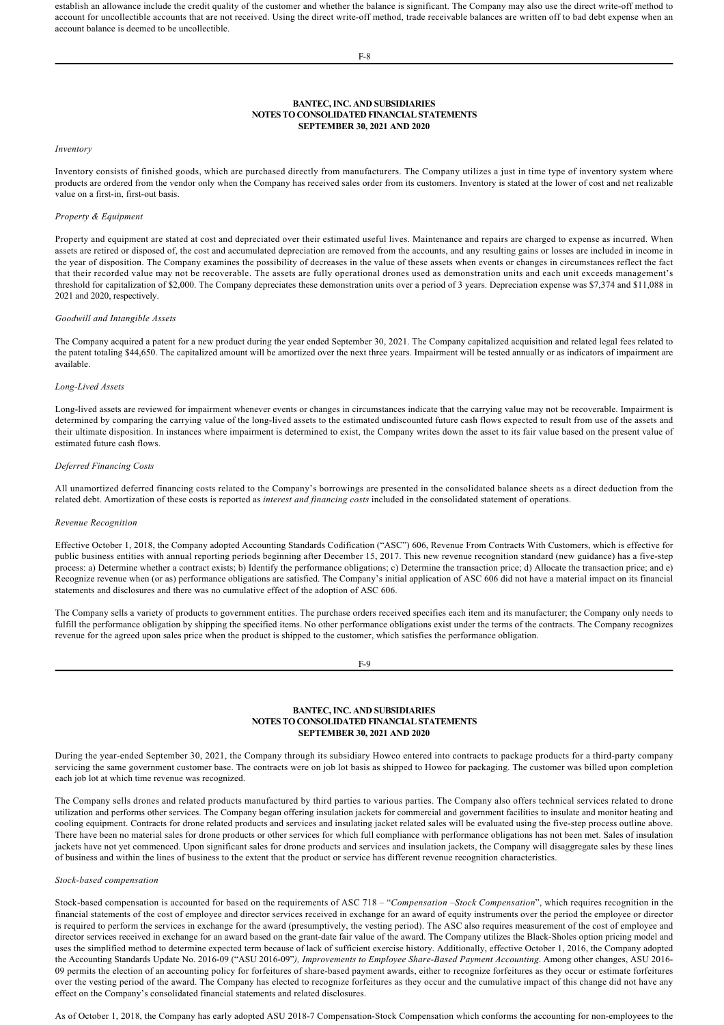establish an allowance include the credit quality of the customer and whether the balance is significant. The Company may also use the direct write-off method to account for uncollectible accounts that are not received. Using the direct write-off method, trade receivable balances are written off to bad debt expense when an account balance is deemed to be uncollectible.

## **BANTEC, INC. AND SUBSIDIARIES NOTES TO CONSOLIDATED FINANCIAL STATEMENTS SEPTEMBER 30, 2021 AND 2020**

#### *Inventory*

Inventory consists of finished goods, which are purchased directly from manufacturers. The Company utilizes a just in time type of inventory system where products are ordered from the vendor only when the Company has received sales order from its customers. Inventory is stated at the lower of cost and net realizable value on a first-in, first-out basis.

#### *Property & Equipment*

Property and equipment are stated at cost and depreciated over their estimated useful lives. Maintenance and repairs are charged to expense as incurred. When assets are retired or disposed of, the cost and accumulated depreciation are removed from the accounts, and any resulting gains or losses are included in income in the year of disposition. The Company examines the possibility of decreases in the value of these assets when events or changes in circumstances reflect the fact that their recorded value may not be recoverable. The assets are fully operational drones used as demonstration units and each unit exceeds management's threshold for capitalization of \$2,000. The Company depreciates these demonstration units over a period of 3 years. Depreciation expense was \$7,374 and \$11,088 in 2021 and 2020, respectively.

#### *Goodwill and Intangible Assets*

The Company acquired a patent for a new product during the year ended September 30, 2021. The Company capitalized acquisition and related legal fees related to the patent totaling \$44,650. The capitalized amount will be amortized over the next three years. Impairment will be tested annually or as indicators of impairment are available.

#### *LongLived Assets*

Long-lived assets are reviewed for impairment whenever events or changes in circumstances indicate that the carrying value may not be recoverable. Impairment is determined by comparing the carrying value of the long-lived assets to the estimated undiscounted future cash flows expected to result from use of the assets and their ultimate disposition. In instances where impairment is determined to exist, the Company writes down the asset to its fair value based on the present value of estimated future cash flows.

#### *Deferred Financing Costs*

All unamortized deferred financing costs related to the Company's borrowings are presented in the consolidated balance sheets as a direct deduction from the related debt. Amortization of these costs is reported as *interest and financing costs* included in the consolidated statement of operations.

#### *Revenue Recognition*

Effective October 1, 2018, the Company adopted Accounting Standards Codification ("ASC") 606, Revenue From Contracts With Customers, which is effective for public business entities with annual reporting periods beginning after December 15, 2017. This new revenue recognition standard (new guidance) has a five-step process: a) Determine whether a contract exists; b) Identify the performance obligations; c) Determine the transaction price; d) Allocate the transaction price; and e) Recognize revenue when (or as) performance obligations are satisfied. The Company's initial application of ASC 606 did not have a material impact on its financial statements and disclosures and there was no cumulative effect of the adoption of ASC 606.

The Company sells a variety of products to government entities. The purchase orders received specifies each item and its manufacturer; the Company only needs to fulfill the performance obligation by shipping the specified items. No other performance obligations exist under the terms of the contracts. The Company recognizes revenue for the agreed upon sales price when the product is shipped to the customer, which satisfies the performance obligation.

#### $F-9$

## **BANTEC, INC. AND SUBSIDIARIES NOTES TO CONSOLIDATED FINANCIAL STATEMENTS SEPTEMBER 30, 2021 AND 2020**

During the year-ended September 30, 2021, the Company through its subsidiary Howco entered into contracts to package products for a third-party company servicing the same government customer base. The contracts were on job lot basis as shipped to Howco for packaging. The customer was billed upon completion each job lot at which time revenue was recognized.

The Company sells drones and related products manufactured by third parties to various parties. The Company also offers technical services related to drone utilization and performs other services. The Company began offering insulation jackets for commercial and government facilities to insulate and monitor heating and cooling equipment. Contracts for drone related products and services and insulating jacket related sales will be evaluated using the fivestep process outline above. There have been no material sales for drone products or other services for which full compliance with performance obligations has not been met. Sales of insulation jackets have not yet commenced. Upon significant sales for drone products and services and insulation jackets, the Company will disaggregate sales by these lines of business and within the lines of business to the extent that the product or service has different revenue recognition characteristics.

#### **Stock-based compensation**

Stock-based compensation is accounted for based on the requirements of ASC 718 – "Compensation –Stock Compensation", which requires recognition in the financial statements of the cost of employee and director services received in exchange for an award of equity instruments over the period the employee or director is required to perform the services in exchange for the award (presumptively, the vesting period). The ASC also requires measurement of the cost of employee and director services received in exchange for an award based on the grant-date fair value of the award. The Company utilizes the Black-Sholes option pricing model and uses the simplified method to determine expected term because of lack of sufficient exercise history. Additionally, effective October 1, 2016, the Company adopted the Accounting Standards Update No. 2016-09 ("ASU 2016-09"), Improvements to Employee Share-Based Payment Accounting. Among other changes, ASU 2016-09 permits the election of an accounting policy for forfeitures of share-based payment awards, either to recognize forfeitures as they occur or estimate forfeitures over the vesting period of the award. The Company has elected to recognize forfeitures as they occur and the cumulative impact of this change did not have any effect on the Company's consolidated financial statements and related disclosures.

As of October 1, 2018, the Company has early adopted ASU 2018-7 Compensation-Stock Compensation which conforms the accounting for non-employees to the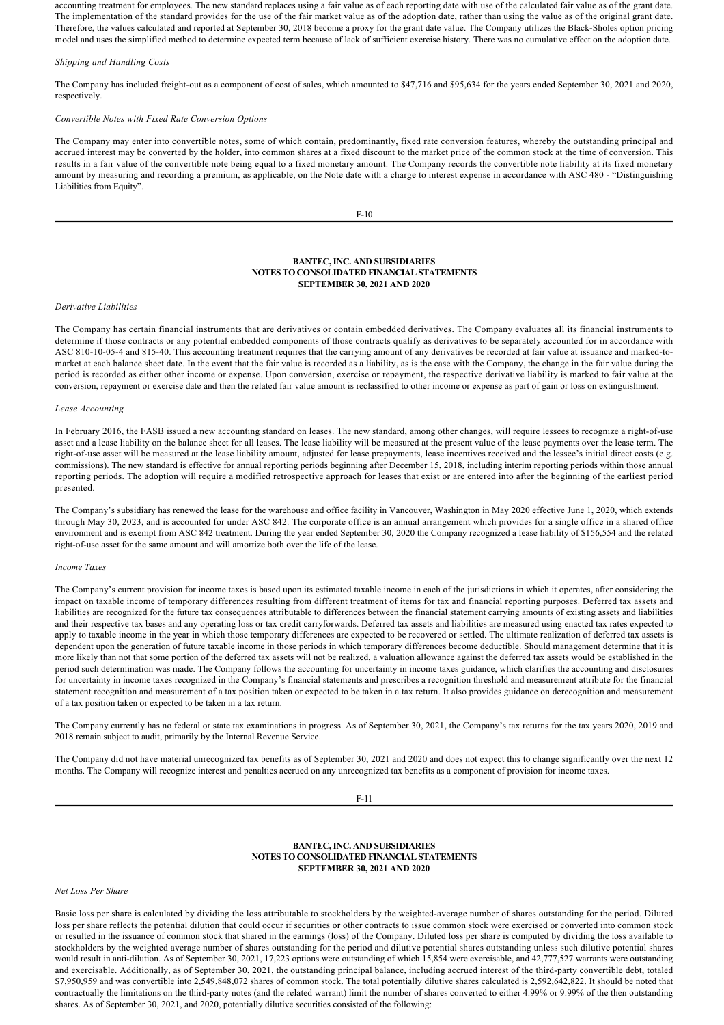accounting treatment for employees. The new standard replaces using a fair value as of each reporting date with use of the calculated fair value as of the grant date. The implementation of the standard provides for the use of the fair market value as of the adoption date, rather than using the value as of the original grant date. Therefore, the values calculated and reported at September 30, 2018 become a proxy for the grant date value. The Company utilizes the Black-Sholes option pricing model and uses the simplified method to determine expected term because of lack of sufficient exercise history. There was no cumulative effect on the adoption date.

## *Shipping and Handling Costs*

The Company has included freight-out as a component of cost of sales, which amounted to \$47,716 and \$95,634 for the years ended September 30, 2021 and 2020, respectively.

#### *Convertible Notes with Fixed Rate Conversion Options*

The Company may enter into convertible notes, some of which contain, predominantly, fixed rate conversion features, whereby the outstanding principal and accrued interest may be converted by the holder, into common shares at a fixed discount to the market price of the common stock at the time of conversion. This results in a fair value of the convertible note being equal to a fixed monetary amount. The Company records the convertible note liability at its fixed monetary amount by measuring and recording a premium, as applicable, on the Note date with a charge to interest expense in accordance with ASC 480 - "Distinguishing Liabilities from Equity".

 $F-10$ 

## **BANTEC, INC. AND SUBSIDIARIES NOTES TO CONSOLIDATED FINANCIAL STATEMENTS SEPTEMBER 30, 2021 AND 2020**

#### *Derivative Liabilities*

The Company has certain financial instruments that are derivatives or contain embedded derivatives. The Company evaluates all its financial instruments to determine if those contracts or any potential embedded components of those contracts qualify as derivatives to be separately accounted for in accordance with ASC 810-10-05-4 and 815-40. This accounting treatment requires that the carrying amount of any derivatives be recorded at fair value at issuance and marked-tomarket at each balance sheet date. In the event that the fair value is recorded as a liability, as is the case with the Company, the change in the fair value during the period is recorded as either other income or expense. Upon conversion, exercise or repayment, the respective derivative liability is marked to fair value at the conversion, repayment or exercise date and then the related fair value amount is reclassified to other income or expense as part of gain or loss on extinguishment.

#### *Lease Accounting*

In February 2016, the FASB issued a new accounting standard on leases. The new standard, among other changes, will require lessees to recognize a right-of-use asset and a lease liability on the balance sheet for all leases. The lease liability will be measured at the present value of the lease payments over the lease term. The right-of-use asset will be measured at the lease liability amount, adjusted for lease prepayments, lease incentives received and the lessee's initial direct costs (e.g. commissions). The new standard is effective for annual reporting periods beginning after December 15, 2018, including interim reporting periods within those annual reporting periods. The adoption will require a modified retrospective approach for leases that exist or are entered into after the beginning of the earliest period presented.

The Company's subsidiary has renewed the lease for the warehouse and office facility in Vancouver, Washington in May 2020 effective June 1, 2020, which extends through May 30, 2023, and is accounted for under ASC 842. The corporate office is an annual arrangement which provides for a single office in a shared office environment and is exempt from ASC 842 treatment. During the year ended September 30, 2020 the Company recognized a lease liability of \$156,554 and the related right-of-use asset for the same amount and will amortize both over the life of the lease.

#### *Income Taxes*

The Company's current provision for income taxes is based upon its estimated taxable income in each of the jurisdictions in which it operates, after considering the impact on taxable income of temporary differences resulting from different treatment of items for tax and financial reporting purposes. Deferred tax assets and liabilities are recognized for the future tax consequences attributable to differences between the financial statement carrying amounts of existing assets and liabilities and their respective tax bases and any operating loss or tax credit carryforwards. Deferred tax assets and liabilities are measured using enacted tax rates expected to apply to taxable income in the year in which those temporary differences are expected to be recovered or settled. The ultimate realization of deferred tax assets is dependent upon the generation of future taxable income in those periods in which temporary differences become deductible. Should management determine that it is more likely than not that some portion of the deferred tax assets will not be realized, a valuation allowance against the deferred tax assets would be established in the period such determination was made. The Company follows the accounting for uncertainty in income taxes guidance, which clarifies the accounting and disclosures for uncertainty in income taxes recognized in the Company's financial statements and prescribes a recognition threshold and measurement attribute for the financial statement recognition and measurement of a tax position taken or expected to be taken in a tax return. It also provides guidance on derecognition and measurement of a tax position taken or expected to be taken in a tax return.

The Company currently has no federal or state tax examinations in progress. As of September 30, 2021, the Company's tax returns for the tax years 2020, 2019 and 2018 remain subject to audit, primarily by the Internal Revenue Service.

The Company did not have material unrecognized tax benefits as of September 30, 2021 and 2020 and does not expect this to change significantly over the next 12 months. The Company will recognize interest and penalties accrued on any unrecognized tax benefits as a component of provision for income taxes.

F11

## **BANTEC, INC. AND SUBSIDIARIES NOTES TO CONSOLIDATED FINANCIAL STATEMENTS SEPTEMBER 30, 2021 AND 2020**

#### *Net Loss Per Share*

Basic loss per share is calculated by dividing the loss attributable to stockholders by the weighted-average number of shares outstanding for the period. Diluted loss per share reflects the potential dilution that could occur if securities or other contracts to issue common stock were exercised or converted into common stock or resulted in the issuance of common stock that shared in the earnings (loss) of the Company. Diluted loss per share is computed by dividing the loss available to stockholders by the weighted average number of shares outstanding for the period and dilutive potential shares outstanding unless such dilutive potential shares would result in anti-dilution. As of September 30, 2021, 17,223 options were outstanding of which 15,854 were exercisable, and 42,777,527 warrants were outstanding and exercisable. Additionally, as of September 30, 2021, the outstanding principal balance, including accrued interest of the third-party convertible debt, totaled \$7,950,959 and was convertible into 2,549,848,072 shares of common stock. The total potentially dilutive shares calculated is 2,592,642,822. It should be noted that contractually the limitations on the third-party notes (and the related warrant) limit the number of shares converted to either 4.99% or 9.99% of the then outstanding shares. As of September 30, 2021, and 2020, potentially dilutive securities consisted of the following: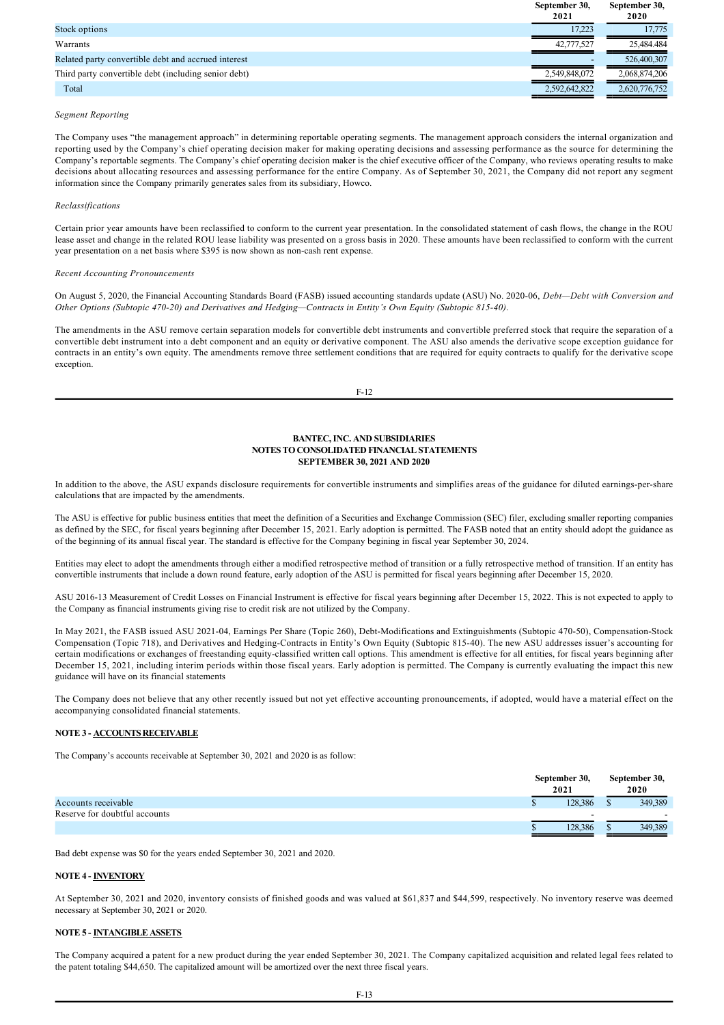|                                                      | September 30,<br>2021 | September 30,<br>2020 |
|------------------------------------------------------|-----------------------|-----------------------|
| Stock options                                        | 17.223                | 17.775                |
| Warrants                                             | 42,777,527            | 25.484.484            |
| Related party convertible debt and accrued interest  |                       | 526,400,307           |
| Third party convertible debt (including senior debt) | 2,549,848,072         | 2,068,874,206         |
| Total                                                | 2,592,642,822         | 2,620,776,752         |

#### *Segment Reporting*

The Company uses "the management approach" in determining reportable operating segments. The management approach considers the internal organization and reporting used by the Company's chief operating decision maker for making operating decisions and assessing performance as the source for determining the Company's reportable segments. The Company's chief operating decision maker is the chief executive officer of the Company, who reviews operating results to make decisions about allocating resources and assessing performance for the entire Company. As of September 30, 2021, the Company did not report any segment information since the Company primarily generates sales from its subsidiary, Howco.

## *Reclassifications*

Certain prior year amounts have been reclassified to conform to the current year presentation. In the consolidated statement of cash flows, the change in the ROU lease asset and change in the related ROU lease liability was presented on a gross basis in 2020. These amounts have been reclassified to conform with the current year presentation on a net basis where \$395 is now shown as noncash rent expense.

#### *Recent Accounting Pronouncements*

On August 5, 2020, the Financial Accounting Standards Board (FASB) issued accounting standards update (ASU) No. 202006, *Debt—Debt with Conversion and Other Options (Subtopic 47020) and Derivatives and Hedging—Contracts in Entity's Own Equity (Subtopic 81540)*.

The amendments in the ASU remove certain separation models for convertible debt instruments and convertible preferred stock that require the separation of a convertible debt instrument into a debt component and an equity or derivative component. The ASU also amends the derivative scope exception guidance for contracts in an entity's own equity. The amendments remove three settlement conditions that are required for equity contracts to qualify for the derivative scope exception.

 $F-12$ 

## **BANTEC, INC. AND SUBSIDIARIES NOTES TO CONSOLIDATED FINANCIAL STATEMENTS SEPTEMBER 30, 2021 AND 2020**

In addition to the above, the ASU expands disclosure requirements for convertible instruments and simplifies areas of the guidance for diluted earnings-per-share calculations that are impacted by the amendments.

The ASU is effective for public business entities that meet the definition of a Securities and Exchange Commission (SEC) filer, excluding smaller reporting companies as defined by the SEC, for fiscal years beginning after December 15, 2021. Early adoption is permitted. The FASB noted that an entity should adopt the guidance as of the beginning of its annual fiscal year. The standard is effective for the Company begining in fiscal year September 30, 2024.

Entities may elect to adopt the amendments through either a modified retrospective method of transition or a fully retrospective method of transition. If an entity has convertible instruments that include a down round feature, early adoption of the ASU is permitted for fiscal years beginning after December 15, 2020.

ASU 2016-13 Measurement of Credit Losses on Financial Instrument is effective for fiscal years beginning after December 15, 2022. This is not expected to apply to the Company as financial instruments giving rise to credit risk are not utilized by the Company.

In May 2021, the FASB issued ASU 2021-04, Earnings Per Share (Topic 260), Debt-Modifications and Extinguishments (Subtopic 470-50), Compensation-Stock Compensation (Topic 718), and Derivatives and Hedging-Contracts in Entity's Own Equity (Subtopic 815-40). The new ASU addresses issuer's accounting for certain modifications or exchanges of freestanding equity-classified written call options. This amendment is effective for all entities, for fiscal years beginning after December 15, 2021, including interim periods within those fiscal years. Early adoption is permitted. The Company is currently evaluating the impact this new guidance will have on its financial statements

The Company does not believe that any other recently issued but not yet effective accounting pronouncements, if adopted, would have a material effect on the accompanying consolidated financial statements.

#### **NOTE 3 ACCOUNTS RECEIVABLE**

The Company's accounts receivable at September 30, 2021 and 2020 is as follow:

|                               | September 30,<br>2021 | September 30,<br>2020 |         |
|-------------------------------|-----------------------|-----------------------|---------|
| Accounts receivable           | 128.386               |                       | 349,389 |
| Reserve for doubtful accounts |                       |                       | -       |
|                               | 128.386               |                       | 349,389 |

Bad debt expense was \$0 for the years ended September 30, 2021 and 2020.

## **NOTE 4 INVENTORY**

At September 30, 2021 and 2020, inventory consists of finished goods and was valued at \$61,837 and \$44,599, respectively. No inventory reserve was deemed necessary at September 30, 2021 or 2020.

## **NOTE 5 INTANGIBLE ASSETS**

The Company acquired a patent for a new product during the year ended September 30, 2021. The Company capitalized acquisition and related legal fees related to the patent totaling \$44,650. The capitalized amount will be amortized over the next three fiscal years.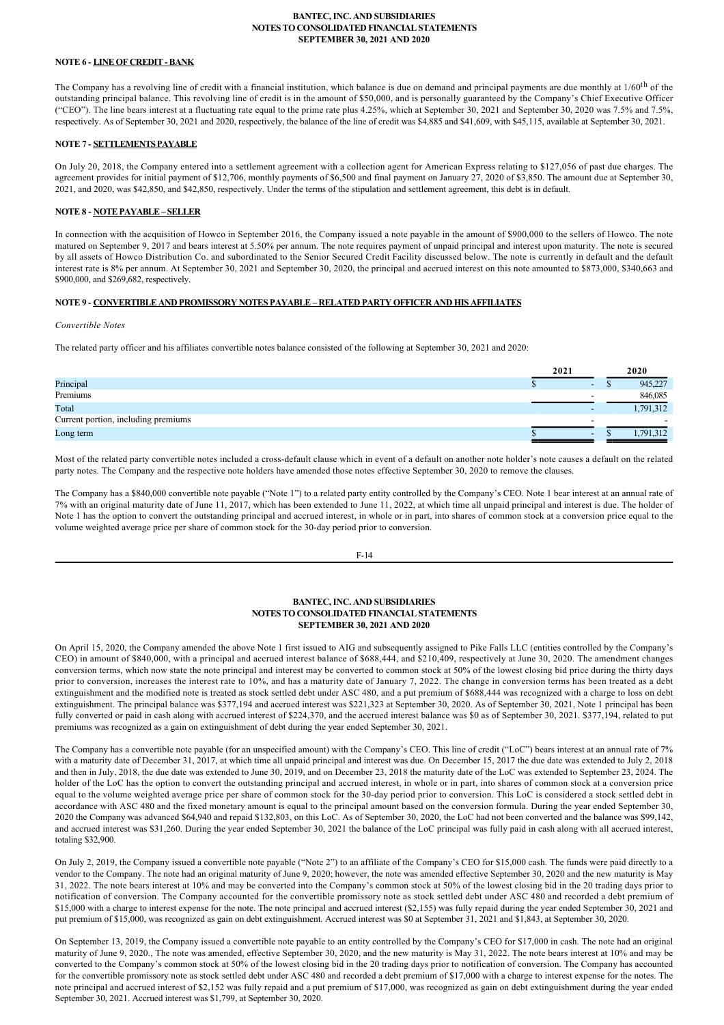#### **BANTEC, INC. AND SUBSIDIARIES NOTES TO CONSOLIDATED FINANCIAL STATEMENTS SEPTEMBER 30, 2021 AND 2020**

## **NOTE 6 - LINE OF CREDIT - BANK**

The Company has a revolving line of credit with a financial institution, which balance is due on demand and principal payments are due monthly at 1/60<sup>th</sup> of the outstanding principal balance. This revolving line of credit is in the amount of \$50,000, and is personally guaranteed by the Company's Chief Executive Officer ("CEO"). The line bears interest at a fluctuating rate equal to the prime rate plus 4.25%, which at September 30, 2021 and September 30, 2020 was 7.5% and 7.5%, respectively. As of September 30, 2021 and 2020, respectively, the balance of the line of credit was \$4,885 and \$41,609, with \$45,115, available at September 30, 2021.

## **NOTE 7 - SETTLEMENTS PAYABLE**

On July 20, 2018, the Company entered into a settlement agreement with a collection agent for American Express relating to \$127,056 of past due charges. The agreement provides for initial payment of \$12,706, monthly payments of \$6,500 and final payment on January 27, 2020 of \$3,850. The amount due at September 30, 2021, and 2020, was \$42,850, and \$42,850, respectively. Under the terms of the stipulation and settlement agreement, this debt is in default.

## **NOTE 8 - NOTE PAYABLE – SELLER**

In connection with the acquisition of Howco in September 2016, the Company issued a note payable in the amount of \$900,000 to the sellers of Howco. The note matured on September 9, 2017 and bears interest at 5.50% per annum. The note requires payment of unpaid principal and interest upon maturity. The note is secured by all assets of Howco Distribution Co. and subordinated to the Senior Secured Credit Facility discussed below. The note is currently in default and the default interest rate is 8% per annum. At September 30, 2021 and September 30, 2020, the principal and accrued interest on this note amounted to \$873,000, \$340,663 and \$900,000, and \$269,682, respectively.

## **NOTE 9 CONVERTIBLE AND PROMISSORY NOTES PAYABLE – RELATED PARTY OFFICER AND HIS AFFILIATES**

#### *Convertible Notes*

The related party officer and his affiliates convertible notes balance consisted of the following at September 30, 2021 and 2020:

|                                     | 2021 |                          | 2020      |
|-------------------------------------|------|--------------------------|-----------|
| Principal                           |      | $\overline{\phantom{0}}$ | 945,227   |
| Premiums                            |      | $\overline{\phantom{0}}$ | 846,085   |
| Total                               |      |                          | 1,791,312 |
| Current portion, including premiums |      |                          | -         |
| Long term                           |      | $\overline{\phantom{0}}$ | 1,791,312 |

Most of the related party convertible notes included a cross-default clause which in event of a default on another note holder's note causes a default on the related party notes. The Company and the respective note holders have amended those notes effective September 30, 2020 to remove the clauses.

The Company has a \$840,000 convertible note payable ("Note 1") to a related party entity controlled by the Company's CEO. Note 1 bear interest at an annual rate of 7% with an original maturity date of June 11, 2017, which has been extended to June 11, 2022, at which time all unpaid principal and interest is due. The holder of Note 1 has the option to convert the outstanding principal and accrued interest, in whole or in part, into shares of common stock at a conversion price equal to the volume weighted average price per share of common stock for the 30-day period prior to conversion.

 $F-14$ 

## **BANTEC, INC. AND SUBSIDIARIES NOTES TO CONSOLIDATED FINANCIAL STATEMENTS SEPTEMBER 30, 2021 AND 2020**

On April 15, 2020, the Company amended the above Note 1 first issued to AIG and subsequently assigned to Pike Falls LLC (entities controlled by the Company's CEO) in amount of \$840,000, with a principal and accrued interest balance of \$688,444, and \$210,409, respectively at June 30, 2020. The amendment changes conversion terms, which now state the note principal and interest may be converted to common stock at 50% of the lowest closing bid price during the thirty days prior to conversion, increases the interest rate to 10%, and has a maturity date of January 7, 2022. The change in conversion terms has been treated as a debt extinguishment and the modified note is treated as stock settled debt under ASC 480, and a put premium of \$688,444 was recognized with a charge to loss on debt extinguishment. The principal balance was \$377,194 and accrued interest was \$221,323 at September 30, 2020. As of September 30, 2021, Note 1 principal has been fully converted or paid in cash along with accrued interest of \$224,370, and the accrued interest balance was \$0 as of September 30, 2021. \$377,194, related to put premiums was recognized as a gain on extinguishment of debt during the year ended September 30, 2021.

The Company has a convertible note payable (for an unspecified amount) with the Company's CEO. This line of credit ("LoC") bears interest at an annual rate of 7% with a maturity date of December 31, 2017, at which time all unpaid principal and interest was due. On December 15, 2017 the due date was extended to July 2, 2018 and then in July, 2018, the due date was extended to June 30, 2019, and on December 23, 2018 the maturity date of the LoC was extended to September 23, 2024. The holder of the LoC has the option to convert the outstanding principal and accrued interest, in whole or in part, into shares of common stock at a conversion price equal to the volume weighted average price per share of common stock for the 30-day period prior to conversion. This LoC is considered a stock settled debt in accordance with ASC 480 and the fixed monetary amount is equal to the principal amount based on the conversion formula. During the year ended September 30, 2020 the Company was advanced \$64,940 and repaid \$132,803, on this LoC. As of September 30, 2020, the LoC had not been converted and the balance was \$99,142, and accrued interest was \$31,260. During the year ended September 30, 2021 the balance of the LoC principal was fully paid in cash along with all accrued interest, totaling \$32,900.

On July 2, 2019, the Company issued a convertible note payable ("Note 2") to an affiliate of the Company's CEO for \$15,000 cash. The funds were paid directly to a vendor to the Company. The note had an original maturity of June 9, 2020; however, the note was amended effective September 30, 2020 and the new maturity is May 31, 2022. The note bears interest at 10% and may be converted into the Company's common stock at 50% of the lowest closing bid in the 20 trading days prior to notification of conversion. The Company accounted for the convertible promissory note as stock settled debt under ASC 480 and recorded a debt premium of \$15,000 with a charge to interest expense for the note. The note principal and accrued interest (\$2,155) was fully repaid during the year ended September 30, 2021 and put premium of \$15,000, was recognized as gain on debt extinguishment. Accrued interest was \$0 at September 31, 2021 and \$1,843, at September 30, 2020.

On September 13, 2019, the Company issued a convertible note payable to an entity controlled by the Company's CEO for \$17,000 in cash. The note had an original maturity of June 9, 2020., The note was amended, effective September 30, 2020, and the new maturity is May 31, 2022. The note bears interest at 10% and may be converted to the Company's common stock at 50% of the lowest closing bid in the 20 trading days prior to notification of conversion. The Company has accounted for the convertible promissory note as stock settled debt under ASC 480 and recorded a debt premium of \$17,000 with a charge to interest expense for the notes. The note principal and accrued interest of \$2,152 was fully repaid and a put premium of \$17,000, was recognized as gain on debt extinguishment during the year ended September 30, 2021. Accrued interest was \$1,799, at September 30, 2020.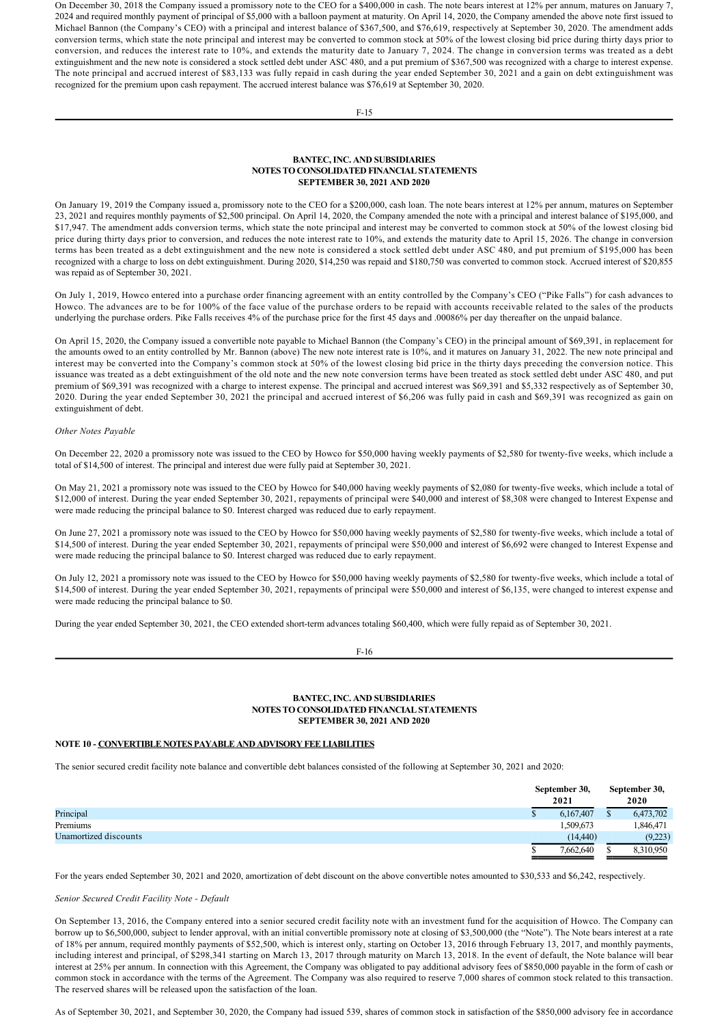On December 30, 2018 the Company issued a promissory note to the CEO for a \$400,000 in cash. The note bears interest at 12% per annum, matures on January 7, 2024 and required monthly payment of principal of \$5,000 with a balloon payment at maturity. On April 14, 2020, the Company amended the above note first issued to Michael Bannon (the Company's CEO) with a principal and interest balance of \$367,500, and \$76,619, respectively at September 30, 2020. The amendment adds conversion terms, which state the note principal and interest may be converted to common stock at 50% of the lowest closing bid price during thirty days prior to conversion, and reduces the interest rate to 10%, and extends the maturity date to January 7, 2024. The change in conversion terms was treated as a debt extinguishment and the new note is considered a stock settled debt under ASC 480, and a put premium of \$367,500 was recognized with a charge to interest expense. The note principal and accrued interest of \$83,133 was fully repaid in cash during the year ended September 30, 2021 and a gain on debt extinguishment was recognized for the premium upon cash repayment. The accrued interest balance was \$76,619 at September 30, 2020.

## **BANTEC, INC. AND SUBSIDIARIES NOTES TO CONSOLIDATED FINANCIAL STATEMENTS SEPTEMBER 30, 2021 AND 2020**

On January 19, 2019 the Company issued a, promissory note to the CEO for a \$200,000, cash loan. The note bears interest at 12% per annum, matures on September 23, 2021 and requires monthly payments of \$2,500 principal. On April 14, 2020, the Company amended the note with a principal and interest balance of \$195,000, and \$17,947. The amendment adds conversion terms, which state the note principal and interest may be converted to common stock at 50% of the lowest closing bid price during thirty days prior to conversion, and reduces the note interest rate to 10%, and extends the maturity date to April 15, 2026. The change in conversion terms has been treated as a debt extinguishment and the new note is considered a stock settled debt under ASC 480, and put premium of \$195,000 has been recognized with a charge to loss on debt extinguishment. During 2020, \$14,250 was repaid and \$180,750 was converted to common stock. Accrued interest of \$20,855 was repaid as of September 30, 2021.

On July 1, 2019, Howco entered into a purchase order financing agreement with an entity controlled by the Company's CEO ("Pike Falls") for cash advances to Howco. The advances are to be for 100% of the face value of the purchase orders to be repaid with accounts receivable related to the sales of the products underlying the purchase orders. Pike Falls receives 4% of the purchase price for the first 45 days and .00086% per day thereafter on the unpaid balance.

On April 15, 2020, the Company issued a convertible note payable to Michael Bannon (the Company's CEO) in the principal amount of \$69,391, in replacement for the amounts owed to an entity controlled by Mr. Bannon (above) The new note interest rate is 10%, and it matures on January 31, 2022. The new note principal and interest may be converted into the Company's common stock at 50% of the lowest closing bid price in the thirty days preceding the conversion notice. This issuance was treated as a debt extinguishment of the old note and the new note conversion terms have been treated as stock settled debt under ASC 480, and put premium of \$69,391 was recognized with a charge to interest expense. The principal and accrued interest was \$69,391 and \$5,332 respectively as of September 30, 2020. During the year ended September 30, 2021 the principal and accrued interest of \$6,206 was fully paid in cash and \$69,391 was recognized as gain on extinguishment of debt.

## *Other Notes Payable*

On December 22, 2020 a promissory note was issued to the CEO by Howco for \$50,000 having weekly payments of \$2,580 for twenty-five weeks, which include a total of \$14,500 of interest. The principal and interest due were fully paid at September 30, 2021.

On May 21, 2021 a promissory note was issued to the CEO by Howco for \$40,000 having weekly payments of \$2,080 for twenty-five weeks, which include a total of \$12,000 of interest. During the year ended September 30, 2021, repayments of principal were \$40,000 and interest of \$8,308 were changed to Interest Expense and were made reducing the principal balance to \$0. Interest charged was reduced due to early repayment.

On June 27, 2021 a promissory note was issued to the CEO by Howco for \$50,000 having weekly payments of \$2,580 for twenty-five weeks, which include a total of \$14,500 of interest. During the year ended September 30, 2021, repayments of principal were \$50,000 and interest of \$6,692 were changed to Interest Expense and were made reducing the principal balance to \$0. Interest charged was reduced due to early repayment.

On July 12, 2021 a promissory note was issued to the CEO by Howco for \$50,000 having weekly payments of \$2,580 for twenty-five weeks, which include a total of \$14,500 of interest. During the year ended September 30, 2021, repayments of principal were \$50,000 and interest of \$6,135, were changed to interest expense and were made reducing the principal balance to \$0.

During the year ended September 30, 2021, the CEO extended short-term advances totaling \$60,400, which were fully repaid as of September 30, 2021.

 $F-16$ 

## **BANTEC, INC. AND SUBSIDIARIES NOTES TO CONSOLIDATED FINANCIAL STATEMENTS SEPTEMBER 30, 2021 AND 2020**

## **NOTE 10 CONVERTIBLE NOTES PAYABLE AND ADVISORY FEE LIABILITIES**

The senior secured credit facility note balance and convertible debt balances consisted of the following at September 30, 2021 and 2020:

|                       |  | September 30,<br>2021 |  |           |  |  |  | September 30,<br>2020 |  |
|-----------------------|--|-----------------------|--|-----------|--|--|--|-----------------------|--|
| Principal             |  | 6,167,407             |  | 6,473,702 |  |  |  |                       |  |
| Premiums              |  | 1,509,673             |  | 1,846,471 |  |  |  |                       |  |
| Unamortized discounts |  | (14, 440)             |  | (9,223)   |  |  |  |                       |  |
|                       |  | 7,662,640             |  | 8,310,950 |  |  |  |                       |  |

For the years ended September 30, 2021 and 2020, amortization of debt discount on the above convertible notes amounted to \$30,533 and \$6,242, respectively.

## *Senior Secured Credit Facility Note Default*

On September 13, 2016, the Company entered into a senior secured credit facility note with an investment fund for the acquisition of Howco. The Company can borrow up to \$6,500,000, subject to lender approval, with an initial convertible promissory note at closing of \$3,500,000 (the "Note"). The Note bears interest at a rate of 18% per annum, required monthly payments of \$52,500, which is interest only, starting on October 13, 2016 through February 13, 2017, and monthly payments, including interest and principal, of \$298,341 starting on March 13, 2017 through maturity on March 13, 2018. In the event of default, the Note balance will bear interest at 25% per annum. In connection with this Agreement, the Company was obligated to pay additional advisory fees of \$850,000 payable in the form of cash or common stock in accordance with the terms of the Agreement. The Company was also required to reserve 7,000 shares of common stock related to this transaction. The reserved shares will be released upon the satisfaction of the loan.

As of September 30, 2021, and September 30, 2020, the Company had issued 539, shares of common stock in satisfaction of the \$850,000 advisory fee in accordance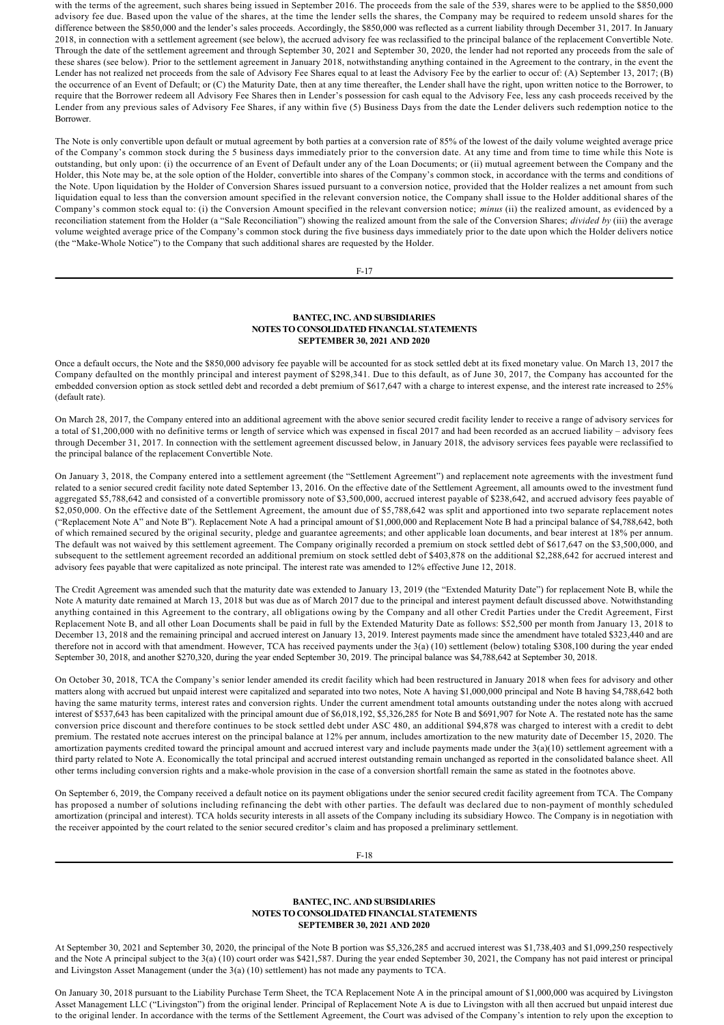with the terms of the agreement, such shares being issued in September 2016. The proceeds from the sale of the 539, shares were to be applied to the \$850,000 advisory fee due. Based upon the value of the shares, at the time the lender sells the shares, the Company may be required to redeem unsold shares for the difference between the \$850,000 and the lender's sales proceeds. Accordingly, the \$850,000 was reflected as a current liability through December 31, 2017. In January 2018, in connection with a settlement agreement (see below), the accrued advisory fee was reclassified to the principal balance of the replacement Convertible Note. Through the date of the settlement agreement and through September 30, 2021 and September 30, 2020, the lender had not reported any proceeds from the sale of these shares (see below). Prior to the settlement agreement in January 2018, notwithstanding anything contained in the Agreement to the contrary, in the event the Lender has not realized net proceeds from the sale of Advisory Fee Shares equal to at least the Advisory Fee by the earlier to occur of: (A) September 13, 2017; (B) the occurrence of an Event of Default; or (C) the Maturity Date, then at any time thereafter, the Lender shall have the right, upon written notice to the Borrower, to require that the Borrower redeem all Advisory Fee Shares then in Lender's possession for cash equal to the Advisory Fee, less any cash proceeds received by the Lender from any previous sales of Advisory Fee Shares, if any within five (5) Business Days from the date the Lender delivers such redemption notice to the Borrower.

The Note is only convertible upon default or mutual agreement by both parties at a conversion rate of 85% of the lowest of the daily volume weighted average price of the Company's common stock during the 5 business days immediately prior to the conversion date. At any time and from time to time while this Note is outstanding, but only upon: (i) the occurrence of an Event of Default under any of the Loan Documents; or (ii) mutual agreement between the Company and the Holder, this Note may be, at the sole option of the Holder, convertible into shares of the Company's common stock, in accordance with the terms and conditions of the Note. Upon liquidation by the Holder of Conversion Shares issued pursuant to a conversion notice, provided that the Holder realizes a net amount from such liquidation equal to less than the conversion amount specified in the relevant conversion notice, the Company shall issue to the Holder additional shares of the Company's common stock equal to: (i) the Conversion Amount specified in the relevant conversion notice; *minus* (ii) the realized amount, as evidenced by a reconciliation statement from the Holder (a "Sale Reconciliation") showing the realized amount from the sale of the Conversion Shares; *divided by* (iii) the average volume weighted average price of the Company's common stock during the five business days immediately prior to the date upon which the Holder delivers notice (the "Make-Whole Notice") to the Company that such additional shares are requested by the Holder.

## F-17

## **BANTEC, INC. AND SUBSIDIARIES NOTES TO CONSOLIDATED FINANCIAL STATEMENTS SEPTEMBER 30, 2021 AND 2020**

Once a default occurs, the Note and the \$850,000 advisory fee payable will be accounted for as stock settled debt at its fixed monetary value. On March 13, 2017 the Company defaulted on the monthly principal and interest payment of \$298,341. Due to this default, as of June 30, 2017, the Company has accounted for the embedded conversion option as stock settled debt and recorded a debt premium of \$617,647 with a charge to interest expense, and the interest rate increased to 25% (default rate).

On March 28, 2017, the Company entered into an additional agreement with the above senior secured credit facility lender to receive a range of advisory services for a total of \$1,200,000 with no definitive terms or length of service which was expensed in fiscal 2017 and had been recorded as an accrued liability – advisory fees through December 31, 2017. In connection with the settlement agreement discussed below, in January 2018, the advisory services fees payable were reclassified to the principal balance of the replacement Convertible Note.

On January 3, 2018, the Company entered into a settlement agreement (the "Settlement Agreement") and replacement note agreements with the investment fund related to a senior secured credit facility note dated September 13, 2016. On the effective date of the Settlement Agreement, all amounts owed to the investment fund aggregated \$5,788,642 and consisted of a convertible promissory note of \$3,500,000, accrued interest payable of \$238,642, and accrued advisory fees payable of \$2,050,000. On the effective date of the Settlement Agreement, the amount due of \$5,788,642 was split and apportioned into two separate replacement notes ("Replacement Note A" and Note B"). Replacement Note A had a principal amount of \$1,000,000 and Replacement Note B had a principal balance of \$4,788,642, both of which remained secured by the original security, pledge and guarantee agreements; and other applicable loan documents, and bear interest at 18% per annum. The default was not waived by this settlement agreement. The Company originally recorded a premium on stock settled debt of \$617,647 on the \$3,500,000, and subsequent to the settlement agreement recorded an additional premium on stock settled debt of \$403,878 on the additional \$2,288,642 for accrued interest and advisory fees payable that were capitalized as note principal. The interest rate was amended to 12% effective June 12, 2018.

The Credit Agreement was amended such that the maturity date was extended to January 13, 2019 (the "Extended Maturity Date") for replacement Note B, while the Note A maturity date remained at March 13, 2018 but was due as of March 2017 due to the principal and interest payment default discussed above. Notwithstanding anything contained in this Agreement to the contrary, all obligations owing by the Company and all other Credit Parties under the Credit Agreement, First Replacement Note B, and all other Loan Documents shall be paid in full by the Extended Maturity Date as follows: \$52,500 per month from January 13, 2018 to December 13, 2018 and the remaining principal and accrued interest on January 13, 2019. Interest payments made since the amendment have totaled \$323,440 and are therefore not in accord with that amendment. However, TCA has received payments under the 3(a) (10) settlement (below) totaling \$308,100 during the year ended September 30, 2018, and another \$270,320, during the year ended September 30, 2019. The principal balance was \$4,788,642 at September 30, 2018.

On October 30, 2018, TCA the Company's senior lender amended its credit facility which had been restructured in January 2018 when fees for advisory and other matters along with accrued but unpaid interest were capitalized and separated into two notes, Note A having \$1,000,000 principal and Note B having \$4,788,642 both having the same maturity terms, interest rates and conversion rights. Under the current amendment total amounts outstanding under the notes along with accrued interest of \$537,643 has been capitalized with the principal amount due of \$6,018,192, \$5,326,285 for Note B and \$691,907 for Note A. The restated note has the same conversion price discount and therefore continues to be stock settled debt under ASC 480, an additional \$94,878 was charged to interest with a credit to debt premium. The restated note accrues interest on the principal balance at 12% per annum, includes amortization to the new maturity date of December 15, 2020. The amortization payments credited toward the principal amount and accrued interest vary and include payments made under the  $3(a)(10)$  settlement agreement with a third party related to Note A. Economically the total principal and accrued interest outstanding remain unchanged as reported in the consolidated balance sheet. All other terms including conversion rights and a makewhole provision in the case of a conversion shortfall remain the same as stated in the footnotes above.

On September 6, 2019, the Company received a default notice on its payment obligations under the senior secured credit facility agreement from TCA. The Company has proposed a number of solutions including refinancing the debt with other parties. The default was declared due to non-payment of monthly scheduled amortization (principal and interest). TCA holds security interests in all assets of the Company including its subsidiary Howco. The Company is in negotiation with the receiver appointed by the court related to the senior secured creditor's claim and has proposed a preliminary settlement.

## **BANTEC, INC. AND SUBSIDIARIES NOTES TO CONSOLIDATED FINANCIAL STATEMENTS SEPTEMBER 30, 2021 AND 2020**

At September 30, 2021 and September 30, 2020, the principal of the Note B portion was \$5,326,285 and accrued interest was \$1,738,403 and \$1,099,250 respectively and the Note A principal subject to the 3(a) (10) court order was \$421,587. During the year ended September 30, 2021, the Company has not paid interest or principal and Livingston Asset Management (under the 3(a) (10) settlement) has not made any payments to TCA.

On January 30, 2018 pursuant to the Liability Purchase Term Sheet, the TCA Replacement Note A in the principal amount of \$1,000,000 was acquired by Livingston Asset Management LLC ("Livingston") from the original lender. Principal of Replacement Note A is due to Livingston with all then accrued but unpaid interest due to the original lender. In accordance with the terms of the Settlement Agreement, the Court was advised of the Company's intention to rely upon the exception to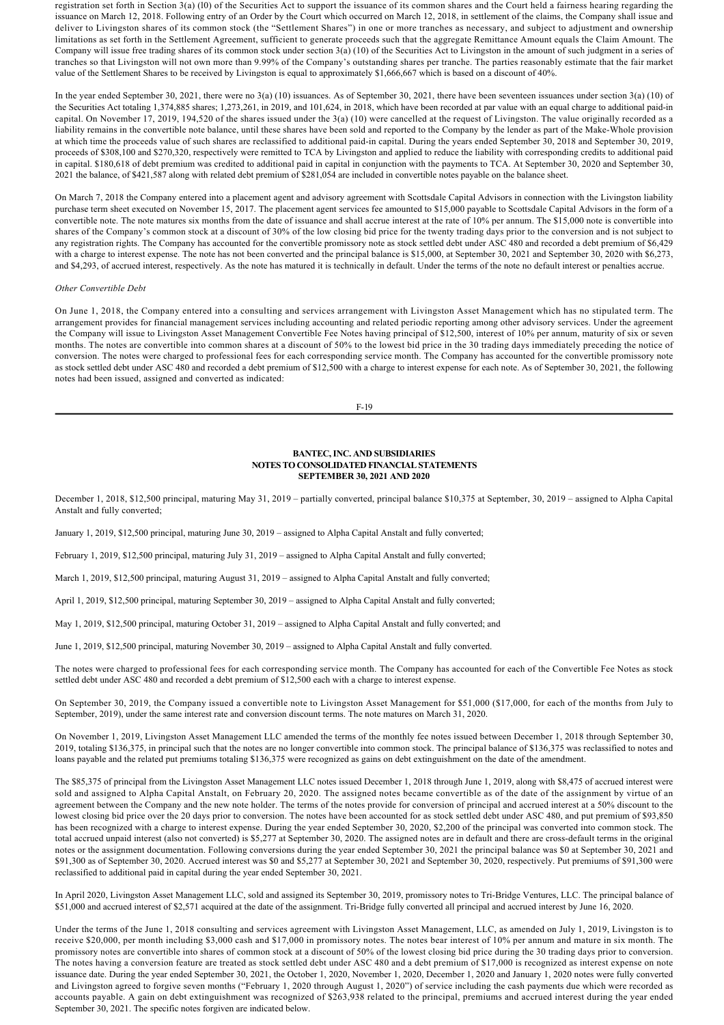registration set forth in Section 3(a) (l0) of the Securities Act to support the issuance of its common shares and the Court held a fairness hearing regarding the issuance on March 12, 2018. Following entry of an Order by the Court which occurred on March 12, 2018, in settlement of the claims, the Company shall issue and deliver to Livingston shares of its common stock (the "Settlement Shares") in one or more tranches as necessary, and subject to adjustment and ownership limitations as set forth in the Settlement Agreement, sufficient to generate proceeds such that the aggregate Remittance Amount equals the Claim Amount. The Company will issue free trading shares of its common stock under section 3(a) (10) of the Securities Act to Livingston in the amount of such judgment in a series of tranches so that Livingston will not own more than 9.99% of the Company's outstanding shares per tranche. The parties reasonably estimate that the fair market value of the Settlement Shares to be received by Livingston is equal to approximately \$1,666,667 which is based on a discount of 40%.

In the year ended September 30, 2021, there were no 3(a) (10) issuances. As of September 30, 2021, there have been seventeen issuances under section 3(a) (10) of the Securities Act totaling 1,374,885 shares; 1,273,261, in 2019, and 101,624, in 2018, which have been recorded at par value with an equal charge to additional paid-in capital. On November 17, 2019, 194,520 of the shares issued under the  $3(a)$  (10) were cancelled at the request of Livingston. The value originally recorded as a liability remains in the convertible note balance, until these shares have been sold and reported to the Company by the lender as part of the Make-Whole provision at which time the proceeds value of such shares are reclassified to additional paid-in capital. During the years ended September 30, 2018 and September 30, 2019, proceeds of \$308,100 and \$270,320, respectively were remitted to TCA by Livingston and applied to reduce the liability with corresponding credits to additional paid in capital. \$180,618 of debt premium was credited to additional paid in capital in conjunction with the payments to TCA. At September 30, 2020 and September 30, 2021 the balance, of \$421,587 along with related debt premium of \$281,054 are included in convertible notes payable on the balance sheet.

On March 7, 2018 the Company entered into a placement agent and advisory agreement with Scottsdale Capital Advisors in connection with the Livingston liability purchase term sheet executed on November 15, 2017. The placement agent services fee amounted to \$15,000 payable to Scottsdale Capital Advisors in the form of a convertible note. The note matures six months from the date of issuance and shall accrue interest at the rate of 10% per annum. The \$15,000 note is convertible into shares of the Company's common stock at a discount of 30% of the low closing bid price for the twenty trading days prior to the conversion and is not subject to any registration rights. The Company has accounted for the convertible promissory note as stock settled debt under ASC 480 and recorded a debt premium of \$6,429 with a charge to interest expense. The note has not been converted and the principal balance is \$15,000, at September 30, 2021 and September 30, 2020 with \$6,273, and \$4,293, of accrued interest, respectively. As the note has matured it is technically in default. Under the terms of the note no default interest or penalties accrue.

#### *Other Convertible Debt*

On June 1, 2018, the Company entered into a consulting and services arrangement with Livingston Asset Management which has no stipulated term. The arrangement provides for financial management services including accounting and related periodic reporting among other advisory services. Under the agreement the Company will issue to Livingston Asset Management Convertible Fee Notes having principal of \$12,500, interest of 10% per annum, maturity of six or seven months. The notes are convertible into common shares at a discount of 50% to the lowest bid price in the 30 trading days immediately preceding the notice of conversion. The notes were charged to professional fees for each corresponding service month. The Company has accounted for the convertible promissory note as stock settled debt under ASC 480 and recorded a debt premium of \$12,500 with a charge to interest expense for each note. As of September 30, 2021, the following notes had been issued, assigned and converted as indicated:

| I<br>I<br>۰. |
|--------------|
|              |

#### **BANTEC, INC. AND SUBSIDIARIES NOTES TO CONSOLIDATED FINANCIAL STATEMENTS SEPTEMBER 30, 2021 AND 2020**

December 1, 2018, \$12,500 principal, maturing May 31, 2019 – partially converted, principal balance \$10,375 at September, 30, 2019 – assigned to Alpha Capital Anstalt and fully converted;

January 1, 2019, \$12,500 principal, maturing June 30, 2019 – assigned to Alpha Capital Anstalt and fully converted;

February 1, 2019, \$12,500 principal, maturing July 31, 2019 – assigned to Alpha Capital Anstalt and fully converted;

March 1, 2019, \$12,500 principal, maturing August 31, 2019 – assigned to Alpha Capital Anstalt and fully converted;

April 1, 2019, \$12,500 principal, maturing September 30, 2019 – assigned to Alpha Capital Anstalt and fully converted;

May 1, 2019, \$12,500 principal, maturing October 31, 2019 – assigned to Alpha Capital Anstalt and fully converted; and

June 1, 2019, \$12,500 principal, maturing November 30, 2019 – assigned to Alpha Capital Anstalt and fully converted.

The notes were charged to professional fees for each corresponding service month. The Company has accounted for each of the Convertible Fee Notes as stock settled debt under ASC 480 and recorded a debt premium of \$12,500 each with a charge to interest expense.

On September 30, 2019, the Company issued a convertible note to Livingston Asset Management for \$51,000 (\$17,000, for each of the months from July to September, 2019), under the same interest rate and conversion discount terms. The note matures on March 31, 2020.

On November 1, 2019, Livingston Asset Management LLC amended the terms of the monthly fee notes issued between December 1, 2018 through September 30, 2019, totaling \$136,375, in principal such that the notes are no longer convertible into common stock. The principal balance of \$136,375 was reclassified to notes and loans payable and the related put premiums totaling \$136,375 were recognized as gains on debt extinguishment on the date of the amendment.

The \$85,375 of principal from the Livingston Asset Management LLC notes issued December 1, 2018 through June 1, 2019, along with \$8,475 of accrued interest were sold and assigned to Alpha Capital Anstalt, on February 20, 2020. The assigned notes became convertible as of the date of the assignment by virtue of an agreement between the Company and the new note holder. The terms of the notes provide for conversion of principal and accrued interest at a 50% discount to the lowest closing bid price over the 20 days prior to conversion. The notes have been accounted for as stock settled debt under ASC 480, and put premium of \$93,850 has been recognized with a charge to interest expense. During the year ended September 30, 2020, \$2,200 of the principal was converted into common stock. The total accrued unpaid interest (also not converted) is \$5,277 at September 30, 2020. The assigned notes are in default and there are cross-default terms in the original notes or the assignment documentation. Following conversions during the year ended September 30, 2021 the principal balance was \$0 at September 30, 2021 and \$91,300 as of September 30, 2020. Accrued interest was \$0 and \$5,277 at September 30, 2021 and September 30, 2020, respectively. Put premiums of \$91,300 were reclassified to additional paid in capital during the year ended September 30, 2021.

In April 2020, Livingston Asset Management LLC, sold and assigned its September 30, 2019, promissory notes to Tri-Bridge Ventures, LLC. The principal balance of \$51,000 and accrued interest of \$2,571 acquired at the date of the assignment. Tri-Bridge fully converted all principal and accrued interest by June 16, 2020.

Under the terms of the June 1, 2018 consulting and services agreement with Livingston Asset Management, LLC, as amended on July 1, 2019, Livingston is to receive \$20,000, per month including \$3,000 cash and \$17,000 in promissory notes. The notes bear interest of 10% per annum and mature in six month. The promissory notes are convertible into shares of common stock at a discount of 50% of the lowest closing bid price during the 30 trading days prior to conversion. The notes having a conversion feature are treated as stock settled debt under ASC 480 and a debt premium of \$17,000 is recognized as interest expense on note issuance date. During the year ended September 30, 2021, the October 1, 2020, November 1, 2020, December 1, 2020 and January 1, 2020 notes were fully converted and Livingston agreed to forgive seven months ("February 1, 2020 through August 1, 2020") of service including the cash payments due which were recorded as accounts payable. A gain on debt extinguishment was recognized of \$263,938 related to the principal, premiums and accrued interest during the year ended September 30, 2021. The specific notes forgiven are indicated below.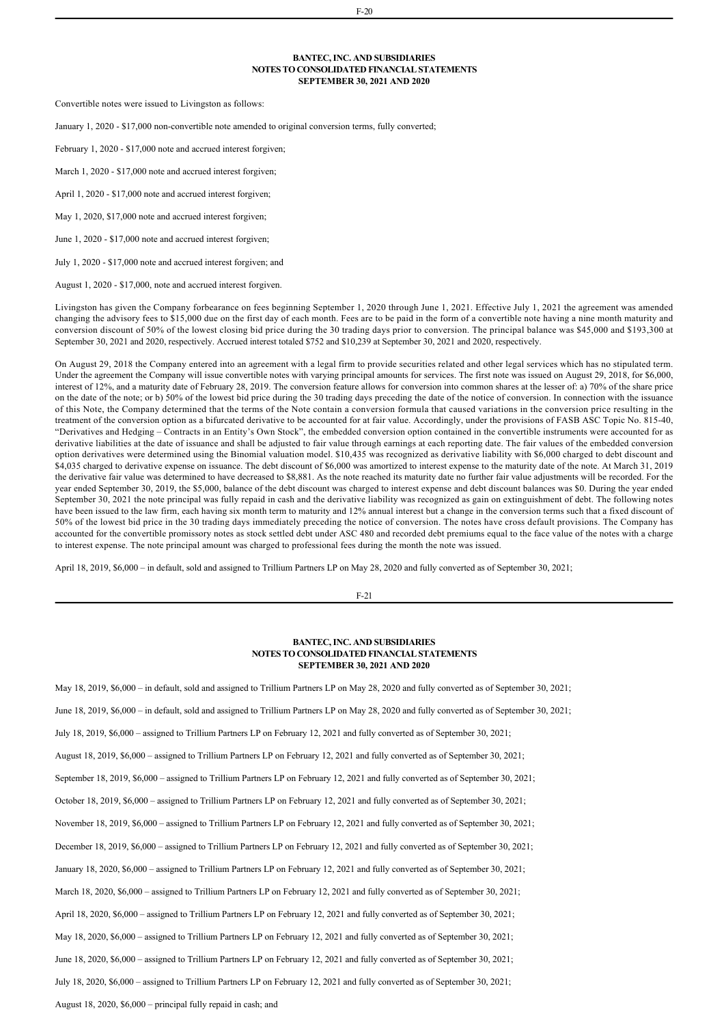## **BANTEC, INC. AND SUBSIDIARIES NOTES TO CONSOLIDATED FINANCIAL STATEMENTS SEPTEMBER 30, 2021 AND 2020**

Convertible notes were issued to Livingston as follows:

January 1, 2020 - \$17,000 non-convertible note amended to original conversion terms, fully converted;

February 1, 2020 - \$17,000 note and accrued interest forgiven;

March 1, 2020 - \$17,000 note and accrued interest forgiven:

April 1, 2020 - \$17,000 note and accrued interest forgiven;

May 1, 2020, \$17,000 note and accrued interest forgiven;

June 1, 2020 - \$17,000 note and accrued interest forgiven;

July 1, 2020 - \$17,000 note and accrued interest forgiven; and

August 1, 2020 - \$17,000, note and accrued interest forgiven.

Livingston has given the Company forbearance on fees beginning September 1, 2020 through June 1, 2021. Effective July 1, 2021 the agreement was amended changing the advisory fees to \$15,000 due on the first day of each month. Fees are to be paid in the form of a convertible note having a nine month maturity and conversion discount of 50% of the lowest closing bid price during the 30 trading days prior to conversion. The principal balance was \$45,000 and \$193,300 at September 30, 2021 and 2020, respectively. Accrued interest totaled \$752 and \$10,239 at September 30, 2021 and 2020, respectively.

On August 29, 2018 the Company entered into an agreement with a legal firm to provide securities related and other legal services which has no stipulated term. Under the agreement the Company will issue convertible notes with varying principal amounts for services. The first note was issued on August 29, 2018, for \$6,000, interest of 12%, and a maturity date of February 28, 2019. The conversion feature allows for conversion into common shares at the lesser of: a) 70% of the share price on the date of the note; or b) 50% of the lowest bid price during the 30 trading days preceding the date of the notice of conversion. In connection with the issuance of this Note, the Company determined that the terms of the Note contain a conversion formula that caused variations in the conversion price resulting in the treatment of the conversion option as a bifurcated derivative to be accounted for at fair value. Accordingly, under the provisions of FASB ASC Topic No. 81540, "Derivatives and Hedging – Contracts in an Entity's Own Stock", the embedded conversion option contained in the convertible instruments were accounted for as derivative liabilities at the date of issuance and shall be adjusted to fair value through earnings at each reporting date. The fair values of the embedded conversion option derivatives were determined using the Binomial valuation model. \$10,435 was recognized as derivative liability with \$6,000 charged to debt discount and \$4,035 charged to derivative expense on issuance. The debt discount of \$6,000 was amortized to interest expense to the maturity date of the note. At March 31, 2019 the derivative fair value was determined to have decreased to \$8,881. As the note reached its maturity date no further fair value adjustments will be recorded. For the year ended September 30, 2019, the \$5,000, balance of the debt discount was charged to interest expense and debt discount balances was \$0. During the year ended September 30, 2021 the note principal was fully repaid in cash and the derivative liability was recognized as gain on extinguishment of debt. The following notes have been issued to the law firm, each having six month term to maturity and 12% annual interest but a change in the conversion terms such that a fixed discount of 50% of the lowest bid price in the 30 trading days immediately preceding the notice of conversion. The notes have cross default provisions. The Company has accounted for the convertible promissory notes as stock settled debt under ASC 480 and recorded debt premiums equal to the face value of the notes with a charge to interest expense. The note principal amount was charged to professional fees during the month the note was issued.

April 18, 2019, \$6,000 – in default, sold and assigned to Trillium Partners LP on May 28, 2020 and fully converted as of September 30, 2021;

 $F-21$ 

## **BANTEC, INC. AND SUBSIDIARIES NOTES TO CONSOLIDATED FINANCIAL STATEMENTS SEPTEMBER 30, 2021 AND 2020**

May 18, 2019, \$6,000 – in default, sold and assigned to Trillium Partners LP on May 28, 2020 and fully converted as of September 30, 2021;

June 18, 2019, \$6,000 – in default, sold and assigned to Trillium Partners LP on May 28, 2020 and fully converted as of September 30, 2021;

July 18, 2019, \$6,000 – assigned to Trillium Partners LP on February 12, 2021 and fully converted as of September 30, 2021;

August 18, 2019, \$6,000 – assigned to Trillium Partners LP on February 12, 2021 and fully converted as of September 30, 2021;

September 18, 2019, \$6,000 – assigned to Trillium Partners LP on February 12, 2021 and fully converted as of September 30, 2021;

October 18, 2019, \$6,000 – assigned to Trillium Partners LP on February 12, 2021 and fully converted as of September 30, 2021;

November 18, 2019, \$6,000 – assigned to Trillium Partners LP on February 12, 2021 and fully converted as of September 30, 2021;

December 18, 2019, \$6,000 – assigned to Trillium Partners LP on February 12, 2021 and fully converted as of September 30, 2021;

January 18, 2020, \$6,000 – assigned to Trillium Partners LP on February 12, 2021 and fully converted as of September 30, 2021;

March 18, 2020, \$6,000 – assigned to Trillium Partners LP on February 12, 2021 and fully converted as of September 30, 2021;

April 18, 2020, \$6,000 – assigned to Trillium Partners LP on February 12, 2021 and fully converted as of September 30, 2021;

May 18, 2020, \$6,000 – assigned to Trillium Partners LP on February 12, 2021 and fully converted as of September 30, 2021;

June 18, 2020, \$6,000 – assigned to Trillium Partners LP on February 12, 2021 and fully converted as of September 30, 2021;

July 18, 2020, \$6,000 – assigned to Trillium Partners LP on February 12, 2021 and fully converted as of September 30, 2021;

## August 18, 2020, \$6,000 – principal fully repaid in cash; and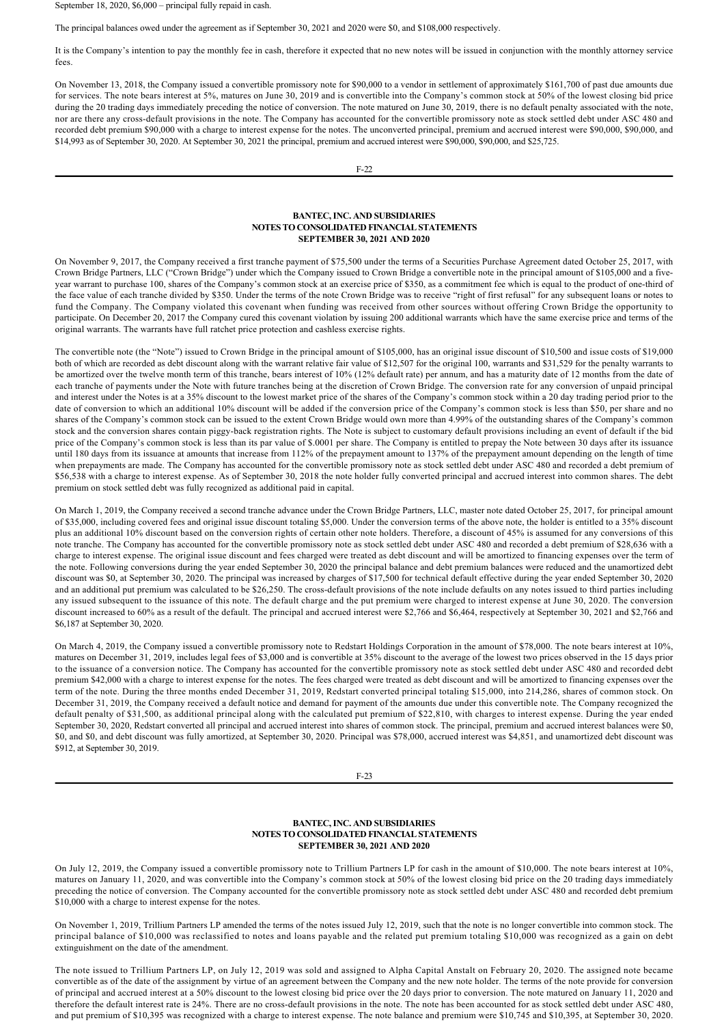September 18, 2020, \$6,000 – principal fully repaid in cash.

The principal balances owed under the agreement as if September 30, 2021 and 2020 were \$0, and \$108,000 respectively.

It is the Company's intention to pay the monthly fee in cash, therefore it expected that no new notes will be issued in conjunction with the monthly attorney service fees.

On November 13, 2018, the Company issued a convertible promissory note for \$90,000 to a vendor in settlement of approximately \$161,700 of past due amounts due for services. The note bears interest at 5%, matures on June 30, 2019 and is convertible into the Company's common stock at 50% of the lowest closing bid price during the 20 trading days immediately preceding the notice of conversion. The note matured on June 30, 2019, there is no default penalty associated with the note, nor are there any cross-default provisions in the note. The Company has accounted for the convertible promissory note as stock settled debt under ASC 480 and recorded debt premium \$90,000 with a charge to interest expense for the notes. The unconverted principal, premium and accrued interest were \$90,000, \$90,000, and \$14,993 as of September 30, 2020. At September 30, 2021 the principal, premium and accrued interest were \$90,000, \$90,000, and \$25,725.

F-22

## **BANTEC, INC. AND SUBSIDIARIES NOTES TO CONSOLIDATED FINANCIAL STATEMENTS SEPTEMBER 30, 2021 AND 2020**

On November 9, 2017, the Company received a first tranche payment of \$75,500 under the terms of a Securities Purchase Agreement dated October 25, 2017, with Crown Bridge Partners, LLC ("Crown Bridge") under which the Company issued to Crown Bridge a convertible note in the principal amount of \$105,000 and a fiveyear warrant to purchase 100, shares of the Company's common stock at an exercise price of \$350, as a commitment fee which is equal to the product of one-third of the face value of each tranche divided by \$350. Under the terms of the note Crown Bridge was to receive "right of first refusal" for any subsequent loans or notes to fund the Company. The Company violated this covenant when funding was received from other sources without offering Crown Bridge the opportunity to participate. On December 20, 2017 the Company cured this covenant violation by issuing 200 additional warrants which have the same exercise price and terms of the original warrants. The warrants have full ratchet price protection and cashless exercise rights.

The convertible note (the "Note") issued to Crown Bridge in the principal amount of \$105,000, has an original issue discount of \$10,500 and issue costs of \$19,000 both of which are recorded as debt discount along with the warrant relative fair value of \$12,507 for the original 100, warrants and \$31,529 for the penalty warrants to be amortized over the twelve month term of this tranche, bears interest of 10% (12% default rate) per annum, and has a maturity date of 12 months from the date of each tranche of payments under the Note with future tranches being at the discretion of Crown Bridge. The conversion rate for any conversion of unpaid principal and interest under the Notes is at a 35% discount to the lowest market price of the shares of the Company's common stock within a 20 day trading period prior to the date of conversion to which an additional 10% discount will be added if the conversion price of the Company's common stock is less than \$50, per share and no shares of the Company's common stock can be issued to the extent Crown Bridge would own more than 4.99% of the outstanding shares of the Company's common stock and the conversion shares contain piggy-back registration rights. The Note is subject to customary default provisions including an event of default if the bid price of the Company's common stock is less than its par value of \$.0001 per share. The Company is entitled to prepay the Note between 30 days after its issuance until 180 days from its issuance at amounts that increase from 112% of the prepayment amount to 137% of the prepayment amount depending on the length of time when prepayments are made. The Company has accounted for the convertible promissory note as stock settled debt under ASC 480 and recorded a debt premium of \$56,538 with a charge to interest expense. As of September 30, 2018 the note holder fully converted principal and accrued interest into common shares. The debt premium on stock settled debt was fully recognized as additional paid in capital.

On March 1, 2019, the Company received a second tranche advance under the Crown Bridge Partners, LLC, master note dated October 25, 2017, for principal amount of \$35,000, including covered fees and original issue discount totaling \$5,000. Under the conversion terms of the above note, the holder is entitled to a 35% discount plus an additional 10% discount based on the conversion rights of certain other note holders. Therefore, a discount of 45% is assumed for any conversions of this note tranche. The Company has accounted for the convertible promissory note as stock settled debt under ASC 480 and recorded a debt premium of \$28,636 with a charge to interest expense. The original issue discount and fees charged were treated as debt discount and will be amortized to financing expenses over the term of the note. Following conversions during the year ended September 30, 2020 the principal balance and debt premium balances were reduced and the unamortized debt discount was \$0, at September 30, 2020. The principal was increased by charges of \$17,500 for technical default effective during the year ended September 30, 2020 and an additional put premium was calculated to be \$26,250. The cross-default provisions of the note include defaults on any notes issued to third parties including any issued subsequent to the issuance of this note. The default charge and the put premium were charged to interest expense at June 30, 2020. The conversion discount increased to 60% as a result of the default. The principal and accrued interest were \$2,766 and \$6,464, respectively at September 30, 2021 and \$2,766 and \$6,187 at September 30, 2020.

On March 4, 2019, the Company issued a convertible promissory note to Redstart Holdings Corporation in the amount of \$78,000. The note bears interest at 10%, matures on December 31, 2019, includes legal fees of \$3,000 and is convertible at 35% discount to the average of the lowest two prices observed in the 15 days prior to the issuance of a conversion notice. The Company has accounted for the convertible promissory note as stock settled debt under ASC 480 and recorded debt premium \$42,000 with a charge to interest expense for the notes. The fees charged were treated as debt discount and will be amortized to financing expenses over the term of the note. During the three months ended December 31, 2019, Redstart converted principal totaling \$15,000, into 214,286, shares of common stock. On December 31, 2019, the Company received a default notice and demand for payment of the amounts due under this convertible note. The Company recognized the default penalty of \$31,500, as additional principal along with the calculated put premium of \$22,810, with charges to interest expense. During the year ended September 30, 2020, Redstart converted all principal and accrued interest into shares of common stock. The principal, premium and accrued interest balances were \$0, \$0, and \$0, and debt discount was fully amortized, at September 30, 2020. Principal was \$78,000, accrued interest was \$4,851, and unamortized debt discount was \$912, at September 30, 2019.

F23

## **BANTEC, INC. AND SUBSIDIARIES NOTES TO CONSOLIDATED FINANCIAL STATEMENTS SEPTEMBER 30, 2021 AND 2020**

On July 12, 2019, the Company issued a convertible promissory note to Trillium Partners LP for cash in the amount of \$10,000. The note bears interest at 10%, matures on January 11, 2020, and was convertible into the Company's common stock at 50% of the lowest closing bid price on the 20 trading days immediately preceding the notice of conversion. The Company accounted for the convertible promissory note as stock settled debt under ASC 480 and recorded debt premium \$10,000 with a charge to interest expense for the notes.

On November 1, 2019, Trillium Partners LP amended the terms of the notes issued July 12, 2019, such that the note is no longer convertible into common stock. The principal balance of \$10,000 was reclassified to notes and loans payable and the related put premium totaling \$10,000 was recognized as a gain on debt extinguishment on the date of the amendment.

The note issued to Trillium Partners LP, on July 12, 2019 was sold and assigned to Alpha Capital Anstalt on February 20, 2020. The assigned note became convertible as of the date of the assignment by virtue of an agreement between the Company and the new note holder. The terms of the note provide for conversion of principal and accrued interest at a 50% discount to the lowest closing bid price over the 20 days prior to conversion. The note matured on January 11, 2020 and therefore the default interest rate is 24%. There are no crossdefault provisions in the note. The note has been accounted for as stock settled debt under ASC 480, and put premium of \$10,395 was recognized with a charge to interest expense. The note balance and premium were \$10,745 and \$10,395, at September 30, 2020.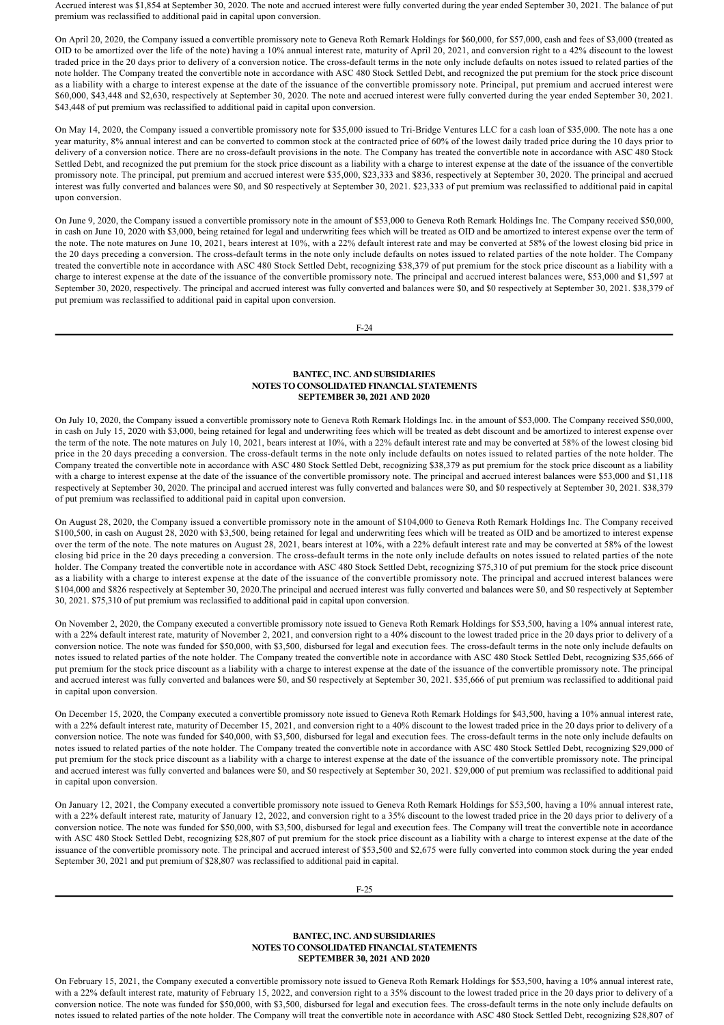Accrued interest was \$1,854 at September 30, 2020. The note and accrued interest were fully converted during the year ended September 30, 2021. The balance of put premium was reclassified to additional paid in capital upon conversion.

On April 20, 2020, the Company issued a convertible promissory note to Geneva Roth Remark Holdings for \$60,000, for \$57,000, cash and fees of \$3,000 (treated as OID to be amortized over the life of the note) having a 10% annual interest rate, maturity of April 20, 2021, and conversion right to a 42% discount to the lowest traded price in the 20 days prior to delivery of a conversion notice. The cross-default terms in the note only include defaults on notes issued to related parties of the note holder. The Company treated the convertible note in accordance with ASC 480 Stock Settled Debt, and recognized the put premium for the stock price discount as a liability with a charge to interest expense at the date of the issuance of the convertible promissory note. Principal, put premium and accrued interest were \$60,000, \$43,448 and \$2,630, respectively at September 30, 2020. The note and accrued interest were fully converted during the year ended September 30, 2021. \$43,448 of put premium was reclassified to additional paid in capital upon conversion.

On May 14, 2020, the Company issued a convertible promissory note for \$35,000 issued to Tri-Bridge Ventures LLC for a cash loan of \$35,000. The note has a one year maturity, 8% annual interest and can be converted to common stock at the contracted price of 60% of the lowest daily traded price during the 10 days prior to delivery of a conversion notice. There are no cross-default provisions in the note. The Company has treated the convertible note in accordance with ASC 480 Stock Settled Debt, and recognized the put premium for the stock price discount as a liability with a charge to interest expense at the date of the issuance of the convertible promissory note. The principal, put premium and accrued interest were \$35,000, \$23,333 and \$836, respectively at September 30, 2020. The principal and accrued interest was fully converted and balances were \$0, and \$0 respectively at September 30, 2021. \$23,333 of put premium was reclassified to additional paid in capital upon conversion.

On June 9, 2020, the Company issued a convertible promissory note in the amount of \$53,000 to Geneva Roth Remark Holdings Inc. The Company received \$50,000, in cash on June 10, 2020 with \$3,000, being retained for legal and underwriting fees which will be treated as OID and be amortized to interest expense over the term of the note. The note matures on June 10, 2021, bears interest at 10%, with a 22% default interest rate and may be converted at 58% of the lowest closing bid price in the 20 days preceding a conversion. The cross-default terms in the note only include defaults on notes issued to related parties of the note holder. The Company treated the convertible note in accordance with ASC 480 Stock Settled Debt, recognizing \$38,379 of put premium for the stock price discount as a liability with a charge to interest expense at the date of the issuance of the convertible promissory note. The principal and accrued interest balances were, \$53,000 and \$1,597 at September 30, 2020, respectively. The principal and accrued interest was fully converted and balances were \$0, and \$0 respectively at September 30, 2021. \$38,379 of put premium was reclassified to additional paid in capital upon conversion.

F24

## **BANTEC, INC. AND SUBSIDIARIES NOTES TO CONSOLIDATED FINANCIAL STATEMENTS SEPTEMBER 30, 2021 AND 2020**

On July 10, 2020, the Company issued a convertible promissory note to Geneva Roth Remark Holdings Inc. in the amount of \$53,000. The Company received \$50,000, in cash on July 15, 2020 with \$3,000, being retained for legal and underwriting fees which will be treated as debt discount and be amortized to interest expense over the term of the note. The note matures on July 10, 2021, bears interest at 10%, with a 22% default interest rate and may be converted at 58% of the lowest closing bid price in the 20 days preceding a conversion. The cross-default terms in the note only include defaults on notes issued to related parties of the note holder. The Company treated the convertible note in accordance with ASC 480 Stock Settled Debt, recognizing \$38,379 as put premium for the stock price discount as a liability with a charge to interest expense at the date of the issuance of the convertible promissory note. The principal and accrued interest balances were \$53,000 and \$1,118 respectively at September 30, 2020. The principal and accrued interest was fully converted and balances were \$0, and \$0 respectively at September 30, 2021. \$38,379 of put premium was reclassified to additional paid in capital upon conversion.

On August 28, 2020, the Company issued a convertible promissory note in the amount of \$104,000 to Geneva Roth Remark Holdings Inc. The Company received \$100,500, in cash on August 28, 2020 with \$3,500, being retained for legal and underwriting fees which will be treated as OID and be amortized to interest expense over the term of the note. The note matures on August 28, 2021, bears interest at 10%, with a 22% default interest rate and may be converted at 58% of the lowest closing bid price in the 20 days preceding a conversion. The cross-default terms in the note only include defaults on notes issued to related parties of the note holder. The Company treated the convertible note in accordance with ASC 480 Stock Settled Debt, recognizing \$75,310 of put premium for the stock price discount as a liability with a charge to interest expense at the date of the issuance of the convertible promissory note. The principal and accrued interest balances were \$104,000 and \$826 respectively at September 30, 2020.The principal and accrued interest was fully converted and balances were \$0, and \$0 respectively at September 30, 2021. \$75,310 of put premium was reclassified to additional paid in capital upon conversion.

On November 2, 2020, the Company executed a convertible promissory note issued to Geneva Roth Remark Holdings for \$53,500, having a 10% annual interest rate, with a 22% default interest rate, maturity of November 2, 2021, and conversion right to a 40% discount to the lowest traded price in the 20 days prior to delivery of a conversion notice. The note was funded for \$50,000, with \$3,500, disbursed for legal and execution fees. The cross-default terms in the note only include defaults on notes issued to related parties of the note holder. The Company treated the convertible note in accordance with ASC 480 Stock Settled Debt, recognizing \$35,666 of put premium for the stock price discount as a liability with a charge to interest expense at the date of the issuance of the convertible promissory note. The principal and accrued interest was fully converted and balances were \$0, and \$0 respectively at September 30, 2021. \$35,666 of put premium was reclassified to additional paid in capital upon conversion.

On December 15, 2020, the Company executed a convertible promissory note issued to Geneva Roth Remark Holdings for \$43,500, having a 10% annual interest rate, with a 22% default interest rate, maturity of December 15, 2021, and conversion right to a 40% discount to the lowest traded price in the 20 days prior to delivery of a conversion notice. The note was funded for \$40,000, with \$3,500, disbursed for legal and execution fees. The cross-default terms in the note only include defaults on notes issued to related parties of the note holder. The Company treated the convertible note in accordance with ASC 480 Stock Settled Debt, recognizing \$29,000 of put premium for the stock price discount as a liability with a charge to interest expense at the date of the issuance of the convertible promissory note. The principal and accrued interest was fully converted and balances were \$0, and \$0 respectively at September 30, 2021. \$29,000 of put premium was reclassified to additional paid in capital upon conversion.

On January 12, 2021, the Company executed a convertible promissory note issued to Geneva Roth Remark Holdings for \$53,500, having a 10% annual interest rate, with a 22% default interest rate, maturity of January 12, 2022, and conversion right to a 35% discount to the lowest traded price in the 20 days prior to delivery of a conversion notice. The note was funded for \$50,000, with \$3,500, disbursed for legal and execution fees. The Company will treat the convertible note in accordance with ASC 480 Stock Settled Debt, recognizing \$28,807 of put premium for the stock price discount as a liability with a charge to interest expense at the date of the issuance of the convertible promissory note. The principal and accrued interest of \$53,500 and \$2,675 were fully converted into common stock during the year ended September 30, 2021 and put premium of \$28,807 was reclassified to additional paid in capital.

## **BANTEC, INC. AND SUBSIDIARIES NOTES TO CONSOLIDATED FINANCIAL STATEMENTS SEPTEMBER 30, 2021 AND 2020**

On February 15, 2021, the Company executed a convertible promissory note issued to Geneva Roth Remark Holdings for \$53,500, having a 10% annual interest rate, with a 22% default interest rate, maturity of February 15, 2022, and conversion right to a 35% discount to the lowest traded price in the 20 days prior to delivery of a conversion notice. The note was funded for \$50,000, with \$3,500, disbursed for legal and execution fees. The cross-default terms in the note only include defaults on notes issued to related parties of the note holder. The Company will treat the convertible note in accordance with ASC 480 Stock Settled Debt, recognizing \$28,807 of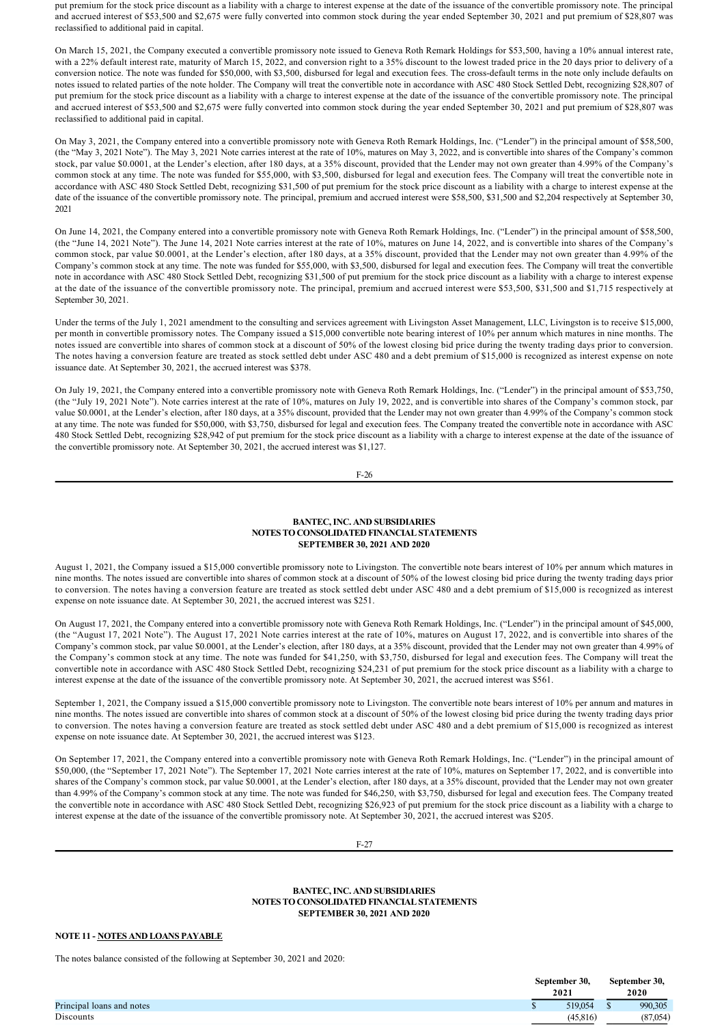put premium for the stock price discount as a liability with a charge to interest expense at the date of the issuance of the convertible promissory note. The principal and accrued interest of \$53,500 and \$2,675 were fully converted into common stock during the year ended September 30, 2021 and put premium of \$28,807 was reclassified to additional paid in capital.

On March 15, 2021, the Company executed a convertible promissory note issued to Geneva Roth Remark Holdings for \$53,500, having a 10% annual interest rate, with a 22% default interest rate, maturity of March 15, 2022, and conversion right to a 35% discount to the lowest traded price in the 20 days prior to delivery of a conversion notice. The note was funded for \$50,000, with \$3,500, disbursed for legal and execution fees. The cross-default terms in the note only include defaults on notes issued to related parties of the note holder. The Company will treat the convertible note in accordance with ASC 480 Stock Settled Debt, recognizing \$28,807 of put premium for the stock price discount as a liability with a charge to interest expense at the date of the issuance of the convertible promissory note. The principal and accrued interest of \$53,500 and \$2,675 were fully converted into common stock during the year ended September 30, 2021 and put premium of \$28,807 was reclassified to additional paid in capital.

On May 3, 2021, the Company entered into a convertible promissory note with Geneva Roth Remark Holdings, Inc. ("Lender") in the principal amount of \$58,500, (the "May 3, 2021 Note"). The May 3, 2021 Note carries interest at the rate of 10%, matures on May 3, 2022, and is convertible into shares of the Company's common stock, par value \$0.0001, at the Lender's election, after 180 days, at a 35% discount, provided that the Lender may not own greater than 4.99% of the Company's common stock at any time. The note was funded for \$55,000, with \$3,500, disbursed for legal and execution fees. The Company will treat the convertible note in accordance with ASC 480 Stock Settled Debt, recognizing \$31,500 of put premium for the stock price discount as a liability with a charge to interest expense at the date of the issuance of the convertible promissory note. The principal, premium and accrued interest were \$58,500, \$31,500 and \$2,204 respectively at September 30, 2021

On June 14, 2021, the Company entered into a convertible promissory note with Geneva Roth Remark Holdings, Inc. ("Lender") in the principal amount of \$58,500, (the "June 14, 2021 Note"). The June 14, 2021 Note carries interest at the rate of 10%, matures on June 14, 2022, and is convertible into shares of the Company's common stock, par value \$0.0001, at the Lender's election, after 180 days, at a 35% discount, provided that the Lender may not own greater than 4.99% of the Company's common stock at any time. The note was funded for \$55,000, with \$3,500, disbursed for legal and execution fees. The Company will treat the convertible note in accordance with ASC 480 Stock Settled Debt, recognizing \$31,500 of put premium for the stock price discount as a liability with a charge to interest expense at the date of the issuance of the convertible promissory note. The principal, premium and accrued interest were \$53,500, \$31,500 and \$1,715 respectively at September 30, 2021.

Under the terms of the July 1, 2021 amendment to the consulting and services agreement with Livingston Asset Management, LLC, Livingston is to receive \$15,000, per month in convertible promissory notes. The Company issued a \$15,000 convertible note bearing interest of 10% per annum which matures in nine months. The notes issued are convertible into shares of common stock at a discount of 50% of the lowest closing bid price during the twenty trading days prior to conversion. The notes having a conversion feature are treated as stock settled debt under ASC 480 and a debt premium of \$15,000 is recognized as interest expense on note issuance date. At September 30, 2021, the accrued interest was \$378.

On July 19, 2021, the Company entered into a convertible promissory note with Geneva Roth Remark Holdings, Inc. ("Lender") in the principal amount of \$53,750, (the "July 19, 2021 Note"). Note carries interest at the rate of 10%, matures on July 19, 2022, and is convertible into shares of the Company's common stock, par value \$0.0001, at the Lender's election, after 180 days, at a 35% discount, provided that the Lender may not own greater than 4.99% of the Company's common stock at any time. The note was funded for \$50,000, with \$3,750, disbursed for legal and execution fees. The Company treated the convertible note in accordance with ASC 480 Stock Settled Debt, recognizing \$28,942 of put premium for the stock price discount as a liability with a charge to interest expense at the date of the issuance of the convertible promissory note. At September 30, 2021, the accrued interest was \$1,127.

F-26

## **BANTEC, INC. AND SUBSIDIARIES NOTES TO CONSOLIDATED FINANCIAL STATEMENTS SEPTEMBER 30, 2021 AND 2020**

August 1, 2021, the Company issued a \$15,000 convertible promissory note to Livingston. The convertible note bears interest of 10% per annum which matures in nine months. The notes issued are convertible into shares of common stock at a discount of 50% of the lowest closing bid price during the twenty trading days prior to conversion. The notes having a conversion feature are treated as stock settled debt under ASC 480 and a debt premium of \$15,000 is recognized as interest expense on note issuance date. At September 30, 2021, the accrued interest was \$251.

On August 17, 2021, the Company entered into a convertible promissory note with Geneva Roth Remark Holdings, Inc. ("Lender") in the principal amount of \$45,000, (the "August 17, 2021 Note"). The August 17, 2021 Note carries interest at the rate of 10%, matures on August 17, 2022, and is convertible into shares of the Company's common stock, par value \$0.0001, at the Lender's election, after 180 days, at a 35% discount, provided that the Lender may not own greater than 4.99% of the Company's common stock at any time. The note was funded for \$41,250, with \$3,750, disbursed for legal and execution fees. The Company will treat the convertible note in accordance with ASC 480 Stock Settled Debt, recognizing \$24,231 of put premium for the stock price discount as a liability with a charge to interest expense at the date of the issuance of the convertible promissory note. At September 30, 2021, the accrued interest was \$561.

September 1, 2021, the Company issued a \$15,000 convertible promissory note to Livingston. The convertible note bears interest of 10% per annum and matures in nine months. The notes issued are convertible into shares of common stock at a discount of 50% of the lowest closing bid price during the twenty trading days prior to conversion. The notes having a conversion feature are treated as stock settled debt under ASC 480 and a debt premium of \$15,000 is recognized as interest expense on note issuance date. At September 30, 2021, the accrued interest was \$123.

On September 17, 2021, the Company entered into a convertible promissory note with Geneva Roth Remark Holdings, Inc. ("Lender") in the principal amount of \$50,000, (the "September 17, 2021 Note"). The September 17, 2021 Note carries interest at the rate of 10%, matures on September 17, 2022, and is convertible into shares of the Company's common stock, par value \$0.0001, at the Lender's election, after 180 days, at a 35% discount, provided that the Lender may not own greater than 4.99% of the Company's common stock at any time. The note was funded for \$46,250, with \$3,750, disbursed for legal and execution fees. The Company treated the convertible note in accordance with ASC 480 Stock Settled Debt, recognizing \$26,923 of put premium for the stock price discount as a liability with a charge to interest expense at the date of the issuance of the convertible promissory note. At September 30, 2021, the accrued interest was \$205.

F-27

## **BANTEC, INC. AND SUBSIDIARIES NOTES TO CONSOLIDATED FINANCIAL STATEMENTS SEPTEMBER 30, 2021 AND 2020**

## **NOTE 11 - NOTES AND LOANS PAYABLE**

The notes balance consisted of the following at September 30, 2021 and 2020:

|                           | September 30,<br>2021 |  | September 30,<br>2020 |          |
|---------------------------|-----------------------|--|-----------------------|----------|
| Principal loans and notes | 519,054               |  |                       | 990,305  |
| Discounts                 | (45, 816)             |  |                       | (87,054) |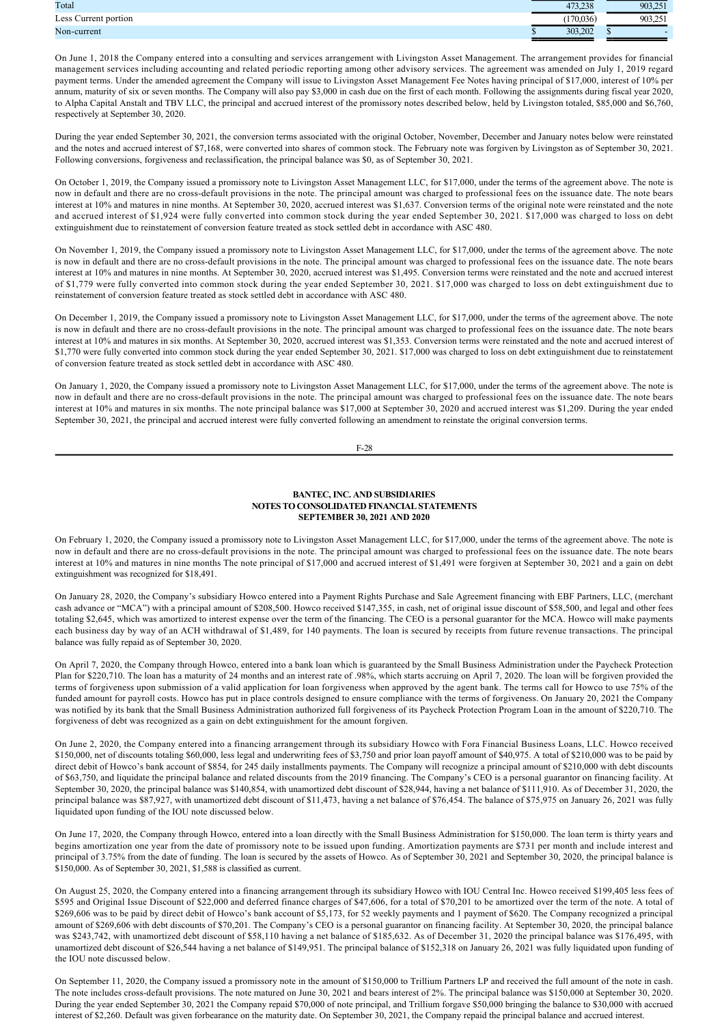| Total                      | 172.220<br>13.230 | 903.251 |
|----------------------------|-------------------|---------|
| ∟ess C`<br>Current portion | (170,036)         | 903.251 |
| Non-current                | 303.202           |         |

On June 1, 2018 the Company entered into a consulting and services arrangement with Livingston Asset Management. The arrangement provides for financial management services including accounting and related periodic reporting among other advisory services. The agreement was amended on July 1, 2019 regard payment terms. Under the amended agreement the Company will issue to Livingston Asset Management Fee Notes having principal of \$17,000, interest of 10% per annum, maturity of six or seven months. The Company will also pay \$3,000 in cash due on the first of each month. Following the assignments during fiscal year 2020, to Alpha Capital Anstalt and TBV LLC, the principal and accrued interest of the promissory notes described below, held by Livingston totaled, \$85,000 and \$6,760, respectively at September 30, 2020.

During the year ended September 30, 2021, the conversion terms associated with the original October, November, December and January notes below were reinstated and the notes and accrued interest of \$7,168, were converted into shares of common stock. The February note was forgiven by Livingston as of September 30, 2021. Following conversions, forgiveness and reclassification, the principal balance was \$0, as of September 30, 2021.

On October 1, 2019, the Company issued a promissory note to Livingston Asset Management LLC, for \$17,000, under the terms of the agreement above. The note is now in default and there are no cross-default provisions in the note. The principal amount was charged to professional fees on the issuance date. The note bears interest at 10% and matures in nine months. At September 30, 2020, accrued interest was \$1,637. Conversion terms of the original note were reinstated and the note and accrued interest of \$1,924 were fully converted into common stock during the year ended September 30, 2021. \$17,000 was charged to loss on debt extinguishment due to reinstatement of conversion feature treated as stock settled debt in accordance with ASC 480.

On November 1, 2019, the Company issued a promissory note to Livingston Asset Management LLC, for \$17,000, under the terms of the agreement above. The note is now in default and there are no cross-default provisions in the note. The principal amount was charged to professional fees on the issuance date. The note bears interest at 10% and matures in nine months. At September 30, 2020, accrued interest was \$1,495. Conversion terms were reinstated and the note and accrued interest of \$1,779 were fully converted into common stock during the year ended September 30, 2021. \$17,000 was charged to loss on debt extinguishment due to reinstatement of conversion feature treated as stock settled debt in accordance with ASC 480.

On December 1, 2019, the Company issued a promissory note to Livingston Asset Management LLC, for \$17,000, under the terms of the agreement above. The note is now in default and there are no cross-default provisions in the note. The principal amount was charged to professional fees on the issuance date. The note bears interest at 10% and matures in six months. At September 30, 2020, accrued interest was \$1,353. Conversion terms were reinstated and the note and accrued interest of \$1,770 were fully converted into common stock during the year ended September 30, 2021. \$17,000 was charged to loss on debt extinguishment due to reinstatement of conversion feature treated as stock settled debt in accordance with ASC 480.

On January 1, 2020, the Company issued a promissory note to Livingston Asset Management LLC, for \$17,000, under the terms of the agreement above. The note is now in default and there are no cross-default provisions in the note. The principal amount was charged to professional fees on the issuance date. The note bears interest at 10% and matures in six months. The note principal balance was \$17,000 at September 30, 2020 and accrued interest was \$1,209. During the year ended September 30, 2021, the principal and accrued interest were fully converted following an amendment to reinstate the original conversion terms.

F-28

#### **BANTEC, INC. AND SUBSIDIARIES NOTES TO CONSOLIDATED FINANCIAL STATEMENTS SEPTEMBER 30, 2021 AND 2020**

On February 1, 2020, the Company issued a promissory note to Livingston Asset Management LLC, for \$17,000, under the terms of the agreement above. The note is now in default and there are no cross-default provisions in the note. The principal amount was charged to professional fees on the issuance date. The note bears interest at 10% and matures in nine months The note principal of \$17,000 and accrued interest of \$1,491 were forgiven at September 30, 2021 and a gain on debt extinguishment was recognized for \$18,491.

On January 28, 2020, the Company's subsidiary Howco entered into a Payment Rights Purchase and Sale Agreement financing with EBF Partners, LLC, (merchant cash advance or "MCA") with a principal amount of \$208,500. Howco received \$147,355, in cash, net of original issue discount of \$58,500, and legal and other fees totaling \$2,645, which was amortized to interest expense over the term of the financing. The CEO is a personal guarantor for the MCA. Howco will make payments each business day by way of an ACH withdrawal of \$1,489, for 140 payments. The loan is secured by receipts from future revenue transactions. The principal balance was fully repaid as of September 30, 2020.

On April 7, 2020, the Company through Howco, entered into a bank loan which is guaranteed by the Small Business Administration under the Paycheck Protection Plan for \$220,710. The loan has a maturity of 24 months and an interest rate of .98%, which starts accruing on April 7, 2020. The loan will be forgiven provided the terms of forgiveness upon submission of a valid application for loan forgiveness when approved by the agent bank. The terms call for Howco to use 75% of the funded amount for payroll costs. Howco has put in place controls designed to ensure compliance with the terms of forgiveness. On January 20, 2021 the Company was notified by its bank that the Small Business Administration authorized full forgiveness of its Paycheck Protection Program Loan in the amount of \$220,710. The forgiveness of debt was recognized as a gain on debt extinguishment for the amount forgiven.

On June 2, 2020, the Company entered into a financing arrangement through its subsidiary Howco with Fora Financial Business Loans, LLC. Howco received \$150,000, net of discounts totaling \$60,000, less legal and underwriting fees of \$3,750 and prior loan payoff amount of \$40,975. A total of \$210,000 was to be paid by direct debit of Howco's bank account of \$854, for 245 daily installments payments. The Company will recognize a principal amount of \$210,000 with debt discounts of \$63,750, and liquidate the principal balance and related discounts from the 2019 financing. The Company's CEO is a personal guarantor on financing facility. At September 30, 2020, the principal balance was \$140,854, with unamortized debt discount of \$28,944, having a net balance of \$111,910. As of December 31, 2020, the principal balance was \$87,927, with unamortized debt discount of \$11,473, having a net balance of \$76,454. The balance of \$75,975 on January 26, 2021 was fully liquidated upon funding of the IOU note discussed below.

On June 17, 2020, the Company through Howco, entered into a loan directly with the Small Business Administration for \$150,000. The loan term is thirty years and begins amortization one year from the date of promissory note to be issued upon funding. Amortization payments are \$731 per month and include interest and principal of 3.75% from the date of funding. The loan is secured by the assets of Howco. As of September 30, 2021 and September 30, 2020, the principal balance is \$150,000. As of September 30, 2021, \$1,588 is classified as current.

On August 25, 2020, the Company entered into a financing arrangement through its subsidiary Howco with IOU Central Inc. Howco received \$199,405 less fees of \$595 and Original Issue Discount of \$22,000 and deferred finance charges of \$47,606, for a total of \$70,201 to be amortized over the term of the note. A total of \$269,606 was to be paid by direct debit of Howco's bank account of \$5,173, for 52 weekly payments and 1 payment of \$620. The Company recognized a principal amount of \$269,606 with debt discounts of \$70,201. The Company's CEO is a personal guarantor on financing facility. At September 30, 2020, the principal balance was \$243,742, with unamortized debt discount of \$58,110 having a net balance of \$185,632. As of December 31, 2020 the principal balance was \$176,495, with unamortized debt discount of \$26,544 having a net balance of \$149,951. The principal balance of \$152,318 on January 26, 2021 was fully liquidated upon funding of the IOU note discussed below.

On September 11, 2020, the Company issued a promissory note in the amount of \$150,000 to Trillium Partners LP and received the full amount of the note in cash. The note includes cross-default provisions. The note matured on June 30, 2021 and bears interest of 2%. The principal balance was \$150,000 at September 30, 2020. During the year ended September 30, 2021 the Company repaid \$70,000 of note principal, and Trillium forgave \$50,000 bringing the balance to \$30,000 with accrued interest of \$2,260. Default was given forbearance on the maturity date. On September 30, 2021, the Company repaid the principal balance and accrued interest.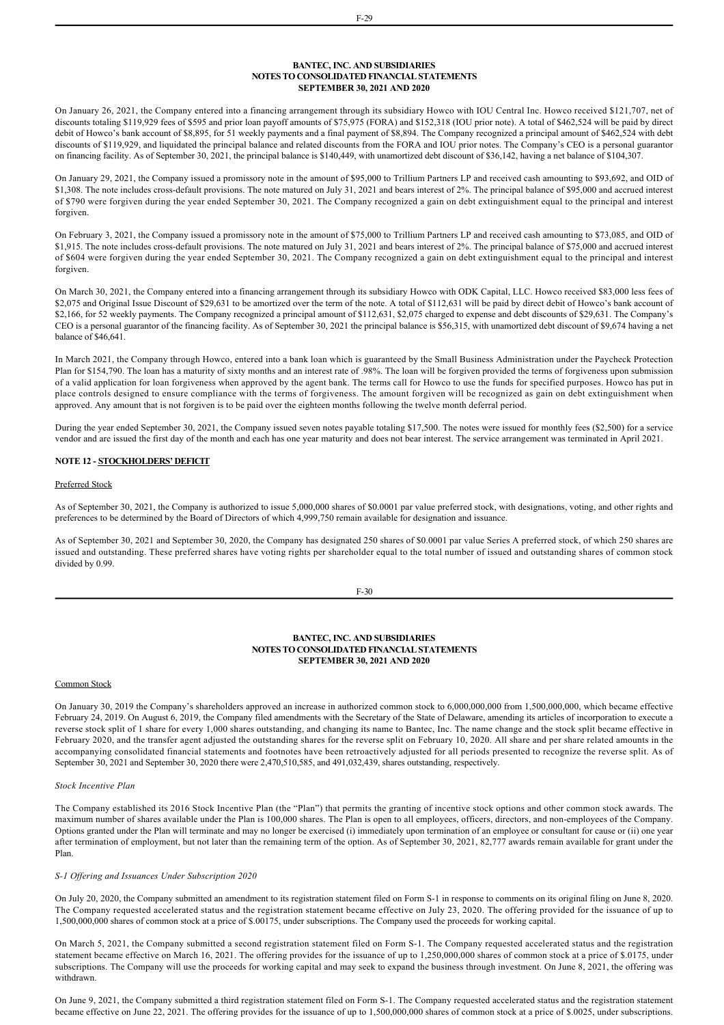## **BANTEC, INC. AND SUBSIDIARIES NOTES TO CONSOLIDATED FINANCIAL STATEMENTS SEPTEMBER 30, 2021 AND 2020**

On January 26, 2021, the Company entered into a financing arrangement through its subsidiary Howco with IOU Central Inc. Howco received \$121,707, net of discounts totaling \$119,929 fees of \$595 and prior loan payoff amounts of \$75,975 (FORA) and \$152,318 (IOU prior note). A total of \$462,524 will be paid by direct debit of Howco's bank account of \$8,895, for 51 weekly payments and a final payment of \$8,894. The Company recognized a principal amount of \$462,524 with debt discounts of \$119,929, and liquidated the principal balance and related discounts from the FORA and IOU prior notes. The Company's CEO is a personal guarantor on financing facility. As of September 30, 2021, the principal balance is \$140,449, with unamortized debt discount of \$36,142, having a net balance of \$104,307.

On January 29, 2021, the Company issued a promissory note in the amount of \$95,000 to Trillium Partners LP and received cash amounting to \$93,692, and OID of \$1,308. The note includes cross-default provisions. The note matured on July 31, 2021 and bears interest of 2%. The principal balance of \$95,000 and accrued interest of \$790 were forgiven during the year ended September 30, 2021. The Company recognized a gain on debt extinguishment equal to the principal and interest forgiven.

On February 3, 2021, the Company issued a promissory note in the amount of \$75,000 to Trillium Partners LP and received cash amounting to \$73,085, and OID of \$1,915. The note includes cross-default provisions. The note matured on July 31, 2021 and bears interest of 2%. The principal balance of \$75,000 and accrued interest of \$604 were forgiven during the year ended September 30, 2021. The Company recognized a gain on debt extinguishment equal to the principal and interest forgiven.

On March 30, 2021, the Company entered into a financing arrangement through its subsidiary Howco with ODK Capital, LLC. Howco received \$83,000 less fees of \$2,075 and Original Issue Discount of \$29,631 to be amortized over the term of the note. A total of \$112,631 will be paid by direct debit of Howco's bank account of \$2,166, for 52 weekly payments. The Company recognized a principal amount of \$112,631, \$2,075 charged to expense and debt discounts of \$29,631. The Company's CEO is a personal guarantor of the financing facility. As of September 30, 2021 the principal balance is \$56,315, with unamortized debt discount of \$9,674 having a net balance of \$46,641.

In March 2021, the Company through Howco, entered into a bank loan which is guaranteed by the Small Business Administration under the Paycheck Protection Plan for \$154,790. The loan has a maturity of sixty months and an interest rate of .98%. The loan will be forgiven provided the terms of forgiveness upon submission of a valid application for loan forgiveness when approved by the agent bank. The terms call for Howco to use the funds for specified purposes. Howco has put in place controls designed to ensure compliance with the terms of forgiveness. The amount forgiven will be recognized as gain on debt extinguishment when approved. Any amount that is not forgiven is to be paid over the eighteen months following the twelve month deferral period.

During the year ended September 30, 2021, the Company issued seven notes payable totaling \$17,500. The notes were issued for monthly fees (\$2,500) for a service vendor and are issued the first day of the month and each has one year maturity and does not bear interest. The service arrangement was terminated in April 2021.

## **NOTE 12 STOCKHOLDERS' DEFICIT**

## Preferred Stock

As of September 30, 2021, the Company is authorized to issue 5,000,000 shares of \$0.0001 par value preferred stock, with designations, voting, and other rights and preferences to be determined by the Board of Directors of which 4,999,750 remain available for designation and issuance.

As of September 30, 2021 and September 30, 2020, the Company has designated 250 shares of \$0.0001 par value Series A preferred stock, of which 250 shares are issued and outstanding. These preferred shares have voting rights per shareholder equal to the total number of issued and outstanding shares of common stock divided by 0.99.

## **BANTEC, INC. AND SUBSIDIARIES NOTES TO CONSOLIDATED FINANCIAL STATEMENTS SEPTEMBER 30, 2021 AND 2020**

## Common Stock

On January 30, 2019 the Company's shareholders approved an increase in authorized common stock to 6,000,000,000 from 1,500,000,000, which became effective February 24, 2019. On August 6, 2019, the Company filed amendments with the Secretary of the State of Delaware, amending its articles of incorporation to execute a reverse stock split of 1 share for every 1,000 shares outstanding, and changing its name to Bantec, Inc. The name change and the stock split became effective in February 2020, and the transfer agent adjusted the outstanding shares for the reverse split on February 10, 2020. All share and per share related amounts in the accompanying consolidated financial statements and footnotes have been retroactively adjusted for all periods presented to recognize the reverse split. As of September 30, 2021 and September 30, 2020 there were 2,470,510,585, and 491,032,439, shares outstanding, respectively.

## *Stock Incentive Plan*

The Company established its 2016 Stock Incentive Plan (the "Plan") that permits the granting of incentive stock options and other common stock awards. The maximum number of shares available under the Plan is 100,000 shares. The Plan is open to all employees, officers, directors, and nonemployees of the Company. Options granted under the Plan will terminate and may no longer be exercised (i) immediately upon termination of an employee or consultant for cause or (ii) one year after termination of employment, but not later than the remaining term of the option. As of September 30, 2021, 82,777 awards remain available for grant under the Plan.

## *S1 Offering and Issuances Under Subscription 2020*

On July 20, 2020, the Company submitted an amendment to its registration statement filed on Form S1 in response to comments on its original filing on June 8, 2020. The Company requested accelerated status and the registration statement became effective on July 23, 2020. The offering provided for the issuance of up to 1,500,000,000 shares of common stock at a price of \$.00175, under subscriptions. The Company used the proceeds for working capital.

On March 5, 2021, the Company submitted a second registration statement filed on Form S1. The Company requested accelerated status and the registration statement became effective on March 16, 2021. The offering provides for the issuance of up to 1,250,000,000 shares of common stock at a price of \$.0175, under subscriptions. The Company will use the proceeds for working capital and may seek to expand the business through investment. On June 8, 2021, the offering was withdrawn.

On June 9, 2021, the Company submitted a third registration statement filed on Form S-1. The Company requested accelerated status and the registration statement became effective on June 22, 2021. The offering provides for the issuance of up to 1,500,000,000 shares of common stock at a price of \$.0025, under subscriptions.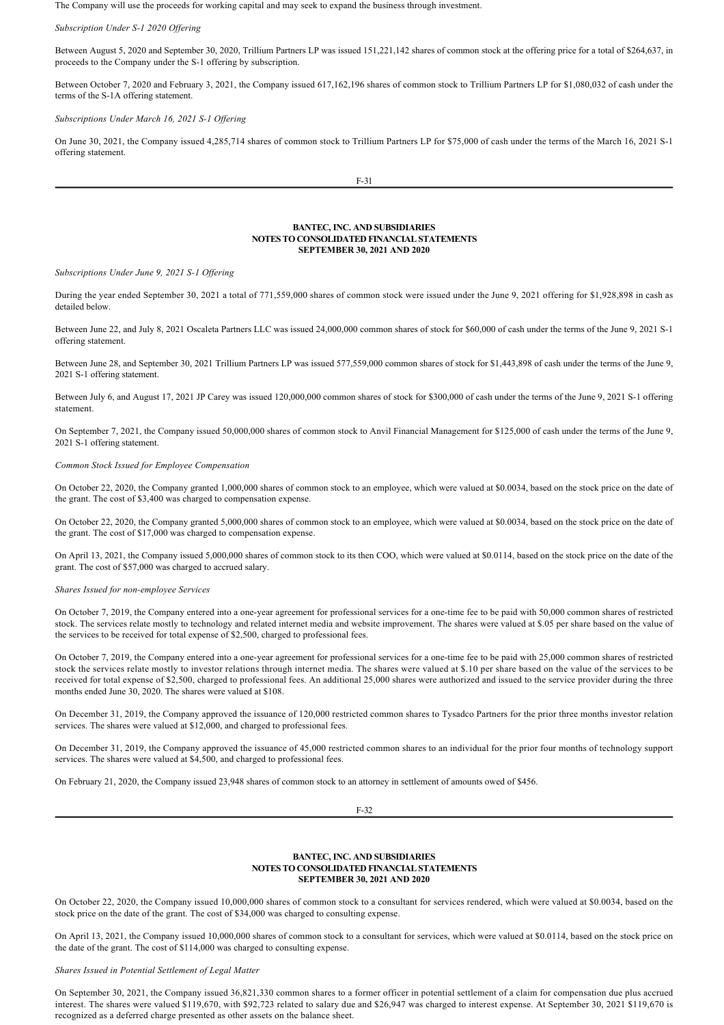The Company will use the proceeds for working capital and may seek to expand the business through investment.

#### *Subscription Under S1 2020 Offering*

Between August 5, 2020 and September 30, 2020, Trillium Partners LP was issued 151,221,142 shares of common stock at the offering price for a total of \$264,637, in proceeds to the Company under the S-1 offering by subscription.

Between October 7, 2020 and February 3, 2021, the Company issued 617,162,196 shares of common stock to Trillium Partners LP for \$1,080,032 of cash under the terms of the S-1A offering statement.

#### *Subscriptions Under March 16, 2021 S1 Offering*

On June 30, 2021, the Company issued 4,285,714 shares of common stock to Trillium Partners LP for \$75,000 of cash under the terms of the March 16, 2021 S-1 offering statement.

F31

#### **BANTEC, INC. AND SUBSIDIARIES NOTES TO CONSOLIDATED FINANCIAL STATEMENTS SEPTEMBER 30, 2021 AND 2020**

*Subscriptions Under June 9, 2021 S1 Offering*

During the year ended September 30, 2021 a total of 771,559,000 shares of common stock were issued under the June 9, 2021 offering for \$1,928,898 in cash as detailed below.

Between June 22, and July 8, 2021 Oscaleta Partners LLC was issued 24,000,000 common shares of stock for \$60,000 of cash under the terms of the June 9, 2021 S-1 offering statement.

Between June 28, and September 30, 2021 Trillium Partners LP was issued 577,559,000 common shares of stock for \$1,443,898 of cash under the terms of the June 9, 2021 S-1 offering statement.

Between July 6, and August 17, 2021 JP Carey was issued 120,000,000 common shares of stock for \$300,000 of cash under the terms of the June 9, 2021 S1 offering statement.

On September 7, 2021, the Company issued 50,000,000 shares of common stock to Anvil Financial Management for \$125,000 of cash under the terms of the June 9, 2021 S-1 offering statement.

#### *Common Stock Issued for Employee Compensation*

On October 22, 2020, the Company granted 1,000,000 shares of common stock to an employee, which were valued at \$0.0034, based on the stock price on the date of the grant. The cost of \$3,400 was charged to compensation expense.

On October 22, 2020, the Company granted 5,000,000 shares of common stock to an employee, which were valued at \$0.0034, based on the stock price on the date of the grant. The cost of \$17,000 was charged to compensation expense.

On April 13, 2021, the Company issued 5,000,000 shares of common stock to its then COO, which were valued at \$0.0114, based on the stock price on the date of the grant. The cost of \$57,000 was charged to accrued salary.

#### *Shares Issued for nonemployee Services*

On October 7, 2019, the Company entered into a one-year agreement for professional services for a one-time fee to be paid with 50,000 common shares of restricted stock. The services relate mostly to technology and related internet media and website improvement. The shares were valued at \$.05 per share based on the value of the services to be received for total expense of \$2,500, charged to professional fees.

On October 7, 2019, the Company entered into a one-year agreement for professional services for a one-time fee to be paid with 25,000 common shares of restricted stock the services relate mostly to investor relations through internet media. The shares were valued at \$.10 per share based on the value of the services to be received for total expense of \$2,500, charged to professional fees. An additional 25,000 shares were authorized and issued to the service provider during the three months ended June 30, 2020. The shares were valued at \$108.

On December 31, 2019, the Company approved the issuance of 120,000 restricted common shares to Tysadco Partners for the prior three months investor relation services. The shares were valued at \$12,000, and charged to professional fees.

On December 31, 2019, the Company approved the issuance of 45,000 restricted common shares to an individual for the prior four months of technology support services. The shares were valued at \$4,500, and charged to professional fees.

On February 21, 2020, the Company issued 23,948 shares of common stock to an attorney in settlement of amounts owed of \$456.

F-32

## **BANTEC, INC. AND SUBSIDIARIES NOTES TO CONSOLIDATED FINANCIAL STATEMENTS SEPTEMBER 30, 2021 AND 2020**

On October 22, 2020, the Company issued 10,000,000 shares of common stock to a consultant for services rendered, which were valued at \$0.0034, based on the stock price on the date of the grant. The cost of \$34,000 was charged to consulting expense.

On April 13, 2021, the Company issued 10,000,000 shares of common stock to a consultant for services, which were valued at \$0.0114, based on the stock price on the date of the grant. The cost of \$114,000 was charged to consulting expense.

## *Shares Issued in Potential Settlement of Legal Matter*

On September 30, 2021, the Company issued 36,821,330 common shares to a former officer in potential settlement of a claim for compensation due plus accrued interest. The shares were valued \$119,670, with \$92,723 related to salary due and \$26,947 was charged to interest expense. At September 30, 2021 \$119,670 is recognized as a deferred charge presented as other assets on the balance sheet.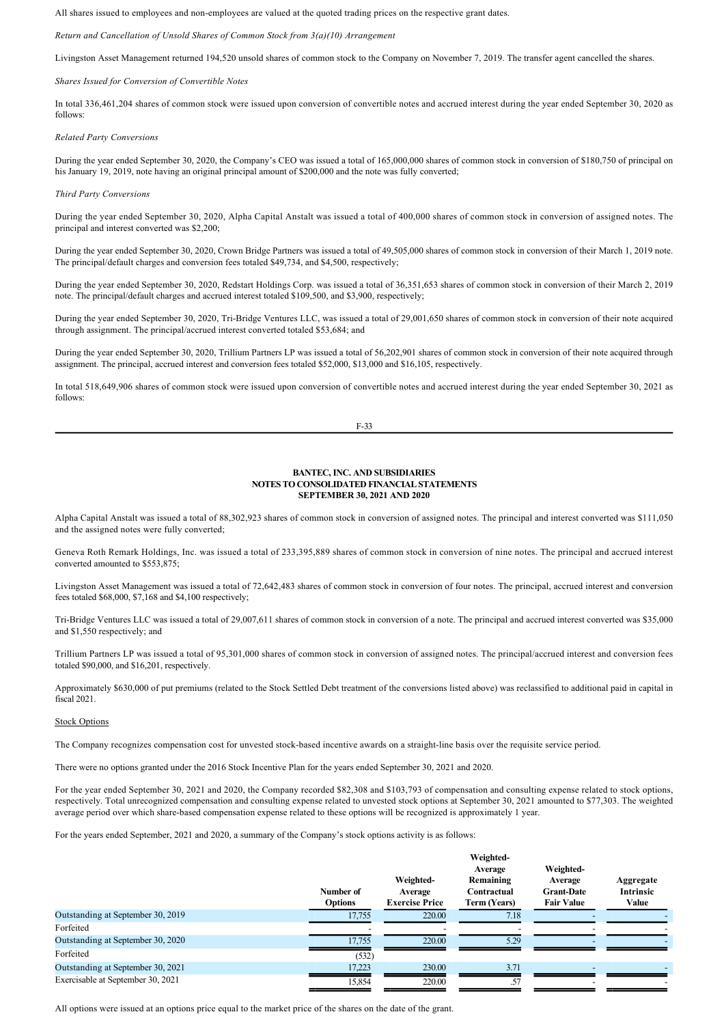All shares issued to employees and non-employees are valued at the quoted trading prices on the respective grant dates.

*Return and Cancellation of Unsold Shares of Common Stock from 3(a)(10) Arrangement*

Livingston Asset Management returned 194,520 unsold shares of common stock to the Company on November 7, 2019. The transfer agent cancelled the shares.

#### *Shares Issued for Conversion of Convertible Notes*

In total 336,461,204 shares of common stock were issued upon conversion of convertible notes and accrued interest during the year ended September 30, 2020 as follows:

#### *Related Party Conversions*

During the year ended September 30, 2020, the Company's CEO was issued a total of 165,000,000 shares of common stock in conversion of \$180,750 of principal on his January 19, 2019, note having an original principal amount of \$200,000 and the note was fully converted;

#### *Third Party Conversions*

During the year ended September 30, 2020, Alpha Capital Anstalt was issued a total of 400,000 shares of common stock in conversion of assigned notes. The principal and interest converted was \$2,200;

During the year ended September 30, 2020, Crown Bridge Partners was issued a total of 49,505,000 shares of common stock in conversion of their March 1, 2019 note. The principal/default charges and conversion fees totaled \$49,734, and \$4,500, respectively;

During the year ended September 30, 2020, Redstart Holdings Corp. was issued a total of 36,351,653 shares of common stock in conversion of their March 2, 2019 note. The principal/default charges and accrued interest totaled \$109,500, and \$3,900, respectively;

During the year ended September 30, 2020, Tri-Bridge Ventures LLC, was issued a total of 29,001,650 shares of common stock in conversion of their note acquired through assignment. The principal/accrued interest converted totaled \$53,684; and

During the year ended September 30, 2020, Trillium Partners LP was issued a total of 56,202,901 shares of common stock in conversion of their note acquired through assignment. The principal, accrued interest and conversion fees totaled \$52,000, \$13,000 and \$16,105, respectively.

In total 518,649,906 shares of common stock were issued upon conversion of convertible notes and accrued interest during the year ended September 30, 2021 as follows:

#### F33

#### **BANTEC, INC. AND SUBSIDIARIES NOTES TO CONSOLIDATED FINANCIAL STATEMENTS SEPTEMBER 30, 2021 AND 2020**

Alpha Capital Anstalt was issued a total of 88,302,923 shares of common stock in conversion of assigned notes. The principal and interest converted was \$111,050 and the assigned notes were fully converted;

Geneva Roth Remark Holdings, Inc. was issued a total of 233,395,889 shares of common stock in conversion of nine notes. The principal and accrued interest converted amounted to \$553,875;

Livingston Asset Management was issued a total of 72,642,483 shares of common stock in conversion of four notes. The principal, accrued interest and conversion fees totaled \$68,000, \$7,168 and \$4,100 respectively;

Tri-Bridge Ventures LLC was issued a total of 29,007,611 shares of common stock in conversion of a note. The principal and accrued interest converted was \$35,000 and \$1,550 respectively; and

Trillium Partners LP was issued a total of 95,301,000 shares of common stock in conversion of assigned notes. The principal/accrued interest and conversion fees totaled \$90,000, and \$16,201, respectively.

Approximately \$630,000 of put premiums (related to the Stock Settled Debt treatment of the conversions listed above) was reclassified to additional paid in capital in fiscal 2021.

## Stock Ontions

The Company recognizes compensation cost for unvested stock-based incentive awards on a straight-line basis over the requisite service period.

There were no options granted under the 2016 Stock Incentive Plan for the years ended September 30, 2021 and 2020.

For the year ended September 30, 2021 and 2020, the Company recorded \$82,308 and \$103,793 of compensation and consulting expense related to stock options, respectively. Total unrecognized compensation and consulting expense related to unvested stock options at September 30, 2021 amounted to \$77,303. The weighted average period over which share-based compensation expense related to these options will be recognized is approximately 1 year.

For the years ended September, 2021 and 2020, a summary of the Company's stock options activity is as follows:

|                                   | Number of<br><b>Options</b> | Weighted-<br>Average<br><b>Exercise Price</b> | Weighted-<br>Average<br>Remaining<br>Contractual<br>Term (Years) | Weighted-<br>Average<br><b>Grant-Date</b><br><b>Fair Value</b> | Aggregate<br><b>Intrinsic</b><br>Value |
|-----------------------------------|-----------------------------|-----------------------------------------------|------------------------------------------------------------------|----------------------------------------------------------------|----------------------------------------|
| Outstanding at September 30, 2019 | 17,755                      | 220.00                                        | 7.18                                                             |                                                                |                                        |
| Forfeited                         |                             |                                               |                                                                  |                                                                |                                        |
| Outstanding at September 30, 2020 | 17,755                      | 220.00                                        | 5.29                                                             |                                                                |                                        |
| Forfeited                         | (532)                       |                                               |                                                                  |                                                                |                                        |
| Outstanding at September 30, 2021 | 17,223                      | 230.00                                        | 3.71                                                             |                                                                |                                        |
| Exercisable at September 30, 2021 | 15,854                      | 220.00                                        | .57                                                              |                                                                |                                        |

All options were issued at an options price equal to the market price of the shares on the date of the grant.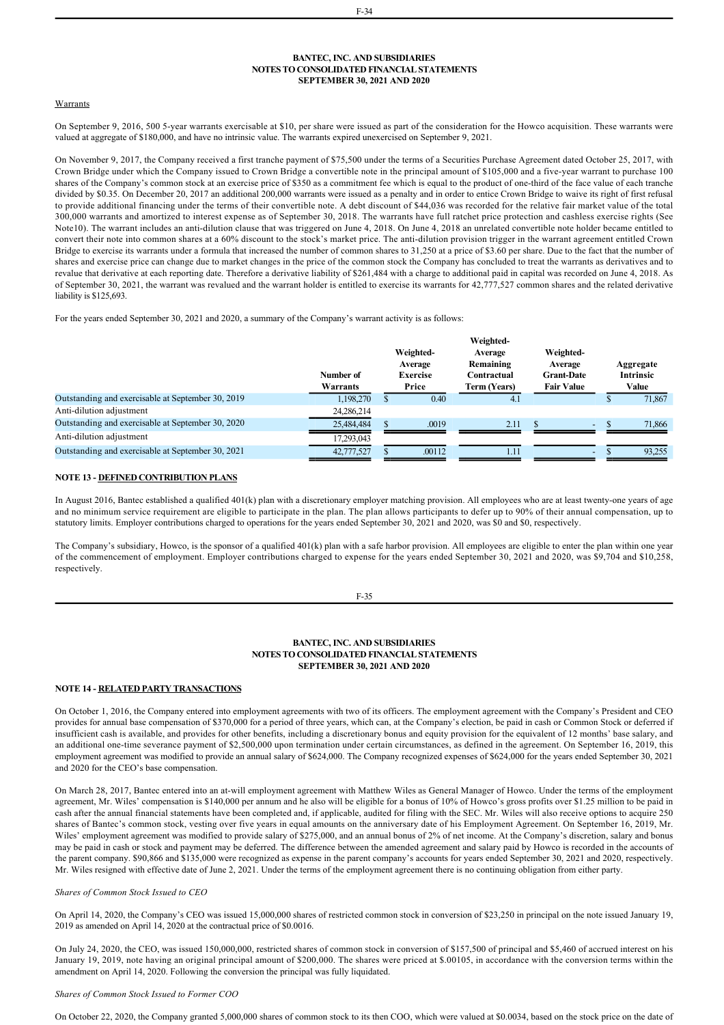## **BANTEC, INC. AND SUBSIDIARIES NOTES TO CONSOLIDATED FINANCIAL STATEMENTS SEPTEMBER 30, 2021 AND 2020**

#### Warrants

On September 9, 2016, 500 5year warrants exercisable at \$10, per share were issued as part of the consideration for the Howco acquisition. These warrants were valued at aggregate of \$180,000, and have no intrinsic value. The warrants expired unexercised on September 9, 2021.

On November 9, 2017, the Company received a first tranche payment of \$75,500 under the terms of a Securities Purchase Agreement dated October 25, 2017, with Crown Bridge under which the Company issued to Crown Bridge a convertible note in the principal amount of \$105,000 and a five-year warrant to purchase 100 shares of the Company's common stock at an exercise price of \$350 as a commitment fee which is equal to the product of one-third of the face value of each tranche divided by \$0.35. On December 20, 2017 an additional 200,000 warrants were issued as a penalty and in order to entice Crown Bridge to waive its right of first refusal to provide additional financing under the terms of their convertible note. A debt discount of \$44,036 was recorded for the relative fair market value of the total 300,000 warrants and amortized to interest expense as of September 30, 2018. The warrants have full ratchet price protection and cashless exercise rights (See Note10). The warrant includes an anti-dilution clause that was triggered on June 4, 2018. On June 4, 2018 an unrelated convertible note holder became entitled to convert their note into common shares at a 60% discount to the stock's market price. The anti-dilution provision trigger in the warrant agreement entitled Crown Bridge to exercise its warrants under a formula that increased the number of common shares to 31,250 at a price of \$3.60 per share. Due to the fact that the number of shares and exercise price can change due to market changes in the price of the common stock the Company has concluded to treat the warrants as derivatives and to revalue that derivative at each reporting date. Therefore a derivative liability of \$261,484 with a charge to additional paid in capital was recorded on June 4, 2018. As of September 30, 2021, the warrant was revalued and the warrant holder is entitled to exercise its warrants for 42,777,527 common shares and the related derivative liability is \$125,693.

For the years ended September 30, 2021 and 2020, a summary of the Company's warrant activity is as follows:

|                                                   | Number of<br>Warrants | Weighted-<br>Average<br><b>Exercise</b><br>Price | Weighted-<br>Average<br>Remaining<br>Contractual<br>Term (Years) | Weighted-<br>Average<br><b>Grant-Date</b><br><b>Fair Value</b> | Aggregate<br><b>Intrinsic</b><br>Value |
|---------------------------------------------------|-----------------------|--------------------------------------------------|------------------------------------------------------------------|----------------------------------------------------------------|----------------------------------------|
| Outstanding and exercisable at September 30, 2019 | 1.198.270             | 0.40                                             | 4.1                                                              |                                                                | 71,867                                 |
| Anti-dilution adjustment                          | 24,286,214            |                                                  |                                                                  |                                                                |                                        |
| Outstanding and exercisable at September 30, 2020 | 25.484.484            | .0019                                            | 2.11                                                             | $\overline{\phantom{0}}$                                       | 71,866                                 |
| Anti-dilution adjustment                          | 17,293,043            |                                                  |                                                                  |                                                                |                                        |
| Outstanding and exercisable at September 30, 2021 | 42,777,527            | .00112                                           | 1.11                                                             | -                                                              | 93,255                                 |

## **NOTE 13 - DEFINED CONTRIBUTION PLANS**

In August 2016, Bantec established a qualified 401(k) plan with a discretionary employer matching provision. All employees who are at least twenty-one years of age and no minimum service requirement are eligible to participate in the plan. The plan allows participants to defer up to 90% of their annual compensation, up to statutory limits. Employer contributions charged to operations for the years ended September 30, 2021 and 2020, was \$0 and \$0, respectively.

The Company's subsidiary, Howco, is the sponsor of a qualified 401(k) plan with a safe harbor provision. All employees are eligible to enter the plan within one year of the commencement of employment. Employer contributions charged to expense for the years ended September 30, 2021 and 2020, was \$9,704 and \$10,258, respectively.

| I<br>$\sim$<br>× |  |
|------------------|--|

## **BANTEC, INC. AND SUBSIDIARIES NOTES TO CONSOLIDATED FINANCIAL STATEMENTS SEPTEMBER 30, 2021 AND 2020**

## **NOTE 14 RELATED PARTY TRANSACTIONS**

On October 1, 2016, the Company entered into employment agreements with two of its officers. The employment agreement with the Company's President and CEO provides for annual base compensation of \$370,000 for a period of three years, which can, at the Company's election, be paid in cash or Common Stock or deferred if insufficient cash is available, and provides for other benefits, including a discretionary bonus and equity provision for the equivalent of 12 months' base salary, and an additional onetime severance payment of \$2,500,000 upon termination under certain circumstances, as defined in the agreement. On September 16, 2019, this employment agreement was modified to provide an annual salary of \$624,000. The Company recognized expenses of \$624,000 for the years ended September 30, 2021 and 2020 for the CEO's base compensation.

On March 28, 2017, Bantec entered into an atwill employment agreement with Matthew Wiles as General Manager of Howco. Under the terms of the employment agreement, Mr. Wiles' compensation is \$140,000 per annum and he also will be eligible for a bonus of 10% of Howco's gross profits over \$1.25 million to be paid in cash after the annual financial statements have been completed and, if applicable, audited for filing with the SEC. Mr. Wiles will also receive options to acquire 250 shares of Bantec's common stock, vesting over five years in equal amounts on the anniversary date of his Employment Agreement. On September 16, 2019, Mr. Wiles' employment agreement was modified to provide salary of \$275,000, and an annual bonus of 2% of net income. At the Company's discretion, salary and bonus may be paid in cash or stock and payment may be deferred. The difference between the amended agreement and salary paid by Howco is recorded in the accounts of the parent company. \$90,866 and \$135,000 were recognized as expense in the parent company's accounts for years ended September 30, 2021 and 2020, respectively. Mr. Wiles resigned with effective date of June 2, 2021. Under the terms of the employment agreement there is no continuing obligation from either party.

#### *Shares of Common Stock Issued to CEO*

On April 14, 2020, the Company's CEO was issued 15,000,000 shares of restricted common stock in conversion of \$23,250 in principal on the note issued January 19, 2019 as amended on April 14, 2020 at the contractual price of \$0.0016.

On July 24, 2020, the CEO, was issued 150,000,000, restricted shares of common stock in conversion of \$157,500 of principal and \$5,460 of accrued interest on his January 19, 2019, note having an original principal amount of \$200,000. The shares were priced at \$.00105, in accordance with the conversion terms within the amendment on April 14, 2020. Following the conversion the principal was fully liquidated.

#### *Shares of Common Stock Issued to Former COO*

On October 22, 2020, the Company granted 5,000,000 shares of common stock to its then COO, which were valued at \$0.0034, based on the stock price on the date of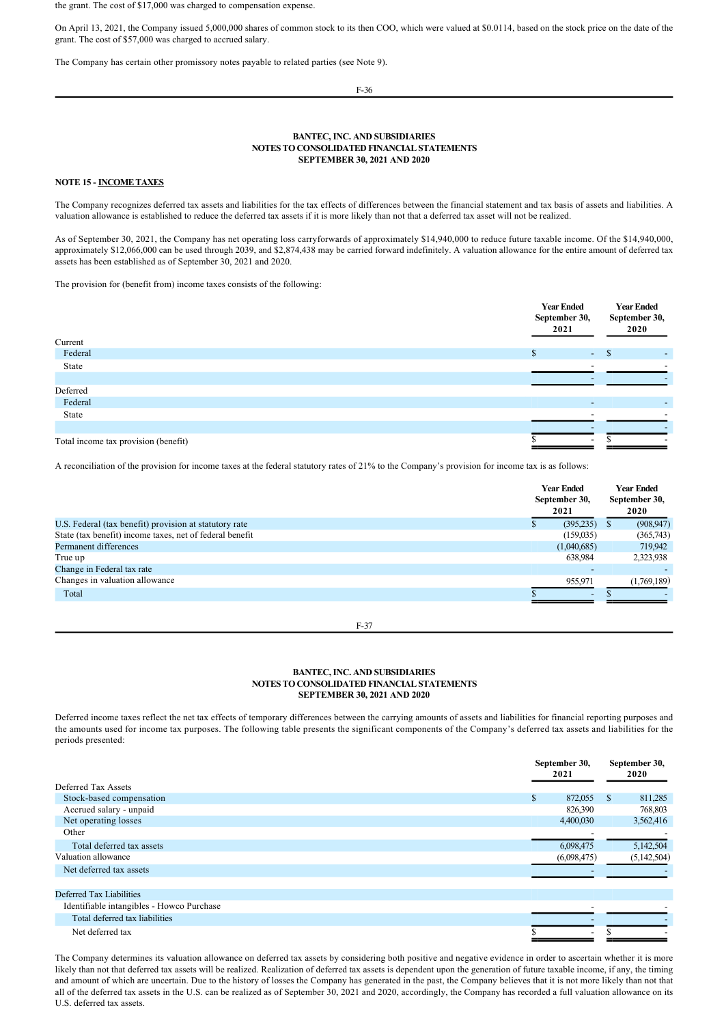the grant. The cost of \$17,000 was charged to compensation expense.

On April 13, 2021, the Company issued 5,000,000 shares of common stock to its then COO, which were valued at \$0.0114, based on the stock price on the date of the grant. The cost of \$57,000 was charged to accrued salary.

The Company has certain other promissory notes payable to related parties (see Note 9).

F-36

## **BANTEC, INC. AND SUBSIDIARIES NOTES TO CONSOLIDATED FINANCIAL STATEMENTS SEPTEMBER 30, 2021 AND 2020**

## **NOTE 15 INCOME TAXES**

The Company recognizes deferred tax assets and liabilities for the tax effects of differences between the financial statement and tax basis of assets and liabilities. A valuation allowance is established to reduce the deferred tax assets if it is more likely than not that a deferred tax asset will not be realized.

As of September 30, 2021, the Company has net operating loss carryforwards of approximately \$14,940,000 to reduce future taxable income. Of the \$14,940,000, approximately \$12,066,000 can be used through 2039, and \$2,874,438 may be carried forward indefinitely. A valuation allowance for the entire amount of deferred tax assets has been established as of September 30, 2021 and 2020.

The provision for (benefit from) income taxes consists of the following:

| Current                              | <b>Year Ended</b><br>September 30,<br>2021 |                          | <b>Year Ended</b><br>September 30,<br>2020 |    |
|--------------------------------------|--------------------------------------------|--------------------------|--------------------------------------------|----|
|                                      |                                            |                          |                                            |    |
| Federal                              | \$                                         | $\sim$                   | <sup>\$</sup>                              | ۰. |
| State                                |                                            |                          |                                            |    |
|                                      |                                            |                          |                                            |    |
| Deferred                             |                                            |                          |                                            |    |
| Federal                              |                                            | $\overline{\phantom{0}}$ |                                            |    |
| State                                |                                            |                          |                                            |    |
|                                      |                                            |                          |                                            |    |
| Total income tax provision (benefit) |                                            | $\overline{\phantom{a}}$ |                                            |    |

A reconciliation of the provision for income taxes at the federal statutory rates of 21% to the Company's provision for income tax is as follows:

| 2021                     |                                    | Year Ended<br>September 30,<br>2020 |
|--------------------------|------------------------------------|-------------------------------------|
| (395, 235)               |                                    | (908, 947)                          |
| (159, 035)               |                                    | (365,743)                           |
| (1,040,685)              |                                    | 719.942                             |
| 638,984                  |                                    | 2,323,938                           |
|                          |                                    |                                     |
| 955,971                  |                                    | (1,769,189)                         |
| $\overline{\phantom{a}}$ |                                    |                                     |
|                          | <b>Year Ended</b><br>September 30, |                                     |

F-37

## **BANTEC, INC. AND SUBSIDIARIES NOTES TO CONSOLIDATED FINANCIAL STATEMENTS SEPTEMBER 30, 2021 AND 2020**

Deferred income taxes reflect the net tax effects of temporary differences between the carrying amounts of assets and liabilities for financial reporting purposes and the amounts used for income tax purposes. The following table presents the significant components of the Company's deferred tax assets and liabilities for the periods presented:

|                                           | September 30,<br>2021 |    | September 30,<br>2020 |
|-------------------------------------------|-----------------------|----|-----------------------|
| Deferred Tax Assets                       |                       |    |                       |
| Stock-based compensation                  | \$<br>872,055         | S. | 811,285               |
| Accrued salary - unpaid                   | 826,390               |    | 768,803               |
| Net operating losses                      | 4,400,030             |    | 3,562,416             |
| Other                                     |                       |    |                       |
| Total deferred tax assets                 | 6,098,475             |    | 5,142,504             |
| Valuation allowance                       | (6,098,475)           |    | (5,142,504)           |
| Net deferred tax assets                   |                       |    |                       |
|                                           |                       |    |                       |
| Deferred Tax Liabilities                  |                       |    |                       |
| Identifiable intangibles - Howco Purchase |                       |    |                       |
| Total deferred tax liabilities            |                       |    |                       |
| Net deferred tax                          |                       |    |                       |

The Company determines its valuation allowance on deferred tax assets by considering both positive and negative evidence in order to ascertain whether it is more likely than not that deferred tax assets will be realized. Realization of deferred tax assets is dependent upon the generation of future taxable income, if any, the timing and amount of which are uncertain. Due to the history of losses the Company has generated in the past, the Company believes that it is not more likely than not that all of the deferred tax assets in the U.S. can be realized as of September 30, 2021 and 2020, accordingly, the Company has recorded a full valuation allowance on its U.S. deferred tax assets.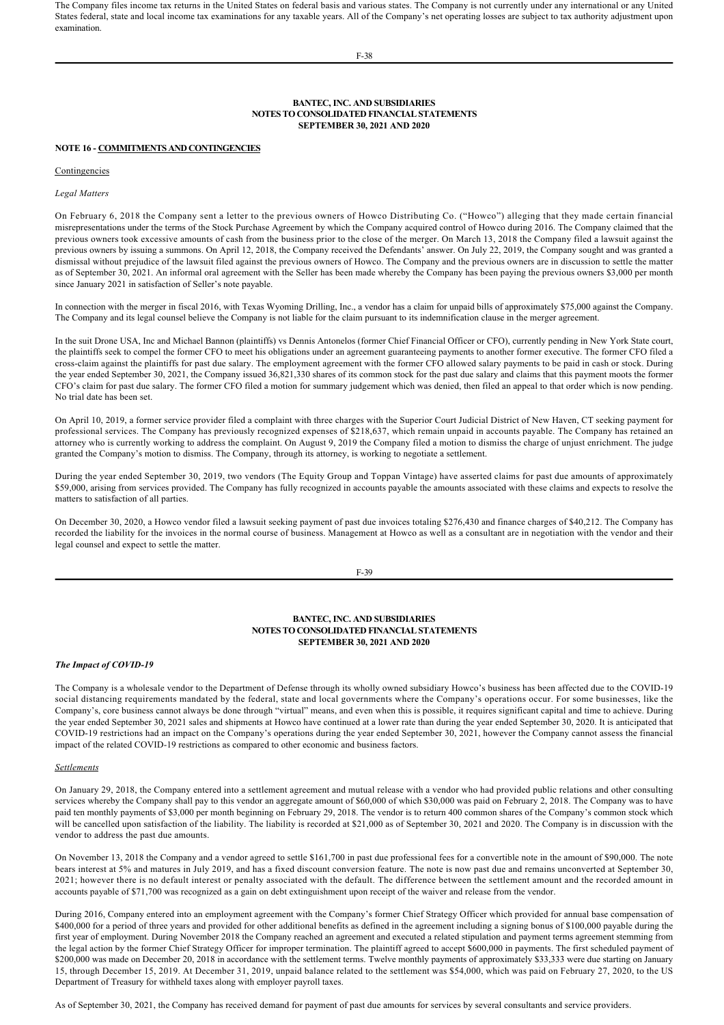The Company files income tax returns in the United States on federal basis and various states. The Company is not currently under any international or any United States federal, state and local income tax examinations for any taxable years. All of the Company's net operating losses are subject to tax authority adjustment upon examination.

## **BANTEC, INC. AND SUBSIDIARIES NOTES TO CONSOLIDATED FINANCIAL STATEMENTS SEPTEMBER 30, 2021 AND 2020**

## **NOTE 16 COMMITMENTS AND CONTINGENCIES**

#### Contingencies

#### *Legal Matters*

On February 6, 2018 the Company sent a letter to the previous owners of Howco Distributing Co. ("Howco") alleging that they made certain financial misrepresentations under the terms of the Stock Purchase Agreement by which the Company acquired control of Howco during 2016. The Company claimed that the previous owners took excessive amounts of cash from the business prior to the close of the merger. On March 13, 2018 the Company filed a lawsuit against the previous owners by issuing a summons. On April 12, 2018, the Company received the Defendants' answer. On July 22, 2019, the Company sought and was granted a dismissal without prejudice of the lawsuit filed against the previous owners of Howco. The Company and the previous owners are in discussion to settle the matter as of September 30, 2021. An informal oral agreement with the Seller has been made whereby the Company has been paying the previous owners \$3,000 per month since January 2021 in satisfaction of Seller's note payable.

In connection with the merger in fiscal 2016, with Texas Wyoming Drilling, Inc., a vendor has a claim for unpaid bills of approximately \$75,000 against the Company. The Company and its legal counsel believe the Company is not liable for the claim pursuant to its indemnification clause in the merger agreement.

In the suit Drone USA, Inc and Michael Bannon (plaintiffs) vs Dennis Antonelos (former Chief Financial Officer or CFO), currently pending in New York State court, the plaintiffs seek to compel the former CFO to meet his obligations under an agreement guaranteeing payments to another former executive. The former CFO filed a cross-claim against the plaintiffs for past due salary. The employment agreement with the former CFO allowed salary payments to be paid in cash or stock. During the year ended September 30, 2021, the Company issued 36,821,330 shares of its common stock for the past due salary and claims that this payment moots the former CFO's claim for past due salary. The former CFO filed a motion for summary judgement which was denied, then filed an appeal to that order which is now pending. No trial date has been set.

On April 10, 2019, a former service provider filed a complaint with three charges with the Superior Court Judicial District of New Haven, CT seeking payment for professional services. The Company has previously recognized expenses of \$218,637, which remain unpaid in accounts payable. The Company has retained an attorney who is currently working to address the complaint. On August 9, 2019 the Company filed a motion to dismiss the charge of unjust enrichment. The judge granted the Company's motion to dismiss. The Company, through its attorney, is working to negotiate a settlement.

During the year ended September 30, 2019, two vendors (The Equity Group and Toppan Vintage) have asserted claims for past due amounts of approximately \$59,000, arising from services provided. The Company has fully recognized in accounts payable the amounts associated with these claims and expects to resolve the matters to satisfaction of all parties.

On December 30, 2020, a Howco vendor filed a lawsuit seeking payment of past due invoices totaling \$276,430 and finance charges of \$40,212. The Company has recorded the liability for the invoices in the normal course of business. Management at Howco as well as a consultant are in negotiation with the vendor and their legal counsel and expect to settle the matter.

#### F39

## **BANTEC, INC. AND SUBSIDIARIES NOTES TO CONSOLIDATED FINANCIAL STATEMENTS SEPTEMBER 30, 2021 AND 2020**

#### **The Impact of COVID-19**

The Company is a wholesale vendor to the Department of Defense through its wholly owned subsidiary Howco's business has been affected due to the COVID19 social distancing requirements mandated by the federal, state and local governments where the Company's operations occur. For some businesses, like the Company's, core business cannot always be done through "virtual" means, and even when this is possible, it requires significant capital and time to achieve. During the year ended September 30, 2021 sales and shipments at Howco have continued at a lower rate than during the year ended September 30, 2020. It is anticipated that COVID19 restrictions had an impact on the Company's operations during the year ended September 30, 2021, however the Company cannot assess the financial impact of the related COVID-19 restrictions as compared to other economic and business factors.

#### *Settlements*

On January 29, 2018, the Company entered into a settlement agreement and mutual release with a vendor who had provided public relations and other consulting services whereby the Company shall pay to this vendor an aggregate amount of \$60,000 of which \$30,000 was paid on February 2, 2018. The Company was to have paid ten monthly payments of \$3,000 per month beginning on February 29, 2018. The vendor is to return 400 common shares of the Company's common stock which will be cancelled upon satisfaction of the liability. The liability is recorded at \$21,000 as of September 30, 2021 and 2020. The Company is in discussion with the vendor to address the past due amounts.

On November 13, 2018 the Company and a vendor agreed to settle \$161,700 in past due professional fees for a convertible note in the amount of \$90,000. The note bears interest at 5% and matures in July 2019, and has a fixed discount conversion feature. The note is now past due and remains unconverted at September 30, 2021; however there is no default interest or penalty associated with the default. The difference between the settlement amount and the recorded amount in accounts payable of \$71,700 was recognized as a gain on debt extinguishment upon receipt of the waiver and release from the vendor.

During 2016, Company entered into an employment agreement with the Company's former Chief Strategy Officer which provided for annual base compensation of \$400,000 for a period of three years and provided for other additional benefits as defined in the agreement including a signing bonus of \$100,000 payable during the first year of employment. During November 2018 the Company reached an agreement and executed a related stipulation and payment terms agreement stemming from the legal action by the former Chief Strategy Officer for improper termination. The plaintiff agreed to accept \$600,000 in payments. The first scheduled payment of \$200,000 was made on December 20, 2018 in accordance with the settlement terms. Twelve monthly payments of approximately \$33,333 were due starting on January 15, through December 15, 2019. At December 31, 2019, unpaid balance related to the settlement was \$54,000, which was paid on February 27, 2020, to the US Department of Treasury for withheld taxes along with employer payroll taxes.

As of September 30, 2021, the Company has received demand for payment of past due amounts for services by several consultants and service providers.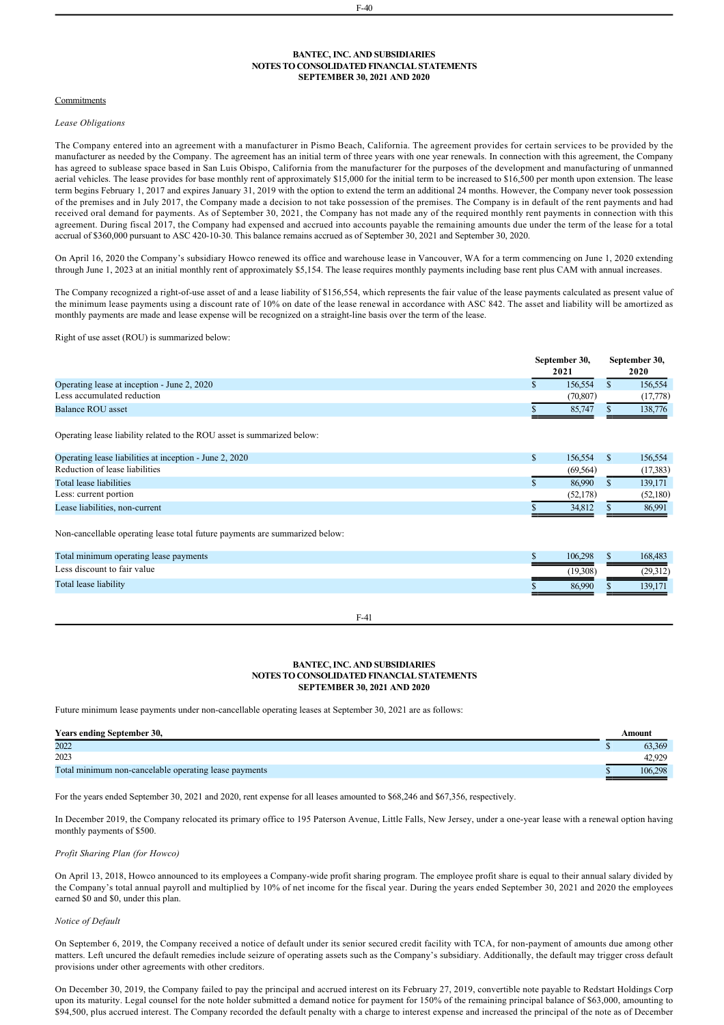## **BANTEC, INC. AND SUBSIDIARIES NOTES TO CONSOLIDATED FINANCIAL STATEMENTS SEPTEMBER 30, 2021 AND 2020**

## **Commitments**

#### *Lease Obligations*

The Company entered into an agreement with a manufacturer in Pismo Beach, California. The agreement provides for certain services to be provided by the manufacturer as needed by the Company. The agreement has an initial term of three years with one year renewals. In connection with this agreement, the Company has agreed to sublease space based in San Luis Obispo, California from the manufacturer for the purposes of the development and manufacturing of unmanned aerial vehicles. The lease provides for base monthly rent of approximately \$15,000 for the initial term to be increased to \$16,500 per month upon extension. The lease term begins February 1, 2017 and expires January 31, 2019 with the option to extend the term an additional 24 months. However, the Company never took possession of the premises and in July 2017, the Company made a decision to not take possession of the premises. The Company is in default of the rent payments and had received oral demand for payments. As of September 30, 2021, the Company has not made any of the required monthly rent payments in connection with this agreement. During fiscal 2017, the Company had expensed and accrued into accounts payable the remaining amounts due under the term of the lease for a total accrual of \$360,000 pursuant to ASC 420-10-30. This balance remains accrued as of September 30, 2021 and September 30, 2020.

On April 16, 2020 the Company's subsidiary Howco renewed its office and warehouse lease in Vancouver, WA for a term commencing on June 1, 2020 extending through June 1, 2023 at an initial monthly rent of approximately \$5,154. The lease requires monthly payments including base rent plus CAM with annual increases.

The Company recognized a right-of-use asset of and a lease liability of \$156,554, which represents the fair value of the lease payments calculated as present value of the minimum lease payments using a discount rate of 10% on date of the lease renewal in accordance with ASC 842. The asset and liability will be amortized as monthly payments are made and lease expense will be recognized on a straight-line basis over the term of the lease.

Right of use asset (ROU) is summarized below:

|                                             | September 30,<br>2021 | September 30,<br>2020 |
|---------------------------------------------|-----------------------|-----------------------|
| Operating lease at inception - June 2, 2020 | 156.554               | 156.554               |
| Less accumulated reduction                  | (70, 807)             | (17,778)              |
| Balance ROU asset                           | 85,747                | 138.776               |

Operating lease liability related to the ROU asset is summarized below:

| Operating lease liabilities at inception - June 2, 2020 | 156.554  | 156.554   |
|---------------------------------------------------------|----------|-----------|
| Reduction of lease liabilities                          | (69.564) | (17, 383) |
| Total lease liabilities                                 | 86.990   | 139.171   |
| Less: current portion                                   | (52.178) | (52,180)  |
| Lease liabilities, non-current                          | 34.812   | 86.991    |
|                                                         |          |           |

Non-cancellable operating lease total future payments are summarized below:

| Total minimum operating lease payments | 106.298  | 168.483  |
|----------------------------------------|----------|----------|
| Less discount to fair value            | (19.308) | (29,312) |
| Total lease liability                  | 86.990   | 139.171  |
|                                        |          |          |

F-41

## **BANTEC, INC. AND SUBSIDIARIES NOTES TO CONSOLIDATED FINANCIAL STATEMENTS SEPTEMBER 30, 2021 AND 2020**

Future minimum lease payments under non-cancellable operating leases at September 30, 2021 are as follows:

| Years ending September 30,                            | Amount  |
|-------------------------------------------------------|---------|
| 2022                                                  | 63.369  |
| 2023                                                  | 42.929  |
| Total minimum non-cancelable operating lease payments | 106.298 |

For the years ended September 30, 2021 and 2020, rent expense for all leases amounted to \$68,246 and \$67,356, respectively.

In December 2019, the Company relocated its primary office to 195 Paterson Avenue, Little Falls, New Jersey, under a one-year lease with a renewal option having monthly payments of \$500.

*Profit Sharing Plan (for Howco)*

On April 13, 2018, Howco announced to its employees a Companywide profit sharing program. The employee profit share is equal to their annual salary divided by the Company's total annual payroll and multiplied by 10% of net income for the fiscal year. During the years ended September 30, 2021 and 2020 the employees earned \$0 and \$0, under this plan.

#### *Notice of Default*

On September 6, 2019, the Company received a notice of default under its senior secured credit facility with TCA, for non-payment of amounts due among other matters. Left uncured the default remedies include seizure of operating assets such as the Company's subsidiary. Additionally, the default may trigger cross default provisions under other agreements with other creditors.

On December 30, 2019, the Company failed to pay the principal and accrued interest on its February 27, 2019, convertible note payable to Redstart Holdings Corp upon its maturity. Legal counsel for the note holder submitted a demand notice for payment for 150% of the remaining principal balance of \$63,000, amounting to \$94,500, plus accrued interest. The Company recorded the default penalty with a charge to interest expense and increased the principal of the note as of December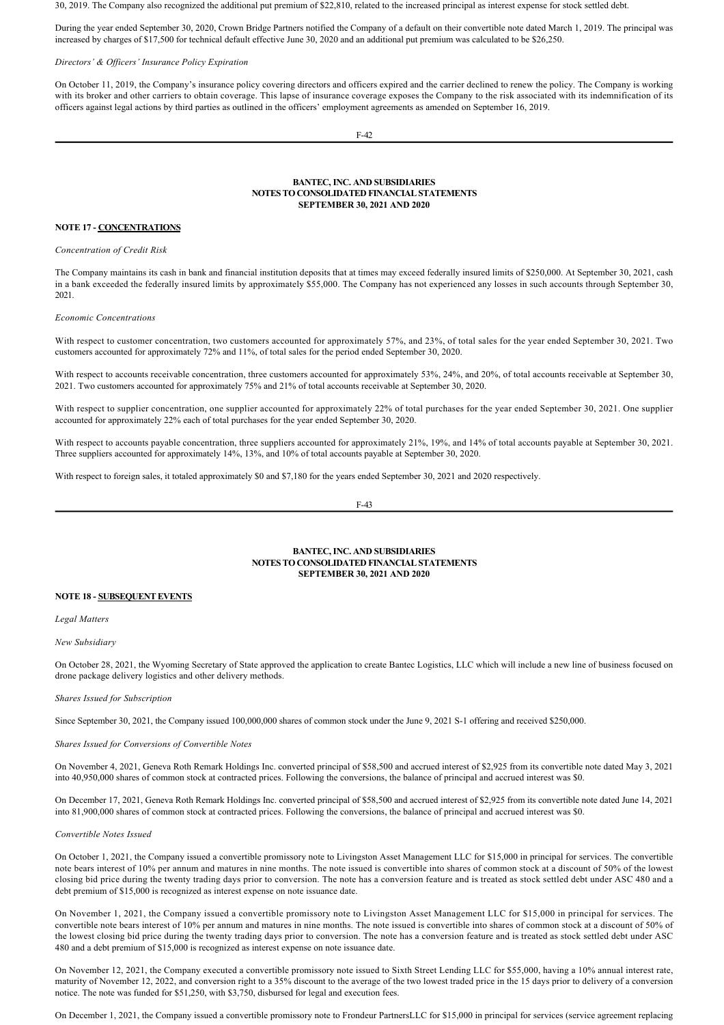30, 2019. The Company also recognized the additional put premium of \$22,810, related to the increased principal as interest expense for stock settled debt.

During the year ended September 30, 2020, Crown Bridge Partners notified the Company of a default on their convertible note dated March 1, 2019. The principal was increased by charges of \$17,500 for technical default effective June 30, 2020 and an additional put premium was calculated to be \$26,250.

## *Directors' & Officers' Insurance Policy Expiration*

On October 11, 2019, the Company's insurance policy covering directors and officers expired and the carrier declined to renew the policy. The Company is working with its broker and other carriers to obtain coverage. This lapse of insurance coverage exposes the Company to the risk associated with its indemnification of its officers against legal actions by third parties as outlined in the officers' employment agreements as amended on September 16, 2019.

F-42

## **BANTEC, INC. AND SUBSIDIARIES NOTES TO CONSOLIDATED FINANCIAL STATEMENTS SEPTEMBER 30, 2021 AND 2020**

#### **NOTE 17 - CONCENTRATIONS**

*Concentration of Credit Risk*

The Company maintains its cash in bank and financial institution deposits that at times may exceed federally insured limits of \$250,000. At September 30, 2021, cash in a bank exceeded the federally insured limits by approximately \$55,000. The Company has not experienced any losses in such accounts through September 30, 2021.

#### *Economic Concentrations*

With respect to customer concentration, two customers accounted for approximately 57%, and 23%, of total sales for the year ended September 30, 2021. Two customers accounted for approximately 72% and 11%, of total sales for the period ended September 30, 2020.

With respect to accounts receivable concentration, three customers accounted for approximately 53%, 24%, and 20%, of total accounts receivable at September 30, 2021. Two customers accounted for approximately 75% and 21% of total accounts receivable at September 30, 2020.

With respect to supplier concentration, one supplier accounted for approximately 22% of total purchases for the year ended September 30, 2021. One supplier accounted for approximately 22% each of total purchases for the year ended September 30, 2020.

With respect to accounts payable concentration, three suppliers accounted for approximately 21%, 19%, and 14% of total accounts payable at September 30, 2021. Three suppliers accounted for approximately 14%, 13%, and 10% of total accounts payable at September 30, 2020.

With respect to foreign sales, it totaled approximately \$0 and \$7,180 for the years ended September 30, 2021 and 2020 respectively.

 $F-43$ 

#### **BANTEC, INC. AND SUBSIDIARIES NOTES TO CONSOLIDATED FINANCIAL STATEMENTS SEPTEMBER 30, 2021 AND 2020**

#### **NOTE 18 - SUBSEQUENT EVENTS**

*Legal Matters*

*New Subsidiary*

On October 28, 2021, the Wyoming Secretary of State approved the application to create Bantec Logistics, LLC which will include a new line of business focused on drone package delivery logistics and other delivery methods.

#### *Shares Issued for Subscription*

Since September 30, 2021, the Company issued 100,000,000 shares of common stock under the June 9, 2021 S-1 offering and received \$250,000.

#### *Shares Issued for Conversions of Convertible Notes*

On November 4, 2021, Geneva Roth Remark Holdings Inc. converted principal of \$58,500 and accrued interest of \$2,925 from its convertible note dated May 3, 2021 into 40,950,000 shares of common stock at contracted prices. Following the conversions, the balance of principal and accrued interest was \$0.

On December 17, 2021, Geneva Roth Remark Holdings Inc. converted principal of \$58,500 and accrued interest of \$2,925 from its convertible note dated June 14, 2021 into 81,900,000 shares of common stock at contracted prices. Following the conversions, the balance of principal and accrued interest was \$0.

#### *Convertible Notes Issued*

On October 1, 2021, the Company issued a convertible promissory note to Livingston Asset Management LLC for \$15,000 in principal for services. The convertible note bears interest of 10% per annum and matures in nine months. The note issued is convertible into shares of common stock at a discount of 50% of the lowest closing bid price during the twenty trading days prior to conversion. The note has a conversion feature and is treated as stock settled debt under ASC 480 and a debt premium of \$15,000 is recognized as interest expense on note issuance date.

On November 1, 2021, the Company issued a convertible promissory note to Livingston Asset Management LLC for \$15,000 in principal for services. The convertible note bears interest of 10% per annum and matures in nine months. The note issued is convertible into shares of common stock at a discount of 50% of the lowest closing bid price during the twenty trading days prior to conversion. The note has a conversion feature and is treated as stock settled debt under ASC 480 and a debt premium of \$15,000 is recognized as interest expense on note issuance date.

On November 12, 2021, the Company executed a convertible promissory note issued to Sixth Street Lending LLC for \$55,000, having a 10% annual interest rate, maturity of November 12, 2022, and conversion right to a 35% discount to the average of the two lowest traded price in the 15 days prior to delivery of a conversion notice. The note was funded for \$51,250, with \$3,750, disbursed for legal and execution fees.

On December 1, 2021, the Company issued a convertible promissory note to Frondeur PartnersLLC for \$15,000 in principal for services (service agreement replacing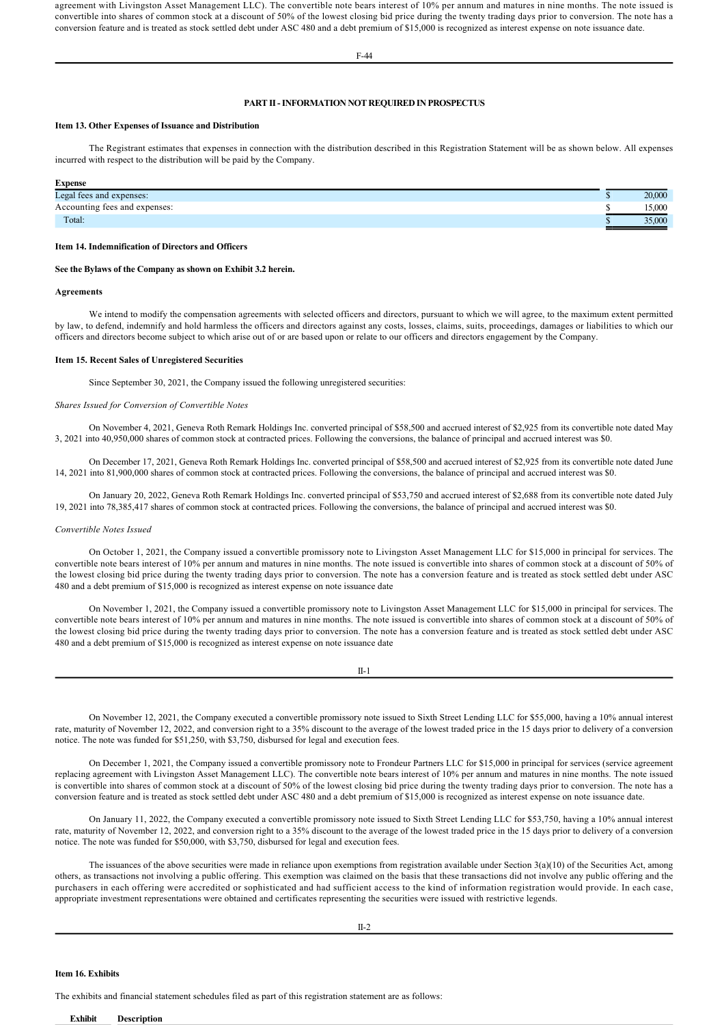agreement with Livingston Asset Management LLC). The convertible note bears interest of 10% per annum and matures in nine months. The note issued is convertible into shares of common stock at a discount of 50% of the lowest closing bid price during the twenty trading days prior to conversion. The note has a conversion feature and is treated as stock settled debt under ASC 480 and a debt premium of \$15,000 is recognized as interest expense on note issuance date.

F-44

#### **PART II INFORMATION NOT REQUIRED IN PROSPECTUS**

## **Item 13. Other Expenses of Issuance and Distribution**

The Registrant estimates that expenses in connection with the distribution described in this Registration Statement will be as shown below. All expenses incurred with respect to the distribution will be paid by the Company.

| <b>Expense</b>                |        |
|-------------------------------|--------|
| Legal fees and expenses:      | 20,000 |
| Accounting fees and expenses: | 15.000 |
| Total:                        | 35,000 |

## **Item 14. Indemnification of Directors and Officers**

#### **See the Bylaws of the Company as shown on Exhibit 3.2 herein.**

#### **Agreements**

We intend to modify the compensation agreements with selected officers and directors, pursuant to which we will agree, to the maximum extent permitted by law, to defend, indemnify and hold harmless the officers and directors against any costs, losses, claims, suits, proceedings, damages or liabilities to which our officers and directors become subject to which arise out of or are based upon or relate to our officers and directors engagement by the Company.

#### **Item 15. Recent Sales of Unregistered Securities**

Since September 30, 2021, the Company issued the following unregistered securities:

#### *Shares Issued for Conversion of Convertible Notes*

On November 4, 2021, Geneva Roth Remark Holdings Inc. converted principal of \$58,500 and accrued interest of \$2,925 from its convertible note dated May 3, 2021 into 40,950,000 shares of common stock at contracted prices. Following the conversions, the balance of principal and accrued interest was \$0.

On December 17, 2021, Geneva Roth Remark Holdings Inc. converted principal of \$58,500 and accrued interest of \$2,925 from its convertible note dated June 14, 2021 into 81,900,000 shares of common stock at contracted prices. Following the conversions, the balance of principal and accrued interest was \$0.

On January 20, 2022, Geneva Roth Remark Holdings Inc. converted principal of \$53,750 and accrued interest of \$2,688 from its convertible note dated July 19, 2021 into 78,385,417 shares of common stock at contracted prices. Following the conversions, the balance of principal and accrued interest was \$0.

#### *Convertible Notes Issued*

On October 1, 2021, the Company issued a convertible promissory note to Livingston Asset Management LLC for \$15,000 in principal for services. The convertible note bears interest of 10% per annum and matures in nine months. The note issued is convertible into shares of common stock at a discount of 50% of the lowest closing bid price during the twenty trading days prior to conversion. The note has a conversion feature and is treated as stock settled debt under ASC 480 and a debt premium of \$15,000 is recognized as interest expense on note issuance date

On November 1, 2021, the Company issued a convertible promissory note to Livingston Asset Management LLC for \$15,000 in principal for services. The convertible note bears interest of 10% per annum and matures in nine months. The note issued is convertible into shares of common stock at a discount of 50% of the lowest closing bid price during the twenty trading days prior to conversion. The note has a conversion feature and is treated as stock settled debt under ASC 480 and a debt premium of \$15,000 is recognized as interest expense on note issuance date

 $II-1$ 

On November 12, 2021, the Company executed a convertible promissory note issued to Sixth Street Lending LLC for \$55,000, having a 10% annual interest rate, maturity of November 12, 2022, and conversion right to a 35% discount to the average of the lowest traded price in the 15 days prior to delivery of a conversion notice. The note was funded for \$51,250, with \$3,750, disbursed for legal and execution fees.

On December 1, 2021, the Company issued a convertible promissory note to Frondeur Partners LLC for \$15,000 in principal for services (service agreement replacing agreement with Livingston Asset Management LLC). The convertible note bears interest of 10% per annum and matures in nine months. The note issued is convertible into shares of common stock at a discount of 50% of the lowest closing bid price during the twenty trading days prior to conversion. The note has a conversion feature and is treated as stock settled debt under ASC 480 and a debt premium of \$15,000 is recognized as interest expense on note issuance date.

On January 11, 2022, the Company executed a convertible promissory note issued to Sixth Street Lending LLC for \$53,750, having a 10% annual interest rate, maturity of November 12, 2022, and conversion right to a 35% discount to the average of the lowest traded price in the 15 days prior to delivery of a conversion notice. The note was funded for \$50,000, with \$3,750, disbursed for legal and execution fees.

The issuances of the above securities were made in reliance upon exemptions from registration available under Section  $3(a)(10)$  of the Securities Act, among others, as transactions not involving a public offering. This exemption was claimed on the basis that these transactions did not involve any public offering and the purchasers in each offering were accredited or sophisticated and had sufficient access to the kind of information registration would provide. In each case, appropriate investment representations were obtained and certificates representing the securities were issued with restrictive legends.

#### **Item 16. Exhibits**

The exhibits and financial statement schedules filed as part of this registration statement are as follows:

**Exhibit Description**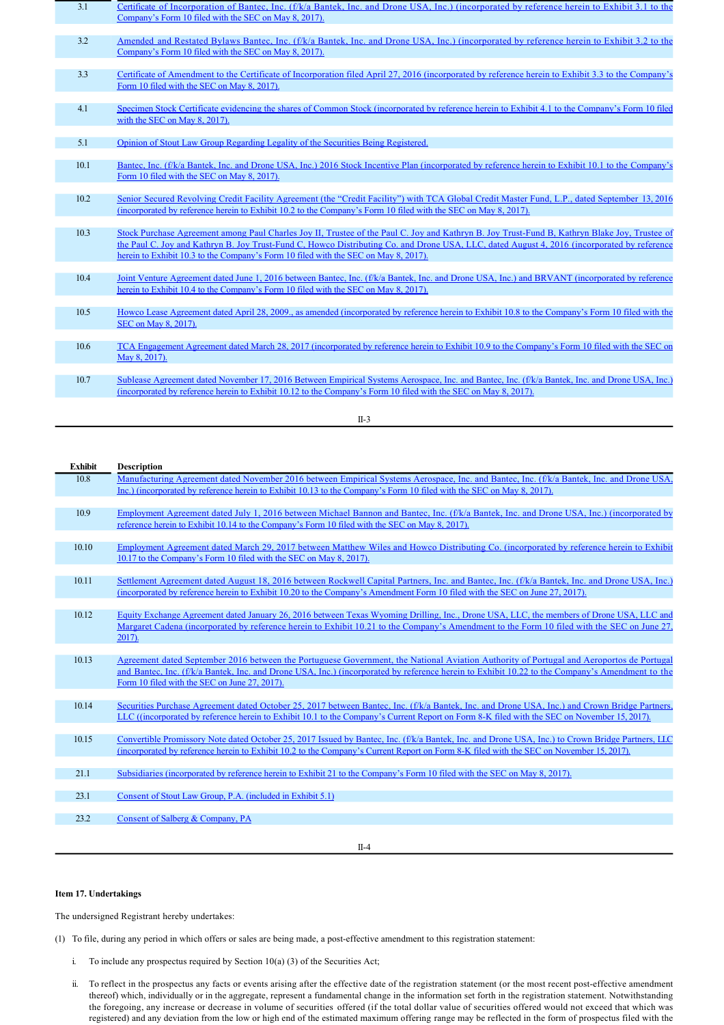| 3.1  | Certificate of Incorporation of Bantec. Inc. (f/k/a Bantek. Inc. and Drone USA, Inc.) (incorporated by reference herein to Exhibit 3.1 to the                                                      |
|------|----------------------------------------------------------------------------------------------------------------------------------------------------------------------------------------------------|
|      | Company's Form 10 filed with the SEC on May 8, 2017).                                                                                                                                              |
|      |                                                                                                                                                                                                    |
| 3.2  | Amended and Restated Bylaws Bantec, Inc. (f/k/a Bantek, Inc. and Drone USA, Inc.) (incorporated by reference herein to Exhibit 3.2 to the<br>Company's Form 10 filed with the SEC on May 8, 2017). |
|      |                                                                                                                                                                                                    |
| 3.3  | Certificate of Amendment to the Certificate of Incorporation filed April 27, 2016 (incorporated by reference herein to Exhibit 3.3 to the Company's                                                |
|      | Form 10 filed with the SEC on May 8, 2017).                                                                                                                                                        |
|      |                                                                                                                                                                                                    |
| 4.1  | Specimen Stock Certificate evidencing the shares of Common Stock (incorporated by reference herein to Exhibit 4.1 to the Company's Form 10 filed                                                   |
|      | with the SEC on May 8, 2017).                                                                                                                                                                      |
|      |                                                                                                                                                                                                    |
| 5.1  | Opinion of Stout Law Group Regarding Legality of the Securities Being Registered.                                                                                                                  |
|      |                                                                                                                                                                                                    |
| 10.1 | Bantec, Inc. (f/k/a Bantek, Inc. and Drone USA, Inc.) 2016 Stock Incentive Plan (incorporated by reference herein to Exhibit 10.1 to the Company's                                                 |
|      | Form 10 filed with the SEC on May 8, 2017).                                                                                                                                                        |
| 10.2 | Senior Secured Revolving Credit Facility Agreement (the "Credit Facility") with TCA Global Credit Master Fund, L.P., dated September 13, 2016                                                      |
|      | (incorporated by reference herein to Exhibit 10.2 to the Company's Form 10 filed with the SEC on May 8, 2017).                                                                                     |
|      |                                                                                                                                                                                                    |
| 10.3 | Stock Purchase Agreement among Paul Charles Joy II, Trustee of the Paul C. Joy and Kathryn B. Joy Trust-Fund B, Kathryn Blake Joy, Trustee of                                                      |
|      | the Paul C. Joy and Kathryn B. Joy Trust-Fund C. Howco Distributing Co. and Drone USA, LLC, dated August 4, 2016 (incorporated by reference                                                        |
|      | herein to Exhibit 10.3 to the Company's Form 10 filed with the SEC on May 8, 2017).                                                                                                                |
| 10.4 | Joint Venture Agreement dated June 1, 2016 between Bantec, Inc. (f/k/a Bantek, Inc. and Drone USA, Inc.) and BRVANT (incorporated by reference                                                     |
|      | herein to Exhibit 10.4 to the Company's Form 10 filed with the SEC on May 8, 2017).                                                                                                                |
|      |                                                                                                                                                                                                    |
| 10.5 | Howco Lease Agreement dated April 28, 2009, as amended (incorporated by reference herein to Exhibit 10.8 to the Company's Form 10 filed with the                                                   |
|      | SEC on May 8, 2017).                                                                                                                                                                               |
|      |                                                                                                                                                                                                    |
| 10.6 | TCA Engagement Agreement dated March 28, 2017 (incorporated by reference herein to Exhibit 10.9 to the Company's Form 10 filed with the SEC on                                                     |
|      | May 8, 2017).                                                                                                                                                                                      |
|      |                                                                                                                                                                                                    |
| 10.7 | Sublease Agreement dated November 17, 2016 Between Empirical Systems Aerospace, Inc. and Bantec, Inc. (f/k/a Bantek, Inc. and Drone USA, Inc.)                                                     |
|      | (incorporated by reference herein to Exhibit 10.12 to the Company's Form 10 filed with the SEC on May 8, 2017).                                                                                    |

| ٦<br>×<br>۰, |
|--------------|

| <b>Exhibit</b> | <b>Description</b>                                                                                                                                                                              |
|----------------|-------------------------------------------------------------------------------------------------------------------------------------------------------------------------------------------------|
| 10.8           | Manufacturing Agreement dated November 2016 between Empirical Systems Aerospace. Inc. and Bantec. Inc. (f/k/a Bantek. Inc. and Drone USA.                                                       |
|                | Inc.) (incorporated by reference herein to Exhibit 10.13 to the Company's Form 10 filed with the SEC on May 8, 2017).                                                                           |
|                |                                                                                                                                                                                                 |
| 10.9           | Employment Agreement dated July 1, 2016 between Michael Bannon and Bantec. Inc. (f/k/a Bantek. Inc. and Drone USA, Inc.) (incorporated by                                                       |
|                | reference herein to Exhibit 10.14 to the Company's Form 10 filed with the SEC on May 8, 2017).                                                                                                  |
|                |                                                                                                                                                                                                 |
| 10.10          | Employment Agreement dated March 29, 2017 between Matthew Wiles and Howco Distributing Co. (incorporated by reference herein to Exhibit                                                         |
|                | 10.17 to the Company's Form 10 filed with the SEC on May 8, 2017).                                                                                                                              |
| 10.11          | Settlement Agreement dated August 18, 2016 between Rockwell Capital Partners. Inc. and Bantec. Inc. (f/k/a Bantek. Inc. and Drone USA. Inc.)                                                    |
|                | (incorporated by reference herein to Exhibit 10.20 to the Company's Amendment Form 10 filed with the SEC on June 27, 2017).                                                                     |
|                |                                                                                                                                                                                                 |
| 10.12          | Equity Exchange Agreement dated January 26, 2016 between Texas Wyoming Drilling, Inc., Drone USA, LLC, the members of Drone USA, LLC and                                                        |
|                | Margaret Cadena (incorporated by reference herein to Exhibit 10.21 to the Company's Amendment to the Form 10 filed with the SEC on June 27,                                                     |
|                | $2017$ ).                                                                                                                                                                                       |
|                |                                                                                                                                                                                                 |
| 10.13          | Agreement dated September 2016 between the Portuguese Government, the National Aviation Authority of Portugal and Aeroportos de Portugal                                                        |
|                | and Bantec, Inc. (f/k/a Bantek, Inc. and Drone USA, Inc.) (incorporated by reference herein to Exhibit 10.22 to the Company's Amendment to the<br>Form 10 filed with the SEC on June 27, 2017). |
|                |                                                                                                                                                                                                 |
| 10.14          | Securities Purchase Agreement dated October 25, 2017 between Bantec. Inc. (f/k/a Bantek. Inc. and Drone USA, Inc.) and Crown Bridge Partners.                                                   |
|                | LLC ((incorporated by reference herein to Exhibit 10.1 to the Company's Current Report on Form 8-K filed with the SEC on November 15, 2017).                                                    |
|                |                                                                                                                                                                                                 |
| 10.15          | Convertible Promissory Note dated October 25, 2017 Issued by Bantec. Inc. (f/k/a Bantek. Inc. and Drone USA, Inc.) to Crown Bridge Partners, LLC                                                |
|                | (incorporated by reference herein to Exhibit 10.2 to the Company's Current Report on Form 8-K filed with the SEC on November 15, 2017).                                                         |
|                |                                                                                                                                                                                                 |
| 21.1           | Subsidiaries (incorporated by reference herein to Exhibit 21 to the Company's Form 10 filed with the SEC on May 8, 2017).                                                                       |
| 23.1           | Consent of Stout Law Group, P.A. (included in Exhibit 5.1)                                                                                                                                      |
|                |                                                                                                                                                                                                 |
| 23.2           | Consent of Salberg & Company, PA                                                                                                                                                                |
|                |                                                                                                                                                                                                 |
|                |                                                                                                                                                                                                 |

## **Item 17. Undertakings**

The undersigned Registrant hereby undertakes:

(1) To file, during any period in which offers or sales are being made, a posteffective amendment to this registration statement:

- i. To include any prospectus required by Section 10(a) (3) of the Securities Act;
- ii. To reflect in the prospectus any facts or events arising after the effective date of the registration statement (or the most recent posteffective amendment thereof) which, individually or in the aggregate, represent a fundamental change in the information set forth in the registration statement. Notwithstanding the foregoing, any increase or decrease in volume of securities offered (if the total dollar value of securities offered would not exceed that which was registered) and any deviation from the low or high end of the estimated maximum offering range may be reflected in the form of prospectus filed with the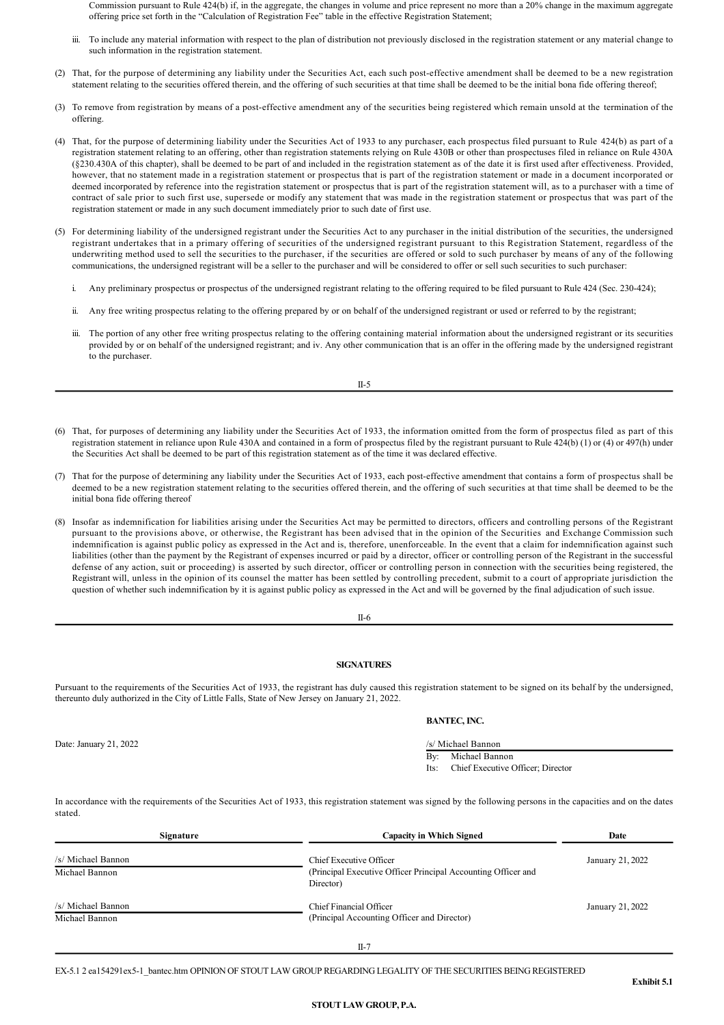- Commission pursuant to Rule 424(b) if, in the aggregate, the changes in volume and price represent no more than a 20% change in the maximum aggregate offering price set forth in the "Calculation of Registration Fee" table in the effective Registration Statement;
- iii. To include any material information with respect to the plan of distribution not previously disclosed in the registration statement or any material change to such information in the registration statement.
- (2) That, for the purpose of determining any liability under the Securities Act, each such posteffective amendment shall be deemed to be a new registration statement relating to the securities offered therein, and the offering of such securities at that time shall be deemed to be the initial bona fide offering thereof;
- (3) To remove from registration by means of a posteffective amendment any of the securities being registered which remain unsold at the termination of the offering.
- (4) That, for the purpose of determining liability under the Securities Act of 1933 to any purchaser, each prospectus filed pursuant to Rule 424(b) as part of a registration statement relating to an offering, other than registration statements relying on Rule 430B or other than prospectuses filed in reliance on Rule 430A (§230.430A of this chapter), shall be deemed to be part of and included in the registration statement as of the date it is first used after effectiveness. Provided, however, that no statement made in a registration statement or prospectus that is part of the registration statement or made in a document incorporated or deemed incorporated by reference into the registration statement or prospectus that is part of the registration statement will, as to a purchaser with a time of contract of sale prior to such first use, supersede or modify any statement that was made in the registration statement or prospectus that was part of the registration statement or made in any such document immediately prior to such date of first use.
- (5) For determining liability of the undersigned registrant under the Securities Act to any purchaser in the initial distribution of the securities, the undersigned registrant undertakes that in a primary offering of securities of the undersigned registrant pursuant to this Registration Statement, regardless of the underwriting method used to sell the securities to the purchaser, if the securities are offered or sold to such purchaser by means of any of the following communications, the undersigned registrant will be a seller to the purchaser and will be considered to offer or sell such securities to such purchaser:
	- i. Any preliminary prospectus or prospectus of the undersigned registrant relating to the offering required to be filed pursuant to Rule 424 (Sec. 230424);
	- ii. Any free writing prospectus relating to the offering prepared by or on behalf of the undersigned registrant or used or referred to by the registrant;
	- iii. The portion of any other free writing prospectus relating to the offering containing material information about the undersigned registrant or its securities provided by or on behalf of the undersigned registrant; and iv. Any other communication that is an offer in the offering made by the undersigned registrant to the purchaser.

 $II-5$ 

- (6) That, for purposes of determining any liability under the Securities Act of 1933, the information omitted from the form of prospectus filed as part of this registration statement in reliance upon Rule 430A and contained in a form of prospectus filed by the registrant pursuant to Rule 424(b) (1) or (4) or 497(h) under the Securities Act shall be deemed to be part of this registration statement as of the time it was declared effective.
- (7) That for the purpose of determining any liability under the Securities Act of 1933, each posteffective amendment that contains a form of prospectus shall be deemed to be a new registration statement relating to the securities offered therein, and the offering of such securities at that time shall be deemed to be the initial bona fide offering thereof
- (8) Insofar as indemnification for liabilities arising under the Securities Act may be permitted to directors, officers and controlling persons of the Registrant pursuant to the provisions above, or otherwise, the Registrant has been advised that in the opinion of the Securities and Exchange Commission such indemnification is against public policy as expressed in the Act and is, therefore, unenforceable. In the event that a claim for indemnification against such liabilities (other than the payment by the Registrant of expenses incurred or paid by a director, officer or controlling person of the Registrant in the successful defense of any action, suit or proceeding) is asserted by such director, officer or controlling person in connection with the securities being registered, the Registrant will, unless in the opinion of its counsel the matter has been settled by controlling precedent, submit to a court of appropriate jurisdiction the question of whether such indemnification by it is against public policy as expressed in the Act and will be governed by the final adjudication of such issue.

## $II-6$

## **SIGNATURES**

Pursuant to the requirements of the Securities Act of 1933, the registrant has duly caused this registration statement to be signed on its behalf by the undersigned, thereunto duly authorized in the City of Little Falls, State of New Jersey on January 21, 2022.

**BANTEC, INC.**

Date: January 21, 2022 /s/ Michael Bannon

By: Michael Bannon

Its: Chief Executive Officer; Director

In accordance with the requirements of the Securities Act of 1933, this registration statement was signed by the following persons in the capacities and on the dates stated.

| Signature                            | <b>Capacity in Which Signed</b>                                                                       | Date             |
|--------------------------------------|-------------------------------------------------------------------------------------------------------|------------------|
| /s/ Michael Bannon<br>Michael Bannon | Chief Executive Officer<br>(Principal Executive Officer Principal Accounting Officer and<br>Director) | January 21, 2022 |
| /s/ Michael Bannon<br>Michael Bannon | Chief Financial Officer<br>(Principal Accounting Officer and Director)                                | January 21, 2022 |

 $II-7$ 

EX-5.1 2 ea154291ex5-1 bantec.htm OPINION OF STOUT LAW GROUP REGARDING LEGALITY OF THE SECURITIES BEING REGISTERED